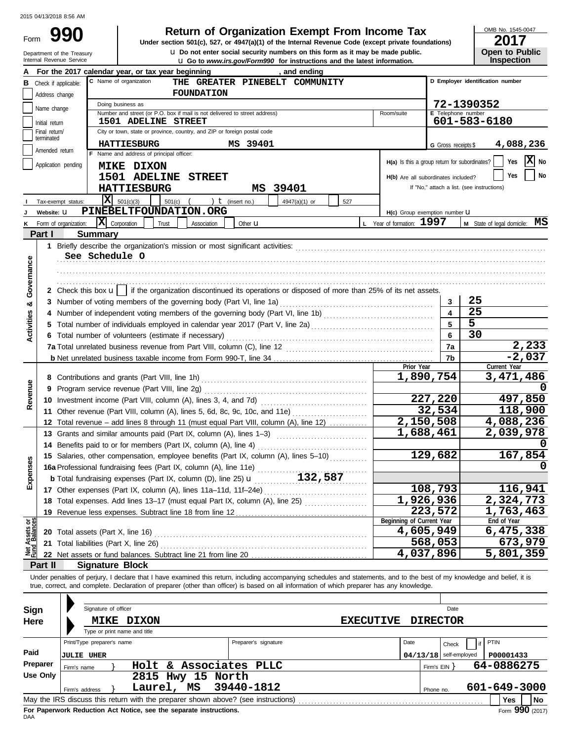Department of the Treasury<br>Internal Revenue Service

**u** Go to *www.irs.gov/Form990* for instructions and the latest information. **u** Do not enter social security numbers on this form as it may be made public. **990 1990 2017 2018 Depend of Organization Exempt From Income Tax 1947(a)(1)** of the Internal Revenue Code (except private foundations)

OMB No. 1545-0047

| 20 I I |                       |
|--------|-----------------------|
|        | <b>Open to Public</b> |
|        | <b>Inspection</b>     |

|                                |                             | For the 2017 calendar year, or tax year beginning<br>, and ending                                                                                                          |                                               |                          |                                            |  |  |  |  |
|--------------------------------|-----------------------------|----------------------------------------------------------------------------------------------------------------------------------------------------------------------------|-----------------------------------------------|--------------------------|--------------------------------------------|--|--|--|--|
| в                              | Check if applicable:        | C Name of organization<br>D Employer identification number<br>THE GREATER PINEBELT COMMUNITY                                                                               |                                               |                          |                                            |  |  |  |  |
|                                | Address change              | <b>FOUNDATION</b>                                                                                                                                                          |                                               |                          |                                            |  |  |  |  |
|                                | Name change                 | Doing business as                                                                                                                                                          |                                               |                          | 72-1390352                                 |  |  |  |  |
|                                |                             | Number and street (or P.O. box if mail is not delivered to street address)                                                                                                 | Room/suite                                    | E Telephone number       |                                            |  |  |  |  |
|                                | Initial return              | <b>1501 ADELINE STREET</b>                                                                                                                                                 |                                               |                          | 601-583-6180                               |  |  |  |  |
|                                | Final return/<br>terminated | City or town, state or province, country, and ZIP or foreign postal code                                                                                                   |                                               |                          |                                            |  |  |  |  |
|                                | Amended return              | <b>HATTIESBURG</b><br>MS 39401                                                                                                                                             |                                               | G Gross receipts \$      | 4,088,236                                  |  |  |  |  |
|                                |                             | F Name and address of principal officer:                                                                                                                                   | H(a) Is this a group return for subordinates? |                          | x <br>Yes<br>No                            |  |  |  |  |
|                                | Application pending         | <b>MIKE DIXON</b>                                                                                                                                                          |                                               |                          |                                            |  |  |  |  |
|                                |                             | 1501 ADELINE<br><b>STREET</b>                                                                                                                                              | H(b) Are all subordinates included?           |                          | No<br>Yes                                  |  |  |  |  |
|                                |                             | MS 39401<br><b>HATTIESBURG</b>                                                                                                                                             |                                               |                          | If "No," attach a list. (see instructions) |  |  |  |  |
|                                | Tax-exempt status:          | x<br>501(c)(3)<br>501(c)<br>) $t$ (insert no.)<br>4947(a)(1) or<br>527                                                                                                     |                                               |                          |                                            |  |  |  |  |
|                                | Website: U                  | PINEBELTFOUNDATION.ORG                                                                                                                                                     | H(c) Group exemption number U                 |                          |                                            |  |  |  |  |
|                                | Form of organization:       | X<br>Corporation<br>Trust<br>Other <b>u</b><br>Association                                                                                                                 | L Year of formation: 1997                     |                          | M State of legal domicile: MS              |  |  |  |  |
|                                | Part I                      | <b>Summary</b>                                                                                                                                                             |                                               |                          |                                            |  |  |  |  |
|                                |                             |                                                                                                                                                                            |                                               |                          |                                            |  |  |  |  |
|                                |                             | See Schedule O                                                                                                                                                             |                                               |                          |                                            |  |  |  |  |
|                                |                             |                                                                                                                                                                            |                                               |                          |                                            |  |  |  |  |
|                                |                             |                                                                                                                                                                            |                                               |                          |                                            |  |  |  |  |
| Governance                     |                             | 2 Check this box $\mathbf{u}$   if the organization discontinued its operations or disposed of more than 25% of its net assets.                                            |                                               |                          |                                            |  |  |  |  |
| య                              |                             | 3 Number of voting members of the governing body (Part VI, line 1a)                                                                                                        |                                               | 3                        | 25                                         |  |  |  |  |
|                                |                             |                                                                                                                                                                            |                                               | $\blacktriangle$         | 25                                         |  |  |  |  |
| Activities                     |                             |                                                                                                                                                                            |                                               | 5                        | $\overline{5}$                             |  |  |  |  |
|                                |                             | 6 Total number of volunteers (estimate if necessary)                                                                                                                       |                                               | 6                        | $\overline{3}0$                            |  |  |  |  |
|                                |                             |                                                                                                                                                                            |                                               | 7a                       | 2,233                                      |  |  |  |  |
|                                |                             |                                                                                                                                                                            |                                               | 7b                       | $-2,037$                                   |  |  |  |  |
|                                |                             |                                                                                                                                                                            | Prior Year                                    |                          | Current Year                               |  |  |  |  |
|                                |                             |                                                                                                                                                                            |                                               | 1,890,754                | 3,471,486                                  |  |  |  |  |
| Revenue                        |                             | 9 Program service revenue (Part VIII, line 2g)                                                                                                                             |                                               |                          |                                            |  |  |  |  |
|                                |                             |                                                                                                                                                                            |                                               | 227,220                  | 497,850                                    |  |  |  |  |
|                                |                             | 11 Other revenue (Part VIII, column (A), lines 5, 6d, 8c, 9c, 10c, and 11e)                                                                                                |                                               | 32,534                   | 118,900                                    |  |  |  |  |
|                                |                             | 12 Total revenue - add lines 8 through 11 (must equal Part VIII, column (A), line 12)                                                                                      |                                               | 2,150,508                | 4,088,236                                  |  |  |  |  |
|                                |                             | 13 Grants and similar amounts paid (Part IX, column (A), lines 1-3)                                                                                                        |                                               | 1,688,461                | 2,039,978                                  |  |  |  |  |
|                                |                             | 14 Benefits paid to or for members (Part IX, column (A), line 4)                                                                                                           |                                               |                          |                                            |  |  |  |  |
|                                |                             | 15 Salaries, other compensation, employee benefits (Part IX, column (A), lines 5-10)                                                                                       |                                               | 129,682                  | 167,854                                    |  |  |  |  |
| xpenses                        |                             | 16a Professional fundraising fees (Part IX, column (A), line 11e)<br>132,587                                                                                               |                                               |                          |                                            |  |  |  |  |
| ய்                             |                             | <b>b</b> Total fundraising expenses (Part IX, column (D), line 25) <b>u</b>                                                                                                |                                               |                          |                                            |  |  |  |  |
|                                |                             | 17 Other expenses (Part IX, column (A), lines 11a-11d, 11f-24e)                                                                                                            |                                               | 108,793                  | 116,941                                    |  |  |  |  |
|                                |                             | 18 Total expenses. Add lines 13-17 (must equal Part IX, column (A), line 25)                                                                                               |                                               | 1,926,936                | 2,324,773                                  |  |  |  |  |
|                                |                             | 19 Revenue less expenses. Subtract line 18 from line 12                                                                                                                    | Beginning of Current Year                     | 223,572                  | 1,763,463<br>End of Year                   |  |  |  |  |
| Net Assets or<br>Fund Balances |                             | 20 Total assets (Part X, line 16)                                                                                                                                          |                                               | 4,605,949                | 6,475,338                                  |  |  |  |  |
|                                |                             | 21 Total liabilities (Part X, line 26) Mathematical and Contact Total liabilities (Part X, line 26)                                                                        |                                               | 568,053                  | 673,979                                    |  |  |  |  |
|                                |                             | 22 Net assets or fund balances. Subtract line 21 from line 20                                                                                                              |                                               | 4,037,896                | $\overline{5}$ , 801, 359                  |  |  |  |  |
|                                | Part II                     | <b>Signature Block</b>                                                                                                                                                     |                                               |                          |                                            |  |  |  |  |
|                                |                             | Under penalties of perjury, I declare that I have examined this return, including accompanying schedules and statements, and to the best of my knowledge and belief, it is |                                               |                          |                                            |  |  |  |  |
|                                |                             | true, correct, and complete. Declaration of preparer (other than officer) is based on all information of which preparer has any knowledge.                                 |                                               |                          |                                            |  |  |  |  |
|                                |                             |                                                                                                                                                                            |                                               |                          |                                            |  |  |  |  |
| <b>Sign</b>                    |                             | Signature of officer                                                                                                                                                       |                                               | Date                     |                                            |  |  |  |  |
| Here                           |                             | <b>DIXON</b><br><b>EXECUTIVE</b><br><b>MIKE</b>                                                                                                                            |                                               | <b>DIRECTOR</b>          |                                            |  |  |  |  |
|                                |                             | Type or print name and title                                                                                                                                               |                                               |                          |                                            |  |  |  |  |
|                                |                             | Print/Type preparer's name<br>Preparer's signature                                                                                                                         | Date                                          | Check                    | PTIN                                       |  |  |  |  |
| Paid                           |                             | <b>JULIE UHER</b>                                                                                                                                                          |                                               | $04/13/18$ self-employed | P00001433                                  |  |  |  |  |
|                                | Preparer                    | Holt & Associates PLLC<br>Firm's name                                                                                                                                      |                                               | Firm's $EIN$ }           | 64-0886275                                 |  |  |  |  |
|                                | <b>Use Only</b>             | 2815 Hwy 15 North                                                                                                                                                          |                                               |                          |                                            |  |  |  |  |
|                                |                             | Laurel, MS<br>39440-1812                                                                                                                                                   |                                               |                          | 601-649-3000                               |  |  |  |  |
|                                |                             | Firm's address<br>May the IRS discuss this return with the preparer shown above? (see instructions)                                                                        |                                               | Phone no.                | Yes<br>No l                                |  |  |  |  |
|                                |                             |                                                                                                                                                                            |                                               |                          |                                            |  |  |  |  |

| Sign                                                                                         | Signature of officer                                                                                  |                      |                 | Date          |              |  |  |  |  |
|----------------------------------------------------------------------------------------------|-------------------------------------------------------------------------------------------------------|----------------------|-----------------|---------------|--------------|--|--|--|--|
| Here                                                                                         | <b>DIXON</b><br><b>MIKE</b>                                                                           | <b>EXECUTIVE</b>     | <b>DIRECTOR</b> |               |              |  |  |  |  |
|                                                                                              | Type or print name and title                                                                          |                      |                 |               |              |  |  |  |  |
|                                                                                              | Print/Type preparer's name                                                                            | Preparer's signature | Date            | Check         | PTIN         |  |  |  |  |
| Paid                                                                                         | <b>JULIE UHER</b>                                                                                     |                      | 04/13/18        | self-employed | P00001433    |  |  |  |  |
| <b>Preparer</b>                                                                              | Holt & Associates PLLC<br>Firm's name                                                                 |                      | Firm's $EIN$    |               | 64-0886275   |  |  |  |  |
| Use Only                                                                                     | 2815 Hwy 15 North                                                                                     |                      |                 |               |              |  |  |  |  |
|                                                                                              | Laurel, MS<br>Firm's address                                                                          | 39440-1812           | Phone no.       |               | 601-649-3000 |  |  |  |  |
|                                                                                              | No<br>May the IRS discuss this return with the preparer shown above? (see instructions)<br><b>Yes</b> |                      |                 |               |              |  |  |  |  |
| Form 990 (2017)<br>For Paperwork Reduction Act Notice, see the separate instructions.<br>DAA |                                                                                                       |                      |                 |               |              |  |  |  |  |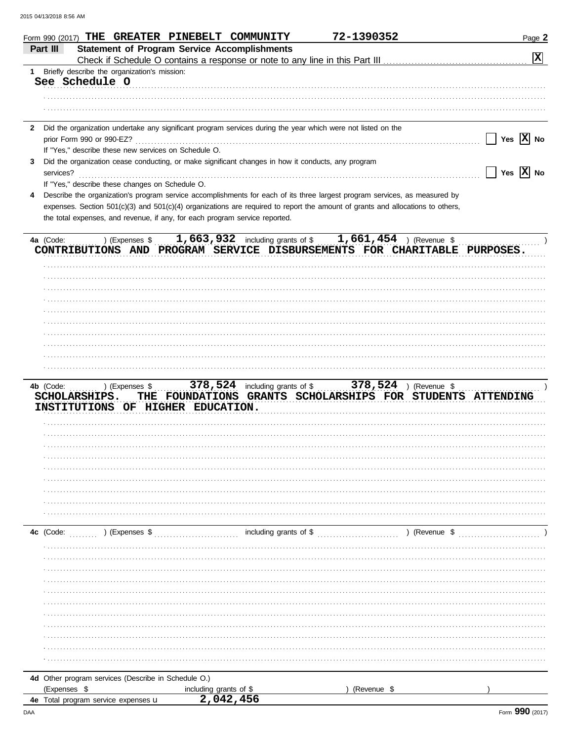| <b>Statement of Program Service Accomplishments</b><br>Part III<br>冈<br>Briefly describe the organization's mission:<br>1.<br>See Schedule O<br>Did the organization undertake any significant program services during the year which were not listed on the<br>$\mathbf{2}$<br>Yes $\overline{X}$ No<br>prior Form 990 or 990-EZ?<br>If "Yes," describe these new services on Schedule O.<br>Did the organization cease conducting, or make significant changes in how it conducts, any program<br>3<br>Yes $\overline{X}$ No<br>services?<br>If "Yes," describe these changes on Schedule O.<br>Describe the organization's program service accomplishments for each of its three largest program services, as measured by<br>4<br>expenses. Section 501(c)(3) and 501(c)(4) organizations are required to report the amount of grants and allocations to others,<br>the total expenses, and revenue, if any, for each program service reported.<br>1,663,932 including grants of $$1,661,454$ ) (Revenue \$<br>) (Expenses \$<br>4a (Code:<br>CONTRIBUTIONS AND PROGRAM SERVICE DISBURSEMENTS FOR CHARITABLE PURPOSES.<br>4b (Code:<br>) (Expenses \$<br>FOUNDATIONS GRANTS SCHOLARSHIPS FOR STUDENTS ATTENDING<br>SCHOLARSHIPS.<br>THE<br>INSTITUTIONS OF HIGHER EDUCATION.<br>) (Expenses \$<br>including grants of \$<br>) (Revenue \$<br>4c (Code:<br>4d Other program services (Describe in Schedule O.)<br>(Expenses \$<br>(Revenue \$<br>including grants of \$<br>2,042,456<br>4e Total program service expenses u | Form 990 (2017) THE GREATER PINEBELT COMMUNITY |  | 72-1390352 | Page 2 |
|-------------------------------------------------------------------------------------------------------------------------------------------------------------------------------------------------------------------------------------------------------------------------------------------------------------------------------------------------------------------------------------------------------------------------------------------------------------------------------------------------------------------------------------------------------------------------------------------------------------------------------------------------------------------------------------------------------------------------------------------------------------------------------------------------------------------------------------------------------------------------------------------------------------------------------------------------------------------------------------------------------------------------------------------------------------------------------------------------------------------------------------------------------------------------------------------------------------------------------------------------------------------------------------------------------------------------------------------------------------------------------------------------------------------------------------------------------------------------------------------------------------------------------|------------------------------------------------|--|------------|--------|
|                                                                                                                                                                                                                                                                                                                                                                                                                                                                                                                                                                                                                                                                                                                                                                                                                                                                                                                                                                                                                                                                                                                                                                                                                                                                                                                                                                                                                                                                                                                               |                                                |  |            |        |
|                                                                                                                                                                                                                                                                                                                                                                                                                                                                                                                                                                                                                                                                                                                                                                                                                                                                                                                                                                                                                                                                                                                                                                                                                                                                                                                                                                                                                                                                                                                               |                                                |  |            |        |
|                                                                                                                                                                                                                                                                                                                                                                                                                                                                                                                                                                                                                                                                                                                                                                                                                                                                                                                                                                                                                                                                                                                                                                                                                                                                                                                                                                                                                                                                                                                               |                                                |  |            |        |
|                                                                                                                                                                                                                                                                                                                                                                                                                                                                                                                                                                                                                                                                                                                                                                                                                                                                                                                                                                                                                                                                                                                                                                                                                                                                                                                                                                                                                                                                                                                               |                                                |  |            |        |
|                                                                                                                                                                                                                                                                                                                                                                                                                                                                                                                                                                                                                                                                                                                                                                                                                                                                                                                                                                                                                                                                                                                                                                                                                                                                                                                                                                                                                                                                                                                               |                                                |  |            |        |
|                                                                                                                                                                                                                                                                                                                                                                                                                                                                                                                                                                                                                                                                                                                                                                                                                                                                                                                                                                                                                                                                                                                                                                                                                                                                                                                                                                                                                                                                                                                               |                                                |  |            |        |
|                                                                                                                                                                                                                                                                                                                                                                                                                                                                                                                                                                                                                                                                                                                                                                                                                                                                                                                                                                                                                                                                                                                                                                                                                                                                                                                                                                                                                                                                                                                               |                                                |  |            |        |
|                                                                                                                                                                                                                                                                                                                                                                                                                                                                                                                                                                                                                                                                                                                                                                                                                                                                                                                                                                                                                                                                                                                                                                                                                                                                                                                                                                                                                                                                                                                               |                                                |  |            |        |
|                                                                                                                                                                                                                                                                                                                                                                                                                                                                                                                                                                                                                                                                                                                                                                                                                                                                                                                                                                                                                                                                                                                                                                                                                                                                                                                                                                                                                                                                                                                               |                                                |  |            |        |
|                                                                                                                                                                                                                                                                                                                                                                                                                                                                                                                                                                                                                                                                                                                                                                                                                                                                                                                                                                                                                                                                                                                                                                                                                                                                                                                                                                                                                                                                                                                               |                                                |  |            |        |
|                                                                                                                                                                                                                                                                                                                                                                                                                                                                                                                                                                                                                                                                                                                                                                                                                                                                                                                                                                                                                                                                                                                                                                                                                                                                                                                                                                                                                                                                                                                               |                                                |  |            |        |
|                                                                                                                                                                                                                                                                                                                                                                                                                                                                                                                                                                                                                                                                                                                                                                                                                                                                                                                                                                                                                                                                                                                                                                                                                                                                                                                                                                                                                                                                                                                               |                                                |  |            |        |
|                                                                                                                                                                                                                                                                                                                                                                                                                                                                                                                                                                                                                                                                                                                                                                                                                                                                                                                                                                                                                                                                                                                                                                                                                                                                                                                                                                                                                                                                                                                               |                                                |  |            |        |
|                                                                                                                                                                                                                                                                                                                                                                                                                                                                                                                                                                                                                                                                                                                                                                                                                                                                                                                                                                                                                                                                                                                                                                                                                                                                                                                                                                                                                                                                                                                               |                                                |  |            |        |
|                                                                                                                                                                                                                                                                                                                                                                                                                                                                                                                                                                                                                                                                                                                                                                                                                                                                                                                                                                                                                                                                                                                                                                                                                                                                                                                                                                                                                                                                                                                               |                                                |  |            |        |
|                                                                                                                                                                                                                                                                                                                                                                                                                                                                                                                                                                                                                                                                                                                                                                                                                                                                                                                                                                                                                                                                                                                                                                                                                                                                                                                                                                                                                                                                                                                               |                                                |  |            |        |
|                                                                                                                                                                                                                                                                                                                                                                                                                                                                                                                                                                                                                                                                                                                                                                                                                                                                                                                                                                                                                                                                                                                                                                                                                                                                                                                                                                                                                                                                                                                               |                                                |  |            |        |
|                                                                                                                                                                                                                                                                                                                                                                                                                                                                                                                                                                                                                                                                                                                                                                                                                                                                                                                                                                                                                                                                                                                                                                                                                                                                                                                                                                                                                                                                                                                               |                                                |  |            |        |
|                                                                                                                                                                                                                                                                                                                                                                                                                                                                                                                                                                                                                                                                                                                                                                                                                                                                                                                                                                                                                                                                                                                                                                                                                                                                                                                                                                                                                                                                                                                               |                                                |  |            |        |
|                                                                                                                                                                                                                                                                                                                                                                                                                                                                                                                                                                                                                                                                                                                                                                                                                                                                                                                                                                                                                                                                                                                                                                                                                                                                                                                                                                                                                                                                                                                               |                                                |  |            |        |
|                                                                                                                                                                                                                                                                                                                                                                                                                                                                                                                                                                                                                                                                                                                                                                                                                                                                                                                                                                                                                                                                                                                                                                                                                                                                                                                                                                                                                                                                                                                               |                                                |  |            |        |
|                                                                                                                                                                                                                                                                                                                                                                                                                                                                                                                                                                                                                                                                                                                                                                                                                                                                                                                                                                                                                                                                                                                                                                                                                                                                                                                                                                                                                                                                                                                               |                                                |  |            |        |
|                                                                                                                                                                                                                                                                                                                                                                                                                                                                                                                                                                                                                                                                                                                                                                                                                                                                                                                                                                                                                                                                                                                                                                                                                                                                                                                                                                                                                                                                                                                               |                                                |  |            |        |
|                                                                                                                                                                                                                                                                                                                                                                                                                                                                                                                                                                                                                                                                                                                                                                                                                                                                                                                                                                                                                                                                                                                                                                                                                                                                                                                                                                                                                                                                                                                               |                                                |  |            |        |
|                                                                                                                                                                                                                                                                                                                                                                                                                                                                                                                                                                                                                                                                                                                                                                                                                                                                                                                                                                                                                                                                                                                                                                                                                                                                                                                                                                                                                                                                                                                               |                                                |  |            |        |
|                                                                                                                                                                                                                                                                                                                                                                                                                                                                                                                                                                                                                                                                                                                                                                                                                                                                                                                                                                                                                                                                                                                                                                                                                                                                                                                                                                                                                                                                                                                               |                                                |  |            |        |
|                                                                                                                                                                                                                                                                                                                                                                                                                                                                                                                                                                                                                                                                                                                                                                                                                                                                                                                                                                                                                                                                                                                                                                                                                                                                                                                                                                                                                                                                                                                               |                                                |  |            |        |
|                                                                                                                                                                                                                                                                                                                                                                                                                                                                                                                                                                                                                                                                                                                                                                                                                                                                                                                                                                                                                                                                                                                                                                                                                                                                                                                                                                                                                                                                                                                               |                                                |  |            |        |
|                                                                                                                                                                                                                                                                                                                                                                                                                                                                                                                                                                                                                                                                                                                                                                                                                                                                                                                                                                                                                                                                                                                                                                                                                                                                                                                                                                                                                                                                                                                               |                                                |  |            |        |
|                                                                                                                                                                                                                                                                                                                                                                                                                                                                                                                                                                                                                                                                                                                                                                                                                                                                                                                                                                                                                                                                                                                                                                                                                                                                                                                                                                                                                                                                                                                               |                                                |  |            |        |
|                                                                                                                                                                                                                                                                                                                                                                                                                                                                                                                                                                                                                                                                                                                                                                                                                                                                                                                                                                                                                                                                                                                                                                                                                                                                                                                                                                                                                                                                                                                               |                                                |  |            |        |
|                                                                                                                                                                                                                                                                                                                                                                                                                                                                                                                                                                                                                                                                                                                                                                                                                                                                                                                                                                                                                                                                                                                                                                                                                                                                                                                                                                                                                                                                                                                               |                                                |  |            |        |
|                                                                                                                                                                                                                                                                                                                                                                                                                                                                                                                                                                                                                                                                                                                                                                                                                                                                                                                                                                                                                                                                                                                                                                                                                                                                                                                                                                                                                                                                                                                               |                                                |  |            |        |
|                                                                                                                                                                                                                                                                                                                                                                                                                                                                                                                                                                                                                                                                                                                                                                                                                                                                                                                                                                                                                                                                                                                                                                                                                                                                                                                                                                                                                                                                                                                               |                                                |  |            |        |
|                                                                                                                                                                                                                                                                                                                                                                                                                                                                                                                                                                                                                                                                                                                                                                                                                                                                                                                                                                                                                                                                                                                                                                                                                                                                                                                                                                                                                                                                                                                               |                                                |  |            |        |
|                                                                                                                                                                                                                                                                                                                                                                                                                                                                                                                                                                                                                                                                                                                                                                                                                                                                                                                                                                                                                                                                                                                                                                                                                                                                                                                                                                                                                                                                                                                               |                                                |  |            |        |
|                                                                                                                                                                                                                                                                                                                                                                                                                                                                                                                                                                                                                                                                                                                                                                                                                                                                                                                                                                                                                                                                                                                                                                                                                                                                                                                                                                                                                                                                                                                               |                                                |  |            |        |
|                                                                                                                                                                                                                                                                                                                                                                                                                                                                                                                                                                                                                                                                                                                                                                                                                                                                                                                                                                                                                                                                                                                                                                                                                                                                                                                                                                                                                                                                                                                               |                                                |  |            |        |
|                                                                                                                                                                                                                                                                                                                                                                                                                                                                                                                                                                                                                                                                                                                                                                                                                                                                                                                                                                                                                                                                                                                                                                                                                                                                                                                                                                                                                                                                                                                               |                                                |  |            |        |
|                                                                                                                                                                                                                                                                                                                                                                                                                                                                                                                                                                                                                                                                                                                                                                                                                                                                                                                                                                                                                                                                                                                                                                                                                                                                                                                                                                                                                                                                                                                               |                                                |  |            |        |
|                                                                                                                                                                                                                                                                                                                                                                                                                                                                                                                                                                                                                                                                                                                                                                                                                                                                                                                                                                                                                                                                                                                                                                                                                                                                                                                                                                                                                                                                                                                               |                                                |  |            |        |
|                                                                                                                                                                                                                                                                                                                                                                                                                                                                                                                                                                                                                                                                                                                                                                                                                                                                                                                                                                                                                                                                                                                                                                                                                                                                                                                                                                                                                                                                                                                               |                                                |  |            |        |
|                                                                                                                                                                                                                                                                                                                                                                                                                                                                                                                                                                                                                                                                                                                                                                                                                                                                                                                                                                                                                                                                                                                                                                                                                                                                                                                                                                                                                                                                                                                               |                                                |  |            |        |
|                                                                                                                                                                                                                                                                                                                                                                                                                                                                                                                                                                                                                                                                                                                                                                                                                                                                                                                                                                                                                                                                                                                                                                                                                                                                                                                                                                                                                                                                                                                               |                                                |  |            |        |
|                                                                                                                                                                                                                                                                                                                                                                                                                                                                                                                                                                                                                                                                                                                                                                                                                                                                                                                                                                                                                                                                                                                                                                                                                                                                                                                                                                                                                                                                                                                               |                                                |  |            |        |
|                                                                                                                                                                                                                                                                                                                                                                                                                                                                                                                                                                                                                                                                                                                                                                                                                                                                                                                                                                                                                                                                                                                                                                                                                                                                                                                                                                                                                                                                                                                               |                                                |  |            |        |
|                                                                                                                                                                                                                                                                                                                                                                                                                                                                                                                                                                                                                                                                                                                                                                                                                                                                                                                                                                                                                                                                                                                                                                                                                                                                                                                                                                                                                                                                                                                               |                                                |  |            |        |
|                                                                                                                                                                                                                                                                                                                                                                                                                                                                                                                                                                                                                                                                                                                                                                                                                                                                                                                                                                                                                                                                                                                                                                                                                                                                                                                                                                                                                                                                                                                               |                                                |  |            |        |
|                                                                                                                                                                                                                                                                                                                                                                                                                                                                                                                                                                                                                                                                                                                                                                                                                                                                                                                                                                                                                                                                                                                                                                                                                                                                                                                                                                                                                                                                                                                               |                                                |  |            |        |
|                                                                                                                                                                                                                                                                                                                                                                                                                                                                                                                                                                                                                                                                                                                                                                                                                                                                                                                                                                                                                                                                                                                                                                                                                                                                                                                                                                                                                                                                                                                               |                                                |  |            |        |
|                                                                                                                                                                                                                                                                                                                                                                                                                                                                                                                                                                                                                                                                                                                                                                                                                                                                                                                                                                                                                                                                                                                                                                                                                                                                                                                                                                                                                                                                                                                               |                                                |  |            |        |
|                                                                                                                                                                                                                                                                                                                                                                                                                                                                                                                                                                                                                                                                                                                                                                                                                                                                                                                                                                                                                                                                                                                                                                                                                                                                                                                                                                                                                                                                                                                               |                                                |  |            |        |
|                                                                                                                                                                                                                                                                                                                                                                                                                                                                                                                                                                                                                                                                                                                                                                                                                                                                                                                                                                                                                                                                                                                                                                                                                                                                                                                                                                                                                                                                                                                               |                                                |  |            |        |
|                                                                                                                                                                                                                                                                                                                                                                                                                                                                                                                                                                                                                                                                                                                                                                                                                                                                                                                                                                                                                                                                                                                                                                                                                                                                                                                                                                                                                                                                                                                               |                                                |  |            |        |
|                                                                                                                                                                                                                                                                                                                                                                                                                                                                                                                                                                                                                                                                                                                                                                                                                                                                                                                                                                                                                                                                                                                                                                                                                                                                                                                                                                                                                                                                                                                               |                                                |  |            |        |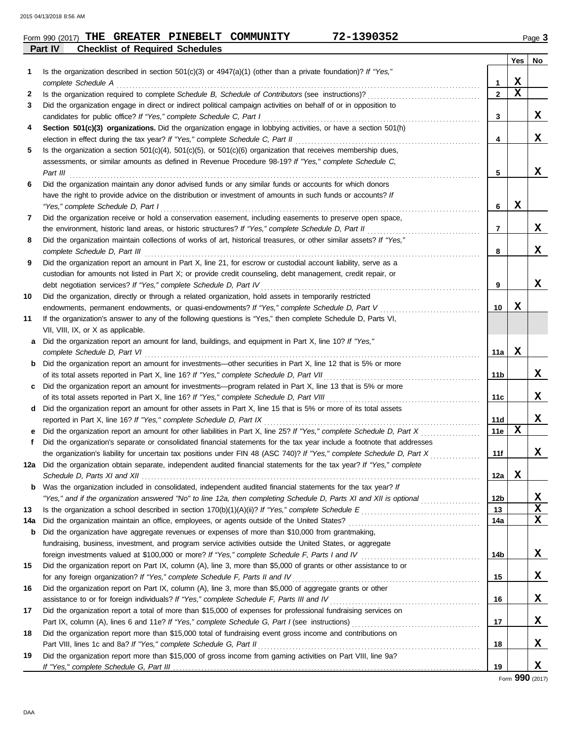| Form 990 (2017) THE |  |                                        | GREATER PINEBELT COMMUNITY | $-1390352$<br>72– | Page 3 |
|---------------------|--|----------------------------------------|----------------------------|-------------------|--------|
| Part IV             |  | <b>Checklist of Required Schedules</b> |                            |                   |        |

|     |                                                                                                                                                                                                                                     |                 | Yes    | No          |
|-----|-------------------------------------------------------------------------------------------------------------------------------------------------------------------------------------------------------------------------------------|-----------------|--------|-------------|
| 1   | Is the organization described in section $501(c)(3)$ or $4947(a)(1)$ (other than a private foundation)? If "Yes,"                                                                                                                   |                 |        |             |
|     | complete Schedule A                                                                                                                                                                                                                 | 1               | х      |             |
| 2   | Is the organization required to complete Schedule B, Schedule of Contributors (see instructions)?                                                                                                                                   | $\overline{2}$  | X      |             |
| 3   | Did the organization engage in direct or indirect political campaign activities on behalf of or in opposition to<br>candidates for public office? If "Yes," complete Schedule C, Part I                                             | 3               |        | X           |
| 4   | Section 501(c)(3) organizations. Did the organization engage in lobbying activities, or have a section 501(h)                                                                                                                       |                 |        |             |
|     | election in effect during the tax year? If "Yes," complete Schedule C, Part II                                                                                                                                                      | 4               |        | x           |
| 5   | Is the organization a section $501(c)(4)$ , $501(c)(5)$ , or $501(c)(6)$ organization that receives membership dues,                                                                                                                |                 |        |             |
|     | assessments, or similar amounts as defined in Revenue Procedure 98-19? If "Yes," complete Schedule C,                                                                                                                               |                 |        |             |
|     | Part III                                                                                                                                                                                                                            | 5               |        | x           |
| 6   | Did the organization maintain any donor advised funds or any similar funds or accounts for which donors                                                                                                                             |                 |        |             |
|     | have the right to provide advice on the distribution or investment of amounts in such funds or accounts? If                                                                                                                         |                 |        |             |
|     | "Yes," complete Schedule D, Part I                                                                                                                                                                                                  | 6               | X      |             |
| 7   | Did the organization receive or hold a conservation easement, including easements to preserve open space,                                                                                                                           |                 |        |             |
|     | the environment, historic land areas, or historic structures? If "Yes," complete Schedule D, Part II                                                                                                                                | $\overline{7}$  |        | X           |
| 8   | Did the organization maintain collections of works of art, historical treasures, or other similar assets? If "Yes,"                                                                                                                 |                 |        |             |
|     | complete Schedule D, Part III                                                                                                                                                                                                       | 8               |        | x           |
| 9   | Did the organization report an amount in Part X, line 21, for escrow or custodial account liability, serve as a                                                                                                                     |                 |        |             |
|     | custodian for amounts not listed in Part X; or provide credit counseling, debt management, credit repair, or                                                                                                                        |                 |        |             |
|     | debt negotiation services? If "Yes," complete Schedule D, Part IV                                                                                                                                                                   | 9               |        | x           |
| 10  | Did the organization, directly or through a related organization, hold assets in temporarily restricted                                                                                                                             |                 |        |             |
|     | endowments, permanent endowments, or quasi-endowments? If "Yes," complete Schedule D, Part V                                                                                                                                        | 10              | х      |             |
| 11  | If the organization's answer to any of the following questions is "Yes," then complete Schedule D, Parts VI,                                                                                                                        |                 |        |             |
|     | VII, VIII, IX, or X as applicable.<br>Did the organization report an amount for land, buildings, and equipment in Part X, line 10? If "Yes,"                                                                                        |                 |        |             |
| a   | complete Schedule D, Part VI                                                                                                                                                                                                        | 11a             | X      |             |
| b   | Did the organization report an amount for investments—other securities in Part X, line 12 that is 5% or more                                                                                                                        |                 |        |             |
|     | of its total assets reported in Part X, line 16? If "Yes," complete Schedule D, Part VII                                                                                                                                            | 11b             |        | x           |
| c   | Did the organization report an amount for investments—program related in Part X, line 13 that is 5% or more                                                                                                                         |                 |        |             |
|     | of its total assets reported in Part X, line 16? If "Yes," complete Schedule D, Part VIII                                                                                                                                           | 11c             |        | X           |
| d   | Did the organization report an amount for other assets in Part X, line 15 that is 5% or more of its total assets                                                                                                                    |                 |        |             |
|     | reported in Part X, line 16? If "Yes," complete Schedule D, Part IX                                                                                                                                                                 | 11d             |        | x           |
|     | Did the organization report an amount for other liabilities in Part X, line 25? If "Yes," complete Schedule D, Part X                                                                                                               | 11e             | X      |             |
| f   | Did the organization's separate or consolidated financial statements for the tax year include a footnote that addresses                                                                                                             |                 |        |             |
|     | the organization's liability for uncertain tax positions under FIN 48 (ASC 740)? If "Yes," complete Schedule D, Part X                                                                                                              | 11f             |        | x           |
| 12a | Did the organization obtain separate, independent audited financial statements for the tax year? If "Yes," complete                                                                                                                 |                 |        |             |
|     |                                                                                                                                                                                                                                     | 12a             | v<br>ᅀ |             |
| b   | Was the organization included in consolidated, independent audited financial statements for the tax year? If                                                                                                                        |                 |        |             |
|     | "Yes," and if the organization answered "No" to line 12a, then completing Schedule D, Parts XI and XII is optional                                                                                                                  | 12 <sub>b</sub> |        | X           |
| 13  |                                                                                                                                                                                                                                     | 13              |        | X           |
| 14a | Did the organization maintain an office, employees, or agents outside of the United States?                                                                                                                                         | 14a             |        | $\mathbf x$ |
| b   | Did the organization have aggregate revenues or expenses of more than \$10,000 from grantmaking,                                                                                                                                    |                 |        |             |
|     | fundraising, business, investment, and program service activities outside the United States, or aggregate                                                                                                                           |                 |        | x           |
| 15  | foreign investments valued at \$100,000 or more? If "Yes," complete Schedule F, Parts I and IV [[[[[[[[[[[[[[[<br>Did the organization report on Part IX, column (A), line 3, more than \$5,000 of grants or other assistance to or | 14b             |        |             |
|     | for any foreign organization? If "Yes," complete Schedule F, Parts II and IV                                                                                                                                                        | 15              |        | X           |
| 16  | Did the organization report on Part IX, column (A), line 3, more than \$5,000 of aggregate grants or other                                                                                                                          |                 |        |             |
|     | assistance to or for foreign individuals? If "Yes," complete Schedule F, Parts III and IV                                                                                                                                           | 16              |        | X           |
| 17  | Did the organization report a total of more than \$15,000 of expenses for professional fundraising services on                                                                                                                      |                 |        |             |
|     |                                                                                                                                                                                                                                     | 17              |        | X           |
| 18  | Did the organization report more than \$15,000 total of fundraising event gross income and contributions on                                                                                                                         |                 |        |             |
|     | Part VIII, lines 1c and 8a? If "Yes," complete Schedule G, Part II                                                                                                                                                                  | 18              |        | x           |
| 19  | Did the organization report more than \$15,000 of gross income from gaming activities on Part VIII, line 9a?                                                                                                                        |                 |        |             |
|     |                                                                                                                                                                                                                                     | 19              |        | X           |

Form **990** (2017)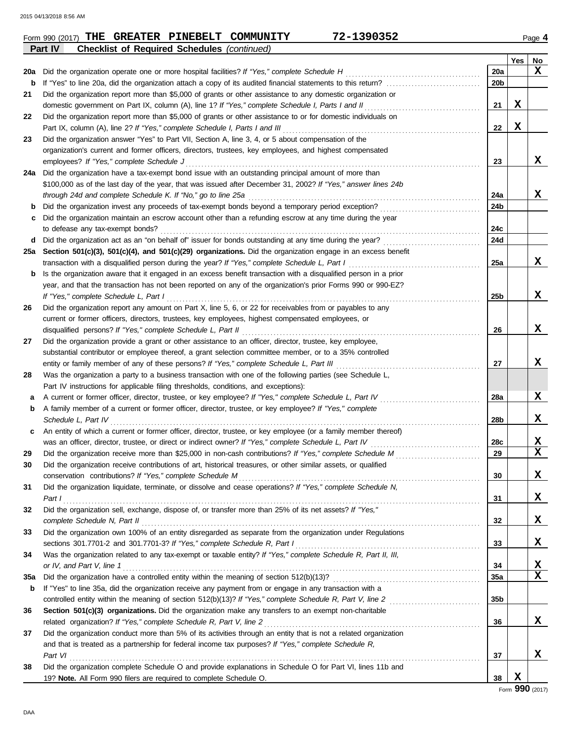| Yes<br>No<br>$\mathbf x$<br>Did the organization operate one or more hospital facilities? If "Yes," complete Schedule H<br>20a<br>20a<br>20b<br>b<br>Did the organization report more than \$5,000 of grants or other assistance to any domestic organization or<br>21<br>X<br>domestic government on Part IX, column (A), line 1? If "Yes," complete Schedule I, Parts I and II<br>21<br>Did the organization report more than \$5,000 of grants or other assistance to or for domestic individuals on<br>22<br>X<br>Part IX, column (A), line 2? If "Yes," complete Schedule I, Parts I and III<br>22<br>Did the organization answer "Yes" to Part VII, Section A, line 3, 4, or 5 about compensation of the<br>23<br>organization's current and former officers, directors, trustees, key employees, and highest compensated<br>X<br>employees? If "Yes," complete Schedule J<br>23<br>Did the organization have a tax-exempt bond issue with an outstanding principal amount of more than<br>24a<br>\$100,000 as of the last day of the year, that was issued after December 31, 2002? If "Yes," answer lines 24b<br>X<br>through 24d and complete Schedule K. If "No," go to line 25a<br>24a<br>Did the organization invest any proceeds of tax-exempt bonds beyond a temporary period exception?<br>24b<br>b<br>Did the organization maintain an escrow account other than a refunding escrow at any time during the year<br>с<br>24c<br>to defease any tax-exempt bonds?<br>Did the organization act as an "on behalf of" issuer for bonds outstanding at any time during the year?<br>24d<br>d<br>Section 501(c)(3), 501(c)(4), and 501(c)(29) organizations. Did the organization engage in an excess benefit<br>25a<br>x<br>transaction with a disqualified person during the year? If "Yes," complete Schedule L, Part I<br>25a<br>Is the organization aware that it engaged in an excess benefit transaction with a disqualified person in a prior<br>b<br>year, and that the transaction has not been reported on any of the organization's prior Forms 990 or 990-EZ?<br>x<br>If "Yes," complete Schedule L, Part I<br>25b<br>Did the organization report any amount on Part X, line 5, 6, or 22 for receivables from or payables to any<br>26<br>current or former officers, directors, trustees, key employees, highest compensated employees, or<br>X<br>disqualified persons? If "Yes," complete Schedule L, Part II<br>26<br>Did the organization provide a grant or other assistance to an officer, director, trustee, key employee,<br>27<br>substantial contributor or employee thereof, a grant selection committee member, or to a 35% controlled<br>x<br>entity or family member of any of these persons? If "Yes," complete Schedule L, Part III<br>27<br>Was the organization a party to a business transaction with one of the following parties (see Schedule L,<br>28<br>Part IV instructions for applicable filing thresholds, conditions, and exceptions):<br>X<br>A current or former officer, director, trustee, or key employee? If "Yes," complete Schedule L, Part IV<br>28a<br>а<br>A family member of a current or former officer, director, trustee, or key employee? If "Yes," complete<br>b<br>X<br>Schedule L. Part IV<br>28b<br>An entity of which a current or former officer, director, trustee, or key employee (or a family member thereof)<br>c<br>X<br>was an officer, director, trustee, or direct or indirect owner? If "Yes," complete Schedule L, Part IV<br>28c<br>$\mathbf x$<br>29<br>29<br>Did the organization receive contributions of art, historical treasures, or other similar assets, or qualified<br>X<br>conservation contributions? If "Yes," complete Schedule M<br>30<br>Did the organization liquidate, terminate, or dissolve and cease operations? If "Yes," complete Schedule N,<br>31<br>X<br>31<br>Part I<br>Did the organization sell, exchange, dispose of, or transfer more than 25% of its net assets? If "Yes,"<br>32<br>X<br>complete Schedule N, Part II<br>32<br>Did the organization own 100% of an entity disregarded as separate from the organization under Regulations<br>33<br>X<br>sections 301.7701-2 and 301.7701-3? If "Yes," complete Schedule R, Part I<br>33<br>Was the organization related to any tax-exempt or taxable entity? If "Yes," complete Schedule R, Part II, III,<br>34<br>X<br>or IV, and Part V, line 1<br>34<br>$\mathbf x$<br>35a<br>35a<br>If "Yes" to line 35a, did the organization receive any payment from or engage in any transaction with a<br>b<br>35b<br>Section 501(c)(3) organizations. Did the organization make any transfers to an exempt non-charitable<br>36<br>x<br>related organization? If "Yes," complete Schedule R, Part V, line 2<br>36<br>Did the organization conduct more than 5% of its activities through an entity that is not a related organization<br>37<br>and that is treated as a partnership for federal income tax purposes? If "Yes," complete Schedule R,<br>X<br>Part VI<br>37<br>Did the organization complete Schedule O and provide explanations in Schedule O for Part VI, lines 11b and<br>38<br>X<br>19? Note. All Form 990 filers are required to complete Schedule O.<br>38<br>$\overline{a}$ <b>QQ</b> $\overline{a}$ | Part IV<br><b>Checklist of Required Schedules (continued)</b> |  |  |
|-------------------------------------------------------------------------------------------------------------------------------------------------------------------------------------------------------------------------------------------------------------------------------------------------------------------------------------------------------------------------------------------------------------------------------------------------------------------------------------------------------------------------------------------------------------------------------------------------------------------------------------------------------------------------------------------------------------------------------------------------------------------------------------------------------------------------------------------------------------------------------------------------------------------------------------------------------------------------------------------------------------------------------------------------------------------------------------------------------------------------------------------------------------------------------------------------------------------------------------------------------------------------------------------------------------------------------------------------------------------------------------------------------------------------------------------------------------------------------------------------------------------------------------------------------------------------------------------------------------------------------------------------------------------------------------------------------------------------------------------------------------------------------------------------------------------------------------------------------------------------------------------------------------------------------------------------------------------------------------------------------------------------------------------------------------------------------------------------------------------------------------------------------------------------------------------------------------------------------------------------------------------------------------------------------------------------------------------------------------------------------------------------------------------------------------------------------------------------------------------------------------------------------------------------------------------------------------------------------------------------------------------------------------------------------------------------------------------------------------------------------------------------------------------------------------------------------------------------------------------------------------------------------------------------------------------------------------------------------------------------------------------------------------------------------------------------------------------------------------------------------------------------------------------------------------------------------------------------------------------------------------------------------------------------------------------------------------------------------------------------------------------------------------------------------------------------------------------------------------------------------------------------------------------------------------------------------------------------------------------------------------------------------------------------------------------------------------------------------------------------------------------------------------------------------------------------------------------------------------------------------------------------------------------------------------------------------------------------------------------------------------------------------------------------------------------------------------------------------------------------------------------------------------------------------------------------------------------------------------------------------------------------------------------------------------------------------------------------------------------------------------------------------------------------------------------------------------------------------------------------------------------------------------------------------------------------------------------------------------------------------------------------------------------------------------------------------------------------------------------------------------------------------------------------------------------------------------------------------------------------------------------------------------------------------------------------------------------------------------------------------------------------------------------------------------------------------------------------------------------------------------------------------------------------------------------------------------------------------------------------------------------------------------------|---------------------------------------------------------------|--|--|
|                                                                                                                                                                                                                                                                                                                                                                                                                                                                                                                                                                                                                                                                                                                                                                                                                                                                                                                                                                                                                                                                                                                                                                                                                                                                                                                                                                                                                                                                                                                                                                                                                                                                                                                                                                                                                                                                                                                                                                                                                                                                                                                                                                                                                                                                                                                                                                                                                                                                                                                                                                                                                                                                                                                                                                                                                                                                                                                                                                                                                                                                                                                                                                                                                                                                                                                                                                                                                                                                                                                                                                                                                                                                                                                                                                                                                                                                                                                                                                                                                                                                                                                                                                                                                                                                                                                                                                                                                                                                                                                                                                                                                                                                                                                                                                                                                                                                                                                                                                                                                                                                                                                                                                                                                                                                                           |                                                               |  |  |
|                                                                                                                                                                                                                                                                                                                                                                                                                                                                                                                                                                                                                                                                                                                                                                                                                                                                                                                                                                                                                                                                                                                                                                                                                                                                                                                                                                                                                                                                                                                                                                                                                                                                                                                                                                                                                                                                                                                                                                                                                                                                                                                                                                                                                                                                                                                                                                                                                                                                                                                                                                                                                                                                                                                                                                                                                                                                                                                                                                                                                                                                                                                                                                                                                                                                                                                                                                                                                                                                                                                                                                                                                                                                                                                                                                                                                                                                                                                                                                                                                                                                                                                                                                                                                                                                                                                                                                                                                                                                                                                                                                                                                                                                                                                                                                                                                                                                                                                                                                                                                                                                                                                                                                                                                                                                                           |                                                               |  |  |
|                                                                                                                                                                                                                                                                                                                                                                                                                                                                                                                                                                                                                                                                                                                                                                                                                                                                                                                                                                                                                                                                                                                                                                                                                                                                                                                                                                                                                                                                                                                                                                                                                                                                                                                                                                                                                                                                                                                                                                                                                                                                                                                                                                                                                                                                                                                                                                                                                                                                                                                                                                                                                                                                                                                                                                                                                                                                                                                                                                                                                                                                                                                                                                                                                                                                                                                                                                                                                                                                                                                                                                                                                                                                                                                                                                                                                                                                                                                                                                                                                                                                                                                                                                                                                                                                                                                                                                                                                                                                                                                                                                                                                                                                                                                                                                                                                                                                                                                                                                                                                                                                                                                                                                                                                                                                                           |                                                               |  |  |
|                                                                                                                                                                                                                                                                                                                                                                                                                                                                                                                                                                                                                                                                                                                                                                                                                                                                                                                                                                                                                                                                                                                                                                                                                                                                                                                                                                                                                                                                                                                                                                                                                                                                                                                                                                                                                                                                                                                                                                                                                                                                                                                                                                                                                                                                                                                                                                                                                                                                                                                                                                                                                                                                                                                                                                                                                                                                                                                                                                                                                                                                                                                                                                                                                                                                                                                                                                                                                                                                                                                                                                                                                                                                                                                                                                                                                                                                                                                                                                                                                                                                                                                                                                                                                                                                                                                                                                                                                                                                                                                                                                                                                                                                                                                                                                                                                                                                                                                                                                                                                                                                                                                                                                                                                                                                                           |                                                               |  |  |
|                                                                                                                                                                                                                                                                                                                                                                                                                                                                                                                                                                                                                                                                                                                                                                                                                                                                                                                                                                                                                                                                                                                                                                                                                                                                                                                                                                                                                                                                                                                                                                                                                                                                                                                                                                                                                                                                                                                                                                                                                                                                                                                                                                                                                                                                                                                                                                                                                                                                                                                                                                                                                                                                                                                                                                                                                                                                                                                                                                                                                                                                                                                                                                                                                                                                                                                                                                                                                                                                                                                                                                                                                                                                                                                                                                                                                                                                                                                                                                                                                                                                                                                                                                                                                                                                                                                                                                                                                                                                                                                                                                                                                                                                                                                                                                                                                                                                                                                                                                                                                                                                                                                                                                                                                                                                                           |                                                               |  |  |
|                                                                                                                                                                                                                                                                                                                                                                                                                                                                                                                                                                                                                                                                                                                                                                                                                                                                                                                                                                                                                                                                                                                                                                                                                                                                                                                                                                                                                                                                                                                                                                                                                                                                                                                                                                                                                                                                                                                                                                                                                                                                                                                                                                                                                                                                                                                                                                                                                                                                                                                                                                                                                                                                                                                                                                                                                                                                                                                                                                                                                                                                                                                                                                                                                                                                                                                                                                                                                                                                                                                                                                                                                                                                                                                                                                                                                                                                                                                                                                                                                                                                                                                                                                                                                                                                                                                                                                                                                                                                                                                                                                                                                                                                                                                                                                                                                                                                                                                                                                                                                                                                                                                                                                                                                                                                                           |                                                               |  |  |
|                                                                                                                                                                                                                                                                                                                                                                                                                                                                                                                                                                                                                                                                                                                                                                                                                                                                                                                                                                                                                                                                                                                                                                                                                                                                                                                                                                                                                                                                                                                                                                                                                                                                                                                                                                                                                                                                                                                                                                                                                                                                                                                                                                                                                                                                                                                                                                                                                                                                                                                                                                                                                                                                                                                                                                                                                                                                                                                                                                                                                                                                                                                                                                                                                                                                                                                                                                                                                                                                                                                                                                                                                                                                                                                                                                                                                                                                                                                                                                                                                                                                                                                                                                                                                                                                                                                                                                                                                                                                                                                                                                                                                                                                                                                                                                                                                                                                                                                                                                                                                                                                                                                                                                                                                                                                                           |                                                               |  |  |
|                                                                                                                                                                                                                                                                                                                                                                                                                                                                                                                                                                                                                                                                                                                                                                                                                                                                                                                                                                                                                                                                                                                                                                                                                                                                                                                                                                                                                                                                                                                                                                                                                                                                                                                                                                                                                                                                                                                                                                                                                                                                                                                                                                                                                                                                                                                                                                                                                                                                                                                                                                                                                                                                                                                                                                                                                                                                                                                                                                                                                                                                                                                                                                                                                                                                                                                                                                                                                                                                                                                                                                                                                                                                                                                                                                                                                                                                                                                                                                                                                                                                                                                                                                                                                                                                                                                                                                                                                                                                                                                                                                                                                                                                                                                                                                                                                                                                                                                                                                                                                                                                                                                                                                                                                                                                                           |                                                               |  |  |
|                                                                                                                                                                                                                                                                                                                                                                                                                                                                                                                                                                                                                                                                                                                                                                                                                                                                                                                                                                                                                                                                                                                                                                                                                                                                                                                                                                                                                                                                                                                                                                                                                                                                                                                                                                                                                                                                                                                                                                                                                                                                                                                                                                                                                                                                                                                                                                                                                                                                                                                                                                                                                                                                                                                                                                                                                                                                                                                                                                                                                                                                                                                                                                                                                                                                                                                                                                                                                                                                                                                                                                                                                                                                                                                                                                                                                                                                                                                                                                                                                                                                                                                                                                                                                                                                                                                                                                                                                                                                                                                                                                                                                                                                                                                                                                                                                                                                                                                                                                                                                                                                                                                                                                                                                                                                                           |                                                               |  |  |
|                                                                                                                                                                                                                                                                                                                                                                                                                                                                                                                                                                                                                                                                                                                                                                                                                                                                                                                                                                                                                                                                                                                                                                                                                                                                                                                                                                                                                                                                                                                                                                                                                                                                                                                                                                                                                                                                                                                                                                                                                                                                                                                                                                                                                                                                                                                                                                                                                                                                                                                                                                                                                                                                                                                                                                                                                                                                                                                                                                                                                                                                                                                                                                                                                                                                                                                                                                                                                                                                                                                                                                                                                                                                                                                                                                                                                                                                                                                                                                                                                                                                                                                                                                                                                                                                                                                                                                                                                                                                                                                                                                                                                                                                                                                                                                                                                                                                                                                                                                                                                                                                                                                                                                                                                                                                                           |                                                               |  |  |
|                                                                                                                                                                                                                                                                                                                                                                                                                                                                                                                                                                                                                                                                                                                                                                                                                                                                                                                                                                                                                                                                                                                                                                                                                                                                                                                                                                                                                                                                                                                                                                                                                                                                                                                                                                                                                                                                                                                                                                                                                                                                                                                                                                                                                                                                                                                                                                                                                                                                                                                                                                                                                                                                                                                                                                                                                                                                                                                                                                                                                                                                                                                                                                                                                                                                                                                                                                                                                                                                                                                                                                                                                                                                                                                                                                                                                                                                                                                                                                                                                                                                                                                                                                                                                                                                                                                                                                                                                                                                                                                                                                                                                                                                                                                                                                                                                                                                                                                                                                                                                                                                                                                                                                                                                                                                                           |                                                               |  |  |
|                                                                                                                                                                                                                                                                                                                                                                                                                                                                                                                                                                                                                                                                                                                                                                                                                                                                                                                                                                                                                                                                                                                                                                                                                                                                                                                                                                                                                                                                                                                                                                                                                                                                                                                                                                                                                                                                                                                                                                                                                                                                                                                                                                                                                                                                                                                                                                                                                                                                                                                                                                                                                                                                                                                                                                                                                                                                                                                                                                                                                                                                                                                                                                                                                                                                                                                                                                                                                                                                                                                                                                                                                                                                                                                                                                                                                                                                                                                                                                                                                                                                                                                                                                                                                                                                                                                                                                                                                                                                                                                                                                                                                                                                                                                                                                                                                                                                                                                                                                                                                                                                                                                                                                                                                                                                                           |                                                               |  |  |
|                                                                                                                                                                                                                                                                                                                                                                                                                                                                                                                                                                                                                                                                                                                                                                                                                                                                                                                                                                                                                                                                                                                                                                                                                                                                                                                                                                                                                                                                                                                                                                                                                                                                                                                                                                                                                                                                                                                                                                                                                                                                                                                                                                                                                                                                                                                                                                                                                                                                                                                                                                                                                                                                                                                                                                                                                                                                                                                                                                                                                                                                                                                                                                                                                                                                                                                                                                                                                                                                                                                                                                                                                                                                                                                                                                                                                                                                                                                                                                                                                                                                                                                                                                                                                                                                                                                                                                                                                                                                                                                                                                                                                                                                                                                                                                                                                                                                                                                                                                                                                                                                                                                                                                                                                                                                                           |                                                               |  |  |
|                                                                                                                                                                                                                                                                                                                                                                                                                                                                                                                                                                                                                                                                                                                                                                                                                                                                                                                                                                                                                                                                                                                                                                                                                                                                                                                                                                                                                                                                                                                                                                                                                                                                                                                                                                                                                                                                                                                                                                                                                                                                                                                                                                                                                                                                                                                                                                                                                                                                                                                                                                                                                                                                                                                                                                                                                                                                                                                                                                                                                                                                                                                                                                                                                                                                                                                                                                                                                                                                                                                                                                                                                                                                                                                                                                                                                                                                                                                                                                                                                                                                                                                                                                                                                                                                                                                                                                                                                                                                                                                                                                                                                                                                                                                                                                                                                                                                                                                                                                                                                                                                                                                                                                                                                                                                                           |                                                               |  |  |
|                                                                                                                                                                                                                                                                                                                                                                                                                                                                                                                                                                                                                                                                                                                                                                                                                                                                                                                                                                                                                                                                                                                                                                                                                                                                                                                                                                                                                                                                                                                                                                                                                                                                                                                                                                                                                                                                                                                                                                                                                                                                                                                                                                                                                                                                                                                                                                                                                                                                                                                                                                                                                                                                                                                                                                                                                                                                                                                                                                                                                                                                                                                                                                                                                                                                                                                                                                                                                                                                                                                                                                                                                                                                                                                                                                                                                                                                                                                                                                                                                                                                                                                                                                                                                                                                                                                                                                                                                                                                                                                                                                                                                                                                                                                                                                                                                                                                                                                                                                                                                                                                                                                                                                                                                                                                                           |                                                               |  |  |
|                                                                                                                                                                                                                                                                                                                                                                                                                                                                                                                                                                                                                                                                                                                                                                                                                                                                                                                                                                                                                                                                                                                                                                                                                                                                                                                                                                                                                                                                                                                                                                                                                                                                                                                                                                                                                                                                                                                                                                                                                                                                                                                                                                                                                                                                                                                                                                                                                                                                                                                                                                                                                                                                                                                                                                                                                                                                                                                                                                                                                                                                                                                                                                                                                                                                                                                                                                                                                                                                                                                                                                                                                                                                                                                                                                                                                                                                                                                                                                                                                                                                                                                                                                                                                                                                                                                                                                                                                                                                                                                                                                                                                                                                                                                                                                                                                                                                                                                                                                                                                                                                                                                                                                                                                                                                                           |                                                               |  |  |
|                                                                                                                                                                                                                                                                                                                                                                                                                                                                                                                                                                                                                                                                                                                                                                                                                                                                                                                                                                                                                                                                                                                                                                                                                                                                                                                                                                                                                                                                                                                                                                                                                                                                                                                                                                                                                                                                                                                                                                                                                                                                                                                                                                                                                                                                                                                                                                                                                                                                                                                                                                                                                                                                                                                                                                                                                                                                                                                                                                                                                                                                                                                                                                                                                                                                                                                                                                                                                                                                                                                                                                                                                                                                                                                                                                                                                                                                                                                                                                                                                                                                                                                                                                                                                                                                                                                                                                                                                                                                                                                                                                                                                                                                                                                                                                                                                                                                                                                                                                                                                                                                                                                                                                                                                                                                                           |                                                               |  |  |
|                                                                                                                                                                                                                                                                                                                                                                                                                                                                                                                                                                                                                                                                                                                                                                                                                                                                                                                                                                                                                                                                                                                                                                                                                                                                                                                                                                                                                                                                                                                                                                                                                                                                                                                                                                                                                                                                                                                                                                                                                                                                                                                                                                                                                                                                                                                                                                                                                                                                                                                                                                                                                                                                                                                                                                                                                                                                                                                                                                                                                                                                                                                                                                                                                                                                                                                                                                                                                                                                                                                                                                                                                                                                                                                                                                                                                                                                                                                                                                                                                                                                                                                                                                                                                                                                                                                                                                                                                                                                                                                                                                                                                                                                                                                                                                                                                                                                                                                                                                                                                                                                                                                                                                                                                                                                                           |                                                               |  |  |
|                                                                                                                                                                                                                                                                                                                                                                                                                                                                                                                                                                                                                                                                                                                                                                                                                                                                                                                                                                                                                                                                                                                                                                                                                                                                                                                                                                                                                                                                                                                                                                                                                                                                                                                                                                                                                                                                                                                                                                                                                                                                                                                                                                                                                                                                                                                                                                                                                                                                                                                                                                                                                                                                                                                                                                                                                                                                                                                                                                                                                                                                                                                                                                                                                                                                                                                                                                                                                                                                                                                                                                                                                                                                                                                                                                                                                                                                                                                                                                                                                                                                                                                                                                                                                                                                                                                                                                                                                                                                                                                                                                                                                                                                                                                                                                                                                                                                                                                                                                                                                                                                                                                                                                                                                                                                                           |                                                               |  |  |
|                                                                                                                                                                                                                                                                                                                                                                                                                                                                                                                                                                                                                                                                                                                                                                                                                                                                                                                                                                                                                                                                                                                                                                                                                                                                                                                                                                                                                                                                                                                                                                                                                                                                                                                                                                                                                                                                                                                                                                                                                                                                                                                                                                                                                                                                                                                                                                                                                                                                                                                                                                                                                                                                                                                                                                                                                                                                                                                                                                                                                                                                                                                                                                                                                                                                                                                                                                                                                                                                                                                                                                                                                                                                                                                                                                                                                                                                                                                                                                                                                                                                                                                                                                                                                                                                                                                                                                                                                                                                                                                                                                                                                                                                                                                                                                                                                                                                                                                                                                                                                                                                                                                                                                                                                                                                                           |                                                               |  |  |
|                                                                                                                                                                                                                                                                                                                                                                                                                                                                                                                                                                                                                                                                                                                                                                                                                                                                                                                                                                                                                                                                                                                                                                                                                                                                                                                                                                                                                                                                                                                                                                                                                                                                                                                                                                                                                                                                                                                                                                                                                                                                                                                                                                                                                                                                                                                                                                                                                                                                                                                                                                                                                                                                                                                                                                                                                                                                                                                                                                                                                                                                                                                                                                                                                                                                                                                                                                                                                                                                                                                                                                                                                                                                                                                                                                                                                                                                                                                                                                                                                                                                                                                                                                                                                                                                                                                                                                                                                                                                                                                                                                                                                                                                                                                                                                                                                                                                                                                                                                                                                                                                                                                                                                                                                                                                                           |                                                               |  |  |
|                                                                                                                                                                                                                                                                                                                                                                                                                                                                                                                                                                                                                                                                                                                                                                                                                                                                                                                                                                                                                                                                                                                                                                                                                                                                                                                                                                                                                                                                                                                                                                                                                                                                                                                                                                                                                                                                                                                                                                                                                                                                                                                                                                                                                                                                                                                                                                                                                                                                                                                                                                                                                                                                                                                                                                                                                                                                                                                                                                                                                                                                                                                                                                                                                                                                                                                                                                                                                                                                                                                                                                                                                                                                                                                                                                                                                                                                                                                                                                                                                                                                                                                                                                                                                                                                                                                                                                                                                                                                                                                                                                                                                                                                                                                                                                                                                                                                                                                                                                                                                                                                                                                                                                                                                                                                                           |                                                               |  |  |
|                                                                                                                                                                                                                                                                                                                                                                                                                                                                                                                                                                                                                                                                                                                                                                                                                                                                                                                                                                                                                                                                                                                                                                                                                                                                                                                                                                                                                                                                                                                                                                                                                                                                                                                                                                                                                                                                                                                                                                                                                                                                                                                                                                                                                                                                                                                                                                                                                                                                                                                                                                                                                                                                                                                                                                                                                                                                                                                                                                                                                                                                                                                                                                                                                                                                                                                                                                                                                                                                                                                                                                                                                                                                                                                                                                                                                                                                                                                                                                                                                                                                                                                                                                                                                                                                                                                                                                                                                                                                                                                                                                                                                                                                                                                                                                                                                                                                                                                                                                                                                                                                                                                                                                                                                                                                                           |                                                               |  |  |
|                                                                                                                                                                                                                                                                                                                                                                                                                                                                                                                                                                                                                                                                                                                                                                                                                                                                                                                                                                                                                                                                                                                                                                                                                                                                                                                                                                                                                                                                                                                                                                                                                                                                                                                                                                                                                                                                                                                                                                                                                                                                                                                                                                                                                                                                                                                                                                                                                                                                                                                                                                                                                                                                                                                                                                                                                                                                                                                                                                                                                                                                                                                                                                                                                                                                                                                                                                                                                                                                                                                                                                                                                                                                                                                                                                                                                                                                                                                                                                                                                                                                                                                                                                                                                                                                                                                                                                                                                                                                                                                                                                                                                                                                                                                                                                                                                                                                                                                                                                                                                                                                                                                                                                                                                                                                                           |                                                               |  |  |
|                                                                                                                                                                                                                                                                                                                                                                                                                                                                                                                                                                                                                                                                                                                                                                                                                                                                                                                                                                                                                                                                                                                                                                                                                                                                                                                                                                                                                                                                                                                                                                                                                                                                                                                                                                                                                                                                                                                                                                                                                                                                                                                                                                                                                                                                                                                                                                                                                                                                                                                                                                                                                                                                                                                                                                                                                                                                                                                                                                                                                                                                                                                                                                                                                                                                                                                                                                                                                                                                                                                                                                                                                                                                                                                                                                                                                                                                                                                                                                                                                                                                                                                                                                                                                                                                                                                                                                                                                                                                                                                                                                                                                                                                                                                                                                                                                                                                                                                                                                                                                                                                                                                                                                                                                                                                                           |                                                               |  |  |
|                                                                                                                                                                                                                                                                                                                                                                                                                                                                                                                                                                                                                                                                                                                                                                                                                                                                                                                                                                                                                                                                                                                                                                                                                                                                                                                                                                                                                                                                                                                                                                                                                                                                                                                                                                                                                                                                                                                                                                                                                                                                                                                                                                                                                                                                                                                                                                                                                                                                                                                                                                                                                                                                                                                                                                                                                                                                                                                                                                                                                                                                                                                                                                                                                                                                                                                                                                                                                                                                                                                                                                                                                                                                                                                                                                                                                                                                                                                                                                                                                                                                                                                                                                                                                                                                                                                                                                                                                                                                                                                                                                                                                                                                                                                                                                                                                                                                                                                                                                                                                                                                                                                                                                                                                                                                                           |                                                               |  |  |
|                                                                                                                                                                                                                                                                                                                                                                                                                                                                                                                                                                                                                                                                                                                                                                                                                                                                                                                                                                                                                                                                                                                                                                                                                                                                                                                                                                                                                                                                                                                                                                                                                                                                                                                                                                                                                                                                                                                                                                                                                                                                                                                                                                                                                                                                                                                                                                                                                                                                                                                                                                                                                                                                                                                                                                                                                                                                                                                                                                                                                                                                                                                                                                                                                                                                                                                                                                                                                                                                                                                                                                                                                                                                                                                                                                                                                                                                                                                                                                                                                                                                                                                                                                                                                                                                                                                                                                                                                                                                                                                                                                                                                                                                                                                                                                                                                                                                                                                                                                                                                                                                                                                                                                                                                                                                                           |                                                               |  |  |
|                                                                                                                                                                                                                                                                                                                                                                                                                                                                                                                                                                                                                                                                                                                                                                                                                                                                                                                                                                                                                                                                                                                                                                                                                                                                                                                                                                                                                                                                                                                                                                                                                                                                                                                                                                                                                                                                                                                                                                                                                                                                                                                                                                                                                                                                                                                                                                                                                                                                                                                                                                                                                                                                                                                                                                                                                                                                                                                                                                                                                                                                                                                                                                                                                                                                                                                                                                                                                                                                                                                                                                                                                                                                                                                                                                                                                                                                                                                                                                                                                                                                                                                                                                                                                                                                                                                                                                                                                                                                                                                                                                                                                                                                                                                                                                                                                                                                                                                                                                                                                                                                                                                                                                                                                                                                                           |                                                               |  |  |
|                                                                                                                                                                                                                                                                                                                                                                                                                                                                                                                                                                                                                                                                                                                                                                                                                                                                                                                                                                                                                                                                                                                                                                                                                                                                                                                                                                                                                                                                                                                                                                                                                                                                                                                                                                                                                                                                                                                                                                                                                                                                                                                                                                                                                                                                                                                                                                                                                                                                                                                                                                                                                                                                                                                                                                                                                                                                                                                                                                                                                                                                                                                                                                                                                                                                                                                                                                                                                                                                                                                                                                                                                                                                                                                                                                                                                                                                                                                                                                                                                                                                                                                                                                                                                                                                                                                                                                                                                                                                                                                                                                                                                                                                                                                                                                                                                                                                                                                                                                                                                                                                                                                                                                                                                                                                                           |                                                               |  |  |
|                                                                                                                                                                                                                                                                                                                                                                                                                                                                                                                                                                                                                                                                                                                                                                                                                                                                                                                                                                                                                                                                                                                                                                                                                                                                                                                                                                                                                                                                                                                                                                                                                                                                                                                                                                                                                                                                                                                                                                                                                                                                                                                                                                                                                                                                                                                                                                                                                                                                                                                                                                                                                                                                                                                                                                                                                                                                                                                                                                                                                                                                                                                                                                                                                                                                                                                                                                                                                                                                                                                                                                                                                                                                                                                                                                                                                                                                                                                                                                                                                                                                                                                                                                                                                                                                                                                                                                                                                                                                                                                                                                                                                                                                                                                                                                                                                                                                                                                                                                                                                                                                                                                                                                                                                                                                                           |                                                               |  |  |
|                                                                                                                                                                                                                                                                                                                                                                                                                                                                                                                                                                                                                                                                                                                                                                                                                                                                                                                                                                                                                                                                                                                                                                                                                                                                                                                                                                                                                                                                                                                                                                                                                                                                                                                                                                                                                                                                                                                                                                                                                                                                                                                                                                                                                                                                                                                                                                                                                                                                                                                                                                                                                                                                                                                                                                                                                                                                                                                                                                                                                                                                                                                                                                                                                                                                                                                                                                                                                                                                                                                                                                                                                                                                                                                                                                                                                                                                                                                                                                                                                                                                                                                                                                                                                                                                                                                                                                                                                                                                                                                                                                                                                                                                                                                                                                                                                                                                                                                                                                                                                                                                                                                                                                                                                                                                                           |                                                               |  |  |
|                                                                                                                                                                                                                                                                                                                                                                                                                                                                                                                                                                                                                                                                                                                                                                                                                                                                                                                                                                                                                                                                                                                                                                                                                                                                                                                                                                                                                                                                                                                                                                                                                                                                                                                                                                                                                                                                                                                                                                                                                                                                                                                                                                                                                                                                                                                                                                                                                                                                                                                                                                                                                                                                                                                                                                                                                                                                                                                                                                                                                                                                                                                                                                                                                                                                                                                                                                                                                                                                                                                                                                                                                                                                                                                                                                                                                                                                                                                                                                                                                                                                                                                                                                                                                                                                                                                                                                                                                                                                                                                                                                                                                                                                                                                                                                                                                                                                                                                                                                                                                                                                                                                                                                                                                                                                                           |                                                               |  |  |
|                                                                                                                                                                                                                                                                                                                                                                                                                                                                                                                                                                                                                                                                                                                                                                                                                                                                                                                                                                                                                                                                                                                                                                                                                                                                                                                                                                                                                                                                                                                                                                                                                                                                                                                                                                                                                                                                                                                                                                                                                                                                                                                                                                                                                                                                                                                                                                                                                                                                                                                                                                                                                                                                                                                                                                                                                                                                                                                                                                                                                                                                                                                                                                                                                                                                                                                                                                                                                                                                                                                                                                                                                                                                                                                                                                                                                                                                                                                                                                                                                                                                                                                                                                                                                                                                                                                                                                                                                                                                                                                                                                                                                                                                                                                                                                                                                                                                                                                                                                                                                                                                                                                                                                                                                                                                                           |                                                               |  |  |
|                                                                                                                                                                                                                                                                                                                                                                                                                                                                                                                                                                                                                                                                                                                                                                                                                                                                                                                                                                                                                                                                                                                                                                                                                                                                                                                                                                                                                                                                                                                                                                                                                                                                                                                                                                                                                                                                                                                                                                                                                                                                                                                                                                                                                                                                                                                                                                                                                                                                                                                                                                                                                                                                                                                                                                                                                                                                                                                                                                                                                                                                                                                                                                                                                                                                                                                                                                                                                                                                                                                                                                                                                                                                                                                                                                                                                                                                                                                                                                                                                                                                                                                                                                                                                                                                                                                                                                                                                                                                                                                                                                                                                                                                                                                                                                                                                                                                                                                                                                                                                                                                                                                                                                                                                                                                                           |                                                               |  |  |
|                                                                                                                                                                                                                                                                                                                                                                                                                                                                                                                                                                                                                                                                                                                                                                                                                                                                                                                                                                                                                                                                                                                                                                                                                                                                                                                                                                                                                                                                                                                                                                                                                                                                                                                                                                                                                                                                                                                                                                                                                                                                                                                                                                                                                                                                                                                                                                                                                                                                                                                                                                                                                                                                                                                                                                                                                                                                                                                                                                                                                                                                                                                                                                                                                                                                                                                                                                                                                                                                                                                                                                                                                                                                                                                                                                                                                                                                                                                                                                                                                                                                                                                                                                                                                                                                                                                                                                                                                                                                                                                                                                                                                                                                                                                                                                                                                                                                                                                                                                                                                                                                                                                                                                                                                                                                                           |                                                               |  |  |
|                                                                                                                                                                                                                                                                                                                                                                                                                                                                                                                                                                                                                                                                                                                                                                                                                                                                                                                                                                                                                                                                                                                                                                                                                                                                                                                                                                                                                                                                                                                                                                                                                                                                                                                                                                                                                                                                                                                                                                                                                                                                                                                                                                                                                                                                                                                                                                                                                                                                                                                                                                                                                                                                                                                                                                                                                                                                                                                                                                                                                                                                                                                                                                                                                                                                                                                                                                                                                                                                                                                                                                                                                                                                                                                                                                                                                                                                                                                                                                                                                                                                                                                                                                                                                                                                                                                                                                                                                                                                                                                                                                                                                                                                                                                                                                                                                                                                                                                                                                                                                                                                                                                                                                                                                                                                                           |                                                               |  |  |
|                                                                                                                                                                                                                                                                                                                                                                                                                                                                                                                                                                                                                                                                                                                                                                                                                                                                                                                                                                                                                                                                                                                                                                                                                                                                                                                                                                                                                                                                                                                                                                                                                                                                                                                                                                                                                                                                                                                                                                                                                                                                                                                                                                                                                                                                                                                                                                                                                                                                                                                                                                                                                                                                                                                                                                                                                                                                                                                                                                                                                                                                                                                                                                                                                                                                                                                                                                                                                                                                                                                                                                                                                                                                                                                                                                                                                                                                                                                                                                                                                                                                                                                                                                                                                                                                                                                                                                                                                                                                                                                                                                                                                                                                                                                                                                                                                                                                                                                                                                                                                                                                                                                                                                                                                                                                                           |                                                               |  |  |
|                                                                                                                                                                                                                                                                                                                                                                                                                                                                                                                                                                                                                                                                                                                                                                                                                                                                                                                                                                                                                                                                                                                                                                                                                                                                                                                                                                                                                                                                                                                                                                                                                                                                                                                                                                                                                                                                                                                                                                                                                                                                                                                                                                                                                                                                                                                                                                                                                                                                                                                                                                                                                                                                                                                                                                                                                                                                                                                                                                                                                                                                                                                                                                                                                                                                                                                                                                                                                                                                                                                                                                                                                                                                                                                                                                                                                                                                                                                                                                                                                                                                                                                                                                                                                                                                                                                                                                                                                                                                                                                                                                                                                                                                                                                                                                                                                                                                                                                                                                                                                                                                                                                                                                                                                                                                                           |                                                               |  |  |
|                                                                                                                                                                                                                                                                                                                                                                                                                                                                                                                                                                                                                                                                                                                                                                                                                                                                                                                                                                                                                                                                                                                                                                                                                                                                                                                                                                                                                                                                                                                                                                                                                                                                                                                                                                                                                                                                                                                                                                                                                                                                                                                                                                                                                                                                                                                                                                                                                                                                                                                                                                                                                                                                                                                                                                                                                                                                                                                                                                                                                                                                                                                                                                                                                                                                                                                                                                                                                                                                                                                                                                                                                                                                                                                                                                                                                                                                                                                                                                                                                                                                                                                                                                                                                                                                                                                                                                                                                                                                                                                                                                                                                                                                                                                                                                                                                                                                                                                                                                                                                                                                                                                                                                                                                                                                                           |                                                               |  |  |
|                                                                                                                                                                                                                                                                                                                                                                                                                                                                                                                                                                                                                                                                                                                                                                                                                                                                                                                                                                                                                                                                                                                                                                                                                                                                                                                                                                                                                                                                                                                                                                                                                                                                                                                                                                                                                                                                                                                                                                                                                                                                                                                                                                                                                                                                                                                                                                                                                                                                                                                                                                                                                                                                                                                                                                                                                                                                                                                                                                                                                                                                                                                                                                                                                                                                                                                                                                                                                                                                                                                                                                                                                                                                                                                                                                                                                                                                                                                                                                                                                                                                                                                                                                                                                                                                                                                                                                                                                                                                                                                                                                                                                                                                                                                                                                                                                                                                                                                                                                                                                                                                                                                                                                                                                                                                                           |                                                               |  |  |
|                                                                                                                                                                                                                                                                                                                                                                                                                                                                                                                                                                                                                                                                                                                                                                                                                                                                                                                                                                                                                                                                                                                                                                                                                                                                                                                                                                                                                                                                                                                                                                                                                                                                                                                                                                                                                                                                                                                                                                                                                                                                                                                                                                                                                                                                                                                                                                                                                                                                                                                                                                                                                                                                                                                                                                                                                                                                                                                                                                                                                                                                                                                                                                                                                                                                                                                                                                                                                                                                                                                                                                                                                                                                                                                                                                                                                                                                                                                                                                                                                                                                                                                                                                                                                                                                                                                                                                                                                                                                                                                                                                                                                                                                                                                                                                                                                                                                                                                                                                                                                                                                                                                                                                                                                                                                                           |                                                               |  |  |
|                                                                                                                                                                                                                                                                                                                                                                                                                                                                                                                                                                                                                                                                                                                                                                                                                                                                                                                                                                                                                                                                                                                                                                                                                                                                                                                                                                                                                                                                                                                                                                                                                                                                                                                                                                                                                                                                                                                                                                                                                                                                                                                                                                                                                                                                                                                                                                                                                                                                                                                                                                                                                                                                                                                                                                                                                                                                                                                                                                                                                                                                                                                                                                                                                                                                                                                                                                                                                                                                                                                                                                                                                                                                                                                                                                                                                                                                                                                                                                                                                                                                                                                                                                                                                                                                                                                                                                                                                                                                                                                                                                                                                                                                                                                                                                                                                                                                                                                                                                                                                                                                                                                                                                                                                                                                                           |                                                               |  |  |
|                                                                                                                                                                                                                                                                                                                                                                                                                                                                                                                                                                                                                                                                                                                                                                                                                                                                                                                                                                                                                                                                                                                                                                                                                                                                                                                                                                                                                                                                                                                                                                                                                                                                                                                                                                                                                                                                                                                                                                                                                                                                                                                                                                                                                                                                                                                                                                                                                                                                                                                                                                                                                                                                                                                                                                                                                                                                                                                                                                                                                                                                                                                                                                                                                                                                                                                                                                                                                                                                                                                                                                                                                                                                                                                                                                                                                                                                                                                                                                                                                                                                                                                                                                                                                                                                                                                                                                                                                                                                                                                                                                                                                                                                                                                                                                                                                                                                                                                                                                                                                                                                                                                                                                                                                                                                                           |                                                               |  |  |
|                                                                                                                                                                                                                                                                                                                                                                                                                                                                                                                                                                                                                                                                                                                                                                                                                                                                                                                                                                                                                                                                                                                                                                                                                                                                                                                                                                                                                                                                                                                                                                                                                                                                                                                                                                                                                                                                                                                                                                                                                                                                                                                                                                                                                                                                                                                                                                                                                                                                                                                                                                                                                                                                                                                                                                                                                                                                                                                                                                                                                                                                                                                                                                                                                                                                                                                                                                                                                                                                                                                                                                                                                                                                                                                                                                                                                                                                                                                                                                                                                                                                                                                                                                                                                                                                                                                                                                                                                                                                                                                                                                                                                                                                                                                                                                                                                                                                                                                                                                                                                                                                                                                                                                                                                                                                                           |                                                               |  |  |
|                                                                                                                                                                                                                                                                                                                                                                                                                                                                                                                                                                                                                                                                                                                                                                                                                                                                                                                                                                                                                                                                                                                                                                                                                                                                                                                                                                                                                                                                                                                                                                                                                                                                                                                                                                                                                                                                                                                                                                                                                                                                                                                                                                                                                                                                                                                                                                                                                                                                                                                                                                                                                                                                                                                                                                                                                                                                                                                                                                                                                                                                                                                                                                                                                                                                                                                                                                                                                                                                                                                                                                                                                                                                                                                                                                                                                                                                                                                                                                                                                                                                                                                                                                                                                                                                                                                                                                                                                                                                                                                                                                                                                                                                                                                                                                                                                                                                                                                                                                                                                                                                                                                                                                                                                                                                                           |                                                               |  |  |
|                                                                                                                                                                                                                                                                                                                                                                                                                                                                                                                                                                                                                                                                                                                                                                                                                                                                                                                                                                                                                                                                                                                                                                                                                                                                                                                                                                                                                                                                                                                                                                                                                                                                                                                                                                                                                                                                                                                                                                                                                                                                                                                                                                                                                                                                                                                                                                                                                                                                                                                                                                                                                                                                                                                                                                                                                                                                                                                                                                                                                                                                                                                                                                                                                                                                                                                                                                                                                                                                                                                                                                                                                                                                                                                                                                                                                                                                                                                                                                                                                                                                                                                                                                                                                                                                                                                                                                                                                                                                                                                                                                                                                                                                                                                                                                                                                                                                                                                                                                                                                                                                                                                                                                                                                                                                                           |                                                               |  |  |
|                                                                                                                                                                                                                                                                                                                                                                                                                                                                                                                                                                                                                                                                                                                                                                                                                                                                                                                                                                                                                                                                                                                                                                                                                                                                                                                                                                                                                                                                                                                                                                                                                                                                                                                                                                                                                                                                                                                                                                                                                                                                                                                                                                                                                                                                                                                                                                                                                                                                                                                                                                                                                                                                                                                                                                                                                                                                                                                                                                                                                                                                                                                                                                                                                                                                                                                                                                                                                                                                                                                                                                                                                                                                                                                                                                                                                                                                                                                                                                                                                                                                                                                                                                                                                                                                                                                                                                                                                                                                                                                                                                                                                                                                                                                                                                                                                                                                                                                                                                                                                                                                                                                                                                                                                                                                                           |                                                               |  |  |
|                                                                                                                                                                                                                                                                                                                                                                                                                                                                                                                                                                                                                                                                                                                                                                                                                                                                                                                                                                                                                                                                                                                                                                                                                                                                                                                                                                                                                                                                                                                                                                                                                                                                                                                                                                                                                                                                                                                                                                                                                                                                                                                                                                                                                                                                                                                                                                                                                                                                                                                                                                                                                                                                                                                                                                                                                                                                                                                                                                                                                                                                                                                                                                                                                                                                                                                                                                                                                                                                                                                                                                                                                                                                                                                                                                                                                                                                                                                                                                                                                                                                                                                                                                                                                                                                                                                                                                                                                                                                                                                                                                                                                                                                                                                                                                                                                                                                                                                                                                                                                                                                                                                                                                                                                                                                                           |                                                               |  |  |
|                                                                                                                                                                                                                                                                                                                                                                                                                                                                                                                                                                                                                                                                                                                                                                                                                                                                                                                                                                                                                                                                                                                                                                                                                                                                                                                                                                                                                                                                                                                                                                                                                                                                                                                                                                                                                                                                                                                                                                                                                                                                                                                                                                                                                                                                                                                                                                                                                                                                                                                                                                                                                                                                                                                                                                                                                                                                                                                                                                                                                                                                                                                                                                                                                                                                                                                                                                                                                                                                                                                                                                                                                                                                                                                                                                                                                                                                                                                                                                                                                                                                                                                                                                                                                                                                                                                                                                                                                                                                                                                                                                                                                                                                                                                                                                                                                                                                                                                                                                                                                                                                                                                                                                                                                                                                                           |                                                               |  |  |
|                                                                                                                                                                                                                                                                                                                                                                                                                                                                                                                                                                                                                                                                                                                                                                                                                                                                                                                                                                                                                                                                                                                                                                                                                                                                                                                                                                                                                                                                                                                                                                                                                                                                                                                                                                                                                                                                                                                                                                                                                                                                                                                                                                                                                                                                                                                                                                                                                                                                                                                                                                                                                                                                                                                                                                                                                                                                                                                                                                                                                                                                                                                                                                                                                                                                                                                                                                                                                                                                                                                                                                                                                                                                                                                                                                                                                                                                                                                                                                                                                                                                                                                                                                                                                                                                                                                                                                                                                                                                                                                                                                                                                                                                                                                                                                                                                                                                                                                                                                                                                                                                                                                                                                                                                                                                                           |                                                               |  |  |
|                                                                                                                                                                                                                                                                                                                                                                                                                                                                                                                                                                                                                                                                                                                                                                                                                                                                                                                                                                                                                                                                                                                                                                                                                                                                                                                                                                                                                                                                                                                                                                                                                                                                                                                                                                                                                                                                                                                                                                                                                                                                                                                                                                                                                                                                                                                                                                                                                                                                                                                                                                                                                                                                                                                                                                                                                                                                                                                                                                                                                                                                                                                                                                                                                                                                                                                                                                                                                                                                                                                                                                                                                                                                                                                                                                                                                                                                                                                                                                                                                                                                                                                                                                                                                                                                                                                                                                                                                                                                                                                                                                                                                                                                                                                                                                                                                                                                                                                                                                                                                                                                                                                                                                                                                                                                                           |                                                               |  |  |
|                                                                                                                                                                                                                                                                                                                                                                                                                                                                                                                                                                                                                                                                                                                                                                                                                                                                                                                                                                                                                                                                                                                                                                                                                                                                                                                                                                                                                                                                                                                                                                                                                                                                                                                                                                                                                                                                                                                                                                                                                                                                                                                                                                                                                                                                                                                                                                                                                                                                                                                                                                                                                                                                                                                                                                                                                                                                                                                                                                                                                                                                                                                                                                                                                                                                                                                                                                                                                                                                                                                                                                                                                                                                                                                                                                                                                                                                                                                                                                                                                                                                                                                                                                                                                                                                                                                                                                                                                                                                                                                                                                                                                                                                                                                                                                                                                                                                                                                                                                                                                                                                                                                                                                                                                                                                                           |                                                               |  |  |
|                                                                                                                                                                                                                                                                                                                                                                                                                                                                                                                                                                                                                                                                                                                                                                                                                                                                                                                                                                                                                                                                                                                                                                                                                                                                                                                                                                                                                                                                                                                                                                                                                                                                                                                                                                                                                                                                                                                                                                                                                                                                                                                                                                                                                                                                                                                                                                                                                                                                                                                                                                                                                                                                                                                                                                                                                                                                                                                                                                                                                                                                                                                                                                                                                                                                                                                                                                                                                                                                                                                                                                                                                                                                                                                                                                                                                                                                                                                                                                                                                                                                                                                                                                                                                                                                                                                                                                                                                                                                                                                                                                                                                                                                                                                                                                                                                                                                                                                                                                                                                                                                                                                                                                                                                                                                                           |                                                               |  |  |
|                                                                                                                                                                                                                                                                                                                                                                                                                                                                                                                                                                                                                                                                                                                                                                                                                                                                                                                                                                                                                                                                                                                                                                                                                                                                                                                                                                                                                                                                                                                                                                                                                                                                                                                                                                                                                                                                                                                                                                                                                                                                                                                                                                                                                                                                                                                                                                                                                                                                                                                                                                                                                                                                                                                                                                                                                                                                                                                                                                                                                                                                                                                                                                                                                                                                                                                                                                                                                                                                                                                                                                                                                                                                                                                                                                                                                                                                                                                                                                                                                                                                                                                                                                                                                                                                                                                                                                                                                                                                                                                                                                                                                                                                                                                                                                                                                                                                                                                                                                                                                                                                                                                                                                                                                                                                                           |                                                               |  |  |
|                                                                                                                                                                                                                                                                                                                                                                                                                                                                                                                                                                                                                                                                                                                                                                                                                                                                                                                                                                                                                                                                                                                                                                                                                                                                                                                                                                                                                                                                                                                                                                                                                                                                                                                                                                                                                                                                                                                                                                                                                                                                                                                                                                                                                                                                                                                                                                                                                                                                                                                                                                                                                                                                                                                                                                                                                                                                                                                                                                                                                                                                                                                                                                                                                                                                                                                                                                                                                                                                                                                                                                                                                                                                                                                                                                                                                                                                                                                                                                                                                                                                                                                                                                                                                                                                                                                                                                                                                                                                                                                                                                                                                                                                                                                                                                                                                                                                                                                                                                                                                                                                                                                                                                                                                                                                                           |                                                               |  |  |
|                                                                                                                                                                                                                                                                                                                                                                                                                                                                                                                                                                                                                                                                                                                                                                                                                                                                                                                                                                                                                                                                                                                                                                                                                                                                                                                                                                                                                                                                                                                                                                                                                                                                                                                                                                                                                                                                                                                                                                                                                                                                                                                                                                                                                                                                                                                                                                                                                                                                                                                                                                                                                                                                                                                                                                                                                                                                                                                                                                                                                                                                                                                                                                                                                                                                                                                                                                                                                                                                                                                                                                                                                                                                                                                                                                                                                                                                                                                                                                                                                                                                                                                                                                                                                                                                                                                                                                                                                                                                                                                                                                                                                                                                                                                                                                                                                                                                                                                                                                                                                                                                                                                                                                                                                                                                                           |                                                               |  |  |

| $P_{\text{out}}$ $N$ |  | At $\sim$ 1.1.4 of B $\sim$ 4.4 of Astro-Lating $\ell$ , $\ell$ | Form 990 (2017) THE GREATER PINEBELT COMMUNITY | 72-1390352 | Page 4 |
|----------------------|--|-----------------------------------------------------------------|------------------------------------------------|------------|--------|
|                      |  |                                                                 |                                                |            |        |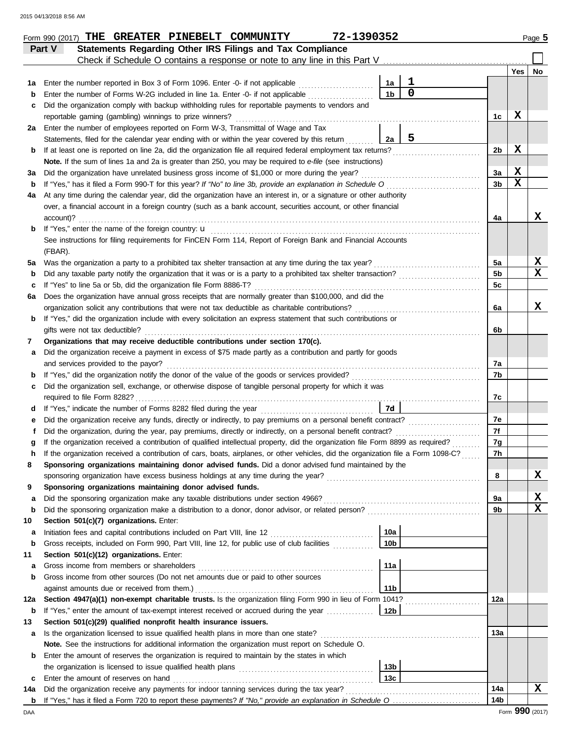|             | Part V    | <b>Statements Regarding Other IRS Filings and Tax Compliance</b>                                                                                                                                            |                 |             |                 |     |             |
|-------------|-----------|-------------------------------------------------------------------------------------------------------------------------------------------------------------------------------------------------------------|-----------------|-------------|-----------------|-----|-------------|
|             |           | Check if Schedule O contains a response or note to any line in this Part V                                                                                                                                  |                 |             |                 | Yes | No          |
|             |           | Enter the number reported in Box 3 of Form 1096. Enter -0- if not applicable                                                                                                                                | 1a              | 1           |                 |     |             |
| 1а<br>b     |           | Enter the number of Forms W-2G included in line 1a. Enter -0- if not applicable                                                                                                                             | 1 <sub>b</sub>  | $\mathbf 0$ |                 |     |             |
| с           |           | Did the organization comply with backup withholding rules for reportable payments to vendors and                                                                                                            |                 |             |                 |     |             |
|             |           | reportable gaming (gambling) winnings to prize winners?                                                                                                                                                     |                 |             | 1c              | х   |             |
| 2a          |           | Enter the number of employees reported on Form W-3, Transmittal of Wage and Tax                                                                                                                             |                 |             |                 |     |             |
|             |           | Statements, filed for the calendar year ending with or within the year covered by this return                                                                                                               | 2a              | 5           |                 |     |             |
| b           |           | If at least one is reported on line 2a, did the organization file all required federal employment tax returns?                                                                                              |                 |             | 2b              | X   |             |
|             |           | Note. If the sum of lines 1a and 2a is greater than 250, you may be required to e-file (see instructions)                                                                                                   |                 |             |                 |     |             |
| За          |           | Did the organization have unrelated business gross income of \$1,000 or more during the year?                                                                                                               |                 |             | За              | X   |             |
| b           |           | If "Yes," has it filed a Form 990-T for this year? If "No" to line 3b, provide an explanation in Schedule O                                                                                                 |                 |             | 3b              | X   |             |
| 4a          |           | At any time during the calendar year, did the organization have an interest in, or a signature or other authority                                                                                           |                 |             |                 |     |             |
|             |           | over, a financial account in a foreign country (such as a bank account, securities account, or other financial                                                                                              |                 |             |                 |     |             |
|             | account)? |                                                                                                                                                                                                             |                 |             | 4a              |     | х           |
| b           |           | If "Yes," enter the name of the foreign country: <b>u</b>                                                                                                                                                   |                 |             |                 |     |             |
|             |           | See instructions for filing requirements for FinCEN Form 114, Report of Foreign Bank and Financial Accounts                                                                                                 |                 |             |                 |     |             |
|             | (FBAR).   |                                                                                                                                                                                                             |                 |             |                 |     |             |
| 5a          |           | Was the organization a party to a prohibited tax shelter transaction at any time during the tax year?                                                                                                       |                 |             | 5a              |     | x           |
| b           |           | Did any taxable party notify the organization that it was or is a party to a prohibited tax shelter transaction?                                                                                            |                 |             | 5 <sub>b</sub>  |     | $\mathbf x$ |
| c           |           | If "Yes" to line 5a or 5b, did the organization file Form 8886-T?                                                                                                                                           |                 |             | 5c              |     |             |
| 6а          |           | Does the organization have annual gross receipts that are normally greater than \$100,000, and did the                                                                                                      |                 |             |                 |     |             |
|             |           | organization solicit any contributions that were not tax deductible as charitable contributions?                                                                                                            |                 |             | 6a              |     | X           |
| b           |           | If "Yes," did the organization include with every solicitation an express statement that such contributions or                                                                                              |                 |             |                 |     |             |
|             |           | gifts were not tax deductible?                                                                                                                                                                              |                 |             | 6b              |     |             |
| 7           |           | Organizations that may receive deductible contributions under section 170(c).                                                                                                                               |                 |             |                 |     |             |
| а           |           | Did the organization receive a payment in excess of \$75 made partly as a contribution and partly for goods                                                                                                 |                 |             |                 |     |             |
|             |           | and services provided to the payor?                                                                                                                                                                         |                 |             | 7a<br>7b        |     |             |
| b<br>с      |           | If "Yes," did the organization notify the donor of the value of the goods or services provided?<br>Did the organization sell, exchange, or otherwise dispose of tangible personal property for which it was |                 |             |                 |     |             |
|             |           |                                                                                                                                                                                                             |                 |             | 7c              |     |             |
| d           |           |                                                                                                                                                                                                             | 7d              |             |                 |     |             |
| е           |           | Did the organization receive any funds, directly or indirectly, to pay premiums on a personal benefit contract?                                                                                             |                 |             | 7e              |     |             |
| f           |           | Did the organization, during the year, pay premiums, directly or indirectly, on a personal benefit contract?                                                                                                |                 |             | 7f              |     |             |
| g           |           | If the organization received a contribution of qualified intellectual property, did the organization file Form 8899 as required?                                                                            |                 |             | 7g              |     |             |
| h           |           | If the organization received a contribution of cars, boats, airplanes, or other vehicles, did the organization file a Form 1098-C?                                                                          |                 |             | 7h              |     |             |
|             |           | Sponsoring organizations maintaining donor advised funds. Did a donor advised fund maintained by the                                                                                                        |                 |             |                 |     |             |
|             |           |                                                                                                                                                                                                             |                 |             | 8               |     | X           |
| 9           |           | Sponsoring organizations maintaining donor advised funds.                                                                                                                                                   |                 |             |                 |     |             |
| а           |           | Did the sponsoring organization make any taxable distributions under section 4966?                                                                                                                          |                 |             | 9a              |     | x           |
| $\mathbf b$ |           | Did the sponsoring organization make a distribution to a donor, donor advisor, or related person?                                                                                                           |                 |             | 9b              |     | х           |
| 10          |           | Section 501(c)(7) organizations. Enter:                                                                                                                                                                     |                 |             |                 |     |             |
| а           |           | Initiation fees and capital contributions included on Part VIII, line 12 [11][11][11][11][11][11][11][11][11][                                                                                              | 10a             |             |                 |     |             |
| b           |           | Gross receipts, included on Form 990, Part VIII, line 12, for public use of club facilities                                                                                                                 | 10 <sub>b</sub> |             |                 |     |             |
| 11          |           | Section 501(c)(12) organizations. Enter:                                                                                                                                                                    |                 |             |                 |     |             |
| а           |           | Gross income from members or shareholders                                                                                                                                                                   | 11a             |             |                 |     |             |
| b           |           | Gross income from other sources (Do not net amounts due or paid to other sources                                                                                                                            |                 |             |                 |     |             |
|             |           | against amounts due or received from them.)                                                                                                                                                                 | 11 <sub>b</sub> |             |                 |     |             |
| 12a         |           | Section 4947(a)(1) non-exempt charitable trusts. Is the organization filing Form 990 in lieu of Form 1041?                                                                                                  |                 |             | 12a             |     |             |
| b           |           | If "Yes," enter the amount of tax-exempt interest received or accrued during the year <i>[[COSTERRY]</i>                                                                                                    | 12b             |             |                 |     |             |
| 13          |           | Section 501(c)(29) qualified nonprofit health insurance issuers.                                                                                                                                            |                 |             |                 |     |             |
| а           |           | Is the organization licensed to issue qualified health plans in more than one state?                                                                                                                        |                 |             | 13а             |     |             |
|             |           | Note. See the instructions for additional information the organization must report on Schedule O.                                                                                                           |                 |             |                 |     |             |
| b           |           | Enter the amount of reserves the organization is required to maintain by the states in which                                                                                                                | 13 <sub>b</sub> |             |                 |     |             |
| c           |           | Enter the amount of reserves on hand                                                                                                                                                                        | 13 <sub>c</sub> |             |                 |     |             |
| 14a         |           | Did the organization receive any payments for indoor tanning services during the tax year?                                                                                                                  |                 |             | 14a             |     | х           |
| b           |           |                                                                                                                                                                                                             |                 |             | 14 <sub>b</sub> |     |             |
|             |           |                                                                                                                                                                                                             |                 |             |                 |     |             |

**Form 990 (2017) THE GREATER PINEBELT COMMUNITY 72-1390352** Page 5

DAA Form **990** (2017)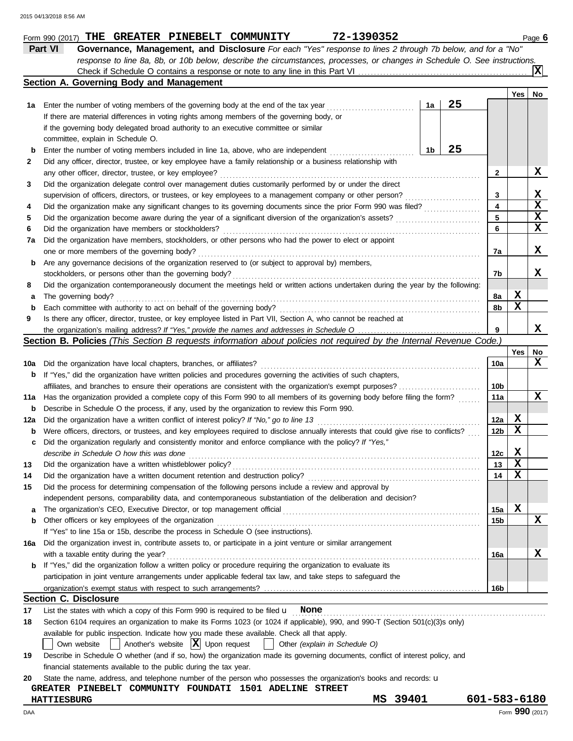|     | Part VI<br>Governance, Management, and Disclosure For each "Yes" response to lines 2 through 7b below, and for a "No"               |    |    |                 |                         |                 |
|-----|-------------------------------------------------------------------------------------------------------------------------------------|----|----|-----------------|-------------------------|-----------------|
|     | response to line 8a, 8b, or 10b below, describe the circumstances, processes, or changes in Schedule O. See instructions.           |    |    |                 |                         |                 |
|     |                                                                                                                                     |    |    |                 |                         | X               |
|     | Section A. Governing Body and Management                                                                                            |    |    |                 |                         |                 |
|     |                                                                                                                                     |    |    |                 | Yes                     | No              |
| 1а  | Enter the number of voting members of the governing body at the end of the tax year                                                 | 1a | 25 |                 |                         |                 |
|     | If there are material differences in voting rights among members of the governing body, or                                          |    |    |                 |                         |                 |
|     | if the governing body delegated broad authority to an executive committee or similar                                                |    |    |                 |                         |                 |
|     | committee, explain in Schedule O.                                                                                                   |    |    |                 |                         |                 |
| b   | Enter the number of voting members included in line 1a, above, who are independent                                                  | 1b | 25 |                 |                         |                 |
| 2   | Did any officer, director, trustee, or key employee have a family relationship or a business relationship with                      |    |    |                 |                         |                 |
|     | any other officer, director, trustee, or key employee?                                                                              |    |    | $\mathbf{2}$    |                         | x               |
| 3   | Did the organization delegate control over management duties customarily performed by or under the direct                           |    |    |                 |                         |                 |
|     | supervision of officers, directors, or trustees, or key employees to a management company or other person?                          |    |    | 3               |                         | x               |
| 4   |                                                                                                                                     |    |    | 4               |                         | X               |
| 5   |                                                                                                                                     |    |    | 5               |                         | X               |
| 6   | Did the organization have members or stockholders?                                                                                  |    |    | 6               |                         | X               |
| 7a  | Did the organization have members, stockholders, or other persons who had the power to elect or appoint                             |    |    |                 |                         |                 |
|     | one or more members of the governing body?                                                                                          |    |    | 7a              |                         | x               |
| b   | Are any governance decisions of the organization reserved to (or subject to approval by) members,                                   |    |    |                 |                         |                 |
|     | stockholders, or persons other than the governing body?                                                                             |    |    | 7b              |                         | x               |
| 8   | Did the organization contemporaneously document the meetings held or written actions undertaken during the year by the following:   |    |    |                 |                         |                 |
| a   | The governing body?                                                                                                                 |    |    | 8a              | X                       |                 |
| b   | Each committee with authority to act on behalf of the governing body?                                                               |    |    | 8b              | $\mathbf x$             |                 |
| 9   | Is there any officer, director, trustee, or key employee listed in Part VII, Section A, who cannot be reached at                    |    |    |                 |                         |                 |
|     |                                                                                                                                     |    |    | 9               |                         | x               |
|     | Section B. Policies (This Section B requests information about policies not required by the Internal Revenue Code.)                 |    |    |                 |                         |                 |
|     |                                                                                                                                     |    |    |                 | Yes                     | No              |
| 10a | Did the organization have local chapters, branches, or affiliates?                                                                  |    |    | 10a             |                         | x               |
| b   | If "Yes," did the organization have written policies and procedures governing the activities of such chapters,                      |    |    |                 |                         |                 |
|     |                                                                                                                                     |    |    | 10b             |                         |                 |
| 11a | Has the organization provided a complete copy of this Form 990 to all members of its governing body before filing the form?         |    |    | 11a             |                         | X               |
| b   | Describe in Schedule O the process, if any, used by the organization to review this Form 990.                                       |    |    |                 |                         |                 |
| 12a |                                                                                                                                     |    |    | 12a             | X                       |                 |
| b   | Were officers, directors, or trustees, and key employees required to disclose annually interests that could give rise to conflicts? |    |    | 12 <sub>b</sub> | $\mathbf x$             |                 |
| с   | Did the organization regularly and consistently monitor and enforce compliance with the policy? If "Yes,"                           |    |    |                 |                         |                 |
|     | describe in Schedule O how this was done                                                                                            |    |    | 12c             | X                       |                 |
| 13  | Did the organization have a written whistleblower policy?                                                                           |    |    | 13              | $\overline{\mathbf{x}}$ |                 |
| 14  |                                                                                                                                     |    |    | 14              | X                       |                 |
| 15  | Did the process for determining compensation of the following persons include a review and approval by                              |    |    |                 |                         |                 |
|     | independent persons, comparability data, and contemporaneous substantiation of the deliberation and decision?                       |    |    |                 |                         |                 |
| a   | The organization's CEO, Executive Director, or top management official                                                              |    |    | 15a             | X                       |                 |
| b   | Other officers or key employees of the organization                                                                                 |    |    | 15b             |                         | x               |
|     | If "Yes" to line 15a or 15b, describe the process in Schedule O (see instructions).                                                 |    |    |                 |                         |                 |
| 16a | Did the organization invest in, contribute assets to, or participate in a joint venture or similar arrangement                      |    |    |                 |                         |                 |
|     | with a taxable entity during the year?                                                                                              |    |    | 16a             |                         | X               |
| b   | If "Yes," did the organization follow a written policy or procedure requiring the organization to evaluate its                      |    |    |                 |                         |                 |
|     | participation in joint venture arrangements under applicable federal tax law, and take steps to safeguard the                       |    |    |                 |                         |                 |
|     |                                                                                                                                     |    |    | 16b             |                         |                 |
|     | <b>Section C. Disclosure</b>                                                                                                        |    |    |                 |                         |                 |
| 17  | List the states with which a copy of this Form 990 is required to be filed $\mathbf u$ None                                         |    |    |                 |                         |                 |
| 18  | Section 6104 requires an organization to make its Forms 1023 (or 1024 if applicable), 990, and 990-T (Section 501(c)(3)s only)      |    |    |                 |                         |                 |
|     | available for public inspection. Indicate how you made these available. Check all that apply.                                       |    |    |                 |                         |                 |
|     | Another's website $ \mathbf{X} $ Upon request<br>Other (explain in Schedule O)<br>Own website                                       |    |    |                 |                         |                 |
| 19  | Describe in Schedule O whether (and if so, how) the organization made its governing documents, conflict of interest policy, and     |    |    |                 |                         |                 |
|     | financial statements available to the public during the tax year.                                                                   |    |    |                 |                         |                 |
| 20  | State the name, address, and telephone number of the person who possesses the organization's books and records: u                   |    |    |                 |                         |                 |
|     | <b>GREATER PINEBELT COMMUNITY FOUNDATI 1501 ADELINE STREET</b>                                                                      |    |    |                 |                         |                 |
|     | 39401<br><b>HATTIESBURG</b><br>MS                                                                                                   |    |    | 601-583-6180    |                         |                 |
| DAA |                                                                                                                                     |    |    |                 |                         | Form 990 (2017) |

**Form 990 (2017) THE GREATER PINEBELT COMMUNITY 72-1390352** Page 6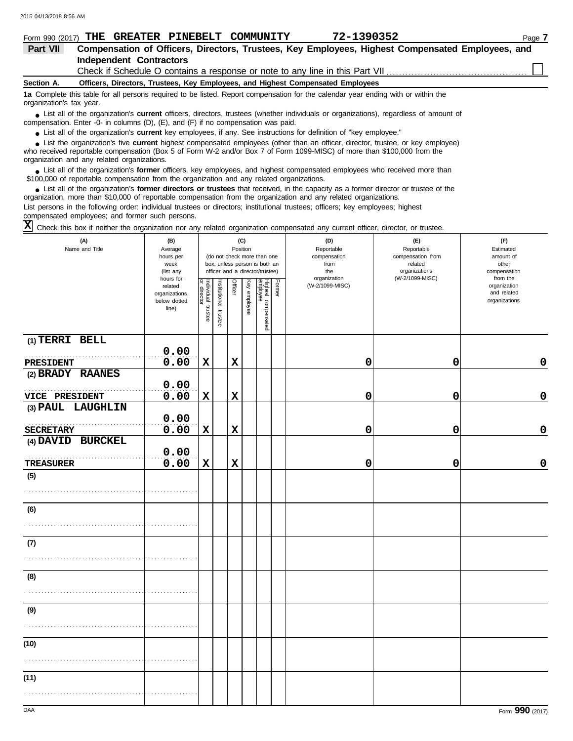| Form 990 (2017)                                                                                                                                                                                                                            | THE GREATER PINEBELT COMMUNITY                                                  |  |  | 72-1390352                                                                                                              | Page 7                                                                                           |  |  |
|--------------------------------------------------------------------------------------------------------------------------------------------------------------------------------------------------------------------------------------------|---------------------------------------------------------------------------------|--|--|-------------------------------------------------------------------------------------------------------------------------|--------------------------------------------------------------------------------------------------|--|--|
| Part VII                                                                                                                                                                                                                                   |                                                                                 |  |  |                                                                                                                         | Compensation of Officers, Directors, Trustees, Key Employees, Highest Compensated Employees, and |  |  |
|                                                                                                                                                                                                                                            | <b>Independent Contractors</b>                                                  |  |  |                                                                                                                         |                                                                                                  |  |  |
|                                                                                                                                                                                                                                            |                                                                                 |  |  |                                                                                                                         |                                                                                                  |  |  |
| Section A.                                                                                                                                                                                                                                 | Officers, Directors, Trustees, Key Employees, and Highest Compensated Employees |  |  |                                                                                                                         |                                                                                                  |  |  |
| 1a Complete this table for all persons required to be listed. Report compensation for the calendar year ending with or within the<br>organization's tax year.                                                                              |                                                                                 |  |  |                                                                                                                         |                                                                                                  |  |  |
| • List all of the organization's <b>current</b> officers, directors, trustees (whether individuals or organizations), regardless of amount of<br>compensation. Enter -0- in columns $(D)$ , $(E)$ , and $(F)$ if no compensation was paid. |                                                                                 |  |  |                                                                                                                         |                                                                                                  |  |  |
|                                                                                                                                                                                                                                            |                                                                                 |  |  | $\bullet$ List all of the erganization's current key employees if any See instructions for definition of "key employee" |                                                                                                  |  |  |

● List all of the organization's **current** key employees, if any. See instructions for definition of "key employee."

who received reportable compensation (Box 5 of Form W-2 and/or Box 7 of Form 1099-MISC) of more than \$100,000 from the organization and any related organizations. ■ List the organization's five **current** highest compensated employees (other than an officer, director, trustee, or key employee)<br> **•** Preceived reportable compensation (Box 5 of Form *M, 2 and/or Box 7 of Form 1000 MISC* 

■ List all of the organization's **former** officers, key employees, and highest compensated employees who received more than<br> **•** 00.000 of reportable compensation from the ergonization and any related ergonizations \$100,000 of reportable compensation from the organization and any related organizations.

■ List all of the organization's **former directors or trustees** that received, in the capacity as a former director or trustee of the<br>paization, more than \$10,000 of reportable compensation from the organization and any r organization, more than \$10,000 of reportable compensation from the organization and any related organizations. List persons in the following order: individual trustees or directors; institutional trustees; officers; key employees; highest compensated employees; and former such persons.

 $\overline{X}$  Check this box if neither the organization nor any related organization compensated any current officer, director, or trustee.

| (A)<br>Name and Title | (B)<br>Average<br>hours per<br>week<br>(list any               |                                   |                       |             | (C)<br>Position | (do not check more than one<br>box, unless person is both an<br>officer and a director/trustee) |        | (D)<br>Reportable<br>compensation<br>from<br>the | (E)<br>Reportable<br>compensation from<br>related<br>organizations | (F)<br>Estimated<br>amount of<br>other<br>compensation   |
|-----------------------|----------------------------------------------------------------|-----------------------------------|-----------------------|-------------|-----------------|-------------------------------------------------------------------------------------------------|--------|--------------------------------------------------|--------------------------------------------------------------------|----------------------------------------------------------|
|                       | hours for<br>related<br>organizations<br>below dotted<br>line) | Individual trustee<br>or director | Institutional trustee | Officer     | Key employee    | Highest compensated<br>employee                                                                 | Former | organization<br>(W-2/1099-MISC)                  | (W-2/1099-MISC)                                                    | from the<br>organization<br>and related<br>organizations |
| (1) TERRI BELL        | 0.00                                                           |                                   |                       |             |                 |                                                                                                 |        |                                                  |                                                                    |                                                          |
| PRESIDENT             | 0.00                                                           | $\mathbf x$                       |                       | $\mathbf x$ |                 |                                                                                                 |        | $\mathbf 0$                                      | 0                                                                  | $\pmb{0}$                                                |
| (2) BRADY RAANES      | 0.00                                                           |                                   |                       |             |                 |                                                                                                 |        |                                                  |                                                                    |                                                          |
| VICE PRESIDENT        | 0.00                                                           | X                                 |                       | $\mathbf x$ |                 |                                                                                                 |        | 0                                                | 0                                                                  | 0                                                        |
| (3) PAUL LAUGHLIN     | 0.00                                                           |                                   |                       |             |                 |                                                                                                 |        |                                                  |                                                                    |                                                          |
| <b>SECRETARY</b>      | 0.00                                                           | $\mathbf x$                       |                       | $\mathbf x$ |                 |                                                                                                 |        | 0                                                | 0                                                                  | 0                                                        |
| (4) DAVID BURCKEL     | 0.00                                                           |                                   |                       |             |                 |                                                                                                 |        |                                                  |                                                                    |                                                          |
| <b>TREASURER</b>      | 0.00                                                           | $\mathbf x$                       |                       | $\mathbf x$ |                 |                                                                                                 |        | 0                                                | 0                                                                  | 0                                                        |
| (5)                   |                                                                |                                   |                       |             |                 |                                                                                                 |        |                                                  |                                                                    |                                                          |
| (6)                   |                                                                |                                   |                       |             |                 |                                                                                                 |        |                                                  |                                                                    |                                                          |
| (7)                   |                                                                |                                   |                       |             |                 |                                                                                                 |        |                                                  |                                                                    |                                                          |
| (8)                   |                                                                |                                   |                       |             |                 |                                                                                                 |        |                                                  |                                                                    |                                                          |
| (9)                   |                                                                |                                   |                       |             |                 |                                                                                                 |        |                                                  |                                                                    |                                                          |
| (10)                  |                                                                |                                   |                       |             |                 |                                                                                                 |        |                                                  |                                                                    |                                                          |
| (11)                  |                                                                |                                   |                       |             |                 |                                                                                                 |        |                                                  |                                                                    |                                                          |
|                       |                                                                |                                   |                       |             |                 |                                                                                                 |        |                                                  |                                                                    |                                                          |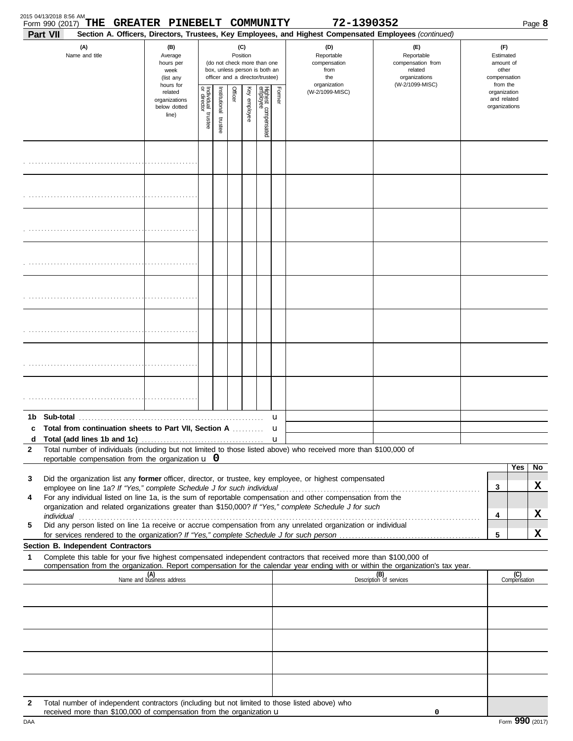| 2015 04/13/2018 8:56 AM<br>THE<br>Form 990 (2017)                                                                                                                                                                                                                                                                                                    | GREATER PINEBELT COMMUNITY                                     |                         |                       |          |              |                                                                                                 |        | 72-1390352                                                                                                                                                 |                                                                    |                                                          |                                                        | Page 8              |
|------------------------------------------------------------------------------------------------------------------------------------------------------------------------------------------------------------------------------------------------------------------------------------------------------------------------------------------------------|----------------------------------------------------------------|-------------------------|-----------------------|----------|--------------|-------------------------------------------------------------------------------------------------|--------|------------------------------------------------------------------------------------------------------------------------------------------------------------|--------------------------------------------------------------------|----------------------------------------------------------|--------------------------------------------------------|---------------------|
| <b>Part VII</b><br>(A)<br>Name and title                                                                                                                                                                                                                                                                                                             | (B)<br>Average<br>hours per<br>week<br>(list any               |                         |                       | Position | (C)          | (do not check more than one<br>box, unless person is both an<br>officer and a director/trustee) |        | Section A. Officers, Directors, Trustees, Key Employees, and Highest Compensated Employees (continued)<br>(D)<br>Reportable<br>compensation<br>from<br>the | (E)<br>Reportable<br>compensation from<br>related<br>organizations |                                                          | (F)<br>Estimated<br>amount of<br>other<br>compensation |                     |
|                                                                                                                                                                                                                                                                                                                                                      | hours for<br>related<br>organizations<br>below dotted<br>line) | Individual 1<br>trustee | Institutional trustee | Officer  | Key employee | Highest compensated<br>employee                                                                 | Former | organization<br>(W-2/1099-MISC)                                                                                                                            | (W-2/1099-MISC)                                                    | from the<br>organization<br>and related<br>organizations |                                                        |                     |
|                                                                                                                                                                                                                                                                                                                                                      |                                                                |                         |                       |          |              |                                                                                                 |        |                                                                                                                                                            |                                                                    |                                                          |                                                        |                     |
|                                                                                                                                                                                                                                                                                                                                                      |                                                                |                         |                       |          |              |                                                                                                 |        |                                                                                                                                                            |                                                                    |                                                          |                                                        |                     |
|                                                                                                                                                                                                                                                                                                                                                      |                                                                |                         |                       |          |              |                                                                                                 |        |                                                                                                                                                            |                                                                    |                                                          |                                                        |                     |
|                                                                                                                                                                                                                                                                                                                                                      |                                                                |                         |                       |          |              |                                                                                                 |        |                                                                                                                                                            |                                                                    |                                                          |                                                        |                     |
|                                                                                                                                                                                                                                                                                                                                                      |                                                                |                         |                       |          |              |                                                                                                 |        |                                                                                                                                                            |                                                                    |                                                          |                                                        |                     |
|                                                                                                                                                                                                                                                                                                                                                      |                                                                |                         |                       |          |              |                                                                                                 |        |                                                                                                                                                            |                                                                    |                                                          |                                                        |                     |
|                                                                                                                                                                                                                                                                                                                                                      |                                                                |                         |                       |          |              |                                                                                                 |        |                                                                                                                                                            |                                                                    |                                                          |                                                        |                     |
|                                                                                                                                                                                                                                                                                                                                                      |                                                                |                         |                       |          |              |                                                                                                 |        |                                                                                                                                                            |                                                                    |                                                          |                                                        |                     |
| Total from continuation sheets to Part VII, Section A                                                                                                                                                                                                                                                                                                |                                                                |                         |                       |          |              |                                                                                                 | u      |                                                                                                                                                            |                                                                    |                                                          |                                                        |                     |
| d<br>Total number of individuals (including but not limited to those listed above) who received more than \$100,000 of<br>2<br>reportable compensation from the organization $\bf{u}$ 0                                                                                                                                                              |                                                                |                         |                       |          |              |                                                                                                 |        |                                                                                                                                                            |                                                                    |                                                          |                                                        |                     |
| Did the organization list any former officer, director, or trustee, key employee, or highest compensated<br>3                                                                                                                                                                                                                                        |                                                                |                         |                       |          |              |                                                                                                 |        |                                                                                                                                                            |                                                                    |                                                          |                                                        | Yes<br>No           |
| For any individual listed on line 1a, is the sum of reportable compensation and other compensation from the<br>4<br>organization and related organizations greater than \$150,000? If "Yes," complete Schedule J for such                                                                                                                            |                                                                |                         |                       |          |              |                                                                                                 |        |                                                                                                                                                            |                                                                    |                                                          | 3                                                      | X                   |
| individual with a construction of the construction of the construction of the construction of the construction of the construction of the construction of the construction of the construction of the construction of the cons<br>Did any person listed on line 1a receive or accrue compensation from any unrelated organization or individual<br>5 |                                                                |                         |                       |          |              |                                                                                                 |        |                                                                                                                                                            |                                                                    |                                                          | 4<br>5                                                 | X<br>x              |
| Section B. Independent Contractors                                                                                                                                                                                                                                                                                                                   |                                                                |                         |                       |          |              |                                                                                                 |        |                                                                                                                                                            |                                                                    |                                                          |                                                        |                     |
| Complete this table for your five highest compensated independent contractors that received more than \$100,000 of<br>1<br>compensation from the organization. Report compensation for the calendar year ending with or within the organization's tax year.                                                                                          |                                                                |                         |                       |          |              |                                                                                                 |        |                                                                                                                                                            |                                                                    |                                                          |                                                        |                     |
|                                                                                                                                                                                                                                                                                                                                                      | (A)<br>Name and business address                               |                         |                       |          |              |                                                                                                 |        |                                                                                                                                                            | (B)<br>Description of services                                     |                                                          |                                                        | (C)<br>Compensation |
|                                                                                                                                                                                                                                                                                                                                                      |                                                                |                         |                       |          |              |                                                                                                 |        |                                                                                                                                                            |                                                                    |                                                          |                                                        |                     |
|                                                                                                                                                                                                                                                                                                                                                      |                                                                |                         |                       |          |              |                                                                                                 |        |                                                                                                                                                            |                                                                    |                                                          |                                                        |                     |
|                                                                                                                                                                                                                                                                                                                                                      |                                                                |                         |                       |          |              |                                                                                                 |        |                                                                                                                                                            |                                                                    |                                                          |                                                        |                     |
| Total number of independent contractors (including but not limited to those listed above) who<br>2<br>received more than \$100,000 of compensation from the organization u                                                                                                                                                                           |                                                                |                         |                       |          |              |                                                                                                 |        |                                                                                                                                                            | 0                                                                  |                                                          |                                                        |                     |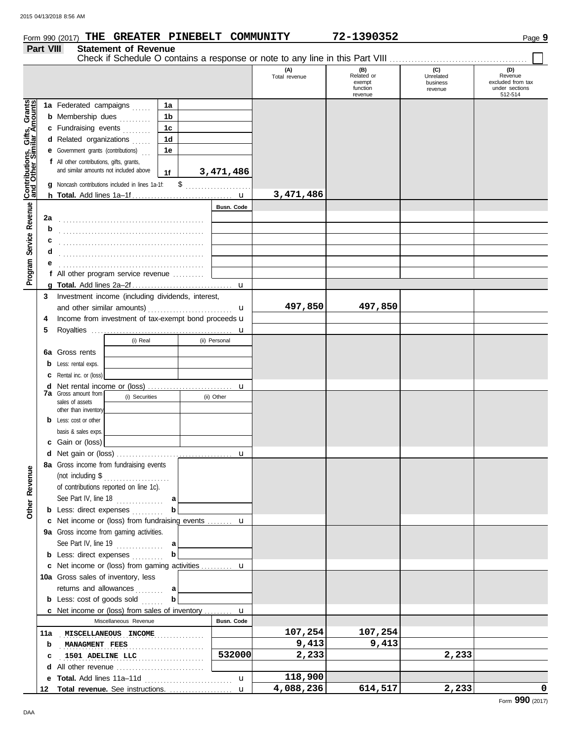**Part VIII Statement of Revenue**

| Form 990 (2017) $\ ^{\mathrm{\mathbf{THE}}}$ |  | <b>GREATER PINEBELT</b> | ' COMMUNITY | 72-1390352 | Page 9 |
|----------------------------------------------|--|-------------------------|-------------|------------|--------|
|                                              |  |                         |             |            |        |

### Check if Schedule O contains a response or note to any line in this Part VIII **(A) (B) (C) (D)** Total revenue **Related or CONFORT CONFORT CONFORT Revenue**<br>
exempt business excluded from tax exempt business function under sections revenue 512-514 revenue Gifts, Grants<br>ilar Amounts **Contributions, Gifts, Grants and Other Similar Amounts 1a 1a** Federated campaigns ...... **1b b** Membership dues *........*.. **1c c** Fundraising events . . . . . . . . **1d d** Related organizations ...... **1e e** Government grants (contributions) . . . Program Service Revenue **Contributions,**<br>Program Service Revenue and Other Sin **f** All other contributions, gifts, grants, and similar amounts not included above **3,471,486 1f** \$ . . . . . . . . . . . . . . . . . . . . . **g** Noncash contributions included in lines 1a-1f: **3,471,486** u **h Total.** Add lines 1a–1f . . . . . . . . . . . . . . . . . . . . . . . . . . . . . . . . **Program Service Revenue Busn. Code 2a** . . . . . . . . . . . . . . . . . . . . . . . . . . . . . . . . . . . . . . . . . . . . . . **b c d** . . . . . . . . . . . . . . . . . . . . . . . . . . . . . . . . . . . . . . . . . . . . . . **e** . . . . . . . . . . . . . . . . . . . . . . . . . . . . . . . . . . . . . . . . . . . . . . **f** All other program service revenue . . . . . . . . . . **g Total.** Add lines 2a–2f . . . . . . . . . . . . . . . . . . . . . . . . . . . . . . . . u **3** Investment income (including dividends, interest, **497,850 497,850** and other similar amounts)  $\mathbf{u}$ **4** Income from investment of tax-exempt bond proceeds  $\mathbf u$ **5** Royalties ... u (i) Real (ii) Personal **6a** Gross rents **b** Less: rental exps. **c** Rental inc. or (loss) **d** Net rental income or (loss) ............................. u **7a** Gross amount from (i) Securities (ii) Other sales of assets other than inventory **b** Less: cost or other basis & sales exps. **c** Gain or (loss) **d** u Net gain or (loss) . . . . . . . . . . . . . . . . . . . . . . . . . . . . . . . . . . . . . **8a** Gross income from fundraising events **Other Revenue Other Revenue** (not including \$ . . . . . . . . . . . . . . . . . . . . . of contributions reported on line 1c). See Part IV, line 18 . . . . . . . . . . . . . . . **a b b** Less: direct expenses . . . . . . . . . u **c** Net income or (loss) from fundraising events . . . . . . . . **9a** Gross income from gaming activities. See Part IV, line 19 . . . . . . . . . . . . . . . **a b b** Less: direct expenses **........**.. u Net income or (loss) from gaming activities . . . . . . . . . . **c** 10a Gross sales of inventory, less returns and allowances . . . . . . . . **a b b** Less: cost of goods sold ...... u Net income or (loss) from sales of inventory . . . . . . . . . **c** Miscellaneous Revenue **Busn. Code** 11a . <u>MISCELLANEOUS INCOME . . . . . . . . . . . . . . . . 107,254 107,254</u> **b** . . . . . . . . . . . . . . . . . . . . . . . . . . . . . . . . . . . . . . . . . . . . . . **MANAGMENT FEES 9,413 9,413 c** . . . . . . . . . . . . . . . . . . . . . . . . . . . . . . . . . . . . . . . . . . . . . . **1501 ADELINE LLC 532000 2,233 2,233 d** All other revenue .............................. **118,900** u **e Total.** Add lines 11a–11d . . . . . . . . . . . . . . . . . . . . . . . . . . . . **4,088,236 614,517 2,233 0** u

**Total revenue.** See instructions. . . . . . . . . . . . . . . . . . . . . **12**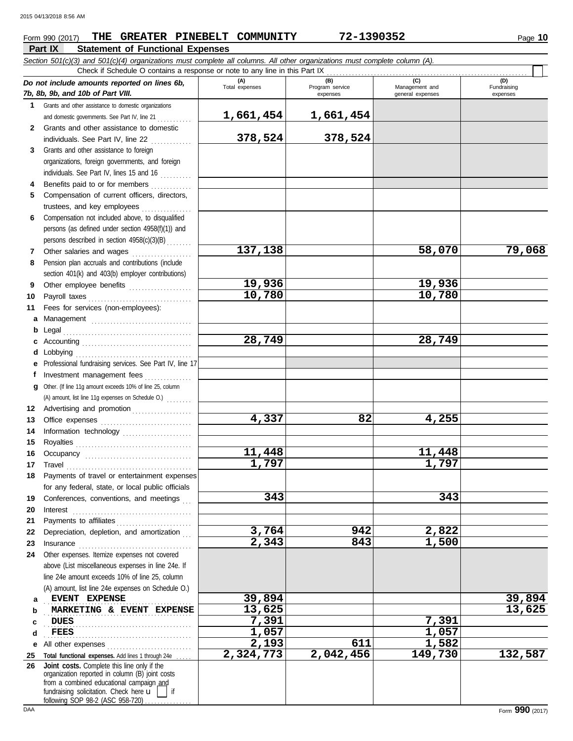## **Part IX Statement of Functional Expenses Form 990 (2017) THE GREATER PINEBELT COMMUNITY 72-1390352** Page 10

 $\overline{\phantom{1}}$ 

*Section 501(c)(3) and 501(c)(4) organizations must complete all columns. All other organizations must complete column (A).* Check if Schedule O contains a response or note to any line in this Part IX

|              | Crieck in Scriedule O contains a response of note to any line in this Part IX.                                                                                                                                                                                                                                                                                                                                                                                                                                              |                       |                                    |                                           |                                |
|--------------|-----------------------------------------------------------------------------------------------------------------------------------------------------------------------------------------------------------------------------------------------------------------------------------------------------------------------------------------------------------------------------------------------------------------------------------------------------------------------------------------------------------------------------|-----------------------|------------------------------------|-------------------------------------------|--------------------------------|
|              | Do not include amounts reported on lines 6b,<br>7b, 8b, 9b, and 10b of Part VIII.                                                                                                                                                                                                                                                                                                                                                                                                                                           | (A)<br>Total expenses | (B)<br>Program service<br>expenses | (C)<br>Management and<br>general expenses | (D)<br>Fundraising<br>expenses |
|              | 1 Grants and other assistance to domestic organizations                                                                                                                                                                                                                                                                                                                                                                                                                                                                     |                       |                                    |                                           |                                |
|              | and domestic governments. See Part IV, line 21                                                                                                                                                                                                                                                                                                                                                                                                                                                                              | 1,661,454             | 1,661,454                          |                                           |                                |
| $\mathbf{2}$ | Grants and other assistance to domestic                                                                                                                                                                                                                                                                                                                                                                                                                                                                                     |                       |                                    |                                           |                                |
|              | individuals. See Part IV, line 22                                                                                                                                                                                                                                                                                                                                                                                                                                                                                           | 378,524               | 378,524                            |                                           |                                |
| 3            | Grants and other assistance to foreign                                                                                                                                                                                                                                                                                                                                                                                                                                                                                      |                       |                                    |                                           |                                |
|              | organizations, foreign governments, and foreign                                                                                                                                                                                                                                                                                                                                                                                                                                                                             |                       |                                    |                                           |                                |
|              | individuals. See Part IV, lines 15 and 16                                                                                                                                                                                                                                                                                                                                                                                                                                                                                   |                       |                                    |                                           |                                |
| 4            | Benefits paid to or for members                                                                                                                                                                                                                                                                                                                                                                                                                                                                                             |                       |                                    |                                           |                                |
| 5            | Compensation of current officers, directors,                                                                                                                                                                                                                                                                                                                                                                                                                                                                                |                       |                                    |                                           |                                |
|              | trustees, and key employees<br>.                                                                                                                                                                                                                                                                                                                                                                                                                                                                                            |                       |                                    |                                           |                                |
| 6            | Compensation not included above, to disqualified                                                                                                                                                                                                                                                                                                                                                                                                                                                                            |                       |                                    |                                           |                                |
|              | persons (as defined under section 4958(f)(1)) and                                                                                                                                                                                                                                                                                                                                                                                                                                                                           |                       |                                    |                                           |                                |
|              | persons described in section 4958(c)(3)(B)                                                                                                                                                                                                                                                                                                                                                                                                                                                                                  |                       |                                    |                                           |                                |
| 7            | Other salaries and wages<br>.                                                                                                                                                                                                                                                                                                                                                                                                                                                                                               | 137,138               |                                    | 58,070                                    | 79,068                         |
| 8            | Pension plan accruals and contributions (include                                                                                                                                                                                                                                                                                                                                                                                                                                                                            |                       |                                    |                                           |                                |
|              | section 401(k) and 403(b) employer contributions)                                                                                                                                                                                                                                                                                                                                                                                                                                                                           |                       |                                    |                                           |                                |
| 9            | Other employee benefits                                                                                                                                                                                                                                                                                                                                                                                                                                                                                                     | 19,936                |                                    | 19,936                                    |                                |
| 10           |                                                                                                                                                                                                                                                                                                                                                                                                                                                                                                                             | 10,780                |                                    | 10,780                                    |                                |
| 11           | Fees for services (non-employees):                                                                                                                                                                                                                                                                                                                                                                                                                                                                                          |                       |                                    |                                           |                                |
| a            |                                                                                                                                                                                                                                                                                                                                                                                                                                                                                                                             |                       |                                    |                                           |                                |
| b            | Legal                                                                                                                                                                                                                                                                                                                                                                                                                                                                                                                       |                       |                                    |                                           |                                |
| с            |                                                                                                                                                                                                                                                                                                                                                                                                                                                                                                                             | 28,749                |                                    | 28,749                                    |                                |
| d            | Lobbying                                                                                                                                                                                                                                                                                                                                                                                                                                                                                                                    |                       |                                    |                                           |                                |
|              | Professional fundraising services. See Part IV, line 17                                                                                                                                                                                                                                                                                                                                                                                                                                                                     |                       |                                    |                                           |                                |
| f            | Investment management fees                                                                                                                                                                                                                                                                                                                                                                                                                                                                                                  |                       |                                    |                                           |                                |
| a            | Other. (If line 11g amount exceeds 10% of line 25, column                                                                                                                                                                                                                                                                                                                                                                                                                                                                   |                       |                                    |                                           |                                |
|              | (A) amount, list line 11g expenses on Schedule O.)                                                                                                                                                                                                                                                                                                                                                                                                                                                                          |                       |                                    |                                           |                                |
| 12           | Advertising and promotion                                                                                                                                                                                                                                                                                                                                                                                                                                                                                                   |                       |                                    |                                           |                                |
| 13           |                                                                                                                                                                                                                                                                                                                                                                                                                                                                                                                             | 4,337                 | 82                                 | 4,255                                     |                                |
| 14           | Information technology                                                                                                                                                                                                                                                                                                                                                                                                                                                                                                      |                       |                                    |                                           |                                |
| 15           |                                                                                                                                                                                                                                                                                                                                                                                                                                                                                                                             |                       |                                    |                                           |                                |
| 16           |                                                                                                                                                                                                                                                                                                                                                                                                                                                                                                                             | 11,448                |                                    | 11,448                                    |                                |
| 17           | $\begin{minipage}[c]{0.9\linewidth} \begin{tabular}{l} \textbf{Travel} \end{tabular} \end{minipage} \end{minipage} \begin{minipage}[c]{0.9\linewidth} \begin{tabular}{l} \textbf{True} \end{tabular} \end{minipage} \end{minipage} \begin{minipage}[c]{0.9\linewidth} \begin{tabular}{l} \textbf{True} \end{tabular} \end{minipage} \end{minipage} \begin{minipage}[c]{0.9\linewidth} \begin{tabular}{l} \textbf{True} \end{tabular} \end{minipage} \end{minipage} \begin{minipage}[c]{0.9\linewidth} \begin{tabular}{l} \$ | 1,797                 |                                    | 1,797                                     |                                |
| 18           | Payments of travel or entertainment expenses                                                                                                                                                                                                                                                                                                                                                                                                                                                                                |                       |                                    |                                           |                                |
|              | for any federal, state, or local public officials                                                                                                                                                                                                                                                                                                                                                                                                                                                                           |                       |                                    |                                           |                                |
| 19           | Conferences, conventions, and meetings                                                                                                                                                                                                                                                                                                                                                                                                                                                                                      | 343                   |                                    | 343                                       |                                |
| 20           | Interest                                                                                                                                                                                                                                                                                                                                                                                                                                                                                                                    |                       |                                    |                                           |                                |
| 21           | Payments to affiliates                                                                                                                                                                                                                                                                                                                                                                                                                                                                                                      |                       |                                    |                                           |                                |
| 22           | Depreciation, depletion, and amortization                                                                                                                                                                                                                                                                                                                                                                                                                                                                                   | 3,764<br>2,343        | 942<br>843                         | 2,822<br>1,500                            |                                |
| 23           | Insurance                                                                                                                                                                                                                                                                                                                                                                                                                                                                                                                   |                       |                                    |                                           |                                |
| 24           | Other expenses. Itemize expenses not covered                                                                                                                                                                                                                                                                                                                                                                                                                                                                                |                       |                                    |                                           |                                |
|              | above (List miscellaneous expenses in line 24e. If                                                                                                                                                                                                                                                                                                                                                                                                                                                                          |                       |                                    |                                           |                                |
|              | line 24e amount exceeds 10% of line 25, column                                                                                                                                                                                                                                                                                                                                                                                                                                                                              |                       |                                    |                                           |                                |
|              | (A) amount, list line 24e expenses on Schedule O.)<br>EVENT EXPENSE                                                                                                                                                                                                                                                                                                                                                                                                                                                         | 39,894                |                                    |                                           | 39,894                         |
| а            | MARKETING & EVENT EXPENSE                                                                                                                                                                                                                                                                                                                                                                                                                                                                                                   | 13,625                |                                    |                                           | 13,625                         |
| b            | <b>DUES</b>                                                                                                                                                                                                                                                                                                                                                                                                                                                                                                                 | 7,391                 |                                    | 7,391                                     |                                |
| c<br>d       | <b>FEES</b>                                                                                                                                                                                                                                                                                                                                                                                                                                                                                                                 | 1,057                 |                                    | 1,057                                     |                                |
|              |                                                                                                                                                                                                                                                                                                                                                                                                                                                                                                                             | 2,193                 | 611                                | 1,582                                     |                                |
| е            | All other expenses<br>Total functional expenses. Add lines 1 through 24e                                                                                                                                                                                                                                                                                                                                                                                                                                                    | 2,324,773             | 2,042,456                          | 149,730                                   | 132,587                        |
| 25<br>26     | Joint costs. Complete this line only if the                                                                                                                                                                                                                                                                                                                                                                                                                                                                                 |                       |                                    |                                           |                                |
|              | organization reported in column (B) joint costs                                                                                                                                                                                                                                                                                                                                                                                                                                                                             |                       |                                    |                                           |                                |
|              | from a combined educational campaign and                                                                                                                                                                                                                                                                                                                                                                                                                                                                                    |                       |                                    |                                           |                                |
|              | fundraising solicitation. Check here u<br>if<br>following SOP 98-2 (ASC 958-720)                                                                                                                                                                                                                                                                                                                                                                                                                                            |                       |                                    |                                           |                                |
|              |                                                                                                                                                                                                                                                                                                                                                                                                                                                                                                                             |                       |                                    |                                           |                                |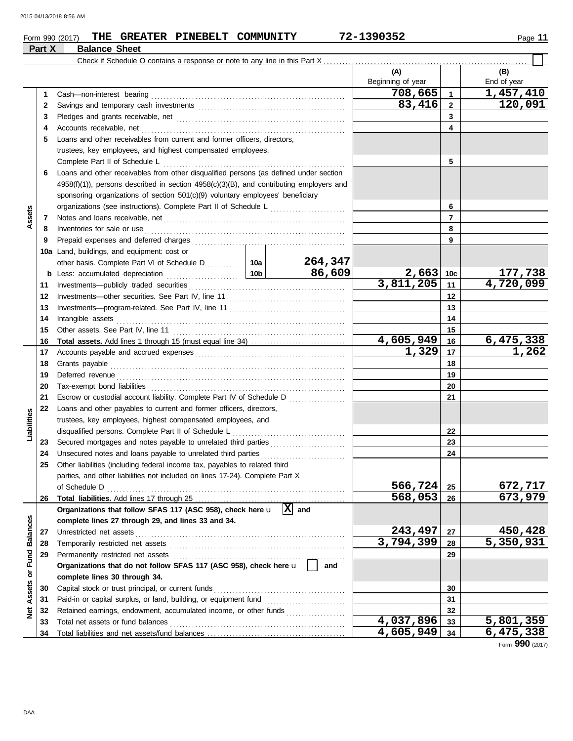**Part X Balance Sheet**

## **Form 990 (2017) THE GREATER PINEBELT COMMUNITY 72-1390352** Page 11

| (A)<br>(B)<br>Beginning of year<br>End of year<br>708,665<br>1,457,410<br>Cash-non-interest bearing<br>$\mathbf{1}$<br>1<br>83,416<br>120,091<br>$\mathbf{2}$<br>2<br>3<br>3<br>Accounts receivable, net<br>4<br>4<br>Loans and other receivables from current and former officers, directors,<br>5<br>trustees, key employees, and highest compensated employees.<br>5<br>Complete Part II of Schedule L<br>Loans and other receivables from other disqualified persons (as defined under section<br>6<br>$4958(f)(1)$ ), persons described in section $4958(c)(3)(B)$ , and contributing employers and<br>sponsoring organizations of section 501(c)(9) voluntary employees' beneficiary<br>6<br>Assets<br>7<br>7<br>8<br>8<br>9<br>9<br>Land, buildings, and equipment: cost or<br>10a<br>264,347<br>86,609<br>$2,663$ 10c<br>177,738<br>b<br>3,811,205<br>11<br>11<br>12<br>12<br>13<br>13<br>Intangible assets<br>14<br>14<br>15<br>15<br>4,605,949<br>6,475,338<br>16<br>16<br>1,329<br>17<br>17<br>18<br>18<br>19<br>19<br>20<br>20<br>Escrow or custodial account liability. Complete Part IV of Schedule D<br>21<br>21<br>Loans and other payables to current and former officers, directors,<br>22<br>Liabilities<br>trustees, key employees, highest compensated employees, and<br>disqualified persons. Complete Part II of Schedule L<br>22<br>23<br>23<br>Unsecured notes and loans payable to unrelated third parties<br>24<br>24<br>Other liabilities (including federal income tax, payables to related third<br>25<br>parties, and other liabilities not included on lines 17-24). Complete Part X<br>566,724<br>25<br>568,053<br>26<br>26<br>$ X $ and<br>Organizations that follow SFAS 117 (ASC 958), check here u<br><b>Balances</b><br>complete lines 27 through 29, and lines 33 and 34.<br>243,497<br>Unrestricted net assets<br>27<br>27<br>3,794,399<br>28<br>28<br>or Fund<br>Permanently restricted net assets<br>29<br>29<br>Organizations that do not follow SFAS 117 (ASC 958), check here u<br>and<br>complete lines 30 through 34.<br>Assets<br>Capital stock or trust principal, or current funds<br>30<br>30<br>31<br>31<br>ğ<br>Retained earnings, endowment, accumulated income, or other funds<br>32<br>32<br>4,037,896<br>Total net assets or fund balances<br>33<br>33 |  |  |  |  |           |           |           |
|-----------------------------------------------------------------------------------------------------------------------------------------------------------------------------------------------------------------------------------------------------------------------------------------------------------------------------------------------------------------------------------------------------------------------------------------------------------------------------------------------------------------------------------------------------------------------------------------------------------------------------------------------------------------------------------------------------------------------------------------------------------------------------------------------------------------------------------------------------------------------------------------------------------------------------------------------------------------------------------------------------------------------------------------------------------------------------------------------------------------------------------------------------------------------------------------------------------------------------------------------------------------------------------------------------------------------------------------------------------------------------------------------------------------------------------------------------------------------------------------------------------------------------------------------------------------------------------------------------------------------------------------------------------------------------------------------------------------------------------------------------------------------------------------------------------------------------------------------------------------------------------------------------------------------------------------------------------------------------------------------------------------------------------------------------------------------------------------------------------------------------------------------------------------------------------------------------------------------------------------------------------------------------------------------------------------|--|--|--|--|-----------|-----------|-----------|
|                                                                                                                                                                                                                                                                                                                                                                                                                                                                                                                                                                                                                                                                                                                                                                                                                                                                                                                                                                                                                                                                                                                                                                                                                                                                                                                                                                                                                                                                                                                                                                                                                                                                                                                                                                                                                                                                                                                                                                                                                                                                                                                                                                                                                                                                                                                 |  |  |  |  |           |           |           |
|                                                                                                                                                                                                                                                                                                                                                                                                                                                                                                                                                                                                                                                                                                                                                                                                                                                                                                                                                                                                                                                                                                                                                                                                                                                                                                                                                                                                                                                                                                                                                                                                                                                                                                                                                                                                                                                                                                                                                                                                                                                                                                                                                                                                                                                                                                                 |  |  |  |  |           |           |           |
|                                                                                                                                                                                                                                                                                                                                                                                                                                                                                                                                                                                                                                                                                                                                                                                                                                                                                                                                                                                                                                                                                                                                                                                                                                                                                                                                                                                                                                                                                                                                                                                                                                                                                                                                                                                                                                                                                                                                                                                                                                                                                                                                                                                                                                                                                                                 |  |  |  |  |           |           |           |
|                                                                                                                                                                                                                                                                                                                                                                                                                                                                                                                                                                                                                                                                                                                                                                                                                                                                                                                                                                                                                                                                                                                                                                                                                                                                                                                                                                                                                                                                                                                                                                                                                                                                                                                                                                                                                                                                                                                                                                                                                                                                                                                                                                                                                                                                                                                 |  |  |  |  |           |           |           |
|                                                                                                                                                                                                                                                                                                                                                                                                                                                                                                                                                                                                                                                                                                                                                                                                                                                                                                                                                                                                                                                                                                                                                                                                                                                                                                                                                                                                                                                                                                                                                                                                                                                                                                                                                                                                                                                                                                                                                                                                                                                                                                                                                                                                                                                                                                                 |  |  |  |  |           |           |           |
|                                                                                                                                                                                                                                                                                                                                                                                                                                                                                                                                                                                                                                                                                                                                                                                                                                                                                                                                                                                                                                                                                                                                                                                                                                                                                                                                                                                                                                                                                                                                                                                                                                                                                                                                                                                                                                                                                                                                                                                                                                                                                                                                                                                                                                                                                                                 |  |  |  |  |           |           |           |
|                                                                                                                                                                                                                                                                                                                                                                                                                                                                                                                                                                                                                                                                                                                                                                                                                                                                                                                                                                                                                                                                                                                                                                                                                                                                                                                                                                                                                                                                                                                                                                                                                                                                                                                                                                                                                                                                                                                                                                                                                                                                                                                                                                                                                                                                                                                 |  |  |  |  |           |           |           |
|                                                                                                                                                                                                                                                                                                                                                                                                                                                                                                                                                                                                                                                                                                                                                                                                                                                                                                                                                                                                                                                                                                                                                                                                                                                                                                                                                                                                                                                                                                                                                                                                                                                                                                                                                                                                                                                                                                                                                                                                                                                                                                                                                                                                                                                                                                                 |  |  |  |  |           |           |           |
|                                                                                                                                                                                                                                                                                                                                                                                                                                                                                                                                                                                                                                                                                                                                                                                                                                                                                                                                                                                                                                                                                                                                                                                                                                                                                                                                                                                                                                                                                                                                                                                                                                                                                                                                                                                                                                                                                                                                                                                                                                                                                                                                                                                                                                                                                                                 |  |  |  |  |           |           |           |
|                                                                                                                                                                                                                                                                                                                                                                                                                                                                                                                                                                                                                                                                                                                                                                                                                                                                                                                                                                                                                                                                                                                                                                                                                                                                                                                                                                                                                                                                                                                                                                                                                                                                                                                                                                                                                                                                                                                                                                                                                                                                                                                                                                                                                                                                                                                 |  |  |  |  |           |           |           |
|                                                                                                                                                                                                                                                                                                                                                                                                                                                                                                                                                                                                                                                                                                                                                                                                                                                                                                                                                                                                                                                                                                                                                                                                                                                                                                                                                                                                                                                                                                                                                                                                                                                                                                                                                                                                                                                                                                                                                                                                                                                                                                                                                                                                                                                                                                                 |  |  |  |  |           |           |           |
|                                                                                                                                                                                                                                                                                                                                                                                                                                                                                                                                                                                                                                                                                                                                                                                                                                                                                                                                                                                                                                                                                                                                                                                                                                                                                                                                                                                                                                                                                                                                                                                                                                                                                                                                                                                                                                                                                                                                                                                                                                                                                                                                                                                                                                                                                                                 |  |  |  |  |           |           |           |
|                                                                                                                                                                                                                                                                                                                                                                                                                                                                                                                                                                                                                                                                                                                                                                                                                                                                                                                                                                                                                                                                                                                                                                                                                                                                                                                                                                                                                                                                                                                                                                                                                                                                                                                                                                                                                                                                                                                                                                                                                                                                                                                                                                                                                                                                                                                 |  |  |  |  |           |           |           |
|                                                                                                                                                                                                                                                                                                                                                                                                                                                                                                                                                                                                                                                                                                                                                                                                                                                                                                                                                                                                                                                                                                                                                                                                                                                                                                                                                                                                                                                                                                                                                                                                                                                                                                                                                                                                                                                                                                                                                                                                                                                                                                                                                                                                                                                                                                                 |  |  |  |  |           |           |           |
|                                                                                                                                                                                                                                                                                                                                                                                                                                                                                                                                                                                                                                                                                                                                                                                                                                                                                                                                                                                                                                                                                                                                                                                                                                                                                                                                                                                                                                                                                                                                                                                                                                                                                                                                                                                                                                                                                                                                                                                                                                                                                                                                                                                                                                                                                                                 |  |  |  |  |           |           |           |
|                                                                                                                                                                                                                                                                                                                                                                                                                                                                                                                                                                                                                                                                                                                                                                                                                                                                                                                                                                                                                                                                                                                                                                                                                                                                                                                                                                                                                                                                                                                                                                                                                                                                                                                                                                                                                                                                                                                                                                                                                                                                                                                                                                                                                                                                                                                 |  |  |  |  |           |           |           |
|                                                                                                                                                                                                                                                                                                                                                                                                                                                                                                                                                                                                                                                                                                                                                                                                                                                                                                                                                                                                                                                                                                                                                                                                                                                                                                                                                                                                                                                                                                                                                                                                                                                                                                                                                                                                                                                                                                                                                                                                                                                                                                                                                                                                                                                                                                                 |  |  |  |  |           |           |           |
|                                                                                                                                                                                                                                                                                                                                                                                                                                                                                                                                                                                                                                                                                                                                                                                                                                                                                                                                                                                                                                                                                                                                                                                                                                                                                                                                                                                                                                                                                                                                                                                                                                                                                                                                                                                                                                                                                                                                                                                                                                                                                                                                                                                                                                                                                                                 |  |  |  |  |           |           |           |
|                                                                                                                                                                                                                                                                                                                                                                                                                                                                                                                                                                                                                                                                                                                                                                                                                                                                                                                                                                                                                                                                                                                                                                                                                                                                                                                                                                                                                                                                                                                                                                                                                                                                                                                                                                                                                                                                                                                                                                                                                                                                                                                                                                                                                                                                                                                 |  |  |  |  |           |           | 4,720,099 |
|                                                                                                                                                                                                                                                                                                                                                                                                                                                                                                                                                                                                                                                                                                                                                                                                                                                                                                                                                                                                                                                                                                                                                                                                                                                                                                                                                                                                                                                                                                                                                                                                                                                                                                                                                                                                                                                                                                                                                                                                                                                                                                                                                                                                                                                                                                                 |  |  |  |  |           |           |           |
|                                                                                                                                                                                                                                                                                                                                                                                                                                                                                                                                                                                                                                                                                                                                                                                                                                                                                                                                                                                                                                                                                                                                                                                                                                                                                                                                                                                                                                                                                                                                                                                                                                                                                                                                                                                                                                                                                                                                                                                                                                                                                                                                                                                                                                                                                                                 |  |  |  |  |           |           |           |
|                                                                                                                                                                                                                                                                                                                                                                                                                                                                                                                                                                                                                                                                                                                                                                                                                                                                                                                                                                                                                                                                                                                                                                                                                                                                                                                                                                                                                                                                                                                                                                                                                                                                                                                                                                                                                                                                                                                                                                                                                                                                                                                                                                                                                                                                                                                 |  |  |  |  |           |           |           |
|                                                                                                                                                                                                                                                                                                                                                                                                                                                                                                                                                                                                                                                                                                                                                                                                                                                                                                                                                                                                                                                                                                                                                                                                                                                                                                                                                                                                                                                                                                                                                                                                                                                                                                                                                                                                                                                                                                                                                                                                                                                                                                                                                                                                                                                                                                                 |  |  |  |  |           |           |           |
|                                                                                                                                                                                                                                                                                                                                                                                                                                                                                                                                                                                                                                                                                                                                                                                                                                                                                                                                                                                                                                                                                                                                                                                                                                                                                                                                                                                                                                                                                                                                                                                                                                                                                                                                                                                                                                                                                                                                                                                                                                                                                                                                                                                                                                                                                                                 |  |  |  |  |           |           |           |
|                                                                                                                                                                                                                                                                                                                                                                                                                                                                                                                                                                                                                                                                                                                                                                                                                                                                                                                                                                                                                                                                                                                                                                                                                                                                                                                                                                                                                                                                                                                                                                                                                                                                                                                                                                                                                                                                                                                                                                                                                                                                                                                                                                                                                                                                                                                 |  |  |  |  |           |           | 1,262     |
|                                                                                                                                                                                                                                                                                                                                                                                                                                                                                                                                                                                                                                                                                                                                                                                                                                                                                                                                                                                                                                                                                                                                                                                                                                                                                                                                                                                                                                                                                                                                                                                                                                                                                                                                                                                                                                                                                                                                                                                                                                                                                                                                                                                                                                                                                                                 |  |  |  |  |           |           |           |
|                                                                                                                                                                                                                                                                                                                                                                                                                                                                                                                                                                                                                                                                                                                                                                                                                                                                                                                                                                                                                                                                                                                                                                                                                                                                                                                                                                                                                                                                                                                                                                                                                                                                                                                                                                                                                                                                                                                                                                                                                                                                                                                                                                                                                                                                                                                 |  |  |  |  |           |           |           |
|                                                                                                                                                                                                                                                                                                                                                                                                                                                                                                                                                                                                                                                                                                                                                                                                                                                                                                                                                                                                                                                                                                                                                                                                                                                                                                                                                                                                                                                                                                                                                                                                                                                                                                                                                                                                                                                                                                                                                                                                                                                                                                                                                                                                                                                                                                                 |  |  |  |  |           |           |           |
|                                                                                                                                                                                                                                                                                                                                                                                                                                                                                                                                                                                                                                                                                                                                                                                                                                                                                                                                                                                                                                                                                                                                                                                                                                                                                                                                                                                                                                                                                                                                                                                                                                                                                                                                                                                                                                                                                                                                                                                                                                                                                                                                                                                                                                                                                                                 |  |  |  |  |           |           |           |
|                                                                                                                                                                                                                                                                                                                                                                                                                                                                                                                                                                                                                                                                                                                                                                                                                                                                                                                                                                                                                                                                                                                                                                                                                                                                                                                                                                                                                                                                                                                                                                                                                                                                                                                                                                                                                                                                                                                                                                                                                                                                                                                                                                                                                                                                                                                 |  |  |  |  |           |           |           |
|                                                                                                                                                                                                                                                                                                                                                                                                                                                                                                                                                                                                                                                                                                                                                                                                                                                                                                                                                                                                                                                                                                                                                                                                                                                                                                                                                                                                                                                                                                                                                                                                                                                                                                                                                                                                                                                                                                                                                                                                                                                                                                                                                                                                                                                                                                                 |  |  |  |  |           |           |           |
|                                                                                                                                                                                                                                                                                                                                                                                                                                                                                                                                                                                                                                                                                                                                                                                                                                                                                                                                                                                                                                                                                                                                                                                                                                                                                                                                                                                                                                                                                                                                                                                                                                                                                                                                                                                                                                                                                                                                                                                                                                                                                                                                                                                                                                                                                                                 |  |  |  |  |           |           |           |
|                                                                                                                                                                                                                                                                                                                                                                                                                                                                                                                                                                                                                                                                                                                                                                                                                                                                                                                                                                                                                                                                                                                                                                                                                                                                                                                                                                                                                                                                                                                                                                                                                                                                                                                                                                                                                                                                                                                                                                                                                                                                                                                                                                                                                                                                                                                 |  |  |  |  |           |           |           |
|                                                                                                                                                                                                                                                                                                                                                                                                                                                                                                                                                                                                                                                                                                                                                                                                                                                                                                                                                                                                                                                                                                                                                                                                                                                                                                                                                                                                                                                                                                                                                                                                                                                                                                                                                                                                                                                                                                                                                                                                                                                                                                                                                                                                                                                                                                                 |  |  |  |  |           |           |           |
|                                                                                                                                                                                                                                                                                                                                                                                                                                                                                                                                                                                                                                                                                                                                                                                                                                                                                                                                                                                                                                                                                                                                                                                                                                                                                                                                                                                                                                                                                                                                                                                                                                                                                                                                                                                                                                                                                                                                                                                                                                                                                                                                                                                                                                                                                                                 |  |  |  |  |           |           |           |
|                                                                                                                                                                                                                                                                                                                                                                                                                                                                                                                                                                                                                                                                                                                                                                                                                                                                                                                                                                                                                                                                                                                                                                                                                                                                                                                                                                                                                                                                                                                                                                                                                                                                                                                                                                                                                                                                                                                                                                                                                                                                                                                                                                                                                                                                                                                 |  |  |  |  |           |           |           |
|                                                                                                                                                                                                                                                                                                                                                                                                                                                                                                                                                                                                                                                                                                                                                                                                                                                                                                                                                                                                                                                                                                                                                                                                                                                                                                                                                                                                                                                                                                                                                                                                                                                                                                                                                                                                                                                                                                                                                                                                                                                                                                                                                                                                                                                                                                                 |  |  |  |  |           |           | 672,717   |
|                                                                                                                                                                                                                                                                                                                                                                                                                                                                                                                                                                                                                                                                                                                                                                                                                                                                                                                                                                                                                                                                                                                                                                                                                                                                                                                                                                                                                                                                                                                                                                                                                                                                                                                                                                                                                                                                                                                                                                                                                                                                                                                                                                                                                                                                                                                 |  |  |  |  |           |           | 673,979   |
|                                                                                                                                                                                                                                                                                                                                                                                                                                                                                                                                                                                                                                                                                                                                                                                                                                                                                                                                                                                                                                                                                                                                                                                                                                                                                                                                                                                                                                                                                                                                                                                                                                                                                                                                                                                                                                                                                                                                                                                                                                                                                                                                                                                                                                                                                                                 |  |  |  |  |           |           |           |
|                                                                                                                                                                                                                                                                                                                                                                                                                                                                                                                                                                                                                                                                                                                                                                                                                                                                                                                                                                                                                                                                                                                                                                                                                                                                                                                                                                                                                                                                                                                                                                                                                                                                                                                                                                                                                                                                                                                                                                                                                                                                                                                                                                                                                                                                                                                 |  |  |  |  |           |           |           |
|                                                                                                                                                                                                                                                                                                                                                                                                                                                                                                                                                                                                                                                                                                                                                                                                                                                                                                                                                                                                                                                                                                                                                                                                                                                                                                                                                                                                                                                                                                                                                                                                                                                                                                                                                                                                                                                                                                                                                                                                                                                                                                                                                                                                                                                                                                                 |  |  |  |  |           |           | 450,428   |
|                                                                                                                                                                                                                                                                                                                                                                                                                                                                                                                                                                                                                                                                                                                                                                                                                                                                                                                                                                                                                                                                                                                                                                                                                                                                                                                                                                                                                                                                                                                                                                                                                                                                                                                                                                                                                                                                                                                                                                                                                                                                                                                                                                                                                                                                                                                 |  |  |  |  |           |           | 5,350,931 |
|                                                                                                                                                                                                                                                                                                                                                                                                                                                                                                                                                                                                                                                                                                                                                                                                                                                                                                                                                                                                                                                                                                                                                                                                                                                                                                                                                                                                                                                                                                                                                                                                                                                                                                                                                                                                                                                                                                                                                                                                                                                                                                                                                                                                                                                                                                                 |  |  |  |  |           |           |           |
|                                                                                                                                                                                                                                                                                                                                                                                                                                                                                                                                                                                                                                                                                                                                                                                                                                                                                                                                                                                                                                                                                                                                                                                                                                                                                                                                                                                                                                                                                                                                                                                                                                                                                                                                                                                                                                                                                                                                                                                                                                                                                                                                                                                                                                                                                                                 |  |  |  |  |           |           |           |
|                                                                                                                                                                                                                                                                                                                                                                                                                                                                                                                                                                                                                                                                                                                                                                                                                                                                                                                                                                                                                                                                                                                                                                                                                                                                                                                                                                                                                                                                                                                                                                                                                                                                                                                                                                                                                                                                                                                                                                                                                                                                                                                                                                                                                                                                                                                 |  |  |  |  |           |           |           |
|                                                                                                                                                                                                                                                                                                                                                                                                                                                                                                                                                                                                                                                                                                                                                                                                                                                                                                                                                                                                                                                                                                                                                                                                                                                                                                                                                                                                                                                                                                                                                                                                                                                                                                                                                                                                                                                                                                                                                                                                                                                                                                                                                                                                                                                                                                                 |  |  |  |  |           |           |           |
|                                                                                                                                                                                                                                                                                                                                                                                                                                                                                                                                                                                                                                                                                                                                                                                                                                                                                                                                                                                                                                                                                                                                                                                                                                                                                                                                                                                                                                                                                                                                                                                                                                                                                                                                                                                                                                                                                                                                                                                                                                                                                                                                                                                                                                                                                                                 |  |  |  |  |           |           |           |
|                                                                                                                                                                                                                                                                                                                                                                                                                                                                                                                                                                                                                                                                                                                                                                                                                                                                                                                                                                                                                                                                                                                                                                                                                                                                                                                                                                                                                                                                                                                                                                                                                                                                                                                                                                                                                                                                                                                                                                                                                                                                                                                                                                                                                                                                                                                 |  |  |  |  |           |           |           |
|                                                                                                                                                                                                                                                                                                                                                                                                                                                                                                                                                                                                                                                                                                                                                                                                                                                                                                                                                                                                                                                                                                                                                                                                                                                                                                                                                                                                                                                                                                                                                                                                                                                                                                                                                                                                                                                                                                                                                                                                                                                                                                                                                                                                                                                                                                                 |  |  |  |  |           | 5,801,359 |           |
| 34<br>$\Omega$ $\Omega$                                                                                                                                                                                                                                                                                                                                                                                                                                                                                                                                                                                                                                                                                                                                                                                                                                                                                                                                                                                                                                                                                                                                                                                                                                                                                                                                                                                                                                                                                                                                                                                                                                                                                                                                                                                                                                                                                                                                                                                                                                                                                                                                                                                                                                                                                         |  |  |  |  | 4,605,949 | 34        | 6,475,338 |

Form **990** (2017)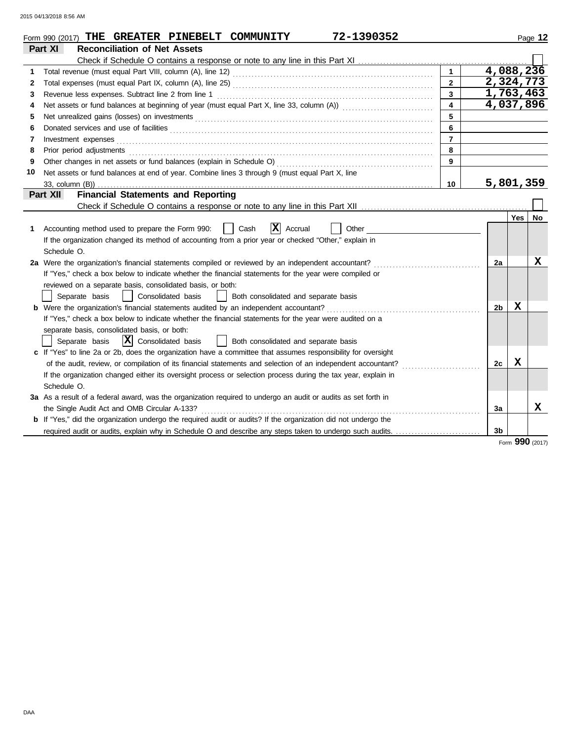|    | 72-1390352<br>Form 990 (2017) THE GREATER PINEBELT COMMUNITY                                                                                                                                                                   |                         |                |     | Page 12 |
|----|--------------------------------------------------------------------------------------------------------------------------------------------------------------------------------------------------------------------------------|-------------------------|----------------|-----|---------|
|    | <b>Reconciliation of Net Assets</b><br>Part XI                                                                                                                                                                                 |                         |                |     |         |
|    |                                                                                                                                                                                                                                |                         |                |     |         |
| 1  |                                                                                                                                                                                                                                | $\mathbf{1}$            | 4,088,236      |     |         |
| 2  |                                                                                                                                                                                                                                | $\overline{2}$          | 2,324,773      |     |         |
| 3  | Revenue less expenses. Subtract line 2 from line 1                                                                                                                                                                             | $\overline{3}$          | 1,763,463      |     |         |
| 4  |                                                                                                                                                                                                                                | $\overline{\mathbf{4}}$ | 4,037,896      |     |         |
| 5  | Net unrealized gains (losses) on investments [11] with the content of the content of the state of the state of the state of the state of the state of the state of the state of the state of the state of the state of the sta | 5                       |                |     |         |
| 6  |                                                                                                                                                                                                                                | 6                       |                |     |         |
| 7  | Investment expenses <b>contract and the expenses</b>                                                                                                                                                                           | $\overline{7}$          |                |     |         |
| 8  | Prior period adjustments entertainments and adjustments of the contract of the contract of the contract of the contract of the contract of the contract of the contract of the contract of the contract of the contract of the | 8                       |                |     |         |
| 9  |                                                                                                                                                                                                                                | 9                       |                |     |         |
| 10 | Net assets or fund balances at end of year. Combine lines 3 through 9 (must equal Part X, line                                                                                                                                 |                         |                |     |         |
|    |                                                                                                                                                                                                                                | 10                      | 5,801,359      |     |         |
|    | <b>Financial Statements and Reporting</b><br>Part XII                                                                                                                                                                          |                         |                |     |         |
|    |                                                                                                                                                                                                                                |                         |                |     |         |
|    |                                                                                                                                                                                                                                |                         |                | Yes | No      |
| 1  | $ \mathbf{X} $ Accrual<br>Accounting method used to prepare the Form 990:<br>Cash<br>Other                                                                                                                                     |                         |                |     |         |
|    | If the organization changed its method of accounting from a prior year or checked "Other," explain in                                                                                                                          |                         |                |     |         |
|    | Schedule O.                                                                                                                                                                                                                    |                         |                |     |         |
|    | 2a Were the organization's financial statements compiled or reviewed by an independent accountant?                                                                                                                             |                         | 2a             |     | x       |
|    | If "Yes," check a box below to indicate whether the financial statements for the year were compiled or                                                                                                                         |                         |                |     |         |
|    | reviewed on a separate basis, consolidated basis, or both:                                                                                                                                                                     |                         |                |     |         |
|    | Separate basis<br>  Consolidated basis<br>  Both consolidated and separate basis                                                                                                                                               |                         |                |     |         |
|    | <b>b</b> Were the organization's financial statements audited by an independent accountant?                                                                                                                                    |                         | 2 <sub>b</sub> | X   |         |
|    | If "Yes," check a box below to indicate whether the financial statements for the year were audited on a                                                                                                                        |                         |                |     |         |
|    | separate basis, consolidated basis, or both:                                                                                                                                                                                   |                         |                |     |         |
|    | $ \mathbf{X} $ Consolidated basis<br>Separate basis<br>Both consolidated and separate basis                                                                                                                                    |                         |                |     |         |
|    | c If "Yes" to line 2a or 2b, does the organization have a committee that assumes responsibility for oversight                                                                                                                  |                         |                |     |         |
|    | of the audit, review, or compilation of its financial statements and selection of an independent accountant?                                                                                                                   |                         | 2c             | x   |         |
|    | If the organization changed either its oversight process or selection process during the tax year, explain in                                                                                                                  |                         |                |     |         |
|    | Schedule O.                                                                                                                                                                                                                    |                         |                |     |         |
|    | 3a As a result of a federal award, was the organization required to undergo an audit or audits as set forth in                                                                                                                 |                         |                |     |         |
|    |                                                                                                                                                                                                                                |                         | За             |     | x       |
|    | <b>b</b> If "Yes," did the organization undergo the required audit or audits? If the organization did not undergo the                                                                                                          |                         |                |     |         |
|    | required audit or audits, explain why in Schedule O and describe any steps taken to undergo such audits.                                                                                                                       |                         | 3 <sub>b</sub> |     |         |

Form **990** (2017)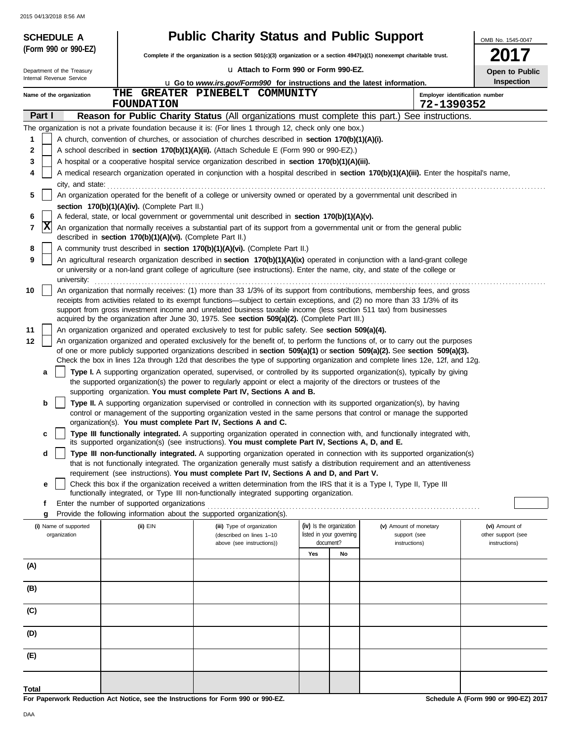|                  | <b>SCHEDULE A</b>          |                                                            | <b>Public Charity Status and Public Support</b>                                                                                                                                                                                                                 |                                       |                               | OMB No. 1545-0047                   |
|------------------|----------------------------|------------------------------------------------------------|-----------------------------------------------------------------------------------------------------------------------------------------------------------------------------------------------------------------------------------------------------------------|---------------------------------------|-------------------------------|-------------------------------------|
|                  | (Form 990 or 990-EZ)       |                                                            | Complete if the organization is a section 501(c)(3) organization or a section 4947(a)(1) nonexempt charitable trust.                                                                                                                                            |                                       |                               |                                     |
|                  | Department of the Treasury |                                                            | La Attach to Form 990 or Form 990-EZ.                                                                                                                                                                                                                           |                                       |                               | Open to Public                      |
|                  | Internal Revenue Service   |                                                            | <b>u</b> Go to www.irs.gov/Form990 for instructions and the latest information.                                                                                                                                                                                 | <b>Inspection</b>                     |                               |                                     |
|                  | Name of the organization   | <b>FOUNDATION</b>                                          | THE GREATER PINEBELT COMMUNITY                                                                                                                                                                                                                                  |                                       | 72-1390352                    | Employer identification number      |
| Part I           |                            |                                                            | Reason for Public Charity Status (All organizations must complete this part.) See instructions.                                                                                                                                                                 |                                       |                               |                                     |
|                  |                            |                                                            | The organization is not a private foundation because it is: (For lines 1 through 12, check only one box.)                                                                                                                                                       |                                       |                               |                                     |
| 1                |                            |                                                            | A church, convention of churches, or association of churches described in section 170(b)(1)(A)(i).                                                                                                                                                              |                                       |                               |                                     |
| $\mathbf 2$<br>3 |                            |                                                            | A school described in section 170(b)(1)(A)(ii). (Attach Schedule E (Form 990 or 990-EZ).)<br>A hospital or a cooperative hospital service organization described in section 170(b)(1)(A)(iii).                                                                  |                                       |                               |                                     |
| 4                |                            |                                                            | A medical research organization operated in conjunction with a hospital described in section 170(b)(1)(A)(iii). Enter the hospital's name,                                                                                                                      |                                       |                               |                                     |
|                  | city, and state:           |                                                            |                                                                                                                                                                                                                                                                 |                                       |                               |                                     |
| 5                |                            |                                                            | An organization operated for the benefit of a college or university owned or operated by a governmental unit described in                                                                                                                                       |                                       |                               |                                     |
|                  |                            | section 170(b)(1)(A)(iv). (Complete Part II.)              |                                                                                                                                                                                                                                                                 |                                       |                               |                                     |
| 6<br>7           | ΙX                         |                                                            | A federal, state, or local government or governmental unit described in section 170(b)(1)(A)(v).<br>An organization that normally receives a substantial part of its support from a governmental unit or from the general public                                |                                       |                               |                                     |
|                  |                            | described in section 170(b)(1)(A)(vi). (Complete Part II.) |                                                                                                                                                                                                                                                                 |                                       |                               |                                     |
| 8                |                            |                                                            | A community trust described in section 170(b)(1)(A)(vi). (Complete Part II.)                                                                                                                                                                                    |                                       |                               |                                     |
| 9                | university:                |                                                            | An agricultural research organization described in section 170(b)(1)(A)(ix) operated in conjunction with a land-grant college<br>or university or a non-land grant college of agriculture (see instructions). Enter the name, city, and state of the college or |                                       |                               |                                     |
| 10               |                            |                                                            | An organization that normally receives: (1) more than 33 1/3% of its support from contributions, membership fees, and gross                                                                                                                                     |                                       |                               |                                     |
|                  |                            |                                                            | receipts from activities related to its exempt functions—subject to certain exceptions, and (2) no more than 33 1/3% of its                                                                                                                                     |                                       |                               |                                     |
|                  |                            |                                                            | support from gross investment income and unrelated business taxable income (less section 511 tax) from businesses<br>acquired by the organization after June 30, 1975. See section 509(a)(2). (Complete Part III.)                                              |                                       |                               |                                     |
| 11               |                            |                                                            | An organization organized and operated exclusively to test for public safety. See section 509(a)(4).                                                                                                                                                            |                                       |                               |                                     |
| 12               |                            |                                                            | An organization organized and operated exclusively for the benefit of, to perform the functions of, or to carry out the purposes                                                                                                                                |                                       |                               |                                     |
|                  |                            |                                                            | of one or more publicly supported organizations described in section 509(a)(1) or section 509(a)(2). See section 509(a)(3).<br>Check the box in lines 12a through 12d that describes the type of supporting organization and complete lines 12e, 12f, and 12g.  |                                       |                               |                                     |
|                  | a                          |                                                            | Type I. A supporting organization operated, supervised, or controlled by its supported organization(s), typically by giving                                                                                                                                     |                                       |                               |                                     |
|                  |                            |                                                            | the supported organization(s) the power to regularly appoint or elect a majority of the directors or trustees of the<br>supporting organization. You must complete Part IV, Sections A and B.                                                                   |                                       |                               |                                     |
|                  | b                          |                                                            | Type II. A supporting organization supervised or controlled in connection with its supported organization(s), by having<br>control or management of the supporting organization vested in the same persons that control or manage the supported                 |                                       |                               |                                     |
|                  |                            |                                                            | organization(s). You must complete Part IV, Sections A and C.                                                                                                                                                                                                   |                                       |                               |                                     |
|                  | c                          |                                                            | Type III functionally integrated. A supporting organization operated in connection with, and functionally integrated with,<br>its supported organization(s) (see instructions). You must complete Part IV, Sections A, D, and E.                                |                                       |                               |                                     |
|                  | d                          |                                                            | Type III non-functionally integrated. A supporting organization operated in connection with its supported organization(s)                                                                                                                                       |                                       |                               |                                     |
|                  |                            |                                                            | that is not functionally integrated. The organization generally must satisfy a distribution requirement and an attentiveness<br>requirement (see instructions). You must complete Part IV, Sections A and D, and Part V.                                        |                                       |                               |                                     |
|                  | е                          |                                                            | Check this box if the organization received a written determination from the IRS that it is a Type I, Type II, Type III                                                                                                                                         |                                       |                               |                                     |
|                  |                            |                                                            | functionally integrated, or Type III non-functionally integrated supporting organization.                                                                                                                                                                       |                                       |                               |                                     |
|                  | f<br>g                     | Enter the number of supported organizations                | Provide the following information about the supported organization(s).                                                                                                                                                                                          |                                       |                               |                                     |
|                  | (i) Name of supported      | $(ii)$ EIN                                                 | (iii) Type of organization                                                                                                                                                                                                                                      | (iv) Is the organization              | (v) Amount of monetary        | (vi) Amount of                      |
|                  | organization               |                                                            | (described on lines 1-10<br>above (see instructions))                                                                                                                                                                                                           | listed in your governing<br>document? | support (see<br>instructions) | other support (see<br>instructions) |
|                  |                            |                                                            |                                                                                                                                                                                                                                                                 | Yes<br>No                             |                               |                                     |
| (A)              |                            |                                                            |                                                                                                                                                                                                                                                                 |                                       |                               |                                     |
| (B)              |                            |                                                            |                                                                                                                                                                                                                                                                 |                                       |                               |                                     |
| (C)              |                            |                                                            |                                                                                                                                                                                                                                                                 |                                       |                               |                                     |
| (D)              |                            |                                                            |                                                                                                                                                                                                                                                                 |                                       |                               |                                     |
| (E)              |                            |                                                            |                                                                                                                                                                                                                                                                 |                                       |                               |                                     |
|                  |                            |                                                            |                                                                                                                                                                                                                                                                 |                                       |                               |                                     |
| Total            |                            |                                                            |                                                                                                                                                                                                                                                                 |                                       |                               |                                     |

**For Paperwork Reduction Act Notice, see the Instructions for Form 990 or 990-EZ.**

**Schedule A (Form 990 or 990-EZ) 2017**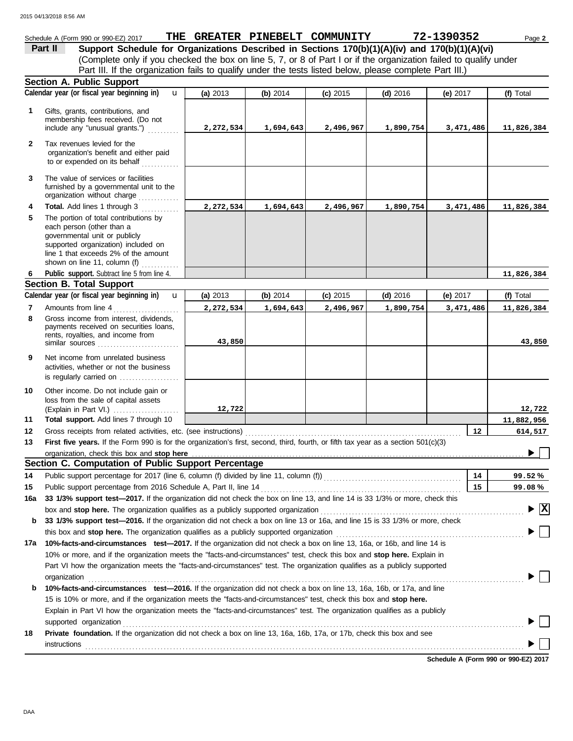|              | Schedule A (Form 990 or 990-EZ) 2017                                                                                                                                                                                     |           |           | THE GREATER PINEBELT COMMUNITY |            | 72-1390352 | Page 2                         |
|--------------|--------------------------------------------------------------------------------------------------------------------------------------------------------------------------------------------------------------------------|-----------|-----------|--------------------------------|------------|------------|--------------------------------|
|              | Support Schedule for Organizations Described in Sections 170(b)(1)(A)(iv) and 170(b)(1)(A)(vi)<br>Part II                                                                                                                |           |           |                                |            |            |                                |
|              | (Complete only if you checked the box on line 5, 7, or 8 of Part I or if the organization failed to qualify under                                                                                                        |           |           |                                |            |            |                                |
|              | Part III. If the organization fails to qualify under the tests listed below, please complete Part III.)                                                                                                                  |           |           |                                |            |            |                                |
|              | <b>Section A. Public Support</b>                                                                                                                                                                                         |           |           |                                |            |            |                                |
|              | Calendar year (or fiscal year beginning in)<br>$\mathbf{u}$                                                                                                                                                              | (a) 2013  | (b) 2014  | $(c)$ 2015                     | $(d)$ 2016 | (e) $2017$ | (f) Total                      |
| 1            | Gifts, grants, contributions, and                                                                                                                                                                                        |           |           |                                |            |            |                                |
|              | membership fees received. (Do not                                                                                                                                                                                        |           |           |                                |            |            |                                |
|              | include any "unusual grants.")                                                                                                                                                                                           | 2,272,534 | 1,694,643 | 2,496,967                      | 1,890,754  | 3,471,486  | 11,826,384                     |
| $\mathbf{2}$ | Tax revenues levied for the                                                                                                                                                                                              |           |           |                                |            |            |                                |
|              | organization's benefit and either paid                                                                                                                                                                                   |           |           |                                |            |            |                                |
|              | to or expended on its behalf                                                                                                                                                                                             |           |           |                                |            |            |                                |
| 3            | The value of services or facilities                                                                                                                                                                                      |           |           |                                |            |            |                                |
|              | furnished by a governmental unit to the                                                                                                                                                                                  |           |           |                                |            |            |                                |
|              | organization without charge                                                                                                                                                                                              |           |           |                                |            |            |                                |
| 4            | Total. Add lines 1 through 3                                                                                                                                                                                             | 2,272,534 | 1,694,643 | 2,496,967                      | 1,890,754  | 3,471,486  | 11,826,384                     |
| 5            | The portion of total contributions by<br>each person (other than a                                                                                                                                                       |           |           |                                |            |            |                                |
|              | governmental unit or publicly                                                                                                                                                                                            |           |           |                                |            |            |                                |
|              | supported organization) included on                                                                                                                                                                                      |           |           |                                |            |            |                                |
|              | line 1 that exceeds 2% of the amount                                                                                                                                                                                     |           |           |                                |            |            |                                |
|              | shown on line 11, column (f)                                                                                                                                                                                             |           |           |                                |            |            |                                |
| 6            | Public support. Subtract line 5 from line 4.<br><b>Section B. Total Support</b>                                                                                                                                          |           |           |                                |            |            | 11,826,384                     |
|              | Calendar year (or fiscal year beginning in)<br>$\mathbf{u}$                                                                                                                                                              | (a) 2013  | (b) 2014  | $(c)$ 2015                     | $(d)$ 2016 | (e) 2017   | (f) Total                      |
| 7            | Amounts from line 4                                                                                                                                                                                                      | 2,272,534 | 1,694,643 | 2,496,967                      | 1,890,754  | 3,471,486  | 11,826,384                     |
| 8            | Gross income from interest, dividends,                                                                                                                                                                                   |           |           |                                |            |            |                                |
|              | payments received on securities loans,                                                                                                                                                                                   |           |           |                                |            |            |                                |
|              | rents, royalties, and income from                                                                                                                                                                                        | 43,850    |           |                                |            |            | 43,850                         |
|              | similar sources                                                                                                                                                                                                          |           |           |                                |            |            |                                |
| 9            | Net income from unrelated business                                                                                                                                                                                       |           |           |                                |            |            |                                |
|              | activities, whether or not the business<br>is regularly carried on                                                                                                                                                       |           |           |                                |            |            |                                |
|              |                                                                                                                                                                                                                          |           |           |                                |            |            |                                |
| 10           | Other income. Do not include gain or<br>loss from the sale of capital assets                                                                                                                                             |           |           |                                |            |            |                                |
|              | (Explain in Part VI.) $\ldots$ , $\ldots$ , $\ldots$ , $\ldots$                                                                                                                                                          | 12,722    |           |                                |            |            | 12,722                         |
| 11           | Total support. Add lines 7 through 10                                                                                                                                                                                    |           |           |                                |            |            | 11,882,956                     |
| 12           | Gross receipts from related activities, etc. (see instructions)                                                                                                                                                          |           |           |                                |            | 12         | 614,517                        |
| 13           | First five years. If the Form 990 is for the organization's first, second, third, fourth, or fifth tax year as a section 501(c)(3)                                                                                       |           |           |                                |            |            |                                |
|              | organization, check this box and stop here                                                                                                                                                                               |           |           |                                |            |            |                                |
|              | Section C. Computation of Public Support Percentage                                                                                                                                                                      |           |           |                                |            |            |                                |
| 14           | Public support percentage for 2017 (line 6, column (f) divided by line 11, column (f) [[[[[[[[[[[[[[[[[[[[[[[                                                                                                            |           |           |                                |            | 14         | 99.52%                         |
| 15           | Public support percentage from 2016 Schedule A, Part II, line 14                                                                                                                                                         |           |           |                                |            | 15         | 99.08%                         |
| 16a          | 33 1/3% support test-2017. If the organization did not check the box on line 13, and line 14 is 33 1/3% or more, check this                                                                                              |           |           |                                |            |            | $\blacktriangleright$ $\mid$ X |
|              | box and stop here. The organization qualifies as a publicly supported organization                                                                                                                                       |           |           |                                |            |            |                                |
| b            | 33 1/3% support test-2016. If the organization did not check a box on line 13 or 16a, and line 15 is 33 1/3% or more, check                                                                                              |           |           |                                |            |            |                                |
| 17a          | this box and <b>stop here.</b> The organization qualifies as a publicly supported organization<br>10%-facts-and-circumstances test-2017. If the organization did not check a box on line 13, 16a, or 16b, and line 14 is |           |           |                                |            |            |                                |
|              | 10% or more, and if the organization meets the "facts-and-circumstances" test, check this box and stop here. Explain in                                                                                                  |           |           |                                |            |            |                                |
|              | Part VI how the organization meets the "facts-and-circumstances" test. The organization qualifies as a publicly supported                                                                                                |           |           |                                |            |            |                                |
|              | organization                                                                                                                                                                                                             |           |           |                                |            |            |                                |
| b            | 10%-facts-and-circumstances test-2016. If the organization did not check a box on line 13, 16a, 16b, or 17a, and line                                                                                                    |           |           |                                |            |            |                                |
|              | 15 is 10% or more, and if the organization meets the "facts-and-circumstances" test, check this box and stop here.                                                                                                       |           |           |                                |            |            |                                |
|              | Explain in Part VI how the organization meets the "facts-and-circumstances" test. The organization qualifies as a publicly                                                                                               |           |           |                                |            |            |                                |
|              | supported organization                                                                                                                                                                                                   |           |           |                                |            |            |                                |
| 18           | Private foundation. If the organization did not check a box on line 13, 16a, 16b, 17a, or 17b, check this box and see                                                                                                    |           |           |                                |            |            |                                |
|              | instructions                                                                                                                                                                                                             |           |           |                                |            |            |                                |

**Schedule A (Form 990 or 990-EZ) 2017**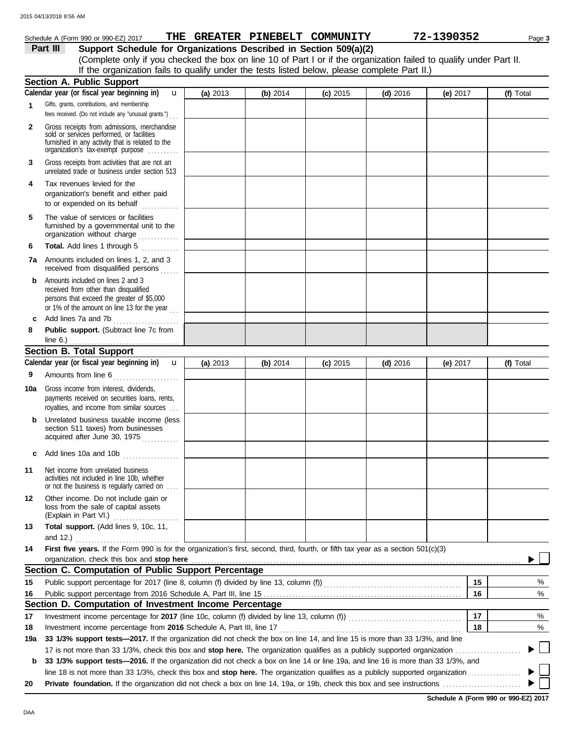|              | Schedule A (Form 990 or 990-EZ) 2017                                                                                                                                                                                                                                                  |          |            | THE GREATER PINEBELT COMMUNITY |            | 72-1390352 | Page 3    |
|--------------|---------------------------------------------------------------------------------------------------------------------------------------------------------------------------------------------------------------------------------------------------------------------------------------|----------|------------|--------------------------------|------------|------------|-----------|
|              | Support Schedule for Organizations Described in Section 509(a)(2)<br>Part III                                                                                                                                                                                                         |          |            |                                |            |            |           |
|              | (Complete only if you checked the box on line 10 of Part I or if the organization failed to qualify under Part II.                                                                                                                                                                    |          |            |                                |            |            |           |
|              | If the organization fails to qualify under the tests listed below, please complete Part II.)                                                                                                                                                                                          |          |            |                                |            |            |           |
|              | Section A. Public Support                                                                                                                                                                                                                                                             |          |            |                                |            |            |           |
|              | Calendar year (or fiscal year beginning in)<br>$\mathbf{u}$                                                                                                                                                                                                                           | (a) 2013 | (b) $2014$ | $(c)$ 2015                     | $(d)$ 2016 | (e) 2017   | (f) Total |
| 1            | Gifts, grants, contributions, and membership<br>fees received. (Do not include any "unusual grants.")                                                                                                                                                                                 |          |            |                                |            |            |           |
| $\mathbf{2}$ | Gross receipts from admissions, merchandise<br>sold or services performed, or facilities<br>furnished in any activity that is related to the<br>organization's tax-exempt purpose                                                                                                     |          |            |                                |            |            |           |
| 3            | Gross receipts from activities that are not an<br>unrelated trade or business under section 513                                                                                                                                                                                       |          |            |                                |            |            |           |
| 4            | Tax revenues levied for the<br>organization's benefit and either paid<br>to or expended on its behalf                                                                                                                                                                                 |          |            |                                |            |            |           |
| 5            | The value of services or facilities<br>furnished by a governmental unit to the<br>organization without charge                                                                                                                                                                         |          |            |                                |            |            |           |
| 6            | Total. Add lines 1 through 5<br>.                                                                                                                                                                                                                                                     |          |            |                                |            |            |           |
|              | <b>7a</b> Amounts included on lines 1, 2, and 3<br>received from disqualified persons                                                                                                                                                                                                 |          |            |                                |            |            |           |
| b            | Amounts included on lines 2 and 3<br>received from other than disqualified<br>persons that exceed the greater of \$5,000<br>or 1% of the amount on line 13 for the year $\ldots$                                                                                                      |          |            |                                |            |            |           |
| c            | Add lines 7a and 7b                                                                                                                                                                                                                                                                   |          |            |                                |            |            |           |
| 8            | Public support. (Subtract line 7c from                                                                                                                                                                                                                                                |          |            |                                |            |            |           |
|              | line $6.$ )<br>.                                                                                                                                                                                                                                                                      |          |            |                                |            |            |           |
|              | <b>Section B. Total Support</b>                                                                                                                                                                                                                                                       |          |            |                                |            |            |           |
|              | Calendar year (or fiscal year beginning in)<br>$\mathbf{u}$                                                                                                                                                                                                                           | (a) 2013 | (b) 2014   | $(c)$ 2015                     | $(d)$ 2016 | (e) $2017$ | (f) Total |
| 9            | Amounts from line 6                                                                                                                                                                                                                                                                   |          |            |                                |            |            |           |
| 10a          | Gross income from interest, dividends,<br>payments received on securities loans, rents,<br>royalties, and income from similar sources                                                                                                                                                 |          |            |                                |            |            |           |
| b            | Unrelated business taxable income (less<br>section 511 taxes) from businesses<br>acquired after June 30, 1975                                                                                                                                                                         |          |            |                                |            |            |           |
|              | Add lines 10a and 10b                                                                                                                                                                                                                                                                 |          |            |                                |            |            |           |
| 11           | Net income from unrelated business<br>activities not included in line 10b, whether<br>or not the business is regularly carried on                                                                                                                                                     |          |            |                                |            |            |           |
| 12           | Other income. Do not include gain or<br>loss from the sale of capital assets<br>(Explain in Part VI.)                                                                                                                                                                                 |          |            |                                |            |            |           |
| 13           | Total support. (Add lines 9, 10c, 11,<br>and 12.)                                                                                                                                                                                                                                     |          |            |                                |            |            |           |
| 14           | First five years. If the Form 990 is for the organization's first, second, third, fourth, or fifth tax year as a section 501(c)(3)                                                                                                                                                    |          |            |                                |            |            |           |
|              | organization, check this box and stop here manufactured and content to the state of the content of the state of the content of the content of the content of the content of the content of the content of the content of the c<br>Section C. Computation of Public Support Percentage |          |            |                                |            |            |           |
|              |                                                                                                                                                                                                                                                                                       |          |            |                                |            | 15         | %         |
| 15           |                                                                                                                                                                                                                                                                                       |          |            |                                |            | 16         | $\%$      |
| 16           | Section D. Computation of Investment Income Percentage                                                                                                                                                                                                                                |          |            |                                |            |            |           |
| 17           |                                                                                                                                                                                                                                                                                       |          |            |                                |            | 17         | $\%$      |
| 18           | Investment income percentage from 2016 Schedule A, Part III, line 17                                                                                                                                                                                                                  |          |            |                                |            | 18         | %         |
| 19a          | 33 1/3% support tests—2017. If the organization did not check the box on line 14, and line 15 is more than 33 1/3%, and line                                                                                                                                                          |          |            |                                |            |            |           |
|              | 17 is not more than 33 1/3%, check this box and stop here. The organization qualifies as a publicly supported organization                                                                                                                                                            |          |            |                                |            |            |           |
| b            | 33 1/3% support tests-2016. If the organization did not check a box on line 14 or line 19a, and line 16 is more than 33 1/3%, and                                                                                                                                                     |          |            |                                |            |            |           |
|              | line 18 is not more than 33 1/3%, check this box and stop here. The organization qualifies as a publicly supported organization                                                                                                                                                       |          |            |                                |            |            |           |

| The Term increased there he has been and best and <b>evep noter</b> the eigenzation qualities as a passion yappened eigenzation |
|---------------------------------------------------------------------------------------------------------------------------------|
|                                                                                                                                 |

٦ Þ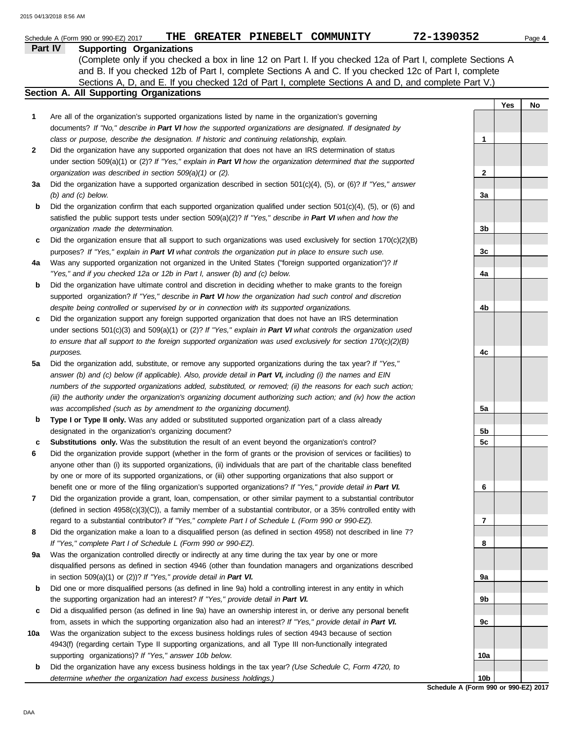|              | THE GREATER PINEBELT COMMUNITY<br>Schedule A (Form 990 or 990-EZ) 2017                                                                                                                                                                    | 72-1390352                           | Page 4 |
|--------------|-------------------------------------------------------------------------------------------------------------------------------------------------------------------------------------------------------------------------------------------|--------------------------------------|--------|
|              | Part IV<br><b>Supporting Organizations</b>                                                                                                                                                                                                |                                      |        |
|              | (Complete only if you checked a box in line 12 on Part I. If you checked 12a of Part I, complete Sections A                                                                                                                               |                                      |        |
|              | and B. If you checked 12b of Part I, complete Sections A and C. If you checked 12c of Part I, complete                                                                                                                                    |                                      |        |
|              | Sections A, D, and E. If you checked 12d of Part I, complete Sections A and D, and complete Part V.)                                                                                                                                      |                                      |        |
|              | <b>Section A. All Supporting Organizations</b>                                                                                                                                                                                            |                                      |        |
|              |                                                                                                                                                                                                                                           | Yes                                  | No     |
| 1            | Are all of the organization's supported organizations listed by name in the organization's governing                                                                                                                                      |                                      |        |
|              | documents? If "No," describe in Part VI how the supported organizations are designated. If designated by                                                                                                                                  |                                      |        |
|              | class or purpose, describe the designation. If historic and continuing relationship, explain.                                                                                                                                             | 1                                    |        |
| $\mathbf{2}$ | Did the organization have any supported organization that does not have an IRS determination of status                                                                                                                                    |                                      |        |
|              | under section 509(a)(1) or (2)? If "Yes," explain in Part VI how the organization determined that the supported                                                                                                                           |                                      |        |
|              | organization was described in section 509(a)(1) or (2).                                                                                                                                                                                   | 2                                    |        |
| За           | Did the organization have a supported organization described in section $501(c)(4)$ , (5), or (6)? If "Yes," answer                                                                                                                       |                                      |        |
|              | $(b)$ and $(c)$ below.                                                                                                                                                                                                                    | За                                   |        |
| b            | Did the organization confirm that each supported organization qualified under section $501(c)(4)$ , $(5)$ , or $(6)$ and                                                                                                                  |                                      |        |
|              | satisfied the public support tests under section 509(a)(2)? If "Yes," describe in Part VI when and how the                                                                                                                                |                                      |        |
|              | organization made the determination.                                                                                                                                                                                                      | 3b                                   |        |
| c            | Did the organization ensure that all support to such organizations was used exclusively for section $170(c)(2)(B)$                                                                                                                        |                                      |        |
|              | purposes? If "Yes," explain in Part VI what controls the organization put in place to ensure such use.                                                                                                                                    | 3c                                   |        |
| 4a           | Was any supported organization not organized in the United States ("foreign supported organization")? If                                                                                                                                  |                                      |        |
|              | "Yes," and if you checked 12a or 12b in Part I, answer (b) and (c) below.                                                                                                                                                                 | 4a                                   |        |
| b            | Did the organization have ultimate control and discretion in deciding whether to make grants to the foreign                                                                                                                               |                                      |        |
|              | supported organization? If "Yes," describe in Part VI how the organization had such control and discretion                                                                                                                                |                                      |        |
|              | despite being controlled or supervised by or in connection with its supported organizations.                                                                                                                                              | 4b                                   |        |
| c            | Did the organization support any foreign supported organization that does not have an IRS determination                                                                                                                                   |                                      |        |
|              | under sections $501(c)(3)$ and $509(a)(1)$ or (2)? If "Yes," explain in Part VI what controls the organization used                                                                                                                       |                                      |        |
|              | to ensure that all support to the foreign supported organization was used exclusively for section $170(c)(2)(B)$                                                                                                                          |                                      |        |
|              | purposes.                                                                                                                                                                                                                                 | 4c                                   |        |
| 5a           | Did the organization add, substitute, or remove any supported organizations during the tax year? If "Yes,"                                                                                                                                |                                      |        |
|              | answer (b) and (c) below (if applicable). Also, provide detail in Part VI, including (i) the names and EIN                                                                                                                                |                                      |        |
|              | numbers of the supported organizations added, substituted, or removed; (ii) the reasons for each such action;                                                                                                                             |                                      |        |
|              | (iii) the authority under the organization's organizing document authorizing such action; and (iv) how the action                                                                                                                         |                                      |        |
|              | was accomplished (such as by amendment to the organizing document).                                                                                                                                                                       | 5a                                   |        |
| b            | Type I or Type II only. Was any added or substituted supported organization part of a class already<br>designated in the organization's organizing document?                                                                              |                                      |        |
|              | Substitutions only. Was the substitution the result of an event beyond the organization's control?                                                                                                                                        | 5b<br>5 <sub>c</sub>                 |        |
| с            |                                                                                                                                                                                                                                           |                                      |        |
| 6            | Did the organization provide support (whether in the form of grants or the provision of services or facilities) to<br>anyone other than (i) its supported organizations, (ii) individuals that are part of the charitable class benefited |                                      |        |
|              | by one or more of its supported organizations, or (iii) other supporting organizations that also support or                                                                                                                               |                                      |        |
|              | benefit one or more of the filing organization's supported organizations? If "Yes," provide detail in Part VI.                                                                                                                            | 6                                    |        |
| 7            | Did the organization provide a grant, loan, compensation, or other similar payment to a substantial contributor                                                                                                                           |                                      |        |
|              | (defined in section $4958(c)(3)(C)$ ), a family member of a substantial contributor, or a 35% controlled entity with                                                                                                                      |                                      |        |
|              | regard to a substantial contributor? If "Yes," complete Part I of Schedule L (Form 990 or 990-EZ).                                                                                                                                        | 7                                    |        |
| 8            | Did the organization make a loan to a disqualified person (as defined in section 4958) not described in line 7?                                                                                                                           |                                      |        |
|              | If "Yes," complete Part I of Schedule L (Form 990 or 990-EZ).                                                                                                                                                                             | 8                                    |        |
| 9а           | Was the organization controlled directly or indirectly at any time during the tax year by one or more                                                                                                                                     |                                      |        |
|              | disqualified persons as defined in section 4946 (other than foundation managers and organizations described                                                                                                                               |                                      |        |
|              | in section $509(a)(1)$ or (2))? If "Yes," provide detail in Part VI.                                                                                                                                                                      | 9а                                   |        |
| b            | Did one or more disqualified persons (as defined in line 9a) hold a controlling interest in any entity in which                                                                                                                           |                                      |        |
|              | the supporting organization had an interest? If "Yes," provide detail in Part VI.                                                                                                                                                         | 9b                                   |        |
| c            | Did a disqualified person (as defined in line 9a) have an ownership interest in, or derive any personal benefit                                                                                                                           |                                      |        |
|              | from, assets in which the supporting organization also had an interest? If "Yes," provide detail in Part VI.                                                                                                                              | 9c                                   |        |
| 10a          | Was the organization subject to the excess business holdings rules of section 4943 because of section                                                                                                                                     |                                      |        |
|              | 4943(f) (regarding certain Type II supporting organizations, and all Type III non-functionally integrated                                                                                                                                 |                                      |        |
|              | supporting organizations)? If "Yes," answer 10b below.                                                                                                                                                                                    | 10a                                  |        |
| b            | Did the organization have any excess business holdings in the tax year? (Use Schedule C, Form 4720, to                                                                                                                                    |                                      |        |
|              | determine whether the organization had excess business holdings.)                                                                                                                                                                         | 10b                                  |        |
|              |                                                                                                                                                                                                                                           | Schedule A (Form 990 or 990-EZ) 2017 |        |

**Schedule A (Form 990 or 990-EZ) 2017**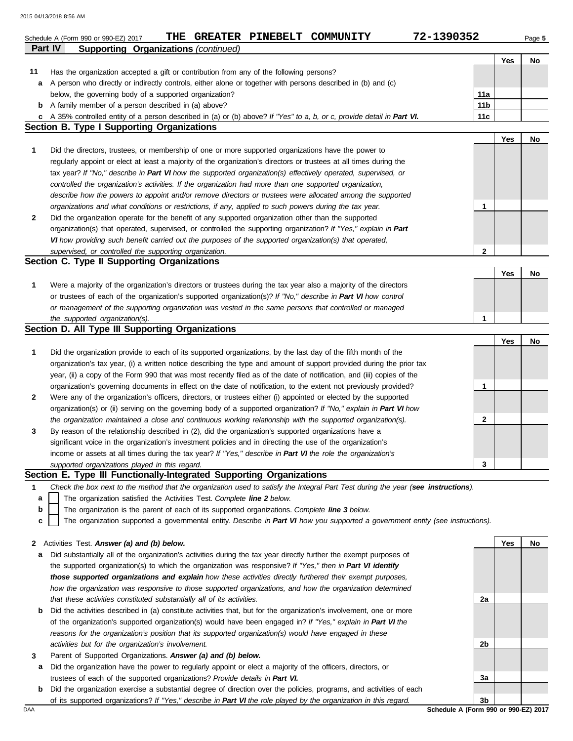|                | 72-1390352<br>THE GREATER PINEBELT COMMUNITY<br>Schedule A (Form 990 or 990-EZ) 2017                                                                                       |                 |     | Page 5 |
|----------------|----------------------------------------------------------------------------------------------------------------------------------------------------------------------------|-----------------|-----|--------|
| <b>Part IV</b> | <b>Supporting Organizations (continued)</b>                                                                                                                                |                 |     |        |
|                |                                                                                                                                                                            |                 | Yes | No     |
| 11             | Has the organization accepted a gift or contribution from any of the following persons?                                                                                    |                 |     |        |
| a              | A person who directly or indirectly controls, either alone or together with persons described in (b) and (c)                                                               |                 |     |        |
|                | below, the governing body of a supported organization?                                                                                                                     | 11a             |     |        |
| b              | A family member of a person described in (a) above?                                                                                                                        | 11 <sub>b</sub> |     |        |
| c              | A 35% controlled entity of a person described in (a) or (b) above? If "Yes" to a, b, or c, provide detail in Part VI.<br><b>Section B. Type I Supporting Organizations</b> | 11c             |     |        |
|                |                                                                                                                                                                            |                 | Yes | No     |
| 1              | Did the directors, trustees, or membership of one or more supported organizations have the power to                                                                        |                 |     |        |
|                | regularly appoint or elect at least a majority of the organization's directors or trustees at all times during the                                                         |                 |     |        |
|                | tax year? If "No," describe in Part VI how the supported organization(s) effectively operated, supervised, or                                                              |                 |     |        |
|                | controlled the organization's activities. If the organization had more than one supported organization,                                                                    |                 |     |        |
|                | describe how the powers to appoint and/or remove directors or trustees were allocated among the supported                                                                  |                 |     |        |
|                | organizations and what conditions or restrictions, if any, applied to such powers during the tax year.                                                                     | 1               |     |        |
| 2              | Did the organization operate for the benefit of any supported organization other than the supported                                                                        |                 |     |        |
|                | organization(s) that operated, supervised, or controlled the supporting organization? If "Yes," explain in Part                                                            |                 |     |        |
|                | VI how providing such benefit carried out the purposes of the supported organization(s) that operated,                                                                     |                 |     |        |
|                | supervised, or controlled the supporting organization.                                                                                                                     | $\mathbf{2}$    |     |        |
|                | Section C. Type II Supporting Organizations                                                                                                                                |                 |     |        |
|                |                                                                                                                                                                            |                 | Yes | No     |
| 1              | Were a majority of the organization's directors or trustees during the tax year also a majority of the directors                                                           |                 |     |        |
|                | or trustees of each of the organization's supported organization(s)? If "No," describe in Part VI how control                                                              |                 |     |        |
|                | or management of the supporting organization was vested in the same persons that controlled or managed                                                                     |                 |     |        |
|                | the supported organization(s).                                                                                                                                             | 1               |     |        |
|                | Section D. All Type III Supporting Organizations                                                                                                                           |                 |     |        |
|                |                                                                                                                                                                            |                 | Yes | No     |
| 1              | Did the organization provide to each of its supported organizations, by the last day of the fifth month of the                                                             |                 |     |        |
|                | organization's tax year, (i) a written notice describing the type and amount of support provided during the prior tax                                                      |                 |     |        |
|                | year, (ii) a copy of the Form 990 that was most recently filed as of the date of notification, and (iii) copies of the                                                     |                 |     |        |
|                | organization's governing documents in effect on the date of notification, to the extent not previously provided?                                                           | 1               |     |        |
| 2              | Were any of the organization's officers, directors, or trustees either (i) appointed or elected by the supported                                                           |                 |     |        |
|                | organization(s) or (ii) serving on the governing body of a supported organization? If "No," explain in Part VI how                                                         |                 |     |        |
|                | the organization maintained a close and continuous working relationship with the supported organization(s).                                                                | 2               |     |        |
| 3              | By reason of the relationship described in (2), did the organization's supported organizations have a                                                                      |                 |     |        |
|                | significant voice in the organization's investment policies and in directing the use of the organization's                                                                 |                 |     |        |
|                | income or assets at all times during the tax year? If "Yes," describe in Part VI the role the organization's                                                               |                 |     |        |
|                | supported organizations played in this regard.                                                                                                                             | 3               |     |        |
|                | Section E. Type III Functionally-Integrated Supporting Organizations                                                                                                       |                 |     |        |
| 1              | Check the box next to the method that the organization used to satisfy the Integral Part Test during the year (see instructions).                                          |                 |     |        |
| a              | The organization satisfied the Activities Test. Complete line 2 below.                                                                                                     |                 |     |        |
| b              | The organization is the parent of each of its supported organizations. Complete line 3 below.                                                                              |                 |     |        |
| c              | The organization supported a governmental entity. Describe in Part VI how you supported a government entity (see instructions).                                            |                 |     |        |
|                |                                                                                                                                                                            |                 |     |        |
| 2              | Activities Test. Answer (a) and (b) below.                                                                                                                                 |                 | Yes | No     |
| а              | Did substantially all of the organization's activities during the tax year directly further the exempt purposes of                                                         |                 |     |        |
|                | the supported organization(s) to which the organization was responsive? If "Yes," then in Part VI identify                                                                 |                 |     |        |
|                | those supported organizations and explain how these activities directly furthered their exempt purposes,                                                                   |                 |     |        |
|                | how the organization was responsive to those supported organizations, and how the organization determined                                                                  |                 |     |        |
|                | that these activities constituted substantially all of its activities.                                                                                                     | 2a              |     |        |
| b              | Did the activities described in (a) constitute activities that, but for the organization's involvement, one or more                                                        |                 |     |        |
|                | of the organization's supported organization(s) would have been engaged in? If "Yes," explain in Part VI the                                                               |                 |     |        |
|                | reasons for the organization's position that its supported organization(s) would have engaged in these                                                                     |                 |     |        |
|                | activities but for the organization's involvement.                                                                                                                         | 2b              |     |        |
| 3              | Parent of Supported Organizations. Answer (a) and (b) below.                                                                                                               |                 |     |        |
| а              | Did the organization have the power to regularly appoint or elect a majority of the officers, directors, or                                                                |                 |     |        |
|                | trustees of each of the supported organizations? Provide details in Part VI.                                                                                               | За              |     |        |

| <b>b</b> Did the organization exercise a substantial degree of direction over the policies, programs, and activities of each |
|------------------------------------------------------------------------------------------------------------------------------|
| of its supported organizations? If "Yes," describe in Part VI the role played by the organization in this regard.            |

DAA **Schedule A (Form 990 or 990-EZ) 2017 3b**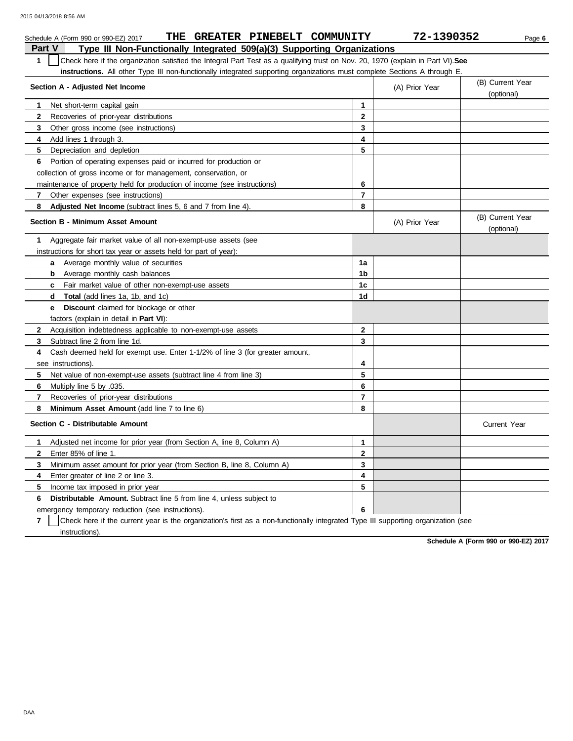|              | THE GREATER PINEBELT COMMUNITY<br>Schedule A (Form 990 or 990-EZ) 2017                                                           |                         | 72-1390352     | Page 6                         |
|--------------|----------------------------------------------------------------------------------------------------------------------------------|-------------------------|----------------|--------------------------------|
| Part V       | Type III Non-Functionally Integrated 509(a)(3) Supporting Organizations                                                          |                         |                |                                |
| $\mathbf{1}$ | Check here if the organization satisfied the Integral Part Test as a qualifying trust on Nov. 20, 1970 (explain in Part VI). See |                         |                |                                |
|              | instructions. All other Type III non-functionally integrated supporting organizations must complete Sections A through E.        |                         |                |                                |
|              | Section A - Adjusted Net Income                                                                                                  |                         | (A) Prior Year | (B) Current Year               |
|              |                                                                                                                                  |                         |                | (optional)                     |
| 1            | Net short-term capital gain                                                                                                      | 1                       |                |                                |
| 2            | Recoveries of prior-year distributions                                                                                           | $\overline{2}$          |                |                                |
| 3            | Other gross income (see instructions)                                                                                            | 3                       |                |                                |
| 4            | Add lines 1 through 3.                                                                                                           | 4                       |                |                                |
| 5            | Depreciation and depletion                                                                                                       | 5                       |                |                                |
| 6            | Portion of operating expenses paid or incurred for production or                                                                 |                         |                |                                |
|              | collection of gross income or for management, conservation, or                                                                   |                         |                |                                |
|              | maintenance of property held for production of income (see instructions)                                                         | 6                       |                |                                |
| 7            | Other expenses (see instructions)                                                                                                | $\overline{7}$          |                |                                |
| 8            | <b>Adjusted Net Income</b> (subtract lines 5, 6 and 7 from line 4).                                                              | 8                       |                |                                |
|              | <b>Section B - Minimum Asset Amount</b>                                                                                          |                         | (A) Prior Year | (B) Current Year<br>(optional) |
| 1            | Aggregate fair market value of all non-exempt-use assets (see                                                                    |                         |                |                                |
|              | instructions for short tax year or assets held for part of year):                                                                |                         |                |                                |
| a            | Average monthly value of securities                                                                                              | 1a                      |                |                                |
| b            | Average monthly cash balances                                                                                                    | 1 <sub>b</sub>          |                |                                |
|              | <b>c</b> Fair market value of other non-exempt-use assets                                                                        | 1 <sub>c</sub>          |                |                                |
|              | <b>d</b> Total (add lines 1a, 1b, and 1c)                                                                                        | 1 <sub>d</sub>          |                |                                |
| e            | <b>Discount</b> claimed for blockage or other                                                                                    |                         |                |                                |
|              | factors (explain in detail in <b>Part VI)</b> :                                                                                  |                         |                |                                |
| $\mathbf{2}$ | Acquisition indebtedness applicable to non-exempt-use assets                                                                     | $\mathbf{2}$            |                |                                |
| 3            | Subtract line 2 from line 1d.                                                                                                    | 3                       |                |                                |
| 4            | Cash deemed held for exempt use. Enter 1-1/2% of line 3 (for greater amount,                                                     |                         |                |                                |
|              | see instructions).                                                                                                               | 4                       |                |                                |
| 5            | Net value of non-exempt-use assets (subtract line 4 from line 3)                                                                 | 5                       |                |                                |
| 6            | Multiply line 5 by .035.                                                                                                         | 6                       |                |                                |
| 7            | Recoveries of prior-year distributions                                                                                           | $\overline{\mathbf{r}}$ |                |                                |
| 8            | <b>Minimum Asset Amount</b> (add line 7 to line 6)                                                                               | 8                       |                |                                |
|              | Section C - Distributable Amount                                                                                                 |                         |                | <b>Current Year</b>            |
| 1            | Adjusted net income for prior year (from Section A, line 8, Column A)                                                            | $\mathbf{1}$            |                |                                |
| $\mathbf{2}$ | Enter 85% of line 1.                                                                                                             | $\mathbf{2}$            |                |                                |
| 3            | Minimum asset amount for prior year (from Section B, line 8, Column A)                                                           | 3                       |                |                                |
| 4            | Enter greater of line 2 or line 3.                                                                                               | 4                       |                |                                |
| 5            | Income tax imposed in prior year                                                                                                 | 5                       |                |                                |
| 6            | <b>Distributable Amount.</b> Subtract line 5 from line 4, unless subject to                                                      |                         |                |                                |
|              | emergency temporary reduction (see instructions).                                                                                | 6                       |                |                                |

**7** | Check here if the current year is the organization's first as a non-functionally integrated Type III supporting organization (see instructions).

**Schedule A (Form 990 or 990-EZ) 2017**

DAA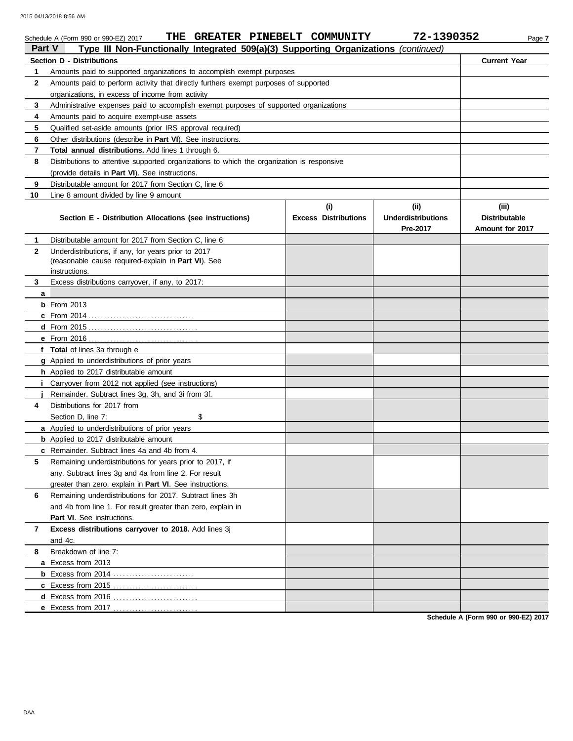| <b>Part V</b> | THE GREATER PINEBELT COMMUNITY<br>Schedule A (Form 990 or 990-EZ) 2017<br>Type III Non-Functionally Integrated 509(a)(3) Supporting Organizations (continued) |                             | 72-1390352                | Page 7               |
|---------------|---------------------------------------------------------------------------------------------------------------------------------------------------------------|-----------------------------|---------------------------|----------------------|
|               | <b>Section D - Distributions</b>                                                                                                                              |                             |                           | <b>Current Year</b>  |
| 1             | Amounts paid to supported organizations to accomplish exempt purposes                                                                                         |                             |                           |                      |
| $\mathbf{2}$  | Amounts paid to perform activity that directly furthers exempt purposes of supported                                                                          |                             |                           |                      |
|               | organizations, in excess of income from activity                                                                                                              |                             |                           |                      |
| 3             | Administrative expenses paid to accomplish exempt purposes of supported organizations                                                                         |                             |                           |                      |
| 4             | Amounts paid to acquire exempt-use assets                                                                                                                     |                             |                           |                      |
| 5             | Qualified set-aside amounts (prior IRS approval required)                                                                                                     |                             |                           |                      |
| 6             | Other distributions (describe in Part VI). See instructions.                                                                                                  |                             |                           |                      |
| 7             | Total annual distributions. Add lines 1 through 6.                                                                                                            |                             |                           |                      |
| 8             | Distributions to attentive supported organizations to which the organization is responsive                                                                    |                             |                           |                      |
|               | (provide details in Part VI). See instructions.                                                                                                               |                             |                           |                      |
| 9             | Distributable amount for 2017 from Section C, line 6                                                                                                          |                             |                           |                      |
| 10            | Line 8 amount divided by line 9 amount                                                                                                                        |                             |                           |                      |
|               |                                                                                                                                                               | (i)                         | (ii)                      | (iii)                |
|               | Section E - Distribution Allocations (see instructions)                                                                                                       | <b>Excess Distributions</b> | <b>Underdistributions</b> | <b>Distributable</b> |
|               |                                                                                                                                                               |                             | Pre-2017                  | Amount for 2017      |
| 1             | Distributable amount for 2017 from Section C, line 6                                                                                                          |                             |                           |                      |
| $\mathbf{2}$  | Underdistributions, if any, for years prior to 2017                                                                                                           |                             |                           |                      |
|               | (reasonable cause required-explain in Part VI). See                                                                                                           |                             |                           |                      |
|               | instructions.                                                                                                                                                 |                             |                           |                      |
| 3             | Excess distributions carryover, if any, to 2017:                                                                                                              |                             |                           |                      |
| a             | <b>b</b> From 2013                                                                                                                                            |                             |                           |                      |
|               |                                                                                                                                                               |                             |                           |                      |
|               |                                                                                                                                                               |                             |                           |                      |
|               |                                                                                                                                                               |                             |                           |                      |
|               | f Total of lines 3a through e                                                                                                                                 |                             |                           |                      |
|               | g Applied to underdistributions of prior years                                                                                                                |                             |                           |                      |
|               | h Applied to 2017 distributable amount                                                                                                                        |                             |                           |                      |
|               | Carryover from 2012 not applied (see instructions)                                                                                                            |                             |                           |                      |
|               | Remainder. Subtract lines 3g, 3h, and 3i from 3f.                                                                                                             |                             |                           |                      |
| 4             | Distributions for 2017 from                                                                                                                                   |                             |                           |                      |
|               | Section D, line 7:<br>\$                                                                                                                                      |                             |                           |                      |
|               | a Applied to underdistributions of prior years                                                                                                                |                             |                           |                      |
|               | <b>b</b> Applied to 2017 distributable amount                                                                                                                 |                             |                           |                      |
|               | c Remainder. Subtract lines 4a and 4b from 4.                                                                                                                 |                             |                           |                      |
| 5             | Remaining underdistributions for years prior to 2017, if                                                                                                      |                             |                           |                      |
|               | any. Subtract lines 3g and 4a from line 2. For result                                                                                                         |                             |                           |                      |
|               | greater than zero, explain in Part VI. See instructions.                                                                                                      |                             |                           |                      |
| 6             | Remaining underdistributions for 2017. Subtract lines 3h                                                                                                      |                             |                           |                      |
|               | and 4b from line 1. For result greater than zero, explain in                                                                                                  |                             |                           |                      |
|               | Part VI. See instructions.                                                                                                                                    |                             |                           |                      |
| 7             | Excess distributions carryover to 2018. Add lines 3j                                                                                                          |                             |                           |                      |
|               | and 4c.                                                                                                                                                       |                             |                           |                      |
| 8             | Breakdown of line 7:                                                                                                                                          |                             |                           |                      |
|               | a Excess from 2013                                                                                                                                            |                             |                           |                      |
|               |                                                                                                                                                               |                             |                           |                      |
|               | c Excess from 2015.                                                                                                                                           |                             |                           |                      |
|               |                                                                                                                                                               |                             |                           |                      |
|               | <b>e</b> Excess from 2017                                                                                                                                     |                             |                           |                      |

**Schedule A (Form 990 or 990-EZ) 2017**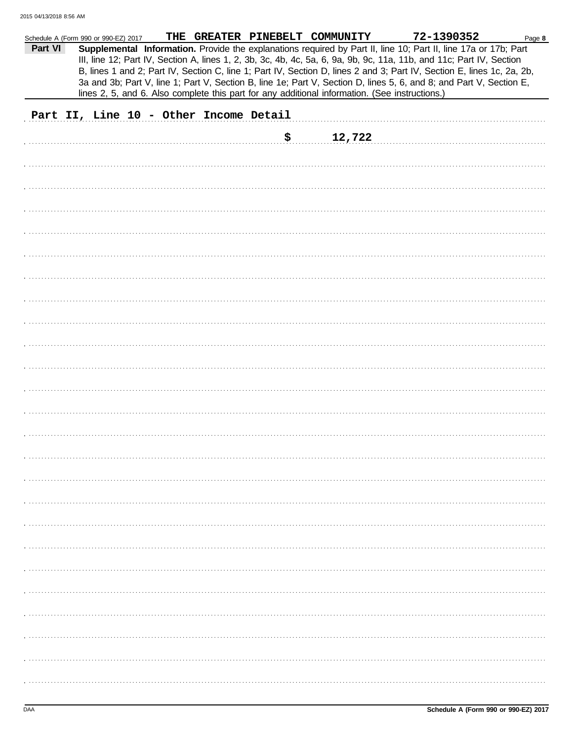|         | Schedule A (Form 990 or 990-EZ) 2017   |  | THE GREATER PINEBELT COMMUNITY                                                                 | 72-1390352                                                                                                                                                                                                                                    | Page 8 |
|---------|----------------------------------------|--|------------------------------------------------------------------------------------------------|-----------------------------------------------------------------------------------------------------------------------------------------------------------------------------------------------------------------------------------------------|--------|
| Part VI |                                        |  |                                                                                                | Supplemental Information. Provide the explanations required by Part II, line 10; Part II, line 17a or 17b; Part<br>III, line 12; Part IV, Section A, lines 1, 2, 3b, 3c, 4b, 4c, 5a, 6, 9a, 9b, 9c, 11a, 11b, and 11c; Part IV, Section       |        |
|         |                                        |  |                                                                                                | B, lines 1 and 2; Part IV, Section C, line 1; Part IV, Section D, lines 2 and 3; Part IV, Section E, lines 1c, 2a, 2b,<br>3a and 3b; Part V, line 1; Part V, Section B, line 1e; Part V, Section D, lines 5, 6, and 8; and Part V, Section E, |        |
|         |                                        |  | lines 2, 5, and 6. Also complete this part for any additional information. (See instructions.) |                                                                                                                                                                                                                                               |        |
|         | Part II, Line 10 - Other Income Detail |  |                                                                                                |                                                                                                                                                                                                                                               |        |
|         |                                        |  | \$<br>12,722                                                                                   |                                                                                                                                                                                                                                               |        |
|         |                                        |  |                                                                                                |                                                                                                                                                                                                                                               |        |
|         |                                        |  |                                                                                                |                                                                                                                                                                                                                                               |        |
|         |                                        |  |                                                                                                |                                                                                                                                                                                                                                               |        |
|         |                                        |  |                                                                                                |                                                                                                                                                                                                                                               |        |
|         |                                        |  |                                                                                                |                                                                                                                                                                                                                                               |        |
|         |                                        |  |                                                                                                |                                                                                                                                                                                                                                               |        |
|         |                                        |  |                                                                                                |                                                                                                                                                                                                                                               |        |
|         |                                        |  |                                                                                                |                                                                                                                                                                                                                                               |        |
|         |                                        |  |                                                                                                |                                                                                                                                                                                                                                               |        |
|         |                                        |  |                                                                                                |                                                                                                                                                                                                                                               |        |
|         |                                        |  |                                                                                                |                                                                                                                                                                                                                                               |        |
|         |                                        |  |                                                                                                |                                                                                                                                                                                                                                               |        |
|         |                                        |  |                                                                                                |                                                                                                                                                                                                                                               |        |
|         |                                        |  |                                                                                                |                                                                                                                                                                                                                                               |        |
|         |                                        |  |                                                                                                |                                                                                                                                                                                                                                               |        |
|         |                                        |  |                                                                                                |                                                                                                                                                                                                                                               |        |
|         |                                        |  |                                                                                                |                                                                                                                                                                                                                                               |        |
|         |                                        |  |                                                                                                |                                                                                                                                                                                                                                               |        |
|         |                                        |  |                                                                                                |                                                                                                                                                                                                                                               |        |
|         |                                        |  |                                                                                                |                                                                                                                                                                                                                                               |        |
|         |                                        |  |                                                                                                |                                                                                                                                                                                                                                               |        |
|         |                                        |  |                                                                                                |                                                                                                                                                                                                                                               |        |
|         |                                        |  |                                                                                                |                                                                                                                                                                                                                                               |        |
|         |                                        |  |                                                                                                |                                                                                                                                                                                                                                               |        |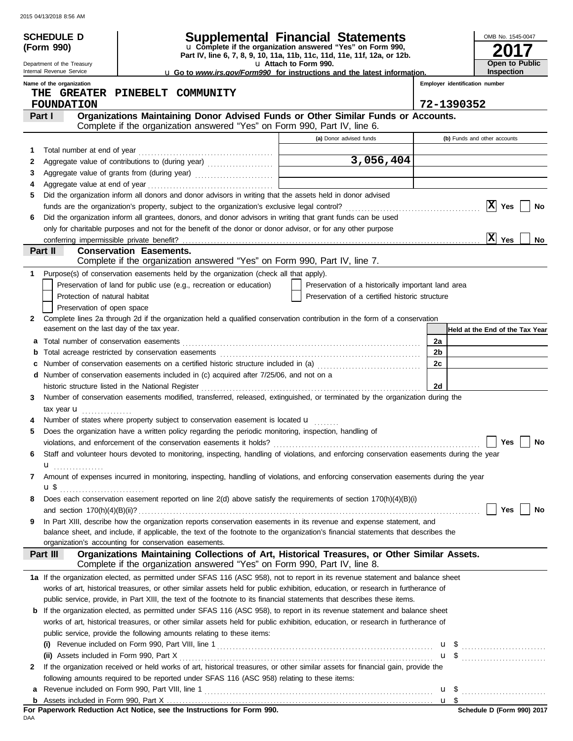|   | <b>SCHEDULE D</b>                                      |                                                                                                                                                                                                                              | Supplemental Financial Statements                                                                                                      |                                |                                 | OMB No. 1545-0047                   |    |
|---|--------------------------------------------------------|------------------------------------------------------------------------------------------------------------------------------------------------------------------------------------------------------------------------------|----------------------------------------------------------------------------------------------------------------------------------------|--------------------------------|---------------------------------|-------------------------------------|----|
|   | (Form 990)                                             |                                                                                                                                                                                                                              | u Complete if the organization answered "Yes" on Form 990,<br>Part IV, line 6, 7, 8, 9, 10, 11a, 11b, 11c, 11d, 11e, 11f, 12a, or 12b. |                                |                                 |                                     |    |
|   | Department of the Treasury<br>Internal Revenue Service |                                                                                                                                                                                                                              | u Attach to Form 990.                                                                                                                  |                                |                                 | Open to Public<br><b>Inspection</b> |    |
|   | Name of the organization                               |                                                                                                                                                                                                                              | <b>u</b> Go to <i>www.irs.gov/Form990</i> for instructions and the latest information.                                                 | Employer identification number |                                 |                                     |    |
|   |                                                        | THE GREATER PINEBELT COMMUNITY                                                                                                                                                                                               |                                                                                                                                        |                                |                                 |                                     |    |
|   | <b>FOUNDATION</b>                                      |                                                                                                                                                                                                                              |                                                                                                                                        | 72-1390352                     |                                 |                                     |    |
|   | Part I                                                 | Organizations Maintaining Donor Advised Funds or Other Similar Funds or Accounts.<br>Complete if the organization answered "Yes" on Form 990, Part IV, line 6.                                                               |                                                                                                                                        |                                |                                 |                                     |    |
|   |                                                        |                                                                                                                                                                                                                              | (a) Donor advised funds                                                                                                                | (b) Funds and other accounts   |                                 |                                     |    |
| 1 |                                                        |                                                                                                                                                                                                                              |                                                                                                                                        |                                |                                 |                                     |    |
| 2 |                                                        |                                                                                                                                                                                                                              | 3,056,404                                                                                                                              |                                |                                 |                                     |    |
| 3 |                                                        |                                                                                                                                                                                                                              |                                                                                                                                        |                                |                                 |                                     |    |
| 4 |                                                        |                                                                                                                                                                                                                              |                                                                                                                                        |                                |                                 |                                     |    |
| 5 |                                                        | Did the organization inform all donors and donor advisors in writing that the assets held in donor advised                                                                                                                   |                                                                                                                                        |                                |                                 |                                     |    |
|   |                                                        |                                                                                                                                                                                                                              |                                                                                                                                        |                                | $ {\bf x} $                     | Yes                                 | No |
| 6 |                                                        | Did the organization inform all grantees, donors, and donor advisors in writing that grant funds can be used<br>only for charitable purposes and not for the benefit of the donor or donor advisor, or for any other purpose |                                                                                                                                        |                                |                                 |                                     |    |
|   |                                                        |                                                                                                                                                                                                                              |                                                                                                                                        |                                | X                               | Yes                                 | No |
|   | Part II                                                | <b>Conservation Easements.</b>                                                                                                                                                                                               |                                                                                                                                        |                                |                                 |                                     |    |
|   |                                                        | Complete if the organization answered "Yes" on Form 990, Part IV, line 7.                                                                                                                                                    |                                                                                                                                        |                                |                                 |                                     |    |
| 1 |                                                        | Purpose(s) of conservation easements held by the organization (check all that apply).                                                                                                                                        |                                                                                                                                        |                                |                                 |                                     |    |
|   |                                                        | Preservation of land for public use (e.g., recreation or education)                                                                                                                                                          | Preservation of a historically important land area                                                                                     |                                |                                 |                                     |    |
|   | Protection of natural habitat                          |                                                                                                                                                                                                                              | Preservation of a certified historic structure                                                                                         |                                |                                 |                                     |    |
|   | Preservation of open space                             |                                                                                                                                                                                                                              |                                                                                                                                        |                                |                                 |                                     |    |
| 2 | easement on the last day of the tax year.              | Complete lines 2a through 2d if the organization held a qualified conservation contribution in the form of a conservation                                                                                                    |                                                                                                                                        |                                | Held at the End of the Tax Year |                                     |    |
| а |                                                        |                                                                                                                                                                                                                              |                                                                                                                                        | 2a                             |                                 |                                     |    |
|   |                                                        |                                                                                                                                                                                                                              |                                                                                                                                        | 2b                             |                                 |                                     |    |
|   |                                                        | Number of conservation easements on a certified historic structure included in (a) [[[[[ [ [ ]]]                                                                                                                             |                                                                                                                                        | 2c                             |                                 |                                     |    |
| d |                                                        | Number of conservation easements included in (c) acquired after 7/25/06, and not on a                                                                                                                                        |                                                                                                                                        |                                |                                 |                                     |    |
|   |                                                        | historic structure listed in the National Register                                                                                                                                                                           |                                                                                                                                        | 2d                             |                                 |                                     |    |
| 3 |                                                        | Number of conservation easements modified, transferred, released, extinguished, or terminated by the organization during the                                                                                                 |                                                                                                                                        |                                |                                 |                                     |    |
|   | tax year <b>u</b>                                      |                                                                                                                                                                                                                              |                                                                                                                                        |                                |                                 |                                     |    |
|   |                                                        | Number of states where property subject to conservation easement is located u                                                                                                                                                |                                                                                                                                        |                                |                                 |                                     |    |
|   |                                                        | Does the organization have a written policy regarding the periodic monitoring, inspection, handling of                                                                                                                       |                                                                                                                                        |                                |                                 |                                     |    |
|   |                                                        |                                                                                                                                                                                                                              |                                                                                                                                        |                                |                                 | $\Box$ Yes $\Box$ No                |    |
| 6 |                                                        | Staff and volunteer hours devoted to monitoring, inspecting, handling of violations, and enforcing conservation easements during the year                                                                                    |                                                                                                                                        |                                |                                 |                                     |    |
| 7 | u <sub></sub>                                          | Amount of expenses incurred in monitoring, inspecting, handling of violations, and enforcing conservation easements during the year                                                                                          |                                                                                                                                        |                                |                                 |                                     |    |
|   | <b>u</b> \$                                            |                                                                                                                                                                                                                              |                                                                                                                                        |                                |                                 |                                     |    |
| 8 |                                                        | Does each conservation easement reported on line 2(d) above satisfy the requirements of section 170(h)(4)(B)(i)                                                                                                              |                                                                                                                                        |                                |                                 |                                     |    |
|   |                                                        |                                                                                                                                                                                                                              |                                                                                                                                        |                                |                                 | Yes                                 | No |
| 9 |                                                        | In Part XIII, describe how the organization reports conservation easements in its revenue and expense statement, and                                                                                                         |                                                                                                                                        |                                |                                 |                                     |    |
|   |                                                        | balance sheet, and include, if applicable, the text of the footnote to the organization's financial statements that describes the                                                                                            |                                                                                                                                        |                                |                                 |                                     |    |
|   | Part III                                               | organization's accounting for conservation easements.<br>Organizations Maintaining Collections of Art, Historical Treasures, or Other Similar Assets.                                                                        |                                                                                                                                        |                                |                                 |                                     |    |
|   |                                                        | Complete if the organization answered "Yes" on Form 990, Part IV, line 8.                                                                                                                                                    |                                                                                                                                        |                                |                                 |                                     |    |
|   |                                                        | 1a If the organization elected, as permitted under SFAS 116 (ASC 958), not to report in its revenue statement and balance sheet                                                                                              |                                                                                                                                        |                                |                                 |                                     |    |
|   |                                                        | works of art, historical treasures, or other similar assets held for public exhibition, education, or research in furtherance of                                                                                             |                                                                                                                                        |                                |                                 |                                     |    |
|   |                                                        | public service, provide, in Part XIII, the text of the footnote to its financial statements that describes these items.                                                                                                      |                                                                                                                                        |                                |                                 |                                     |    |
|   |                                                        | <b>b</b> If the organization elected, as permitted under SFAS 116 (ASC 958), to report in its revenue statement and balance sheet                                                                                            |                                                                                                                                        |                                |                                 |                                     |    |
|   |                                                        | works of art, historical treasures, or other similar assets held for public exhibition, education, or research in furtherance of                                                                                             |                                                                                                                                        |                                |                                 |                                     |    |
|   |                                                        | public service, provide the following amounts relating to these items:                                                                                                                                                       |                                                                                                                                        |                                |                                 |                                     |    |
|   |                                                        |                                                                                                                                                                                                                              |                                                                                                                                        | $\mathbf{u}$ \$                |                                 |                                     |    |
|   | (ii) Assets included in Form 990, Part X               |                                                                                                                                                                                                                              |                                                                                                                                        | $\mathbf{u}$ \$                |                                 |                                     |    |
| 2 |                                                        | If the organization received or held works of art, historical treasures, or other similar assets for financial gain, provide the                                                                                             |                                                                                                                                        |                                |                                 |                                     |    |
|   |                                                        | following amounts required to be reported under SFAS 116 (ASC 958) relating to these items:                                                                                                                                  |                                                                                                                                        |                                |                                 |                                     |    |
| а |                                                        |                                                                                                                                                                                                                              |                                                                                                                                        |                                |                                 |                                     |    |

For Paperwork Reduction Act Notice, see the Instructions for Form 990.<br><sub>DAA</sub>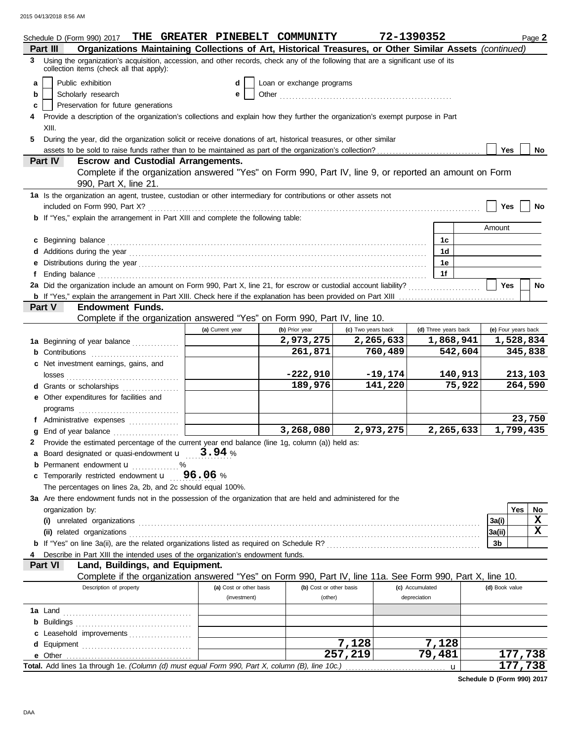| Organizations Maintaining Collections of Art, Historical Treasures, or Other Similar Assets (continued)<br>Part III<br>3 Using the organization's acquisition, accession, and other records, check any of the following that are a significant use of its<br>collection items (check all that apply):<br>Public exhibition<br>Loan or exchange programs<br>a<br>d<br>Scholarly research<br>е<br>b<br>Preservation for future generations<br>c<br>Provide a description of the organization's collections and explain how they further the organization's exempt purpose in Part<br>XIII.<br>During the year, did the organization solicit or receive donations of art, historical treasures, or other similar<br>5<br><b>Yes</b><br>assets to be sold to raise funds rather than to be maintained as part of the organization's collection?<br>No<br>Part IV<br><b>Escrow and Custodial Arrangements.</b><br>Complete if the organization answered "Yes" on Form 990, Part IV, line 9, or reported an amount on Form<br>990, Part X, line 21.<br>1a Is the organization an agent, trustee, custodian or other intermediary for contributions or other assets not<br><b>Yes</b><br>No<br>b If "Yes," explain the arrangement in Part XIII and complete the following table:<br>Amount<br>c Beginning balance <b>contract to the contract of the set of the contract of the contract of the contract of the contract of the contract of the contract of the contract of the contract of the contract of the contract of th</b><br>1c<br>1 <sub>d</sub><br>Additions during the year contact the contact of the year contact the year contact the year contact the year contact the year contact the year contact the year contact the year contact the year contact the year of year and<br>1e<br>1f<br>Ending balance <b>construction and the construction of the construction</b> of the construction of the construction of the construction of the construction of the construction of the construction of the construction of the cons<br>2a Did the organization include an amount on Form 990, Part X, line 21, for escrow or custodial account liability?<br><b>Yes</b><br>No<br>Part V<br><b>Endowment Funds.</b><br>Complete if the organization answered "Yes" on Form 990, Part IV, line 10.<br>(c) Two years back<br>(d) Three years back<br>(e) Four years back<br>(a) Current year<br>(b) Prior year<br>2,973,275<br>2,265,633<br>1,868,941<br>1,528,834<br>1a Beginning of year balance<br>261,871<br>760,489<br>542,604<br>345,838<br>Contributions <b>Contributions</b><br>c Net investment earnings, gains, and<br>$-222,910$<br>$-19,174$<br>140,913<br>213,103<br>189,976<br>141,220<br>75,922<br>264,590<br>d Grants or scholarships<br>e Other expenditures for facilities and<br>23,750<br>f Administrative expenses<br>1,799,435<br>3,268,080<br>2,973,275<br>2,265,633<br>End of year balance<br>Provide the estimated percentage of the current year end balance (line 1g, column (a)) held as:<br><b>a</b> Board designated or quasi-endowment $\mathbf{u}$ $\mathbf{3.94}$ %<br><b>b</b> Permanent endowment <b>u</b> %<br>Temporarily restricted endowment $\mathbf{u} = 96.06$ %<br>c<br>The percentages on lines 2a, 2b, and 2c should equal 100%.<br>3a Are there endowment funds not in the possession of the organization that are held and administered for the<br>Yes<br>No<br>organization by:<br>X<br>3a(i)<br>$\mathbf x$<br> 3a(ii)<br>3b<br>Describe in Part XIII the intended uses of the organization's endowment funds.<br>Part VI<br>Land, Buildings, and Equipment.<br>Complete if the organization answered "Yes" on Form 990, Part IV, line 11a. See Form 990, Part X, line 10.<br>Description of property<br>(a) Cost or other basis<br>(b) Cost or other basis<br>(c) Accumulated<br>(d) Book value<br>(investment)<br>(other)<br>depreciation<br>b<br>Leasehold improvements<br>c<br>7,128<br>7,128<br>d<br>257,219<br>79,481<br>177,738<br>177,738<br>Total. Add lines 1a through 1e. (Column (d) must equal Form 990, Part X, column (B), line 10c.)<br>$\mathbf u$ | Schedule D (Form 990) 2017 | THE GREATER PINEBELT COMMUNITY | 72-1390352 |  | Page 2 |
|-------------------------------------------------------------------------------------------------------------------------------------------------------------------------------------------------------------------------------------------------------------------------------------------------------------------------------------------------------------------------------------------------------------------------------------------------------------------------------------------------------------------------------------------------------------------------------------------------------------------------------------------------------------------------------------------------------------------------------------------------------------------------------------------------------------------------------------------------------------------------------------------------------------------------------------------------------------------------------------------------------------------------------------------------------------------------------------------------------------------------------------------------------------------------------------------------------------------------------------------------------------------------------------------------------------------------------------------------------------------------------------------------------------------------------------------------------------------------------------------------------------------------------------------------------------------------------------------------------------------------------------------------------------------------------------------------------------------------------------------------------------------------------------------------------------------------------------------------------------------------------------------------------------------------------------------------------------------------------------------------------------------------------------------------------------------------------------------------------------------------------------------------------------------------------------------------------------------------------------------------------------------------------------------------------------------------------------------------------------------------------------------------------------------------------------------------------------------------------------------------------------------------------------------------------------------------------------------------------------------------------------------------------------------------------------------------------------------------------------------------------------------------------------------------------------------------------------------------------------------------------------------------------------------------------------------------------------------------------------------------------------------------------------------------------------------------------------------------------------------------------------------------------------------------------------------------------------------------------------------------------------------------------------------------------------------------------------------------------------------------------------------------------------------------------------------------------------------------------------------------------------------------------------------------------------------------------------------------------------------------------------------------------------------------------------------------------------------------------------------------------------------------------------------------------------------------------------------------------------------------------------------------------------------------------------------------------------------------------------------------------------------------------------------------------------------------------------------------------------------------|----------------------------|--------------------------------|------------|--|--------|
|                                                                                                                                                                                                                                                                                                                                                                                                                                                                                                                                                                                                                                                                                                                                                                                                                                                                                                                                                                                                                                                                                                                                                                                                                                                                                                                                                                                                                                                                                                                                                                                                                                                                                                                                                                                                                                                                                                                                                                                                                                                                                                                                                                                                                                                                                                                                                                                                                                                                                                                                                                                                                                                                                                                                                                                                                                                                                                                                                                                                                                                                                                                                                                                                                                                                                                                                                                                                                                                                                                                                                                                                                                                                                                                                                                                                                                                                                                                                                                                                                                                                                                                         |                            |                                |            |  |        |
|                                                                                                                                                                                                                                                                                                                                                                                                                                                                                                                                                                                                                                                                                                                                                                                                                                                                                                                                                                                                                                                                                                                                                                                                                                                                                                                                                                                                                                                                                                                                                                                                                                                                                                                                                                                                                                                                                                                                                                                                                                                                                                                                                                                                                                                                                                                                                                                                                                                                                                                                                                                                                                                                                                                                                                                                                                                                                                                                                                                                                                                                                                                                                                                                                                                                                                                                                                                                                                                                                                                                                                                                                                                                                                                                                                                                                                                                                                                                                                                                                                                                                                                         |                            |                                |            |  |        |
|                                                                                                                                                                                                                                                                                                                                                                                                                                                                                                                                                                                                                                                                                                                                                                                                                                                                                                                                                                                                                                                                                                                                                                                                                                                                                                                                                                                                                                                                                                                                                                                                                                                                                                                                                                                                                                                                                                                                                                                                                                                                                                                                                                                                                                                                                                                                                                                                                                                                                                                                                                                                                                                                                                                                                                                                                                                                                                                                                                                                                                                                                                                                                                                                                                                                                                                                                                                                                                                                                                                                                                                                                                                                                                                                                                                                                                                                                                                                                                                                                                                                                                                         |                            |                                |            |  |        |
|                                                                                                                                                                                                                                                                                                                                                                                                                                                                                                                                                                                                                                                                                                                                                                                                                                                                                                                                                                                                                                                                                                                                                                                                                                                                                                                                                                                                                                                                                                                                                                                                                                                                                                                                                                                                                                                                                                                                                                                                                                                                                                                                                                                                                                                                                                                                                                                                                                                                                                                                                                                                                                                                                                                                                                                                                                                                                                                                                                                                                                                                                                                                                                                                                                                                                                                                                                                                                                                                                                                                                                                                                                                                                                                                                                                                                                                                                                                                                                                                                                                                                                                         |                            |                                |            |  |        |
|                                                                                                                                                                                                                                                                                                                                                                                                                                                                                                                                                                                                                                                                                                                                                                                                                                                                                                                                                                                                                                                                                                                                                                                                                                                                                                                                                                                                                                                                                                                                                                                                                                                                                                                                                                                                                                                                                                                                                                                                                                                                                                                                                                                                                                                                                                                                                                                                                                                                                                                                                                                                                                                                                                                                                                                                                                                                                                                                                                                                                                                                                                                                                                                                                                                                                                                                                                                                                                                                                                                                                                                                                                                                                                                                                                                                                                                                                                                                                                                                                                                                                                                         |                            |                                |            |  |        |
|                                                                                                                                                                                                                                                                                                                                                                                                                                                                                                                                                                                                                                                                                                                                                                                                                                                                                                                                                                                                                                                                                                                                                                                                                                                                                                                                                                                                                                                                                                                                                                                                                                                                                                                                                                                                                                                                                                                                                                                                                                                                                                                                                                                                                                                                                                                                                                                                                                                                                                                                                                                                                                                                                                                                                                                                                                                                                                                                                                                                                                                                                                                                                                                                                                                                                                                                                                                                                                                                                                                                                                                                                                                                                                                                                                                                                                                                                                                                                                                                                                                                                                                         |                            |                                |            |  |        |
|                                                                                                                                                                                                                                                                                                                                                                                                                                                                                                                                                                                                                                                                                                                                                                                                                                                                                                                                                                                                                                                                                                                                                                                                                                                                                                                                                                                                                                                                                                                                                                                                                                                                                                                                                                                                                                                                                                                                                                                                                                                                                                                                                                                                                                                                                                                                                                                                                                                                                                                                                                                                                                                                                                                                                                                                                                                                                                                                                                                                                                                                                                                                                                                                                                                                                                                                                                                                                                                                                                                                                                                                                                                                                                                                                                                                                                                                                                                                                                                                                                                                                                                         |                            |                                |            |  |        |
|                                                                                                                                                                                                                                                                                                                                                                                                                                                                                                                                                                                                                                                                                                                                                                                                                                                                                                                                                                                                                                                                                                                                                                                                                                                                                                                                                                                                                                                                                                                                                                                                                                                                                                                                                                                                                                                                                                                                                                                                                                                                                                                                                                                                                                                                                                                                                                                                                                                                                                                                                                                                                                                                                                                                                                                                                                                                                                                                                                                                                                                                                                                                                                                                                                                                                                                                                                                                                                                                                                                                                                                                                                                                                                                                                                                                                                                                                                                                                                                                                                                                                                                         |                            |                                |            |  |        |
|                                                                                                                                                                                                                                                                                                                                                                                                                                                                                                                                                                                                                                                                                                                                                                                                                                                                                                                                                                                                                                                                                                                                                                                                                                                                                                                                                                                                                                                                                                                                                                                                                                                                                                                                                                                                                                                                                                                                                                                                                                                                                                                                                                                                                                                                                                                                                                                                                                                                                                                                                                                                                                                                                                                                                                                                                                                                                                                                                                                                                                                                                                                                                                                                                                                                                                                                                                                                                                                                                                                                                                                                                                                                                                                                                                                                                                                                                                                                                                                                                                                                                                                         |                            |                                |            |  |        |
|                                                                                                                                                                                                                                                                                                                                                                                                                                                                                                                                                                                                                                                                                                                                                                                                                                                                                                                                                                                                                                                                                                                                                                                                                                                                                                                                                                                                                                                                                                                                                                                                                                                                                                                                                                                                                                                                                                                                                                                                                                                                                                                                                                                                                                                                                                                                                                                                                                                                                                                                                                                                                                                                                                                                                                                                                                                                                                                                                                                                                                                                                                                                                                                                                                                                                                                                                                                                                                                                                                                                                                                                                                                                                                                                                                                                                                                                                                                                                                                                                                                                                                                         |                            |                                |            |  |        |
|                                                                                                                                                                                                                                                                                                                                                                                                                                                                                                                                                                                                                                                                                                                                                                                                                                                                                                                                                                                                                                                                                                                                                                                                                                                                                                                                                                                                                                                                                                                                                                                                                                                                                                                                                                                                                                                                                                                                                                                                                                                                                                                                                                                                                                                                                                                                                                                                                                                                                                                                                                                                                                                                                                                                                                                                                                                                                                                                                                                                                                                                                                                                                                                                                                                                                                                                                                                                                                                                                                                                                                                                                                                                                                                                                                                                                                                                                                                                                                                                                                                                                                                         |                            |                                |            |  |        |
|                                                                                                                                                                                                                                                                                                                                                                                                                                                                                                                                                                                                                                                                                                                                                                                                                                                                                                                                                                                                                                                                                                                                                                                                                                                                                                                                                                                                                                                                                                                                                                                                                                                                                                                                                                                                                                                                                                                                                                                                                                                                                                                                                                                                                                                                                                                                                                                                                                                                                                                                                                                                                                                                                                                                                                                                                                                                                                                                                                                                                                                                                                                                                                                                                                                                                                                                                                                                                                                                                                                                                                                                                                                                                                                                                                                                                                                                                                                                                                                                                                                                                                                         |                            |                                |            |  |        |
|                                                                                                                                                                                                                                                                                                                                                                                                                                                                                                                                                                                                                                                                                                                                                                                                                                                                                                                                                                                                                                                                                                                                                                                                                                                                                                                                                                                                                                                                                                                                                                                                                                                                                                                                                                                                                                                                                                                                                                                                                                                                                                                                                                                                                                                                                                                                                                                                                                                                                                                                                                                                                                                                                                                                                                                                                                                                                                                                                                                                                                                                                                                                                                                                                                                                                                                                                                                                                                                                                                                                                                                                                                                                                                                                                                                                                                                                                                                                                                                                                                                                                                                         |                            |                                |            |  |        |
|                                                                                                                                                                                                                                                                                                                                                                                                                                                                                                                                                                                                                                                                                                                                                                                                                                                                                                                                                                                                                                                                                                                                                                                                                                                                                                                                                                                                                                                                                                                                                                                                                                                                                                                                                                                                                                                                                                                                                                                                                                                                                                                                                                                                                                                                                                                                                                                                                                                                                                                                                                                                                                                                                                                                                                                                                                                                                                                                                                                                                                                                                                                                                                                                                                                                                                                                                                                                                                                                                                                                                                                                                                                                                                                                                                                                                                                                                                                                                                                                                                                                                                                         |                            |                                |            |  |        |
|                                                                                                                                                                                                                                                                                                                                                                                                                                                                                                                                                                                                                                                                                                                                                                                                                                                                                                                                                                                                                                                                                                                                                                                                                                                                                                                                                                                                                                                                                                                                                                                                                                                                                                                                                                                                                                                                                                                                                                                                                                                                                                                                                                                                                                                                                                                                                                                                                                                                                                                                                                                                                                                                                                                                                                                                                                                                                                                                                                                                                                                                                                                                                                                                                                                                                                                                                                                                                                                                                                                                                                                                                                                                                                                                                                                                                                                                                                                                                                                                                                                                                                                         |                            |                                |            |  |        |
|                                                                                                                                                                                                                                                                                                                                                                                                                                                                                                                                                                                                                                                                                                                                                                                                                                                                                                                                                                                                                                                                                                                                                                                                                                                                                                                                                                                                                                                                                                                                                                                                                                                                                                                                                                                                                                                                                                                                                                                                                                                                                                                                                                                                                                                                                                                                                                                                                                                                                                                                                                                                                                                                                                                                                                                                                                                                                                                                                                                                                                                                                                                                                                                                                                                                                                                                                                                                                                                                                                                                                                                                                                                                                                                                                                                                                                                                                                                                                                                                                                                                                                                         |                            |                                |            |  |        |
|                                                                                                                                                                                                                                                                                                                                                                                                                                                                                                                                                                                                                                                                                                                                                                                                                                                                                                                                                                                                                                                                                                                                                                                                                                                                                                                                                                                                                                                                                                                                                                                                                                                                                                                                                                                                                                                                                                                                                                                                                                                                                                                                                                                                                                                                                                                                                                                                                                                                                                                                                                                                                                                                                                                                                                                                                                                                                                                                                                                                                                                                                                                                                                                                                                                                                                                                                                                                                                                                                                                                                                                                                                                                                                                                                                                                                                                                                                                                                                                                                                                                                                                         |                            |                                |            |  |        |
|                                                                                                                                                                                                                                                                                                                                                                                                                                                                                                                                                                                                                                                                                                                                                                                                                                                                                                                                                                                                                                                                                                                                                                                                                                                                                                                                                                                                                                                                                                                                                                                                                                                                                                                                                                                                                                                                                                                                                                                                                                                                                                                                                                                                                                                                                                                                                                                                                                                                                                                                                                                                                                                                                                                                                                                                                                                                                                                                                                                                                                                                                                                                                                                                                                                                                                                                                                                                                                                                                                                                                                                                                                                                                                                                                                                                                                                                                                                                                                                                                                                                                                                         |                            |                                |            |  |        |
|                                                                                                                                                                                                                                                                                                                                                                                                                                                                                                                                                                                                                                                                                                                                                                                                                                                                                                                                                                                                                                                                                                                                                                                                                                                                                                                                                                                                                                                                                                                                                                                                                                                                                                                                                                                                                                                                                                                                                                                                                                                                                                                                                                                                                                                                                                                                                                                                                                                                                                                                                                                                                                                                                                                                                                                                                                                                                                                                                                                                                                                                                                                                                                                                                                                                                                                                                                                                                                                                                                                                                                                                                                                                                                                                                                                                                                                                                                                                                                                                                                                                                                                         |                            |                                |            |  |        |
|                                                                                                                                                                                                                                                                                                                                                                                                                                                                                                                                                                                                                                                                                                                                                                                                                                                                                                                                                                                                                                                                                                                                                                                                                                                                                                                                                                                                                                                                                                                                                                                                                                                                                                                                                                                                                                                                                                                                                                                                                                                                                                                                                                                                                                                                                                                                                                                                                                                                                                                                                                                                                                                                                                                                                                                                                                                                                                                                                                                                                                                                                                                                                                                                                                                                                                                                                                                                                                                                                                                                                                                                                                                                                                                                                                                                                                                                                                                                                                                                                                                                                                                         |                            |                                |            |  |        |
|                                                                                                                                                                                                                                                                                                                                                                                                                                                                                                                                                                                                                                                                                                                                                                                                                                                                                                                                                                                                                                                                                                                                                                                                                                                                                                                                                                                                                                                                                                                                                                                                                                                                                                                                                                                                                                                                                                                                                                                                                                                                                                                                                                                                                                                                                                                                                                                                                                                                                                                                                                                                                                                                                                                                                                                                                                                                                                                                                                                                                                                                                                                                                                                                                                                                                                                                                                                                                                                                                                                                                                                                                                                                                                                                                                                                                                                                                                                                                                                                                                                                                                                         |                            |                                |            |  |        |
|                                                                                                                                                                                                                                                                                                                                                                                                                                                                                                                                                                                                                                                                                                                                                                                                                                                                                                                                                                                                                                                                                                                                                                                                                                                                                                                                                                                                                                                                                                                                                                                                                                                                                                                                                                                                                                                                                                                                                                                                                                                                                                                                                                                                                                                                                                                                                                                                                                                                                                                                                                                                                                                                                                                                                                                                                                                                                                                                                                                                                                                                                                                                                                                                                                                                                                                                                                                                                                                                                                                                                                                                                                                                                                                                                                                                                                                                                                                                                                                                                                                                                                                         |                            |                                |            |  |        |
|                                                                                                                                                                                                                                                                                                                                                                                                                                                                                                                                                                                                                                                                                                                                                                                                                                                                                                                                                                                                                                                                                                                                                                                                                                                                                                                                                                                                                                                                                                                                                                                                                                                                                                                                                                                                                                                                                                                                                                                                                                                                                                                                                                                                                                                                                                                                                                                                                                                                                                                                                                                                                                                                                                                                                                                                                                                                                                                                                                                                                                                                                                                                                                                                                                                                                                                                                                                                                                                                                                                                                                                                                                                                                                                                                                                                                                                                                                                                                                                                                                                                                                                         |                            |                                |            |  |        |
|                                                                                                                                                                                                                                                                                                                                                                                                                                                                                                                                                                                                                                                                                                                                                                                                                                                                                                                                                                                                                                                                                                                                                                                                                                                                                                                                                                                                                                                                                                                                                                                                                                                                                                                                                                                                                                                                                                                                                                                                                                                                                                                                                                                                                                                                                                                                                                                                                                                                                                                                                                                                                                                                                                                                                                                                                                                                                                                                                                                                                                                                                                                                                                                                                                                                                                                                                                                                                                                                                                                                                                                                                                                                                                                                                                                                                                                                                                                                                                                                                                                                                                                         |                            |                                |            |  |        |
|                                                                                                                                                                                                                                                                                                                                                                                                                                                                                                                                                                                                                                                                                                                                                                                                                                                                                                                                                                                                                                                                                                                                                                                                                                                                                                                                                                                                                                                                                                                                                                                                                                                                                                                                                                                                                                                                                                                                                                                                                                                                                                                                                                                                                                                                                                                                                                                                                                                                                                                                                                                                                                                                                                                                                                                                                                                                                                                                                                                                                                                                                                                                                                                                                                                                                                                                                                                                                                                                                                                                                                                                                                                                                                                                                                                                                                                                                                                                                                                                                                                                                                                         |                            |                                |            |  |        |
|                                                                                                                                                                                                                                                                                                                                                                                                                                                                                                                                                                                                                                                                                                                                                                                                                                                                                                                                                                                                                                                                                                                                                                                                                                                                                                                                                                                                                                                                                                                                                                                                                                                                                                                                                                                                                                                                                                                                                                                                                                                                                                                                                                                                                                                                                                                                                                                                                                                                                                                                                                                                                                                                                                                                                                                                                                                                                                                                                                                                                                                                                                                                                                                                                                                                                                                                                                                                                                                                                                                                                                                                                                                                                                                                                                                                                                                                                                                                                                                                                                                                                                                         |                            |                                |            |  |        |
|                                                                                                                                                                                                                                                                                                                                                                                                                                                                                                                                                                                                                                                                                                                                                                                                                                                                                                                                                                                                                                                                                                                                                                                                                                                                                                                                                                                                                                                                                                                                                                                                                                                                                                                                                                                                                                                                                                                                                                                                                                                                                                                                                                                                                                                                                                                                                                                                                                                                                                                                                                                                                                                                                                                                                                                                                                                                                                                                                                                                                                                                                                                                                                                                                                                                                                                                                                                                                                                                                                                                                                                                                                                                                                                                                                                                                                                                                                                                                                                                                                                                                                                         |                            |                                |            |  |        |
|                                                                                                                                                                                                                                                                                                                                                                                                                                                                                                                                                                                                                                                                                                                                                                                                                                                                                                                                                                                                                                                                                                                                                                                                                                                                                                                                                                                                                                                                                                                                                                                                                                                                                                                                                                                                                                                                                                                                                                                                                                                                                                                                                                                                                                                                                                                                                                                                                                                                                                                                                                                                                                                                                                                                                                                                                                                                                                                                                                                                                                                                                                                                                                                                                                                                                                                                                                                                                                                                                                                                                                                                                                                                                                                                                                                                                                                                                                                                                                                                                                                                                                                         |                            |                                |            |  |        |
|                                                                                                                                                                                                                                                                                                                                                                                                                                                                                                                                                                                                                                                                                                                                                                                                                                                                                                                                                                                                                                                                                                                                                                                                                                                                                                                                                                                                                                                                                                                                                                                                                                                                                                                                                                                                                                                                                                                                                                                                                                                                                                                                                                                                                                                                                                                                                                                                                                                                                                                                                                                                                                                                                                                                                                                                                                                                                                                                                                                                                                                                                                                                                                                                                                                                                                                                                                                                                                                                                                                                                                                                                                                                                                                                                                                                                                                                                                                                                                                                                                                                                                                         |                            |                                |            |  |        |
|                                                                                                                                                                                                                                                                                                                                                                                                                                                                                                                                                                                                                                                                                                                                                                                                                                                                                                                                                                                                                                                                                                                                                                                                                                                                                                                                                                                                                                                                                                                                                                                                                                                                                                                                                                                                                                                                                                                                                                                                                                                                                                                                                                                                                                                                                                                                                                                                                                                                                                                                                                                                                                                                                                                                                                                                                                                                                                                                                                                                                                                                                                                                                                                                                                                                                                                                                                                                                                                                                                                                                                                                                                                                                                                                                                                                                                                                                                                                                                                                                                                                                                                         |                            |                                |            |  |        |
|                                                                                                                                                                                                                                                                                                                                                                                                                                                                                                                                                                                                                                                                                                                                                                                                                                                                                                                                                                                                                                                                                                                                                                                                                                                                                                                                                                                                                                                                                                                                                                                                                                                                                                                                                                                                                                                                                                                                                                                                                                                                                                                                                                                                                                                                                                                                                                                                                                                                                                                                                                                                                                                                                                                                                                                                                                                                                                                                                                                                                                                                                                                                                                                                                                                                                                                                                                                                                                                                                                                                                                                                                                                                                                                                                                                                                                                                                                                                                                                                                                                                                                                         |                            |                                |            |  |        |
|                                                                                                                                                                                                                                                                                                                                                                                                                                                                                                                                                                                                                                                                                                                                                                                                                                                                                                                                                                                                                                                                                                                                                                                                                                                                                                                                                                                                                                                                                                                                                                                                                                                                                                                                                                                                                                                                                                                                                                                                                                                                                                                                                                                                                                                                                                                                                                                                                                                                                                                                                                                                                                                                                                                                                                                                                                                                                                                                                                                                                                                                                                                                                                                                                                                                                                                                                                                                                                                                                                                                                                                                                                                                                                                                                                                                                                                                                                                                                                                                                                                                                                                         |                            |                                |            |  |        |
|                                                                                                                                                                                                                                                                                                                                                                                                                                                                                                                                                                                                                                                                                                                                                                                                                                                                                                                                                                                                                                                                                                                                                                                                                                                                                                                                                                                                                                                                                                                                                                                                                                                                                                                                                                                                                                                                                                                                                                                                                                                                                                                                                                                                                                                                                                                                                                                                                                                                                                                                                                                                                                                                                                                                                                                                                                                                                                                                                                                                                                                                                                                                                                                                                                                                                                                                                                                                                                                                                                                                                                                                                                                                                                                                                                                                                                                                                                                                                                                                                                                                                                                         |                            |                                |            |  |        |
|                                                                                                                                                                                                                                                                                                                                                                                                                                                                                                                                                                                                                                                                                                                                                                                                                                                                                                                                                                                                                                                                                                                                                                                                                                                                                                                                                                                                                                                                                                                                                                                                                                                                                                                                                                                                                                                                                                                                                                                                                                                                                                                                                                                                                                                                                                                                                                                                                                                                                                                                                                                                                                                                                                                                                                                                                                                                                                                                                                                                                                                                                                                                                                                                                                                                                                                                                                                                                                                                                                                                                                                                                                                                                                                                                                                                                                                                                                                                                                                                                                                                                                                         |                            |                                |            |  |        |
|                                                                                                                                                                                                                                                                                                                                                                                                                                                                                                                                                                                                                                                                                                                                                                                                                                                                                                                                                                                                                                                                                                                                                                                                                                                                                                                                                                                                                                                                                                                                                                                                                                                                                                                                                                                                                                                                                                                                                                                                                                                                                                                                                                                                                                                                                                                                                                                                                                                                                                                                                                                                                                                                                                                                                                                                                                                                                                                                                                                                                                                                                                                                                                                                                                                                                                                                                                                                                                                                                                                                                                                                                                                                                                                                                                                                                                                                                                                                                                                                                                                                                                                         |                            |                                |            |  |        |
|                                                                                                                                                                                                                                                                                                                                                                                                                                                                                                                                                                                                                                                                                                                                                                                                                                                                                                                                                                                                                                                                                                                                                                                                                                                                                                                                                                                                                                                                                                                                                                                                                                                                                                                                                                                                                                                                                                                                                                                                                                                                                                                                                                                                                                                                                                                                                                                                                                                                                                                                                                                                                                                                                                                                                                                                                                                                                                                                                                                                                                                                                                                                                                                                                                                                                                                                                                                                                                                                                                                                                                                                                                                                                                                                                                                                                                                                                                                                                                                                                                                                                                                         |                            |                                |            |  |        |
|                                                                                                                                                                                                                                                                                                                                                                                                                                                                                                                                                                                                                                                                                                                                                                                                                                                                                                                                                                                                                                                                                                                                                                                                                                                                                                                                                                                                                                                                                                                                                                                                                                                                                                                                                                                                                                                                                                                                                                                                                                                                                                                                                                                                                                                                                                                                                                                                                                                                                                                                                                                                                                                                                                                                                                                                                                                                                                                                                                                                                                                                                                                                                                                                                                                                                                                                                                                                                                                                                                                                                                                                                                                                                                                                                                                                                                                                                                                                                                                                                                                                                                                         |                            |                                |            |  |        |
|                                                                                                                                                                                                                                                                                                                                                                                                                                                                                                                                                                                                                                                                                                                                                                                                                                                                                                                                                                                                                                                                                                                                                                                                                                                                                                                                                                                                                                                                                                                                                                                                                                                                                                                                                                                                                                                                                                                                                                                                                                                                                                                                                                                                                                                                                                                                                                                                                                                                                                                                                                                                                                                                                                                                                                                                                                                                                                                                                                                                                                                                                                                                                                                                                                                                                                                                                                                                                                                                                                                                                                                                                                                                                                                                                                                                                                                                                                                                                                                                                                                                                                                         |                            |                                |            |  |        |
|                                                                                                                                                                                                                                                                                                                                                                                                                                                                                                                                                                                                                                                                                                                                                                                                                                                                                                                                                                                                                                                                                                                                                                                                                                                                                                                                                                                                                                                                                                                                                                                                                                                                                                                                                                                                                                                                                                                                                                                                                                                                                                                                                                                                                                                                                                                                                                                                                                                                                                                                                                                                                                                                                                                                                                                                                                                                                                                                                                                                                                                                                                                                                                                                                                                                                                                                                                                                                                                                                                                                                                                                                                                                                                                                                                                                                                                                                                                                                                                                                                                                                                                         |                            |                                |            |  |        |
|                                                                                                                                                                                                                                                                                                                                                                                                                                                                                                                                                                                                                                                                                                                                                                                                                                                                                                                                                                                                                                                                                                                                                                                                                                                                                                                                                                                                                                                                                                                                                                                                                                                                                                                                                                                                                                                                                                                                                                                                                                                                                                                                                                                                                                                                                                                                                                                                                                                                                                                                                                                                                                                                                                                                                                                                                                                                                                                                                                                                                                                                                                                                                                                                                                                                                                                                                                                                                                                                                                                                                                                                                                                                                                                                                                                                                                                                                                                                                                                                                                                                                                                         |                            |                                |            |  |        |
|                                                                                                                                                                                                                                                                                                                                                                                                                                                                                                                                                                                                                                                                                                                                                                                                                                                                                                                                                                                                                                                                                                                                                                                                                                                                                                                                                                                                                                                                                                                                                                                                                                                                                                                                                                                                                                                                                                                                                                                                                                                                                                                                                                                                                                                                                                                                                                                                                                                                                                                                                                                                                                                                                                                                                                                                                                                                                                                                                                                                                                                                                                                                                                                                                                                                                                                                                                                                                                                                                                                                                                                                                                                                                                                                                                                                                                                                                                                                                                                                                                                                                                                         |                            |                                |            |  |        |
|                                                                                                                                                                                                                                                                                                                                                                                                                                                                                                                                                                                                                                                                                                                                                                                                                                                                                                                                                                                                                                                                                                                                                                                                                                                                                                                                                                                                                                                                                                                                                                                                                                                                                                                                                                                                                                                                                                                                                                                                                                                                                                                                                                                                                                                                                                                                                                                                                                                                                                                                                                                                                                                                                                                                                                                                                                                                                                                                                                                                                                                                                                                                                                                                                                                                                                                                                                                                                                                                                                                                                                                                                                                                                                                                                                                                                                                                                                                                                                                                                                                                                                                         |                            |                                |            |  |        |
|                                                                                                                                                                                                                                                                                                                                                                                                                                                                                                                                                                                                                                                                                                                                                                                                                                                                                                                                                                                                                                                                                                                                                                                                                                                                                                                                                                                                                                                                                                                                                                                                                                                                                                                                                                                                                                                                                                                                                                                                                                                                                                                                                                                                                                                                                                                                                                                                                                                                                                                                                                                                                                                                                                                                                                                                                                                                                                                                                                                                                                                                                                                                                                                                                                                                                                                                                                                                                                                                                                                                                                                                                                                                                                                                                                                                                                                                                                                                                                                                                                                                                                                         |                            |                                |            |  |        |
|                                                                                                                                                                                                                                                                                                                                                                                                                                                                                                                                                                                                                                                                                                                                                                                                                                                                                                                                                                                                                                                                                                                                                                                                                                                                                                                                                                                                                                                                                                                                                                                                                                                                                                                                                                                                                                                                                                                                                                                                                                                                                                                                                                                                                                                                                                                                                                                                                                                                                                                                                                                                                                                                                                                                                                                                                                                                                                                                                                                                                                                                                                                                                                                                                                                                                                                                                                                                                                                                                                                                                                                                                                                                                                                                                                                                                                                                                                                                                                                                                                                                                                                         |                            |                                |            |  |        |
|                                                                                                                                                                                                                                                                                                                                                                                                                                                                                                                                                                                                                                                                                                                                                                                                                                                                                                                                                                                                                                                                                                                                                                                                                                                                                                                                                                                                                                                                                                                                                                                                                                                                                                                                                                                                                                                                                                                                                                                                                                                                                                                                                                                                                                                                                                                                                                                                                                                                                                                                                                                                                                                                                                                                                                                                                                                                                                                                                                                                                                                                                                                                                                                                                                                                                                                                                                                                                                                                                                                                                                                                                                                                                                                                                                                                                                                                                                                                                                                                                                                                                                                         |                            |                                |            |  |        |
|                                                                                                                                                                                                                                                                                                                                                                                                                                                                                                                                                                                                                                                                                                                                                                                                                                                                                                                                                                                                                                                                                                                                                                                                                                                                                                                                                                                                                                                                                                                                                                                                                                                                                                                                                                                                                                                                                                                                                                                                                                                                                                                                                                                                                                                                                                                                                                                                                                                                                                                                                                                                                                                                                                                                                                                                                                                                                                                                                                                                                                                                                                                                                                                                                                                                                                                                                                                                                                                                                                                                                                                                                                                                                                                                                                                                                                                                                                                                                                                                                                                                                                                         |                            |                                |            |  |        |
|                                                                                                                                                                                                                                                                                                                                                                                                                                                                                                                                                                                                                                                                                                                                                                                                                                                                                                                                                                                                                                                                                                                                                                                                                                                                                                                                                                                                                                                                                                                                                                                                                                                                                                                                                                                                                                                                                                                                                                                                                                                                                                                                                                                                                                                                                                                                                                                                                                                                                                                                                                                                                                                                                                                                                                                                                                                                                                                                                                                                                                                                                                                                                                                                                                                                                                                                                                                                                                                                                                                                                                                                                                                                                                                                                                                                                                                                                                                                                                                                                                                                                                                         |                            |                                |            |  |        |
|                                                                                                                                                                                                                                                                                                                                                                                                                                                                                                                                                                                                                                                                                                                                                                                                                                                                                                                                                                                                                                                                                                                                                                                                                                                                                                                                                                                                                                                                                                                                                                                                                                                                                                                                                                                                                                                                                                                                                                                                                                                                                                                                                                                                                                                                                                                                                                                                                                                                                                                                                                                                                                                                                                                                                                                                                                                                                                                                                                                                                                                                                                                                                                                                                                                                                                                                                                                                                                                                                                                                                                                                                                                                                                                                                                                                                                                                                                                                                                                                                                                                                                                         |                            |                                |            |  |        |
|                                                                                                                                                                                                                                                                                                                                                                                                                                                                                                                                                                                                                                                                                                                                                                                                                                                                                                                                                                                                                                                                                                                                                                                                                                                                                                                                                                                                                                                                                                                                                                                                                                                                                                                                                                                                                                                                                                                                                                                                                                                                                                                                                                                                                                                                                                                                                                                                                                                                                                                                                                                                                                                                                                                                                                                                                                                                                                                                                                                                                                                                                                                                                                                                                                                                                                                                                                                                                                                                                                                                                                                                                                                                                                                                                                                                                                                                                                                                                                                                                                                                                                                         |                            |                                |            |  |        |
|                                                                                                                                                                                                                                                                                                                                                                                                                                                                                                                                                                                                                                                                                                                                                                                                                                                                                                                                                                                                                                                                                                                                                                                                                                                                                                                                                                                                                                                                                                                                                                                                                                                                                                                                                                                                                                                                                                                                                                                                                                                                                                                                                                                                                                                                                                                                                                                                                                                                                                                                                                                                                                                                                                                                                                                                                                                                                                                                                                                                                                                                                                                                                                                                                                                                                                                                                                                                                                                                                                                                                                                                                                                                                                                                                                                                                                                                                                                                                                                                                                                                                                                         |                            |                                |            |  |        |
|                                                                                                                                                                                                                                                                                                                                                                                                                                                                                                                                                                                                                                                                                                                                                                                                                                                                                                                                                                                                                                                                                                                                                                                                                                                                                                                                                                                                                                                                                                                                                                                                                                                                                                                                                                                                                                                                                                                                                                                                                                                                                                                                                                                                                                                                                                                                                                                                                                                                                                                                                                                                                                                                                                                                                                                                                                                                                                                                                                                                                                                                                                                                                                                                                                                                                                                                                                                                                                                                                                                                                                                                                                                                                                                                                                                                                                                                                                                                                                                                                                                                                                                         |                            |                                |            |  |        |
|                                                                                                                                                                                                                                                                                                                                                                                                                                                                                                                                                                                                                                                                                                                                                                                                                                                                                                                                                                                                                                                                                                                                                                                                                                                                                                                                                                                                                                                                                                                                                                                                                                                                                                                                                                                                                                                                                                                                                                                                                                                                                                                                                                                                                                                                                                                                                                                                                                                                                                                                                                                                                                                                                                                                                                                                                                                                                                                                                                                                                                                                                                                                                                                                                                                                                                                                                                                                                                                                                                                                                                                                                                                                                                                                                                                                                                                                                                                                                                                                                                                                                                                         |                            |                                |            |  |        |
|                                                                                                                                                                                                                                                                                                                                                                                                                                                                                                                                                                                                                                                                                                                                                                                                                                                                                                                                                                                                                                                                                                                                                                                                                                                                                                                                                                                                                                                                                                                                                                                                                                                                                                                                                                                                                                                                                                                                                                                                                                                                                                                                                                                                                                                                                                                                                                                                                                                                                                                                                                                                                                                                                                                                                                                                                                                                                                                                                                                                                                                                                                                                                                                                                                                                                                                                                                                                                                                                                                                                                                                                                                                                                                                                                                                                                                                                                                                                                                                                                                                                                                                         |                            |                                |            |  |        |

**Schedule D (Form 990) 2017**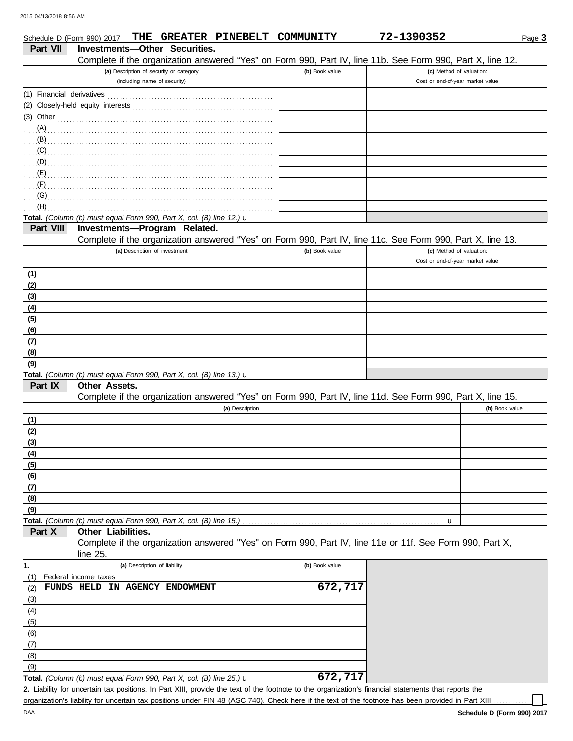|                           | THE GREATER PINEBELT COMMUNITY<br>Schedule D (Form 990) 2017                                                                       |                | 72-1390352                       | Page 3         |
|---------------------------|------------------------------------------------------------------------------------------------------------------------------------|----------------|----------------------------------|----------------|
| <b>Part VII</b>           | <b>Investments-Other Securities.</b>                                                                                               |                |                                  |                |
|                           | Complete if the organization answered "Yes" on Form 990, Part IV, line 11b. See Form 990, Part X, line 12.                         |                |                                  |                |
|                           | (a) Description of security or category                                                                                            | (b) Book value | (c) Method of valuation:         |                |
|                           | (including name of security)                                                                                                       |                | Cost or end-of-year market value |                |
| (1) Financial derivatives |                                                                                                                                    |                |                                  |                |
|                           |                                                                                                                                    |                |                                  |                |
| $(3)$ Other               |                                                                                                                                    |                |                                  |                |
| (A)                       |                                                                                                                                    |                |                                  |                |
| (B)                       |                                                                                                                                    |                |                                  |                |
| (C)                       |                                                                                                                                    |                |                                  |                |
| (D)                       |                                                                                                                                    |                |                                  |                |
|                           |                                                                                                                                    |                |                                  |                |
| (F)                       |                                                                                                                                    |                |                                  |                |
| (G)                       |                                                                                                                                    |                |                                  |                |
| (H)                       |                                                                                                                                    |                |                                  |                |
|                           | Total. (Column (b) must equal Form 990, Part X, col. (B) line 12.) $\mathbf u$                                                     |                |                                  |                |
| Part VIII                 | Investments-Program Related.                                                                                                       |                |                                  |                |
|                           | Complete if the organization answered "Yes" on Form 990, Part IV, line 11c. See Form 990, Part X, line 13.                         |                |                                  |                |
|                           | (a) Description of investment                                                                                                      | (b) Book value | (c) Method of valuation:         |                |
|                           |                                                                                                                                    |                | Cost or end-of-year market value |                |
| (1)                       |                                                                                                                                    |                |                                  |                |
| (2)                       |                                                                                                                                    |                |                                  |                |
| (3)                       |                                                                                                                                    |                |                                  |                |
| (4)                       |                                                                                                                                    |                |                                  |                |
| (5)                       |                                                                                                                                    |                |                                  |                |
| (6)                       |                                                                                                                                    |                |                                  |                |
| (7)                       |                                                                                                                                    |                |                                  |                |
| (8)                       |                                                                                                                                    |                |                                  |                |
| (9)                       |                                                                                                                                    |                |                                  |                |
|                           | Total. (Column (b) must equal Form 990, Part X, col. (B) line 13.) $\mathbf u$                                                     |                |                                  |                |
| Part IX                   | <b>Other Assets.</b><br>Complete if the organization answered "Yes" on Form 990, Part IV, line 11d. See Form 990, Part X, line 15. |                |                                  |                |
|                           | (a) Description                                                                                                                    |                |                                  | (b) Book value |
|                           |                                                                                                                                    |                |                                  |                |
| (1)                       |                                                                                                                                    |                |                                  |                |
| (2)<br>(3)                |                                                                                                                                    |                |                                  |                |
|                           |                                                                                                                                    |                |                                  |                |
| (4)<br>(5)                |                                                                                                                                    |                |                                  |                |
| (6)                       |                                                                                                                                    |                |                                  |                |
| (7)                       |                                                                                                                                    |                |                                  |                |
| (8)                       |                                                                                                                                    |                |                                  |                |
| (9)                       |                                                                                                                                    |                |                                  |                |
|                           | Total. (Column (b) must equal Form 990, Part X, col. (B) line 15.)                                                                 |                | u                                |                |
| Part X                    | Other Liabilities.                                                                                                                 |                |                                  |                |
|                           | Complete if the organization answered "Yes" on Form 990, Part IV, line 11e or 11f. See Form 990, Part X,                           |                |                                  |                |
|                           | line $25$ .                                                                                                                        |                |                                  |                |
| 1.                        | (a) Description of liability                                                                                                       | (b) Book value |                                  |                |
| (1)                       | Federal income taxes                                                                                                               |                |                                  |                |
| (2)                       | FUNDS HELD IN AGENCY ENDOWMENT                                                                                                     | 672,717        |                                  |                |
| (3)                       |                                                                                                                                    |                |                                  |                |
| (4)                       |                                                                                                                                    |                |                                  |                |
| (5)                       |                                                                                                                                    |                |                                  |                |
| (6)                       |                                                                                                                                    |                |                                  |                |
| (7)                       |                                                                                                                                    |                |                                  |                |
| (8)                       |                                                                                                                                    |                |                                  |                |
| (9)                       |                                                                                                                                    |                |                                  |                |

Liability for uncertain tax positions. In Part XIII, provide the text of the footnote to the organization's financial statements that reports the **2.** organization's liability for uncertain tax positions under FIN 48 (ASC 740). Check here if the text of the footnote has been provided in Part XIII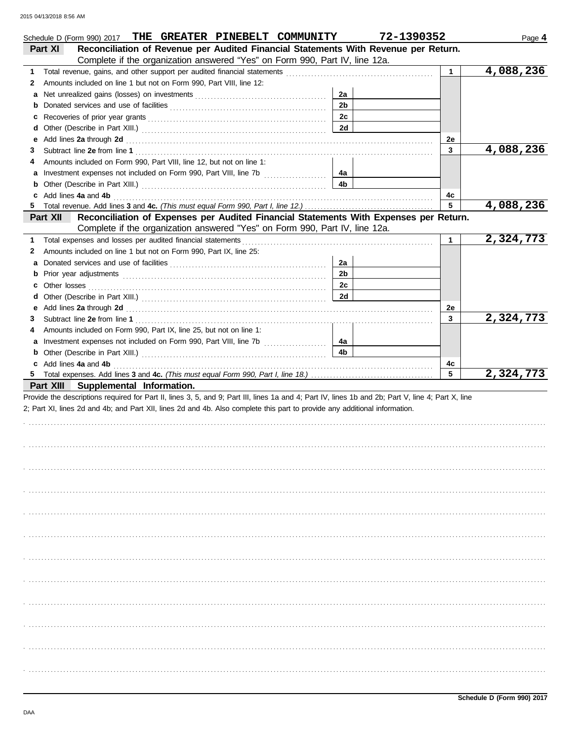| THE GREATER PINEBELT COMMUNITY<br>Schedule D (Form 990) 2017                                                                                                                                                                             |                      | 72-1390352   | Page 4    |
|------------------------------------------------------------------------------------------------------------------------------------------------------------------------------------------------------------------------------------------|----------------------|--------------|-----------|
| Reconciliation of Revenue per Audited Financial Statements With Revenue per Return.<br>Part XI                                                                                                                                           |                      |              |           |
| Complete if the organization answered "Yes" on Form 990, Part IV, line 12a.                                                                                                                                                              |                      |              |           |
| 1                                                                                                                                                                                                                                        |                      | $\mathbf{1}$ | 4,088,236 |
| Amounts included on line 1 but not on Form 990, Part VIII, line 12:<br>2                                                                                                                                                                 |                      |              |           |
| a                                                                                                                                                                                                                                        | 2a                   |              |           |
|                                                                                                                                                                                                                                          | 2 <sub>b</sub>       |              |           |
|                                                                                                                                                                                                                                          | 2c                   |              |           |
|                                                                                                                                                                                                                                          | 2d                   |              |           |
| е                                                                                                                                                                                                                                        |                      | 2e           |           |
| 3                                                                                                                                                                                                                                        |                      | 3            | 4,088,236 |
| Amounts included on Form 990, Part VIII, line 12, but not on line 1:<br>4                                                                                                                                                                |                      |              |           |
|                                                                                                                                                                                                                                          | 4а                   |              |           |
| <b>b</b> Other (Describe in Part XIII.) <b>CONSIDENT DESCRIPTION DESCRIPTION DESCRIPTION DESCRIPTION DESCRIPTION DESCRIPTION DESCRIPTION DESCRIPTION DESCRIPTION DESCRIPTION DESCRIPTION DESCRIPTION DESCRI</b>                          | 4b                   |              |           |
| c Add lines 4a and 4b                                                                                                                                                                                                                    |                      | 4с           |           |
|                                                                                                                                                                                                                                          |                      | 5            | 4,088,236 |
| Reconciliation of Expenses per Audited Financial Statements With Expenses per Return.<br><b>Part XII</b>                                                                                                                                 |                      |              |           |
| Complete if the organization answered "Yes" on Form 990, Part IV, line 12a.<br>Total expenses and losses per audited financial statements                                                                                                |                      | $\mathbf{1}$ | 2,324,773 |
| 1<br>Amounts included on line 1 but not on Form 990, Part IX, line 25:<br>2                                                                                                                                                              |                      |              |           |
|                                                                                                                                                                                                                                          |                      |              |           |
| a                                                                                                                                                                                                                                        | 2a<br>2 <sub>b</sub> |              |           |
|                                                                                                                                                                                                                                          | 2c                   |              |           |
| <b>c</b> Other losses                                                                                                                                                                                                                    | 2d                   |              |           |
|                                                                                                                                                                                                                                          |                      |              |           |
| е                                                                                                                                                                                                                                        |                      | 2e<br>3      | 2,324,773 |
| 3                                                                                                                                                                                                                                        |                      |              |           |
| Amounts included on Form 990, Part IX, line 25, but not on line 1:<br>4                                                                                                                                                                  |                      |              |           |
| a Investment expenses not included on Form 990, Part VIII, line 7b                                                                                                                                                                       | 4а<br>4b             |              |           |
| <b>b</b> Other (Describe in Part XIII.) <b>CONFIDENT</b> 2014 12:2010 12:2010 12:2010 12:2010 12:2010 12:2010 12:2010 12:2010 12:2010 12:2010 12:2010 12:2010 12:2010 12:2010 12:2010 12:2010 12:2010 12:2010 12:2010 12:2010 12:2010 12 |                      |              |           |
| c Add lines 4a and 4b                                                                                                                                                                                                                    |                      | 4c<br>5      | 2,324,773 |
| Part XIII Supplemental Information.                                                                                                                                                                                                      |                      |              |           |
| Provide the descriptions required for Part II, lines 3, 5, and 9; Part III, lines 1a and 4; Part IV, lines 1b and 2b; Part V, line 4; Part X, line                                                                                       |                      |              |           |
| 2; Part XI, lines 2d and 4b; and Part XII, lines 2d and 4b. Also complete this part to provide any additional information.                                                                                                               |                      |              |           |
|                                                                                                                                                                                                                                          |                      |              |           |
|                                                                                                                                                                                                                                          |                      |              |           |
|                                                                                                                                                                                                                                          |                      |              |           |
|                                                                                                                                                                                                                                          |                      |              |           |
|                                                                                                                                                                                                                                          |                      |              |           |
|                                                                                                                                                                                                                                          |                      |              |           |
|                                                                                                                                                                                                                                          |                      |              |           |
|                                                                                                                                                                                                                                          |                      |              |           |
|                                                                                                                                                                                                                                          |                      |              |           |
|                                                                                                                                                                                                                                          |                      |              |           |
|                                                                                                                                                                                                                                          |                      |              |           |
|                                                                                                                                                                                                                                          |                      |              |           |
|                                                                                                                                                                                                                                          |                      |              |           |
|                                                                                                                                                                                                                                          |                      |              |           |
|                                                                                                                                                                                                                                          |                      |              |           |
|                                                                                                                                                                                                                                          |                      |              |           |
|                                                                                                                                                                                                                                          |                      |              |           |
|                                                                                                                                                                                                                                          |                      |              |           |
|                                                                                                                                                                                                                                          |                      |              |           |
|                                                                                                                                                                                                                                          |                      |              |           |
|                                                                                                                                                                                                                                          |                      |              |           |
|                                                                                                                                                                                                                                          |                      |              |           |
|                                                                                                                                                                                                                                          |                      |              |           |
|                                                                                                                                                                                                                                          |                      |              |           |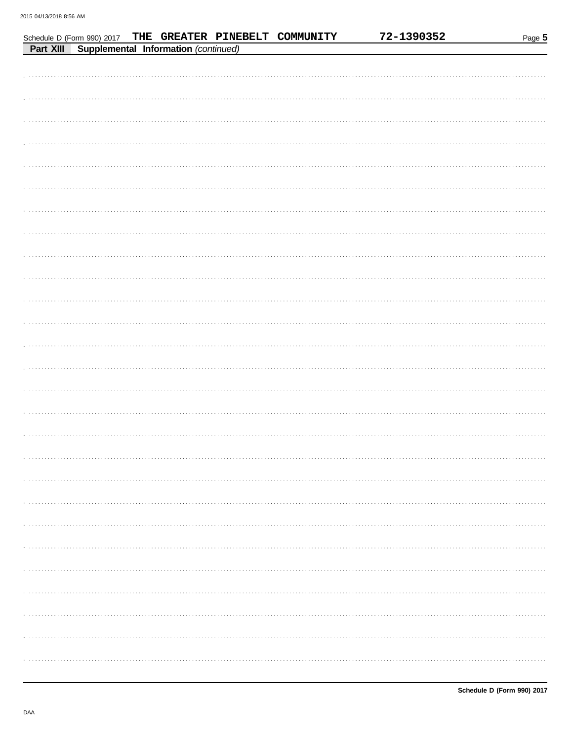|           | Schedule D (Form 990) 2017 |                                      | THE GREATER PINEBELT COMMUNITY | 72-1390352 | Page 5 |
|-----------|----------------------------|--------------------------------------|--------------------------------|------------|--------|
| Part XIII |                            | Supplemental Information (continued) |                                |            |        |
|           |                            |                                      |                                |            |        |
|           |                            |                                      |                                |            |        |
|           |                            |                                      |                                |            |        |
|           |                            |                                      |                                |            |        |
|           |                            |                                      |                                |            |        |
|           |                            |                                      |                                |            |        |
|           |                            |                                      |                                |            |        |
|           |                            |                                      |                                |            |        |
|           |                            |                                      |                                |            |        |
|           |                            |                                      |                                |            |        |
|           |                            |                                      |                                |            |        |
|           |                            |                                      |                                |            |        |
|           |                            |                                      |                                |            |        |
|           |                            |                                      |                                |            |        |
|           |                            |                                      |                                |            |        |
|           |                            |                                      |                                |            |        |
|           |                            |                                      |                                |            |        |
|           |                            |                                      |                                |            |        |
|           |                            |                                      |                                |            |        |
|           |                            |                                      |                                |            |        |
|           |                            |                                      |                                |            |        |
|           |                            |                                      |                                |            |        |
|           |                            |                                      |                                |            |        |
|           |                            |                                      |                                |            |        |
|           |                            |                                      |                                |            |        |
|           |                            |                                      |                                |            |        |
|           |                            |                                      |                                |            |        |
|           |                            |                                      |                                |            |        |
|           |                            |                                      |                                |            |        |
|           |                            |                                      |                                |            |        |
|           |                            |                                      |                                |            |        |
|           |                            |                                      |                                |            |        |
|           |                            |                                      |                                |            |        |
|           |                            |                                      |                                |            |        |
|           |                            |                                      |                                |            |        |
|           |                            |                                      |                                |            |        |
|           |                            |                                      |                                |            |        |
|           |                            |                                      |                                |            |        |
|           |                            |                                      |                                |            |        |
|           |                            |                                      |                                |            |        |
|           |                            |                                      |                                |            |        |
|           |                            |                                      |                                |            |        |
|           |                            |                                      |                                |            |        |
|           |                            |                                      |                                |            |        |
|           |                            |                                      |                                |            |        |
|           |                            |                                      |                                |            |        |
|           |                            |                                      |                                |            |        |
|           |                            |                                      |                                |            |        |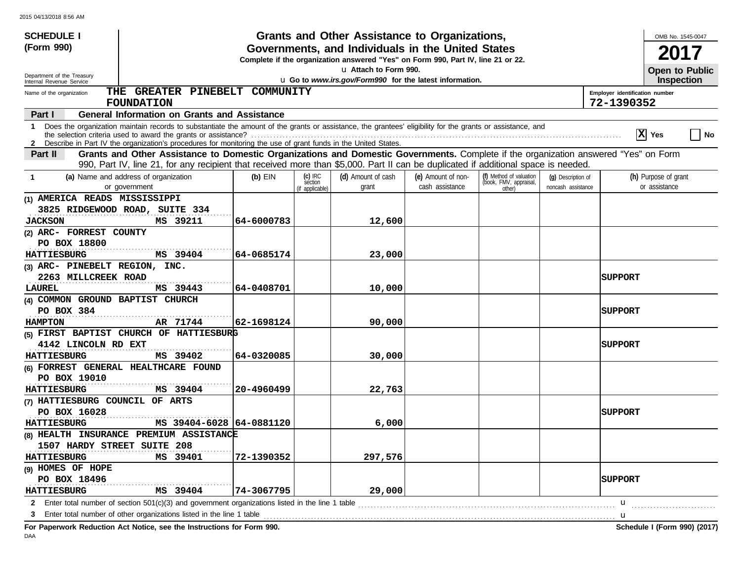| <b>SCHEDULE I</b>                                                                                                                                                                                                                                                                                     |            |                                         | Grants and Other Assistance to Organizations,                                                                                         |                                       |                                                             |                                          |                                              | OMB No. 1545-0047                     |  |
|-------------------------------------------------------------------------------------------------------------------------------------------------------------------------------------------------------------------------------------------------------------------------------------------------------|------------|-----------------------------------------|---------------------------------------------------------------------------------------------------------------------------------------|---------------------------------------|-------------------------------------------------------------|------------------------------------------|----------------------------------------------|---------------------------------------|--|
| (Form 990)                                                                                                                                                                                                                                                                                            |            |                                         | Governments, and Individuals in the United States<br>Complete if the organization answered "Yes" on Form 990, Part IV, line 21 or 22. |                                       |                                                             |                                          |                                              |                                       |  |
|                                                                                                                                                                                                                                                                                                       |            |                                         | u Attach to Form 990.                                                                                                                 |                                       |                                                             |                                          |                                              | Open to Public                        |  |
| Department of the Treasury<br>Internal Revenue Service                                                                                                                                                                                                                                                |            |                                         | u Go to www.irs.gov/Form990 for the latest information.                                                                               |                                       |                                                             |                                          |                                              | <b>Inspection</b>                     |  |
| THE GREATER PINEBELT COMMUNITY<br>Name of the organization<br><b>FOUNDATION</b>                                                                                                                                                                                                                       |            |                                         |                                                                                                                                       |                                       |                                                             |                                          | Employer identification number<br>72-1390352 |                                       |  |
| <b>General Information on Grants and Assistance</b><br>Part I                                                                                                                                                                                                                                         |            |                                         |                                                                                                                                       |                                       |                                                             |                                          |                                              |                                       |  |
| Does the organization maintain records to substantiate the amount of the grants or assistance, the grantees' eligibility for the grants or assistance, and<br>1<br>$ X $ Yes<br>No<br>2 Describe in Part IV the organization's procedures for monitoring the use of grant funds in the United States. |            |                                         |                                                                                                                                       |                                       |                                                             |                                          |                                              |                                       |  |
| Grants and Other Assistance to Domestic Organizations and Domestic Governments. Complete if the organization answered "Yes" on Form<br>Part II                                                                                                                                                        |            |                                         |                                                                                                                                       |                                       |                                                             |                                          |                                              |                                       |  |
| 990, Part IV, line 21, for any recipient that received more than \$5,000. Part II can be duplicated if additional space is needed.                                                                                                                                                                    |            |                                         |                                                                                                                                       |                                       |                                                             |                                          |                                              |                                       |  |
| (a) Name and address of organization<br>-1<br>or government                                                                                                                                                                                                                                           | $(b)$ EIN  | $(c)$ IRC<br>section<br>(if applicable) | (d) Amount of cash<br>grant                                                                                                           | (e) Amount of non-<br>cash assistance | (f) Method of valuation<br>(book, FMV, appraisal,<br>other) | (q) Description of<br>noncash assistance |                                              | (h) Purpose of grant<br>or assistance |  |
| (1) AMERICA READS MISSISSIPPI                                                                                                                                                                                                                                                                         |            |                                         |                                                                                                                                       |                                       |                                                             |                                          |                                              |                                       |  |
| 3825 RIDGEWOOD ROAD, SUITE 334                                                                                                                                                                                                                                                                        |            |                                         |                                                                                                                                       |                                       |                                                             |                                          |                                              |                                       |  |
| <b>JACKSON</b><br>MS 39211                                                                                                                                                                                                                                                                            | 64-6000783 |                                         | 12,600                                                                                                                                |                                       |                                                             |                                          |                                              |                                       |  |
| (2) ARC- FORREST COUNTY                                                                                                                                                                                                                                                                               |            |                                         |                                                                                                                                       |                                       |                                                             |                                          |                                              |                                       |  |
| PO BOX 18800                                                                                                                                                                                                                                                                                          |            |                                         |                                                                                                                                       |                                       |                                                             |                                          |                                              |                                       |  |
| MS 39404<br><b>HATTIESBURG</b>                                                                                                                                                                                                                                                                        | 64-0685174 |                                         | 23,000                                                                                                                                |                                       |                                                             |                                          |                                              |                                       |  |
| (3) ARC- PINEBELT REGION, INC.                                                                                                                                                                                                                                                                        |            |                                         |                                                                                                                                       |                                       |                                                             |                                          |                                              |                                       |  |
| 2263 MILLCREEK ROAD                                                                                                                                                                                                                                                                                   |            |                                         |                                                                                                                                       |                                       |                                                             |                                          | SUPPORT                                      |                                       |  |
| MS 39443<br>LAUREL                                                                                                                                                                                                                                                                                    | 64-0408701 |                                         | 10,000                                                                                                                                |                                       |                                                             |                                          |                                              |                                       |  |
| (4) COMMON GROUND BAPTIST CHURCH                                                                                                                                                                                                                                                                      |            |                                         |                                                                                                                                       |                                       |                                                             |                                          |                                              |                                       |  |
| PO BOX 384                                                                                                                                                                                                                                                                                            |            |                                         |                                                                                                                                       |                                       |                                                             |                                          | <b>SUPPORT</b>                               |                                       |  |
| AR 71744<br><b>HAMPTON</b>                                                                                                                                                                                                                                                                            | 62-1698124 |                                         | 90,000                                                                                                                                |                                       |                                                             |                                          |                                              |                                       |  |
| (5) FIRST BAPTIST CHURCH OF HATTIESBURG                                                                                                                                                                                                                                                               |            |                                         |                                                                                                                                       |                                       |                                                             |                                          |                                              |                                       |  |
| 4142 LINCOLN RD EXT                                                                                                                                                                                                                                                                                   |            |                                         |                                                                                                                                       |                                       |                                                             |                                          | <b>SUPPORT</b>                               |                                       |  |
| <b>HATTIESBURG</b><br>MS 39402                                                                                                                                                                                                                                                                        | 64-0320085 |                                         | 30,000                                                                                                                                |                                       |                                                             |                                          |                                              |                                       |  |
| (6) FORREST GENERAL HEALTHCARE FOUND                                                                                                                                                                                                                                                                  |            |                                         |                                                                                                                                       |                                       |                                                             |                                          |                                              |                                       |  |
| PO BOX 19010                                                                                                                                                                                                                                                                                          |            |                                         |                                                                                                                                       |                                       |                                                             |                                          |                                              |                                       |  |
| MS 39404<br><b>HATTIESBURG</b>                                                                                                                                                                                                                                                                        | 20-4960499 |                                         | 22,763                                                                                                                                |                                       |                                                             |                                          |                                              |                                       |  |
| (7) HATTIESBURG COUNCIL OF ARTS                                                                                                                                                                                                                                                                       |            |                                         |                                                                                                                                       |                                       |                                                             |                                          |                                              |                                       |  |
| PO BOX 16028                                                                                                                                                                                                                                                                                          |            |                                         |                                                                                                                                       |                                       |                                                             |                                          | <b>SUPPORT</b>                               |                                       |  |
| MS 39404-6028 64-0881120<br><b>HATTIESBURG</b>                                                                                                                                                                                                                                                        |            |                                         | 6,000                                                                                                                                 |                                       |                                                             |                                          |                                              |                                       |  |
| (8) HEALTH INSURANCE PREMIUM ASSISTANCE                                                                                                                                                                                                                                                               |            |                                         |                                                                                                                                       |                                       |                                                             |                                          |                                              |                                       |  |
| 1507 HARDY STREET SUITE 208                                                                                                                                                                                                                                                                           |            |                                         |                                                                                                                                       |                                       |                                                             |                                          |                                              |                                       |  |
| MS 39401<br><b>HATTIESBURG</b>                                                                                                                                                                                                                                                                        | 72-1390352 |                                         | 297,576                                                                                                                               |                                       |                                                             |                                          |                                              |                                       |  |
| (9) HOMES OF HOPE                                                                                                                                                                                                                                                                                     |            |                                         |                                                                                                                                       |                                       |                                                             |                                          |                                              |                                       |  |
| PO BOX 18496<br><b>SUPPORT</b>                                                                                                                                                                                                                                                                        |            |                                         |                                                                                                                                       |                                       |                                                             |                                          |                                              |                                       |  |
| MS 39404<br><b>HATTIESBURG</b>                                                                                                                                                                                                                                                                        | 74-3067795 |                                         | 29,000                                                                                                                                |                                       |                                                             |                                          |                                              |                                       |  |
| Enter total number of section $501(c)(3)$ and government organizations listed in the line 1 table<br>$2^{\circ}$<br>u                                                                                                                                                                                 |            |                                         |                                                                                                                                       |                                       |                                                             |                                          |                                              |                                       |  |
| Enter total number of other organizations listed in the line 1 table                                                                                                                                                                                                                                  |            |                                         |                                                                                                                                       |                                       |                                                             |                                          | u                                            |                                       |  |

**For Paperwork Reduction Act Notice, see the Instructions for Form 990. Schedule I (Form 990) (2017)**

DAA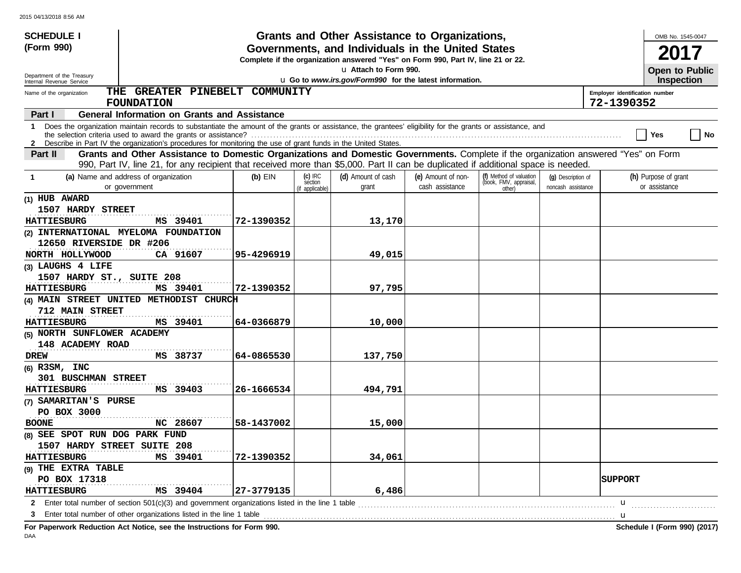| <b>SCHEDULE I</b>                                                                                                               |                                                                                                                                                                                                                                                                           |            |                                         | Grants and Other Assistance to Organizations,                                                                                         |                                       |                                                             |                                          |                                              | OMB No. 1545-0047                     |
|---------------------------------------------------------------------------------------------------------------------------------|---------------------------------------------------------------------------------------------------------------------------------------------------------------------------------------------------------------------------------------------------------------------------|------------|-----------------------------------------|---------------------------------------------------------------------------------------------------------------------------------------|---------------------------------------|-------------------------------------------------------------|------------------------------------------|----------------------------------------------|---------------------------------------|
| (Form 990)                                                                                                                      |                                                                                                                                                                                                                                                                           |            |                                         | Governments, and Individuals in the United States<br>Complete if the organization answered "Yes" on Form 990, Part IV, line 21 or 22. |                                       |                                                             |                                          |                                              |                                       |
| Department of the Treasury                                                                                                      |                                                                                                                                                                                                                                                                           |            |                                         | La Attach to Form 990.                                                                                                                |                                       |                                                             |                                          |                                              | Open to Public                        |
| Internal Revenue Service                                                                                                        |                                                                                                                                                                                                                                                                           |            |                                         | u Go to www.irs.gov/Form990 for the latest information.                                                                               |                                       |                                                             |                                          |                                              | <b>Inspection</b>                     |
| Name of the organization                                                                                                        | THE GREATER PINEBELT COMMUNITY<br><b>FOUNDATION</b>                                                                                                                                                                                                                       |            |                                         |                                                                                                                                       |                                       |                                                             |                                          | Employer identification number<br>72-1390352 |                                       |
| Part I                                                                                                                          | <b>General Information on Grants and Assistance</b>                                                                                                                                                                                                                       |            |                                         |                                                                                                                                       |                                       |                                                             |                                          |                                              |                                       |
| $\mathbf{1}$<br>2 Describe in Part IV the organization's procedures for monitoring the use of grant funds in the United States. | Does the organization maintain records to substantiate the amount of the grants or assistance, the grantees' eligibility for the grants or assistance, and                                                                                                                |            |                                         |                                                                                                                                       |                                       |                                                             |                                          |                                              | No<br>Yes                             |
| Part II                                                                                                                         | Grants and Other Assistance to Domestic Organizations and Domestic Governments. Complete if the organization answered "Yes" on Form<br>990, Part IV, line 21, for any recipient that received more than \$5,000. Part II can be duplicated if additional space is needed. |            |                                         |                                                                                                                                       |                                       |                                                             |                                          |                                              |                                       |
| (a) Name and address of organization<br>$\mathbf 1$<br>or government                                                            |                                                                                                                                                                                                                                                                           | $(b)$ EIN  | $(c)$ IRC<br>section<br>(if applicable) | (d) Amount of cash<br>grant                                                                                                           | (e) Amount of non-<br>cash assistance | (f) Method of valuation<br>(book, FMV, appraisal,<br>other) | (q) Description of<br>noncash assistance |                                              | (h) Purpose of grant<br>or assistance |
| (1) HUB AWARD                                                                                                                   |                                                                                                                                                                                                                                                                           |            |                                         |                                                                                                                                       |                                       |                                                             |                                          |                                              |                                       |
| 1507 HARDY STREET<br><b>HATTIESBURG</b>                                                                                         | MS 39401                                                                                                                                                                                                                                                                  | 72-1390352 |                                         | 13,170                                                                                                                                |                                       |                                                             |                                          |                                              |                                       |
| (2) INTERNATIONAL MYELOMA FOUNDATION                                                                                            |                                                                                                                                                                                                                                                                           |            |                                         |                                                                                                                                       |                                       |                                                             |                                          |                                              |                                       |
| 12650 RIVERSIDE DR #206                                                                                                         |                                                                                                                                                                                                                                                                           |            |                                         |                                                                                                                                       |                                       |                                                             |                                          |                                              |                                       |
| NORTH HOLLYWOOD                                                                                                                 | CA 91607                                                                                                                                                                                                                                                                  | 95-4296919 |                                         | 49,015                                                                                                                                |                                       |                                                             |                                          |                                              |                                       |
| (3) LAUGHS 4 LIFE                                                                                                               |                                                                                                                                                                                                                                                                           |            |                                         |                                                                                                                                       |                                       |                                                             |                                          |                                              |                                       |
| 1507 HARDY ST., SUITE 208                                                                                                       |                                                                                                                                                                                                                                                                           |            |                                         |                                                                                                                                       |                                       |                                                             |                                          |                                              |                                       |
| <b>HATTIESBURG</b>                                                                                                              | MS 39401                                                                                                                                                                                                                                                                  | 72-1390352 |                                         | 97,795                                                                                                                                |                                       |                                                             |                                          |                                              |                                       |
| (4) MAIN STREET UNITED METHODIST CHURCH                                                                                         |                                                                                                                                                                                                                                                                           |            |                                         |                                                                                                                                       |                                       |                                                             |                                          |                                              |                                       |
| 712 MAIN STREET                                                                                                                 |                                                                                                                                                                                                                                                                           |            |                                         |                                                                                                                                       |                                       |                                                             |                                          |                                              |                                       |
| <b>HATTIESBURG</b>                                                                                                              | MS 39401                                                                                                                                                                                                                                                                  | 64-0366879 |                                         | 10,000                                                                                                                                |                                       |                                                             |                                          |                                              |                                       |
| (5) NORTH SUNFLOWER ACADEMY                                                                                                     |                                                                                                                                                                                                                                                                           |            |                                         |                                                                                                                                       |                                       |                                                             |                                          |                                              |                                       |
| 148 ACADEMY ROAD                                                                                                                |                                                                                                                                                                                                                                                                           |            |                                         |                                                                                                                                       |                                       |                                                             |                                          |                                              |                                       |
| <b>DREW</b>                                                                                                                     | MS 38737                                                                                                                                                                                                                                                                  | 64-0865530 |                                         | 137,750                                                                                                                               |                                       |                                                             |                                          |                                              |                                       |
| $(6)$ R3SM, INC                                                                                                                 |                                                                                                                                                                                                                                                                           |            |                                         |                                                                                                                                       |                                       |                                                             |                                          |                                              |                                       |
| <b>301 BUSCHMAN STREET</b>                                                                                                      |                                                                                                                                                                                                                                                                           |            |                                         |                                                                                                                                       |                                       |                                                             |                                          |                                              |                                       |
| <b>HATTIESBURG</b>                                                                                                              | MS 39403                                                                                                                                                                                                                                                                  | 26-1666534 |                                         | 494,791                                                                                                                               |                                       |                                                             |                                          |                                              |                                       |
| (7) SAMARITAN'S PURSE                                                                                                           |                                                                                                                                                                                                                                                                           |            |                                         |                                                                                                                                       |                                       |                                                             |                                          |                                              |                                       |
| PO BOX 3000                                                                                                                     |                                                                                                                                                                                                                                                                           |            |                                         |                                                                                                                                       |                                       |                                                             |                                          |                                              |                                       |
| <b>BOONE</b>                                                                                                                    | NC 28607                                                                                                                                                                                                                                                                  | 58-1437002 |                                         | 15,000                                                                                                                                |                                       |                                                             |                                          |                                              |                                       |
| (8) SEE SPOT RUN DOG PARK FUND                                                                                                  |                                                                                                                                                                                                                                                                           |            |                                         |                                                                                                                                       |                                       |                                                             |                                          |                                              |                                       |
| 1507 HARDY STREET SUITE 208                                                                                                     |                                                                                                                                                                                                                                                                           |            |                                         |                                                                                                                                       |                                       |                                                             |                                          |                                              |                                       |
| <b>HATTIESBURG</b>                                                                                                              | MS 39401                                                                                                                                                                                                                                                                  | 72-1390352 |                                         | 34,061                                                                                                                                |                                       |                                                             |                                          |                                              |                                       |
| (9) THE EXTRA TABLE                                                                                                             |                                                                                                                                                                                                                                                                           |            |                                         |                                                                                                                                       |                                       |                                                             |                                          |                                              |                                       |
| PO BOX 17318                                                                                                                    |                                                                                                                                                                                                                                                                           |            |                                         |                                                                                                                                       |                                       |                                                             |                                          | <b>SUPPORT</b>                               |                                       |
|                                                                                                                                 | MS 39404<br>27-3779135<br>6,486<br><b>HATTIESBURG</b>                                                                                                                                                                                                                     |            |                                         |                                                                                                                                       |                                       |                                                             |                                          |                                              |                                       |
| 2 Enter total number of section 501(c)(3) and government organizations listed in the line 1 table                               |                                                                                                                                                                                                                                                                           |            |                                         |                                                                                                                                       |                                       |                                                             |                                          | u                                            |                                       |
| 3                                                                                                                               | Enter total number of other organizations listed in the line 1 table                                                                                                                                                                                                      |            |                                         |                                                                                                                                       |                                       |                                                             |                                          | u                                            |                                       |

**For Paperwork Reduction Act Notice, see the Instructions for Form 990. Schedule I (Form 990) (2017)** DAA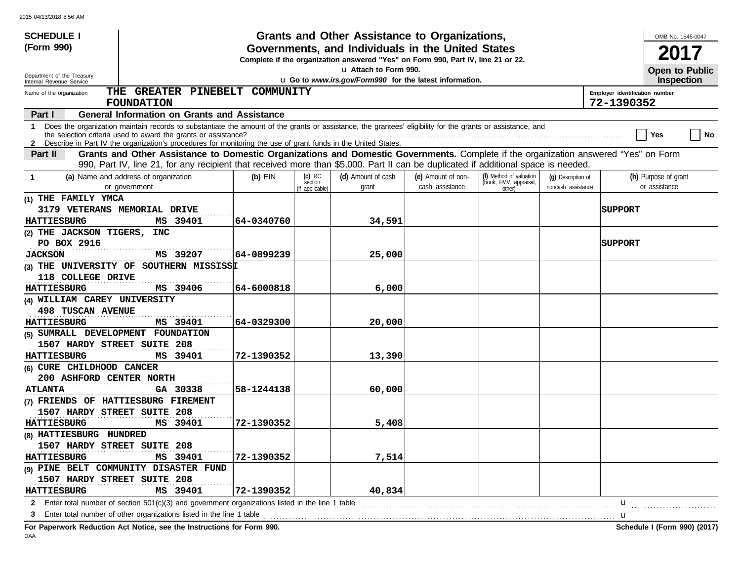| <b>SCHEDULE I</b>                                                                                                                                                                                                                                                                             |                                |            |                                         | Grants and Other Assistance to Organizations,                                                                                         |                                       |                                                             |                                          |                                              | OMB No. 1545-0047                     |
|-----------------------------------------------------------------------------------------------------------------------------------------------------------------------------------------------------------------------------------------------------------------------------------------------|--------------------------------|------------|-----------------------------------------|---------------------------------------------------------------------------------------------------------------------------------------|---------------------------------------|-------------------------------------------------------------|------------------------------------------|----------------------------------------------|---------------------------------------|
| (Form 990)                                                                                                                                                                                                                                                                                    |                                |            |                                         | Governments, and Individuals in the United States<br>Complete if the organization answered "Yes" on Form 990, Part IV, line 21 or 22. |                                       |                                                             |                                          |                                              |                                       |
| Department of the Treasury                                                                                                                                                                                                                                                                    |                                |            |                                         | u Attach to Form 990.                                                                                                                 |                                       |                                                             |                                          |                                              | <b>Open to Public</b>                 |
| Internal Revenue Service                                                                                                                                                                                                                                                                      |                                |            |                                         | u Go to www.irs.gov/Form990 for the latest information.                                                                               |                                       |                                                             |                                          |                                              | <b>Inspection</b>                     |
| Name of the organization<br><b>FOUNDATION</b>                                                                                                                                                                                                                                                 | THE GREATER PINEBELT COMMUNITY |            |                                         |                                                                                                                                       |                                       |                                                             |                                          | Employer identification number<br>72-1390352 |                                       |
| <b>General Information on Grants and Assistance</b><br>Part I                                                                                                                                                                                                                                 |                                |            |                                         |                                                                                                                                       |                                       |                                                             |                                          |                                              |                                       |
| Does the organization maintain records to substantiate the amount of the grants or assistance, the grantees' eligibility for the grants or assistance, and<br>$\mathbf{1}$<br>2 Describe in Part IV the organization's procedures for monitoring the use of grant funds in the United States. |                                |            |                                         |                                                                                                                                       |                                       |                                                             |                                          |                                              | No<br>Yes                             |
| Grants and Other Assistance to Domestic Organizations and Domestic Governments. Complete if the organization answered "Yes" on Form<br>Part II<br>990, Part IV, line 21, for any recipient that received more than \$5,000. Part II can be duplicated if additional space is needed.          |                                |            |                                         |                                                                                                                                       |                                       |                                                             |                                          |                                              |                                       |
| (a) Name and address of organization<br>$\mathbf 1$<br>or government                                                                                                                                                                                                                          |                                | $(b)$ EIN  | $(c)$ IRC<br>section<br>(if applicable) | (d) Amount of cash<br>grant                                                                                                           | (e) Amount of non-<br>cash assistance | (f) Method of valuation<br>(book, FMV, appraisal,<br>other) | (q) Description of<br>noncash assistance |                                              | (h) Purpose of grant<br>or assistance |
| (1) THE FAMILY YMCA<br>3179 VETERANS MEMORIAL DRIVE<br><b>HATTIESBURG</b>                                                                                                                                                                                                                     | MS 39401                       | 64-0340760 |                                         | 34,591                                                                                                                                |                                       |                                                             |                                          | <b>SUPPORT</b>                               |                                       |
| (2) THE JACKSON TIGERS, INC                                                                                                                                                                                                                                                                   |                                |            |                                         |                                                                                                                                       |                                       |                                                             |                                          |                                              |                                       |
| PO BOX 2916<br><b>JACKSON</b>                                                                                                                                                                                                                                                                 | MS 39207                       | 64-0899239 |                                         | 25,000                                                                                                                                |                                       |                                                             |                                          | <b>SUPPORT</b>                               |                                       |
| (3) THE UNIVERSITY OF SOUTHERN MISSISSI<br>118 COLLEGE DRIVE                                                                                                                                                                                                                                  |                                |            |                                         |                                                                                                                                       |                                       |                                                             |                                          |                                              |                                       |
| <b>HATTIESBURG</b>                                                                                                                                                                                                                                                                            | MS 39406                       | 64-6000818 |                                         | 6,000                                                                                                                                 |                                       |                                                             |                                          |                                              |                                       |
| (4) WILLIAM CAREY UNIVERSITY                                                                                                                                                                                                                                                                  |                                |            |                                         |                                                                                                                                       |                                       |                                                             |                                          |                                              |                                       |
| <b>498 TUSCAN AVENUE</b>                                                                                                                                                                                                                                                                      |                                |            |                                         |                                                                                                                                       |                                       |                                                             |                                          |                                              |                                       |
| <b>HATTIESBURG</b><br>(5) SUMRALL DEVELOPMENT FOUNDATION                                                                                                                                                                                                                                      | MS 39401                       | 64-0329300 |                                         | 20,000                                                                                                                                |                                       |                                                             |                                          |                                              |                                       |
| 1507 HARDY STREET SUITE 208<br><b>HATTIESBURG</b>                                                                                                                                                                                                                                             | MS 39401                       | 72-1390352 |                                         | 13,390                                                                                                                                |                                       |                                                             |                                          |                                              |                                       |
| (6) CURE CHILDHOOD CANCER<br>200 ASHFORD CENTER NORTH                                                                                                                                                                                                                                         |                                |            |                                         |                                                                                                                                       |                                       |                                                             |                                          |                                              |                                       |
| <b>ATLANTA</b>                                                                                                                                                                                                                                                                                | GA 30338                       | 58-1244138 |                                         | 60,000                                                                                                                                |                                       |                                                             |                                          |                                              |                                       |
| (7) FRIENDS OF HATTIESBURG FIREMENT                                                                                                                                                                                                                                                           |                                |            |                                         |                                                                                                                                       |                                       |                                                             |                                          |                                              |                                       |
| 1507 HARDY STREET SUITE 208                                                                                                                                                                                                                                                                   |                                |            |                                         |                                                                                                                                       |                                       |                                                             |                                          |                                              |                                       |
| <b>HATTIESBURG</b>                                                                                                                                                                                                                                                                            | MS 39401                       | 72-1390352 |                                         | 5,408                                                                                                                                 |                                       |                                                             |                                          |                                              |                                       |
| (8) HATTIESBURG HUNDRED                                                                                                                                                                                                                                                                       |                                |            |                                         |                                                                                                                                       |                                       |                                                             |                                          |                                              |                                       |
| 1507 HARDY STREET SUITE 208<br><b>HATTIESBURG</b>                                                                                                                                                                                                                                             | MS 39401                       | 72-1390352 |                                         | 7,514                                                                                                                                 |                                       |                                                             |                                          |                                              |                                       |
| (9) PINE BELT COMMUNITY DISASTER FUND                                                                                                                                                                                                                                                         |                                |            |                                         |                                                                                                                                       |                                       |                                                             |                                          |                                              |                                       |
| 1507 HARDY STREET SUITE 208                                                                                                                                                                                                                                                                   |                                |            |                                         |                                                                                                                                       |                                       |                                                             |                                          |                                              |                                       |
| <b>HATTIESBURG</b>                                                                                                                                                                                                                                                                            | MS 39401                       | 72-1390352 |                                         | 40,834                                                                                                                                |                                       |                                                             |                                          |                                              |                                       |
| 2 Enter total number of section 501(c)(3) and government organizations listed in the line 1 table                                                                                                                                                                                             |                                |            |                                         |                                                                                                                                       |                                       |                                                             |                                          | u                                            |                                       |
| Enter total number of other organizations listed in the line 1 table<br>3                                                                                                                                                                                                                     |                                |            |                                         |                                                                                                                                       |                                       |                                                             |                                          |                                              |                                       |

**For Paperwork Reduction Act Notice, see the Instructions for Form 990. Schedule I (Form 990) (2017)** DAA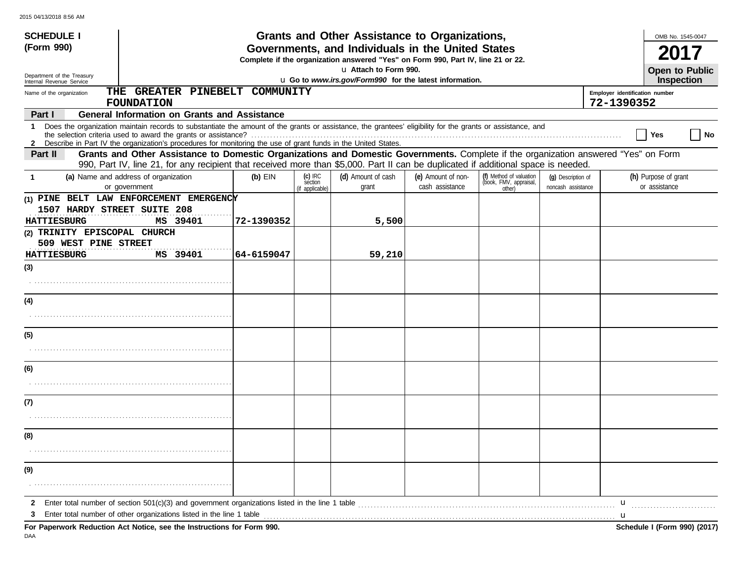| <b>SCHEDULE I</b>                                      |                                                                                                                                                                                                                                                                               |            |                                         | Grants and Other Assistance to Organizations,                                                              |                                       |                                                             |                                          | OMB No. 1545-0047                            |    |
|--------------------------------------------------------|-------------------------------------------------------------------------------------------------------------------------------------------------------------------------------------------------------------------------------------------------------------------------------|------------|-----------------------------------------|------------------------------------------------------------------------------------------------------------|---------------------------------------|-------------------------------------------------------------|------------------------------------------|----------------------------------------------|----|
| (Form 990)                                             |                                                                                                                                                                                                                                                                               |            |                                         | Governments, and Individuals in the United States                                                          |                                       |                                                             |                                          |                                              |    |
|                                                        |                                                                                                                                                                                                                                                                               |            |                                         | Complete if the organization answered "Yes" on Form 990, Part IV, line 21 or 22.<br>La Attach to Form 990. |                                       |                                                             |                                          |                                              |    |
| Department of the Treasury<br>Internal Revenue Service |                                                                                                                                                                                                                                                                               |            |                                         | u Go to www.irs.gov/Form990 for the latest information.                                                    |                                       |                                                             |                                          | <b>Open to Public</b><br><b>Inspection</b>   |    |
| Name of the organization                               | THE GREATER PINEBELT<br><b>FOUNDATION</b>                                                                                                                                                                                                                                     | COMMUNITY  |                                         |                                                                                                            |                                       |                                                             |                                          | Employer identification number<br>72-1390352 |    |
| Part I                                                 | <b>General Information on Grants and Assistance</b>                                                                                                                                                                                                                           |            |                                         |                                                                                                            |                                       |                                                             |                                          |                                              |    |
| $\mathbf 1$                                            | Does the organization maintain records to substantiate the amount of the grants or assistance, the grantees' eligibility for the grants or assistance, and<br>2 Describe in Part IV the organization's procedures for monitoring the use of grant funds in the United States. |            |                                         |                                                                                                            |                                       |                                                             |                                          | Yes                                          | No |
| Part II                                                | Grants and Other Assistance to Domestic Organizations and Domestic Governments. Complete if the organization answered "Yes" on Form<br>990, Part IV, line 21, for any recipient that received more than \$5,000. Part II can be duplicated if additional space is needed.     |            |                                         |                                                                                                            |                                       |                                                             |                                          |                                              |    |
| $\mathbf 1$                                            | (a) Name and address of organization<br>or government                                                                                                                                                                                                                         | $(b)$ EIN  | $(c)$ IRC<br>section<br>(if applicable) | (d) Amount of cash<br>grant                                                                                | (e) Amount of non-<br>cash assistance | (f) Method of valuation<br>(book, FMV, appraisal,<br>other) | (q) Description of<br>noncash assistance | (h) Purpose of grant<br>or assistance        |    |
|                                                        | (1) PINE BELT LAW ENFORCEMENT EMERGENCY                                                                                                                                                                                                                                       |            |                                         |                                                                                                            |                                       |                                                             |                                          |                                              |    |
| 1507 HARDY STREET SUITE 208<br><b>HATTIESBURG</b>      | MS 39401                                                                                                                                                                                                                                                                      | 72-1390352 |                                         | 5,500                                                                                                      |                                       |                                                             |                                          |                                              |    |
| (2) TRINITY EPISCOPAL CHURCH                           |                                                                                                                                                                                                                                                                               |            |                                         |                                                                                                            |                                       |                                                             |                                          |                                              |    |
| 509 WEST PINE STREET                                   |                                                                                                                                                                                                                                                                               |            |                                         |                                                                                                            |                                       |                                                             |                                          |                                              |    |
| <b>HATTIESBURG</b>                                     | MS 39401                                                                                                                                                                                                                                                                      | 64-6159047 |                                         | 59,210                                                                                                     |                                       |                                                             |                                          |                                              |    |
| (3)                                                    |                                                                                                                                                                                                                                                                               |            |                                         |                                                                                                            |                                       |                                                             |                                          |                                              |    |
|                                                        |                                                                                                                                                                                                                                                                               |            |                                         |                                                                                                            |                                       |                                                             |                                          |                                              |    |
| (4)                                                    |                                                                                                                                                                                                                                                                               |            |                                         |                                                                                                            |                                       |                                                             |                                          |                                              |    |
|                                                        |                                                                                                                                                                                                                                                                               |            |                                         |                                                                                                            |                                       |                                                             |                                          |                                              |    |
| (5)                                                    |                                                                                                                                                                                                                                                                               |            |                                         |                                                                                                            |                                       |                                                             |                                          |                                              |    |
|                                                        |                                                                                                                                                                                                                                                                               |            |                                         |                                                                                                            |                                       |                                                             |                                          |                                              |    |
| (6)                                                    |                                                                                                                                                                                                                                                                               |            |                                         |                                                                                                            |                                       |                                                             |                                          |                                              |    |
|                                                        |                                                                                                                                                                                                                                                                               |            |                                         |                                                                                                            |                                       |                                                             |                                          |                                              |    |
| (7)                                                    |                                                                                                                                                                                                                                                                               |            |                                         |                                                                                                            |                                       |                                                             |                                          |                                              |    |
|                                                        |                                                                                                                                                                                                                                                                               |            |                                         |                                                                                                            |                                       |                                                             |                                          |                                              |    |
| (8)                                                    |                                                                                                                                                                                                                                                                               |            |                                         |                                                                                                            |                                       |                                                             |                                          |                                              |    |
|                                                        |                                                                                                                                                                                                                                                                               |            |                                         |                                                                                                            |                                       |                                                             |                                          |                                              |    |
| (9)                                                    |                                                                                                                                                                                                                                                                               |            |                                         |                                                                                                            |                                       |                                                             |                                          |                                              |    |
|                                                        |                                                                                                                                                                                                                                                                               |            |                                         |                                                                                                            |                                       |                                                             |                                          |                                              |    |
| $\mathbf{2}$                                           |                                                                                                                                                                                                                                                                               |            |                                         |                                                                                                            |                                       |                                                             |                                          | u                                            |    |
| 3                                                      | Enter total number of other organizations listed in the line 1 table <b>conserved to the conserved in the line 1</b> table                                                                                                                                                    |            |                                         |                                                                                                            |                                       |                                                             |                                          | u                                            |    |
|                                                        | For Paperwork Reduction Act Notice, see the Instructions for Form 990.                                                                                                                                                                                                        |            |                                         |                                                                                                            |                                       |                                                             |                                          | Schedule I (Form 990) (2017)                 |    |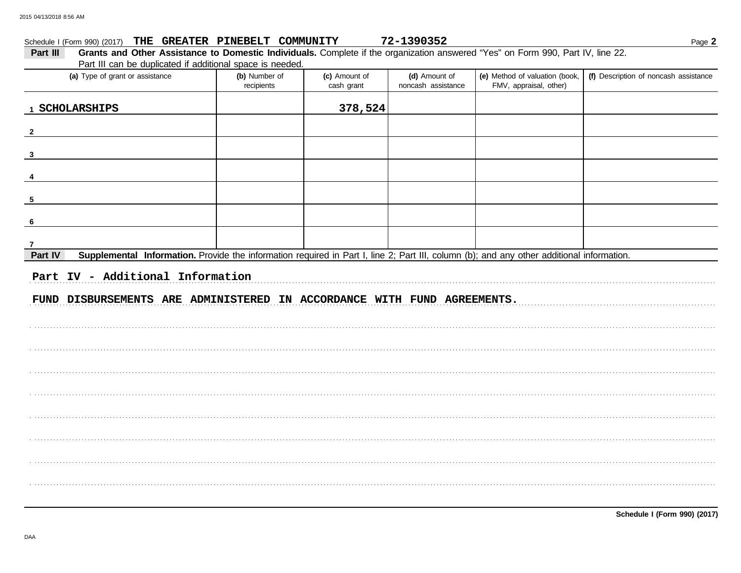| Schedule I (Form 990) (2017)                                                                                                                         | THE GREATER PINEBELT COMMUNITY |                             | 72-1390352                          |                                                          | Page 2                                |
|------------------------------------------------------------------------------------------------------------------------------------------------------|--------------------------------|-----------------------------|-------------------------------------|----------------------------------------------------------|---------------------------------------|
| Grants and Other Assistance to Domestic Individuals. Complete if the organization answered "Yes" on Form 990, Part IV, line 22.<br>Part III          |                                |                             |                                     |                                                          |                                       |
| Part III can be duplicated if additional space is needed.<br>(a) Type of grant or assistance                                                         | (b) Number of<br>recipients    | (c) Amount of<br>cash grant | (d) Amount of<br>noncash assistance | (e) Method of valuation (book,<br>FMV, appraisal, other) | (f) Description of noncash assistance |
| 1 SCHOLARSHIPS                                                                                                                                       |                                | 378,524                     |                                     |                                                          |                                       |
| $\mathbf{2}$                                                                                                                                         |                                |                             |                                     |                                                          |                                       |
| $\mathbf{3}$                                                                                                                                         |                                |                             |                                     |                                                          |                                       |
| 4                                                                                                                                                    |                                |                             |                                     |                                                          |                                       |
| 5                                                                                                                                                    |                                |                             |                                     |                                                          |                                       |
| 6                                                                                                                                                    |                                |                             |                                     |                                                          |                                       |
| 7                                                                                                                                                    |                                |                             |                                     |                                                          |                                       |
| Supplemental Information. Provide the information required in Part I, line 2; Part III, column (b); and any other additional information.<br>Part IV |                                |                             |                                     |                                                          |                                       |
| Part IV - Additional Information                                                                                                                     |                                |                             |                                     |                                                          |                                       |
| FUND DISBURSEMENTS ARE ADMINISTERED IN ACCORDANCE WITH FUND AGREEMENTS.                                                                              |                                |                             |                                     |                                                          |                                       |
|                                                                                                                                                      |                                |                             |                                     |                                                          |                                       |
|                                                                                                                                                      |                                |                             |                                     |                                                          |                                       |
|                                                                                                                                                      |                                |                             |                                     |                                                          |                                       |
|                                                                                                                                                      |                                |                             |                                     |                                                          |                                       |
|                                                                                                                                                      |                                |                             |                                     |                                                          |                                       |
|                                                                                                                                                      |                                |                             |                                     |                                                          |                                       |
|                                                                                                                                                      |                                |                             |                                     |                                                          |                                       |
|                                                                                                                                                      |                                |                             |                                     |                                                          |                                       |
|                                                                                                                                                      |                                |                             |                                     |                                                          |                                       |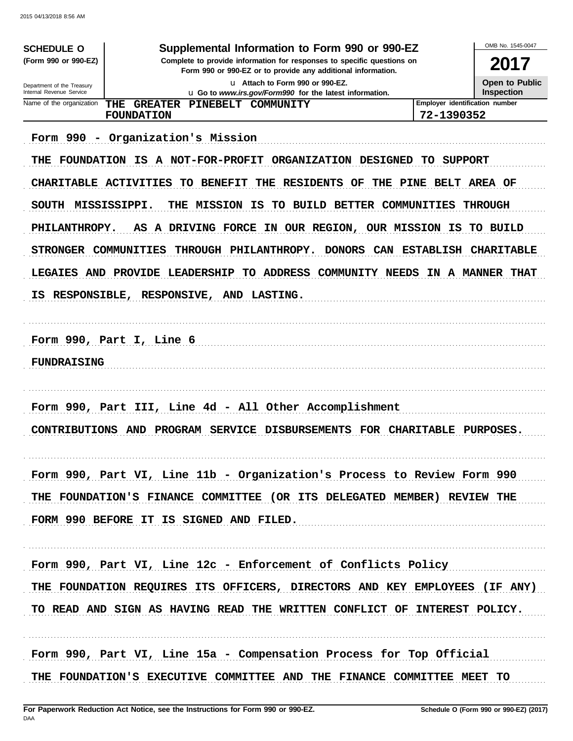| <b>SCHEDULE O</b><br>(Form 990 or 990-EZ)<br>Department of the Treasury | Supplemental Information to Form 990 or 990-EZ<br>Complete to provide information for responses to specific questions on                                                                                                                                                                                                                                                                                             | OMB No. 1545-0047<br>2017<br><b>Open to Public</b> |                                    |
|-------------------------------------------------------------------------|----------------------------------------------------------------------------------------------------------------------------------------------------------------------------------------------------------------------------------------------------------------------------------------------------------------------------------------------------------------------------------------------------------------------|----------------------------------------------------|------------------------------------|
| Internal Revenue Service                                                | u Go to www.irs.gov/Form990 for the latest information.                                                                                                                                                                                                                                                                                                                                                              |                                                    | <b>Inspection</b>                  |
| Name of the organization                                                | <b>THE</b><br><b>GREATER</b><br>PINEBELT COMMUNITY<br>FOUNDATION                                                                                                                                                                                                                                                                                                                                                     | Employer identification number<br>72-1390352       |                                    |
| THE<br>SOUTH MISSISSIPPI.<br>PHILANTHROPY.<br>STRONGER COMMUNITIES      | Form 990 - Organization's Mission<br>FOUNDATION IS A NOT-FOR-PROFIT ORGANIZATION DESIGNED TO SUPPORT<br>CHARITABLE ACTIVITIES<br>TO BENEFIT<br>THE RESIDENTS OF<br>THE<br>TO BUILD BETTER COMMUNITIES<br>THE MISSION IS<br>A DRIVING FORCE<br>IN OUR REGION, OUR MISSION IS TO BUILD<br>AS.<br>THROUGH PHILANTHROPY.<br>DONORS CAN ESTABLISH CHARITABLE<br>LEGAIES AND PROVIDE LEADERSHIP TO ADDRESS COMMUNITY NEEDS | PINE BELT AREA OF                                  | <b>THROUGH</b><br>IN A MANNER THAT |
| <b>FUNDRAISING</b>                                                      | Form 990, Part I, Line 6                                                                                                                                                                                                                                                                                                                                                                                             |                                                    |                                    |
| <b>CONTRIBUTIONS AND</b>                                                | Form 990, Part III, Line 4d - All Other Accomplishment<br>PROGRAM SERVICE<br>DISBURSEMENTS FOR CHARITABLE PURPOSES.                                                                                                                                                                                                                                                                                                  |                                                    |                                    |
|                                                                         | Form 990, Part VI, Line 11b - Organization's Process to Review Form 990<br>THE FOUNDATION'S FINANCE COMMITTEE (OR ITS DELEGATED MEMBER) REVIEW THE<br>FORM 990 BEFORE IT IS SIGNED AND FILED.                                                                                                                                                                                                                        |                                                    |                                    |
|                                                                         | Form 990, Part VI, Line 12c - Enforcement of Conflicts Policy<br>THE FOUNDATION REQUIRES ITS OFFICERS, DIRECTORS AND KEY EMPLOYEES (IF ANY)<br>TO READ AND SIGN AS HAVING READ THE WRITTEN CONFLICT OF INTEREST POLICY.                                                                                                                                                                                              |                                                    |                                    |
|                                                                         | Form 990, Part VI, Line 15a - Compensation Process for Top Official<br>THE FOUNDATION'S EXECUTIVE COMMITTEE AND THE FINANCE COMMITTEE MEET TO                                                                                                                                                                                                                                                                        |                                                    |                                    |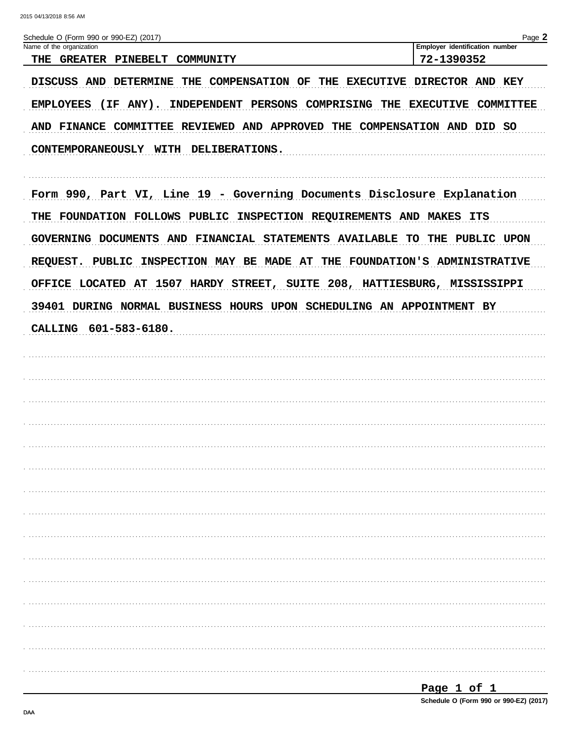| Schedule O (Form 990 or 990-EZ) (2017)<br>Name of the organization                   | Page 2<br>Employer identification number |
|--------------------------------------------------------------------------------------|------------------------------------------|
| THE<br><b>GREATER PINEBELT</b><br>COMMUNITY                                          | 72-1390352                               |
| DISCUSS AND DETERMINE THE COMPENSATION OF THE EXECUTIVE DIRECTOR AND KEY             |                                          |
| (IF ANY). INDEPENDENT PERSONS COMPRISING THE EXECUTIVE COMMITTEE<br><b>EMPLOYEES</b> |                                          |
| AND FINANCE COMMITTEE REVIEWED AND APPROVED THE COMPENSATION AND DID SO              |                                          |
| CONTEMPORANEOUSLY WITH DELIBERATIONS.                                                |                                          |
| Form 990, Part VI, Line 19 - Governing Documents Disclosure Explanation              |                                          |
| THE FOUNDATION FOLLOWS PUBLIC INSPECTION REQUIREMENTS AND MAKES ITS                  |                                          |
| GOVERNING DOCUMENTS AND FINANCIAL STATEMENTS AVAILABLE TO THE PUBLIC UPON            |                                          |
| REQUEST. PUBLIC INSPECTION MAY BE MADE AT THE FOUNDATION'S ADMINISTRATIVE            |                                          |
| OFFICE LOCATED AT 1507 HARDY STREET, SUITE 208, HATTIESBURG, MISSISSIPPI             |                                          |
| 39401 DURING NORMAL BUSINESS HOURS UPON SCHEDULING AN APPOINTMENT BY                 |                                          |
| CALLING 601-583-6180.                                                                |                                          |
|                                                                                      |                                          |
|                                                                                      |                                          |
|                                                                                      |                                          |
|                                                                                      |                                          |
|                                                                                      |                                          |
|                                                                                      |                                          |
|                                                                                      |                                          |
|                                                                                      |                                          |
|                                                                                      |                                          |
|                                                                                      |                                          |
|                                                                                      |                                          |
|                                                                                      |                                          |
|                                                                                      |                                          |
|                                                                                      |                                          |
|                                                                                      |                                          |
|                                                                                      |                                          |
|                                                                                      |                                          |

| Page 1 of 1 |  |                                        |
|-------------|--|----------------------------------------|
|             |  | Schedule O (Form 990 or 990-EZ) (2017) |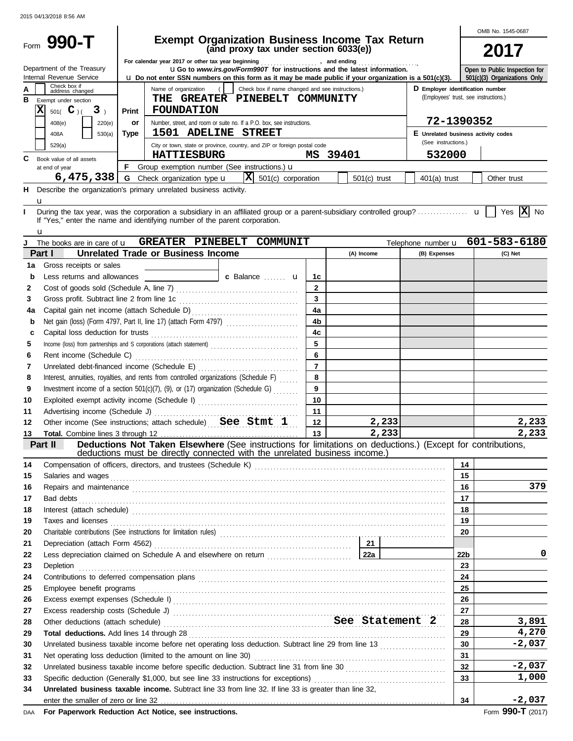|          |                                            |                                                                                           |                                                                                                                                                                                                                                     |                |          |                |                                       |                       | OMB No. 1545-0687             |
|----------|--------------------------------------------|-------------------------------------------------------------------------------------------|-------------------------------------------------------------------------------------------------------------------------------------------------------------------------------------------------------------------------------------|----------------|----------|----------------|---------------------------------------|-----------------------|-------------------------------|
|          | Form 990-T                                 |                                                                                           | <b>Exempt Organization Business Income Tax Return</b><br>(and proxy tax under section 6033(e))                                                                                                                                      |                |          |                |                                       |                       |                               |
|          |                                            |                                                                                           |                                                                                                                                                                                                                                     |                |          |                |                                       |                       | 2017                          |
|          | Department of the Treasury                 |                                                                                           | For calendar year 2017 or other tax year beginning<br>, and ending<br><b>uGo</b> to www.irs.gov/Form990T for instructions and the latest information.                                                                               |                |          |                |                                       |                       | Open to Public Inspection for |
|          | Internal Revenue Service                   |                                                                                           | <b>u</b> Do not enter SSN numbers on this form as it may be made public if your organization is a 501(c)(3).                                                                                                                        |                |          |                |                                       |                       | 501(c)(3) Organizations Only  |
| А        | Check box if<br>address changed            |                                                                                           | Name of organization<br>Check box if name changed and see instructions.)                                                                                                                                                            |                |          |                | D Employer identification number      |                       |                               |
| в        | Exempt under section                       |                                                                                           | THE GREATER PINEBELT COMMUNITY                                                                                                                                                                                                      |                |          |                | (Employees' trust, see instructions.) |                       |                               |
|          | $\mathbf x$<br>$501($ C <sub>)</sub> ( 3)  | Print                                                                                     | <b>FOUNDATION</b>                                                                                                                                                                                                                   |                |          |                |                                       |                       |                               |
|          | 408(e)<br>220(e)                           | or                                                                                        | Number, street, and room or suite no. If a P.O. box, see instructions.                                                                                                                                                              |                |          |                | 72-1390352                            |                       |                               |
|          | 408A<br>530(a)                             | Type                                                                                      | 1501 ADELINE STREET                                                                                                                                                                                                                 |                |          |                | E Unrelated business activity codes   |                       |                               |
|          | 529(a)                                     |                                                                                           | City or town, state or province, country, and ZIP or foreign postal code                                                                                                                                                            |                |          |                | (See instructions.)                   |                       |                               |
| C        | Book value of all assets                   |                                                                                           | <b>HATTIESBURG</b>                                                                                                                                                                                                                  |                | MS 39401 |                | 532000                                |                       |                               |
|          | at end of year                             |                                                                                           | F Group exemption number (See instructions.) $\mathbf u$                                                                                                                                                                            |                |          |                |                                       |                       |                               |
|          | 6,475,338                                  |                                                                                           | $ \mathbf{X} $ 501(c) corporation<br><b>G</b> Check organization type <b>u</b>                                                                                                                                                      |                |          | $501(c)$ trust | $401(a)$ trust                        |                       | Other trust                   |
| н        |                                            |                                                                                           | Describe the organization's primary unrelated business activity.                                                                                                                                                                    |                |          |                |                                       |                       |                               |
|          | u                                          |                                                                                           |                                                                                                                                                                                                                                     |                |          |                |                                       |                       |                               |
|          |                                            |                                                                                           |                                                                                                                                                                                                                                     |                |          |                |                                       |                       | Yes $X$ No                    |
|          |                                            |                                                                                           | If "Yes," enter the name and identifying number of the parent corporation.                                                                                                                                                          |                |          |                |                                       |                       |                               |
|          | u<br>The books are in care of <b>u</b>     |                                                                                           | GREATER PINEBELT COMMUNIT                                                                                                                                                                                                           |                |          |                | Telephone number u                    |                       | 601-583-6180                  |
|          | Part I                                     |                                                                                           | <b>Unrelated Trade or Business Income</b>                                                                                                                                                                                           |                |          | (A) Income     | (B) Expenses                          |                       | (C) Net                       |
| 1a       | Gross receipts or sales                    |                                                                                           |                                                                                                                                                                                                                                     |                |          |                |                                       |                       |                               |
| b        | Less returns and allowances                |                                                                                           | <b>c</b> Balance <b>c u</b>                                                                                                                                                                                                         | 1c             |          |                |                                       |                       |                               |
| 2        |                                            |                                                                                           |                                                                                                                                                                                                                                     | $\overline{2}$ |          |                |                                       |                       |                               |
| 3        | Gross profit. Subtract line 2 from line 1c |                                                                                           |                                                                                                                                                                                                                                     | $\mathbf{3}$   |          |                |                                       |                       |                               |
| 4a       |                                            |                                                                                           |                                                                                                                                                                                                                                     | 4a             |          |                |                                       |                       |                               |
| b        |                                            |                                                                                           |                                                                                                                                                                                                                                     | 4 <sub>b</sub> |          |                |                                       |                       |                               |
| c        |                                            |                                                                                           |                                                                                                                                                                                                                                     | 4c             |          |                |                                       |                       |                               |
| 5        |                                            |                                                                                           | Income (loss) from partnerships and S corporations (attach statement)                                                                                                                                                               | 5              |          |                |                                       |                       |                               |
| 6        | Rent income (Schedule C)                   |                                                                                           |                                                                                                                                                                                                                                     | 6              |          |                |                                       |                       |                               |
| 7        |                                            |                                                                                           |                                                                                                                                                                                                                                     | $\overline{7}$ |          |                |                                       |                       |                               |
| 8        |                                            | Interest, annuities, royalties, and rents from controlled organizations (Schedule F)<br>8 |                                                                                                                                                                                                                                     |                |          |                |                                       |                       |                               |
| 9        |                                            | 9<br>Investment income of a section $501(c)(7)$ , (9), or (17) organization (Schedule G)  |                                                                                                                                                                                                                                     |                |          |                |                                       |                       |                               |
| 10       |                                            |                                                                                           | Exploited exempt activity income (Schedule I)                                                                                                                                                                                       | 10             |          |                |                                       |                       |                               |
| 11       | Advertising income (Schedule J)            |                                                                                           |                                                                                                                                                                                                                                     | 11             |          |                |                                       |                       |                               |
| 12       |                                            |                                                                                           | Other income (See instructions; attach schedule) See Stmt 1                                                                                                                                                                         | 12             |          | 2,233          |                                       |                       | 2,233                         |
| 13       |                                            |                                                                                           |                                                                                                                                                                                                                                     | 13             |          | 2, 233         |                                       |                       | 2,233                         |
|          | Part II                                    |                                                                                           | Deductions Not Taken Elsewhere (See instructions for limitations on deductions.) (Except for contributions,                                                                                                                         |                |          |                |                                       |                       |                               |
|          |                                            |                                                                                           | deductions must be directly connected with the unrelated business income.)                                                                                                                                                          |                |          |                |                                       |                       |                               |
| 14       |                                            |                                                                                           |                                                                                                                                                                                                                                     |                |          |                |                                       | 14                    |                               |
| 15       |                                            |                                                                                           |                                                                                                                                                                                                                                     |                |          |                |                                       | 15                    |                               |
| 16       |                                            |                                                                                           | Repairs and maintenance contains and maintenance contains and maintenance contains and maintenance contains and maintenance                                                                                                         |                |          |                |                                       | 16                    | 379                           |
| 17       |                                            |                                                                                           | Bad debts <b>construction of the construction of the construction of the construction of the construction</b> of the construction of the construction of the construction of the construction of the construction of the constructi |                |          |                |                                       | 17                    |                               |
| 18       |                                            |                                                                                           |                                                                                                                                                                                                                                     |                |          |                |                                       | 18                    |                               |
| 19       |                                            |                                                                                           | Taxes and licenses <b>construction and construction</b> and intervention and intervention and intervention and intervention and intervention and intervention and intervention and intervention and intervention and intervention a |                |          |                |                                       | 19                    |                               |
| 20       |                                            |                                                                                           |                                                                                                                                                                                                                                     |                |          |                |                                       | 20                    |                               |
| 21       |                                            |                                                                                           |                                                                                                                                                                                                                                     |                |          |                |                                       |                       |                               |
| 22       |                                            |                                                                                           | Less depreciation claimed on Schedule A and elsewhere on return [11] [222]                                                                                                                                                          |                |          |                |                                       | 22 <sub>b</sub><br>23 | 0                             |
| 23       | Depletion                                  |                                                                                           |                                                                                                                                                                                                                                     |                |          |                |                                       | 24                    |                               |
| 24       |                                            |                                                                                           |                                                                                                                                                                                                                                     |                |          |                |                                       | 25                    |                               |
| 25       |                                            |                                                                                           |                                                                                                                                                                                                                                     |                |          |                |                                       | 26                    |                               |
| 26<br>27 |                                            |                                                                                           |                                                                                                                                                                                                                                     |                |          |                |                                       | 27                    |                               |
| 28       |                                            |                                                                                           | Other deductions (attach schedule) Material Material See Statement 2                                                                                                                                                                |                |          |                |                                       | 28                    | 3,891                         |
| 29       |                                            |                                                                                           |                                                                                                                                                                                                                                     |                |          |                |                                       | 29                    | 4,270                         |
| 30       |                                            |                                                                                           | Unrelated business taxable income before net operating loss deduction. Subtract line 29 from line 13                                                                                                                                |                |          |                |                                       | 30                    | $-2,037$                      |
| 31       |                                            |                                                                                           |                                                                                                                                                                                                                                     |                |          |                |                                       | 31                    |                               |
| 32       |                                            |                                                                                           | Unrelated business taxable income before specific deduction. Subtract line 31 from line 30 [11] [11] Unrelated business taxable income before specific deduction. Subtract line 31 from line 30                                     |                |          |                |                                       | 32                    | $-2,037$                      |
| 33       |                                            |                                                                                           | Specific deduction (Generally \$1,000, but see line 33 instructions for exceptions) [[[[[[[[[[[[[[[[[[[[[[[[[[[                                                                                                                     |                |          |                |                                       | 33                    | 1,000                         |
| 34       |                                            |                                                                                           | Unrelated business taxable income. Subtract line 33 from line 32. If line 33 is greater than line 32,                                                                                                                               |                |          |                |                                       |                       |                               |
|          |                                            |                                                                                           |                                                                                                                                                                                                                                     |                |          |                |                                       | 34                    | $-2,037$                      |

**For Paperwork Reduction Act Notice, see instructions.** DAA Form **990-T** (2017)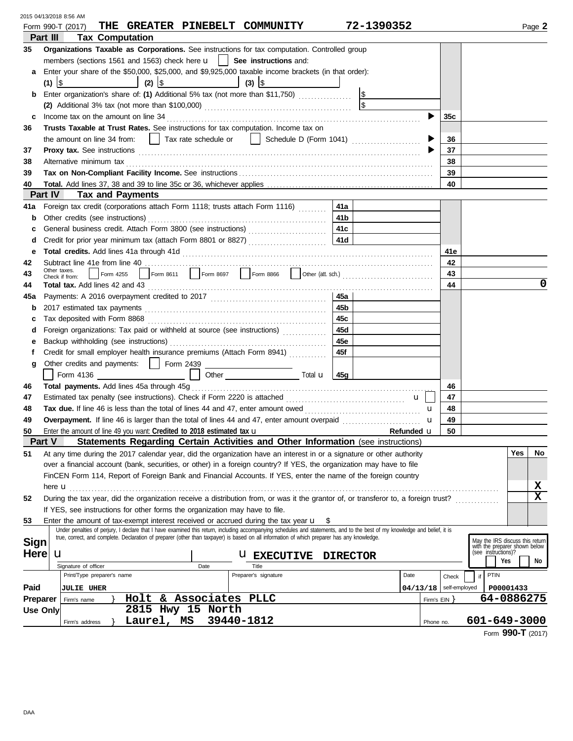|                 |           | 2015 04/13/2018 8:56 AM<br>THE GREATER PINEBELT COMMUNITY                                                                                                                                                                                                                                                                 |                    |                          |       |                                                                                         |           |        |
|-----------------|-----------|---------------------------------------------------------------------------------------------------------------------------------------------------------------------------------------------------------------------------------------------------------------------------------------------------------------------------|--------------------|--------------------------|-------|-----------------------------------------------------------------------------------------|-----------|--------|
| Part III        |           | Form 990-T (2017)<br><b>Tax Computation</b>                                                                                                                                                                                                                                                                               | 72-1390352         |                          |       |                                                                                         |           | Page 2 |
|                 |           | <b>Organizations Taxable as Corporations.</b> See instructions for tax computation. Controlled group                                                                                                                                                                                                                      |                    |                          |       |                                                                                         |           |        |
| 35              |           | members (sections 1561 and 1563) check here $\mathbf{u}$   See instructions and:                                                                                                                                                                                                                                          |                    |                          |       |                                                                                         |           |        |
| a               |           | Enter your share of the \$50,000, \$25,000, and \$9,925,000 taxable income brackets (in that order):                                                                                                                                                                                                                      |                    |                          |       |                                                                                         |           |        |
|                 | $(1)$  \$ | $(2)$ $ $ \$<br>$(3)$ $ $                                                                                                                                                                                                                                                                                                 |                    |                          |       |                                                                                         |           |        |
| b               |           | Enter organization's share of: (1) Additional 5% tax (not more than \$11,750)                                                                                                                                                                                                                                             |                    |                          |       |                                                                                         |           |        |
|                 |           |                                                                                                                                                                                                                                                                                                                           |                    |                          |       |                                                                                         |           |        |
| c               |           | Income tax on the amount on line 34                                                                                                                                                                                                                                                                                       |                    |                          | 35c   |                                                                                         |           |        |
| 36              |           | Trusts Taxable at Trust Rates. See instructions for tax computation. Income tax on                                                                                                                                                                                                                                        |                    |                          |       |                                                                                         |           |        |
|                 |           | the amount on line 34 from:     Tax rate schedule or     Schedule D (Form 1041)                                                                                                                                                                                                                                           |                    |                          | 36    |                                                                                         |           |        |
| 37              |           |                                                                                                                                                                                                                                                                                                                           |                    |                          | 37    |                                                                                         |           |        |
| 38              |           | Alternative minimum tax                                                                                                                                                                                                                                                                                                   |                    |                          | 38    |                                                                                         |           |        |
| 39              |           |                                                                                                                                                                                                                                                                                                                           |                    |                          | 39    |                                                                                         |           |        |
| 40              |           |                                                                                                                                                                                                                                                                                                                           |                    |                          | 40    |                                                                                         |           |        |
| <b>Part IV</b>  |           | <b>Tax and Payments</b>                                                                                                                                                                                                                                                                                                   |                    |                          |       |                                                                                         |           |        |
| 41a             |           | Foreign tax credit (corporations attach Form 1118; trusts attach Form 1116)<br>41a                                                                                                                                                                                                                                        |                    |                          |       |                                                                                         |           |        |
| b               |           | 41 b                                                                                                                                                                                                                                                                                                                      |                    |                          |       |                                                                                         |           |        |
| c               |           | General business credit. Attach Form 3800 (see instructions)<br>41c                                                                                                                                                                                                                                                       |                    |                          |       |                                                                                         |           |        |
| d               |           |                                                                                                                                                                                                                                                                                                                           |                    |                          |       |                                                                                         |           |        |
| е               |           |                                                                                                                                                                                                                                                                                                                           |                    |                          | 41e   |                                                                                         |           |        |
| 42              |           | Other taxes.                                                                                                                                                                                                                                                                                                              |                    |                          | 42    |                                                                                         |           |        |
| 43              |           | Form 4255<br>Check if from:                                                                                                                                                                                                                                                                                               |                    |                          | 43    |                                                                                         |           |        |
| 44              |           | Total tax. Add lines 42 and 43                                                                                                                                                                                                                                                                                            |                    |                          | 44    |                                                                                         |           | 0      |
| 45a             |           | 45a                                                                                                                                                                                                                                                                                                                       |                    |                          |       |                                                                                         |           |        |
| b               |           | 45b                                                                                                                                                                                                                                                                                                                       |                    |                          |       |                                                                                         |           |        |
| c               |           | Tax deposited with Form 8868<br>45c                                                                                                                                                                                                                                                                                       |                    |                          |       |                                                                                         |           |        |
| d               |           | Foreign organizations: Tax paid or withheld at source (see instructions)<br>45d                                                                                                                                                                                                                                           |                    |                          |       |                                                                                         |           |        |
| е               |           | 45e                                                                                                                                                                                                                                                                                                                       |                    |                          |       |                                                                                         |           |        |
| f               |           | Credit for small employer health insurance premiums (Attach Form 8941)<br>45f                                                                                                                                                                                                                                             |                    |                          |       |                                                                                         |           |        |
| g               |           | Other credits and payments:     Form 2439<br>Other $\overline{\phantom{a}}$ Total <b>u</b> $\overline{\phantom{a}}$ 45g<br>Form 4136                                                                                                                                                                                      |                    |                          |       |                                                                                         |           |        |
| 46              |           |                                                                                                                                                                                                                                                                                                                           |                    |                          | 46    |                                                                                         |           |        |
| 47              |           |                                                                                                                                                                                                                                                                                                                           | u                  |                          | 47    |                                                                                         |           |        |
| 48              |           |                                                                                                                                                                                                                                                                                                                           |                    | u                        | 48    |                                                                                         |           |        |
| 49              |           |                                                                                                                                                                                                                                                                                                                           |                    | u                        | 49    |                                                                                         |           |        |
| 50              |           | Enter the amount of line 49 you want: Credited to 2018 estimated tax $\mathbf u$                                                                                                                                                                                                                                          | <b>Refunded LL</b> |                          | 50    |                                                                                         |           |        |
| <b>Part V</b>   |           | Statements Regarding Certain Activities and Other Information (see instructions)                                                                                                                                                                                                                                          |                    |                          |       |                                                                                         |           |        |
| 51              |           | At any time during the 2017 calendar year, did the organization have an interest in or a signature or other authority                                                                                                                                                                                                     |                    |                          |       |                                                                                         | Yes       | No     |
|                 |           | over a financial account (bank, securities, or other) in a foreign country? If YES, the organization may have to file                                                                                                                                                                                                     |                    |                          |       |                                                                                         |           |        |
|                 |           | FinCEN Form 114, Report of Foreign Bank and Financial Accounts. If YES, enter the name of the foreign country                                                                                                                                                                                                             |                    |                          |       |                                                                                         |           |        |
|                 |           |                                                                                                                                                                                                                                                                                                                           |                    |                          |       |                                                                                         |           | x      |
| 52              |           | During the tax year, did the organization receive a distribution from, or was it the grantor of, or transferor to, a foreign trust?                                                                                                                                                                                       |                    |                          |       |                                                                                         |           | X      |
|                 |           | If YES, see instructions for other forms the organization may have to file.                                                                                                                                                                                                                                               |                    |                          |       |                                                                                         |           |        |
| 53              |           | Enter the amount of tax-exempt interest received or accrued during the tax year <b>u</b>                                                                                                                                                                                                                                  |                    |                          |       |                                                                                         |           |        |
|                 |           | Under penalties of perjury, I declare that I have examined this return, including accompanying schedules and statements, and to the best of my knowledge and belief, it is<br>true, correct, and complete. Declaration of preparer (other than taxpayer) is based on all information of which preparer has any knowledge. |                    |                          |       |                                                                                         |           |        |
| <b>Sign</b>     |           |                                                                                                                                                                                                                                                                                                                           |                    |                          |       | May the IRS discuss this return<br>with the preparer shown below<br>(see instructions)? |           |        |
| <b>Here</b>     |           | u<br><b>U EXECUTIVE</b>                                                                                                                                                                                                                                                                                                   | <b>DIRECTOR</b>    |                          |       | Yes                                                                                     |           | No     |
|                 |           | Signature of officer<br>Date<br>Title                                                                                                                                                                                                                                                                                     |                    |                          |       |                                                                                         |           |        |
|                 |           | Preparer's signature<br>Print/Type preparer's name                                                                                                                                                                                                                                                                        | Date               |                          | Check | PTIN<br>if                                                                              |           |        |
| Paid            |           | <b>JULIE UHER</b>                                                                                                                                                                                                                                                                                                         |                    | $04/13/18$ self-employed |       |                                                                                         | P00001433 |        |
| Preparer        |           | Holt & Associates PLLC<br>Firm's name                                                                                                                                                                                                                                                                                     |                    | Firm's $EIN$ }           |       | 64-0886275                                                                              |           |        |
| <b>Use Only</b> |           | 2815 Hwy 15 North                                                                                                                                                                                                                                                                                                         |                    |                          |       |                                                                                         |           |        |
|                 |           | 39440-1812<br>Laurel, MS<br>Firm's address                                                                                                                                                                                                                                                                                |                    | Phone no.                |       | 601-649-3000                                                                            |           |        |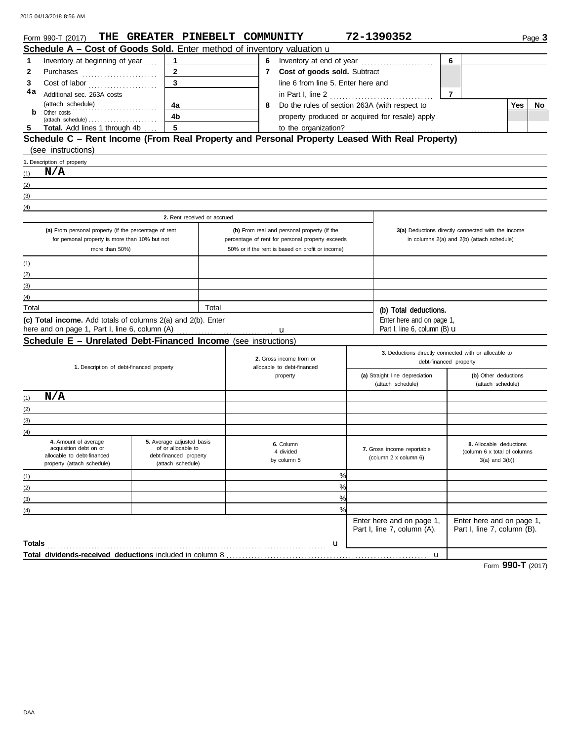|                                                | Form 990-T (2017)                                                                                                                                                                                                                                                                                                                                                                                                                                                                                 | THE GREATER PINEBELT COMMUNITY               |       |  |                                                       |                                                                                                      |  | 72-1390352                                                                      |                |                                                    |     | Page 3 |
|------------------------------------------------|---------------------------------------------------------------------------------------------------------------------------------------------------------------------------------------------------------------------------------------------------------------------------------------------------------------------------------------------------------------------------------------------------------------------------------------------------------------------------------------------------|----------------------------------------------|-------|--|-------------------------------------------------------|------------------------------------------------------------------------------------------------------|--|---------------------------------------------------------------------------------|----------------|----------------------------------------------------|-----|--------|
|                                                | Schedule A - Cost of Goods Sold. Enter method of inventory valuation u                                                                                                                                                                                                                                                                                                                                                                                                                            |                                              |       |  |                                                       |                                                                                                      |  |                                                                                 |                |                                                    |     |        |
| 1                                              | Inventory at beginning of year                                                                                                                                                                                                                                                                                                                                                                                                                                                                    | $\mathbf{1}$                                 |       |  |                                                       | 6 Inventory at end of year                                                                           |  |                                                                                 | 6              |                                                    |     |        |
| 2                                              | Purchases                                                                                                                                                                                                                                                                                                                                                                                                                                                                                         | $\mathbf{2}$                                 |       |  |                                                       | 7 Cost of goods sold. Subtract                                                                       |  |                                                                                 |                |                                                    |     |        |
| 3                                              | $\textbf{Cost of labor} \textcolor{red}{\overbrace{\hspace{15em}}\hspace{15em}} \hspace{15em} \textcolor{red}{\overbrace{\hspace{15em}}\hspace{15em}} \hspace{15em} \textcolor{red}{\overbrace{\hspace{15em}}\hspace{15em}} \hspace{15em} \textcolor{red}{\overbrace{\hspace{15em}}\hspace{15em}} \hspace{15em} \textcolor{red}{\overbrace{\hspace{15em}}\hspace{15em}} \hspace{15em} \textcolor{red}{\overbrace{\hspace{15em}}\hspace{15em}} \hspace{15em} \textcolor{red}{\overbrace{\hspace{1$ | 3                                            |       |  |                                                       | line 6 from line 5. Enter here and                                                                   |  |                                                                                 |                |                                                    |     |        |
| 4a                                             | Additional sec. 263A costs                                                                                                                                                                                                                                                                                                                                                                                                                                                                        |                                              |       |  |                                                       | in Part I, line 2                                                                                    |  |                                                                                 | $\overline{7}$ |                                                    |     |        |
|                                                | (attach schedule)<br>.                                                                                                                                                                                                                                                                                                                                                                                                                                                                            | 4a                                           |       |  | 8                                                     | Do the rules of section 263A (with respect to                                                        |  |                                                                                 |                |                                                    | Yes | No     |
| b                                              | Other costs<br>$(attack \ schedule) \dots \dots \dots \dots \dots \dots \dots \dots$                                                                                                                                                                                                                                                                                                                                                                                                              | 4b                                           |       |  |                                                       | property produced or acquired for resale) apply                                                      |  |                                                                                 |                |                                                    |     |        |
|                                                | Total. Add lines 1 through 4b                                                                                                                                                                                                                                                                                                                                                                                                                                                                     | $\sqrt{5}$                                   |       |  |                                                       | to the organization?                                                                                 |  |                                                                                 |                |                                                    |     |        |
|                                                | Schedule C - Rent Income (From Real Property and Personal Property Leased With Real Property)                                                                                                                                                                                                                                                                                                                                                                                                     |                                              |       |  |                                                       |                                                                                                      |  |                                                                                 |                |                                                    |     |        |
|                                                | (see instructions)                                                                                                                                                                                                                                                                                                                                                                                                                                                                                |                                              |       |  |                                                       |                                                                                                      |  |                                                                                 |                |                                                    |     |        |
|                                                | 1. Description of property                                                                                                                                                                                                                                                                                                                                                                                                                                                                        |                                              |       |  |                                                       |                                                                                                      |  |                                                                                 |                |                                                    |     |        |
| (1)                                            | N/A                                                                                                                                                                                                                                                                                                                                                                                                                                                                                               |                                              |       |  |                                                       |                                                                                                      |  |                                                                                 |                |                                                    |     |        |
| (2)                                            |                                                                                                                                                                                                                                                                                                                                                                                                                                                                                                   |                                              |       |  |                                                       |                                                                                                      |  |                                                                                 |                |                                                    |     |        |
| (3)                                            |                                                                                                                                                                                                                                                                                                                                                                                                                                                                                                   |                                              |       |  |                                                       |                                                                                                      |  |                                                                                 |                |                                                    |     |        |
| (4)                                            |                                                                                                                                                                                                                                                                                                                                                                                                                                                                                                   |                                              |       |  |                                                       |                                                                                                      |  |                                                                                 |                |                                                    |     |        |
|                                                |                                                                                                                                                                                                                                                                                                                                                                                                                                                                                                   | 2. Rent received or accrued                  |       |  |                                                       |                                                                                                      |  |                                                                                 |                |                                                    |     |        |
|                                                | (a) From personal property (if the percentage of rent                                                                                                                                                                                                                                                                                                                                                                                                                                             |                                              |       |  |                                                       | (b) From real and personal property (if the                                                          |  |                                                                                 |                | 3(a) Deductions directly connected with the income |     |        |
| for personal property is more than 10% but not |                                                                                                                                                                                                                                                                                                                                                                                                                                                                                                   |                                              |       |  |                                                       | percentage of rent for personal property exceeds<br>50% or if the rent is based on profit or income) |  |                                                                                 |                | in columns 2(a) and 2(b) (attach schedule)         |     |        |
|                                                | more than 50%)                                                                                                                                                                                                                                                                                                                                                                                                                                                                                    |                                              |       |  |                                                       |                                                                                                      |  |                                                                                 |                |                                                    |     |        |
| (1)                                            |                                                                                                                                                                                                                                                                                                                                                                                                                                                                                                   |                                              |       |  |                                                       |                                                                                                      |  |                                                                                 |                |                                                    |     |        |
| (2)                                            |                                                                                                                                                                                                                                                                                                                                                                                                                                                                                                   |                                              |       |  |                                                       |                                                                                                      |  |                                                                                 |                |                                                    |     |        |
| (3)                                            |                                                                                                                                                                                                                                                                                                                                                                                                                                                                                                   |                                              |       |  |                                                       |                                                                                                      |  |                                                                                 |                |                                                    |     |        |
| (4)                                            |                                                                                                                                                                                                                                                                                                                                                                                                                                                                                                   |                                              |       |  |                                                       |                                                                                                      |  |                                                                                 |                |                                                    |     |        |
| Total                                          |                                                                                                                                                                                                                                                                                                                                                                                                                                                                                                   |                                              | Total |  |                                                       |                                                                                                      |  | (b) Total deductions.                                                           |                |                                                    |     |        |
|                                                | (c) Total income. Add totals of columns 2(a) and 2(b). Enter<br>here and on page 1, Part I, line 6, column (A)                                                                                                                                                                                                                                                                                                                                                                                    |                                              |       |  |                                                       |                                                                                                      |  | Enter here and on page 1,<br>Part I, line 6, column (B) $\mathbf u$             |                |                                                    |     |        |
|                                                | Schedule E - Unrelated Debt-Financed Income (see instructions)                                                                                                                                                                                                                                                                                                                                                                                                                                    |                                              |       |  |                                                       |                                                                                                      |  |                                                                                 |                |                                                    |     |        |
|                                                |                                                                                                                                                                                                                                                                                                                                                                                                                                                                                                   |                                              |       |  |                                                       |                                                                                                      |  |                                                                                 |                |                                                    |     |        |
|                                                |                                                                                                                                                                                                                                                                                                                                                                                                                                                                                                   |                                              |       |  | 2. Gross income from or<br>allocable to debt-financed |                                                                                                      |  | 3. Deductions directly connected with or allocable to<br>debt-financed property |                |                                                    |     |        |
|                                                | 1. Description of debt-financed property                                                                                                                                                                                                                                                                                                                                                                                                                                                          |                                              |       |  |                                                       |                                                                                                      |  |                                                                                 |                | (b) Other deductions                               |     |        |
|                                                |                                                                                                                                                                                                                                                                                                                                                                                                                                                                                                   |                                              |       |  | property                                              |                                                                                                      |  | (a) Straight line depreciation<br>(attach schedule)<br>(attach schedule)        |                |                                                    |     |        |
| (1)                                            | N/A                                                                                                                                                                                                                                                                                                                                                                                                                                                                                               |                                              |       |  |                                                       |                                                                                                      |  |                                                                                 |                |                                                    |     |        |
| (2)                                            |                                                                                                                                                                                                                                                                                                                                                                                                                                                                                                   |                                              |       |  |                                                       |                                                                                                      |  |                                                                                 |                |                                                    |     |        |
| (3)                                            |                                                                                                                                                                                                                                                                                                                                                                                                                                                                                                   |                                              |       |  |                                                       |                                                                                                      |  |                                                                                 |                |                                                    |     |        |
| (4)                                            |                                                                                                                                                                                                                                                                                                                                                                                                                                                                                                   |                                              |       |  |                                                       |                                                                                                      |  |                                                                                 |                |                                                    |     |        |
|                                                | 4. Amount of average                                                                                                                                                                                                                                                                                                                                                                                                                                                                              | 5. Average adjusted basis                    |       |  |                                                       | 6. Column                                                                                            |  |                                                                                 |                | 8. Allocable deductions                            |     |        |
|                                                | acquisition debt on or<br>allocable to debt-financed                                                                                                                                                                                                                                                                                                                                                                                                                                              | of or allocable to<br>debt-financed property |       |  |                                                       | 4 divided                                                                                            |  | 7. Gross income reportable                                                      |                | (column 6 x total of columns                       |     |        |
|                                                | property (attach schedule)                                                                                                                                                                                                                                                                                                                                                                                                                                                                        | (attach schedule)                            |       |  |                                                       | by column 5                                                                                          |  | (column 2 x column 6)                                                           |                | $3(a)$ and $3(b)$ )                                |     |        |
| (1)                                            |                                                                                                                                                                                                                                                                                                                                                                                                                                                                                                   |                                              |       |  |                                                       | %                                                                                                    |  |                                                                                 |                |                                                    |     |        |
| (2)                                            |                                                                                                                                                                                                                                                                                                                                                                                                                                                                                                   |                                              |       |  |                                                       | %                                                                                                    |  |                                                                                 |                |                                                    |     |        |
| (3)                                            |                                                                                                                                                                                                                                                                                                                                                                                                                                                                                                   |                                              |       |  |                                                       | %                                                                                                    |  |                                                                                 |                |                                                    |     |        |
| (4)                                            |                                                                                                                                                                                                                                                                                                                                                                                                                                                                                                   |                                              |       |  |                                                       | $\frac{9}{6}$                                                                                        |  |                                                                                 |                |                                                    |     |        |
|                                                |                                                                                                                                                                                                                                                                                                                                                                                                                                                                                                   |                                              |       |  |                                                       |                                                                                                      |  | Enter here and on page 1,                                                       |                | Enter here and on page 1,                          |     |        |
|                                                |                                                                                                                                                                                                                                                                                                                                                                                                                                                                                                   |                                              |       |  |                                                       |                                                                                                      |  | Part I, line 7, column (A).                                                     |                | Part I, line 7, column (B).                        |     |        |
| <b>Totals</b>                                  |                                                                                                                                                                                                                                                                                                                                                                                                                                                                                                   |                                              |       |  |                                                       | u                                                                                                    |  |                                                                                 |                |                                                    |     |        |
|                                                |                                                                                                                                                                                                                                                                                                                                                                                                                                                                                                   |                                              |       |  |                                                       |                                                                                                      |  | $\mathbf u$                                                                     |                |                                                    |     |        |

Form **990-T** (2017)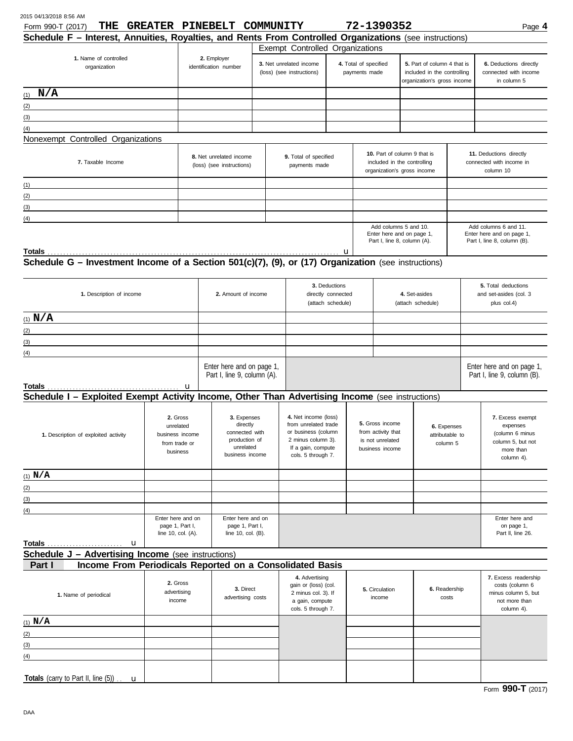|  | Form 990-T (2017) | THE | <b>GREATER</b> | <b>PINEBELT</b> | <b>COMMUNITY</b> | .<br>1390352 | Page 4 |
|--|-------------------|-----|----------------|-----------------|------------------|--------------|--------|
|--|-------------------|-----|----------------|-----------------|------------------|--------------|--------|

| $T$ $U(1111)$ $B_0$ $C_1$ $I(2011)$                                                                           | www.com                                                    | ----------                                                                                 | -------------                                            |                                                                                                                                       |                                        |                                                                                            | ------                                                                            |                                                                                           |                                                          | гау <del>с</del> –                                                                              |  |
|---------------------------------------------------------------------------------------------------------------|------------------------------------------------------------|--------------------------------------------------------------------------------------------|----------------------------------------------------------|---------------------------------------------------------------------------------------------------------------------------------------|----------------------------------------|--------------------------------------------------------------------------------------------|-----------------------------------------------------------------------------------|-------------------------------------------------------------------------------------------|----------------------------------------------------------|-------------------------------------------------------------------------------------------------|--|
| Schedule F - Interest, Annuities, Royalties, and Rents From Controlled Organizations (see instructions)       |                                                            |                                                                                            |                                                          |                                                                                                                                       |                                        |                                                                                            |                                                                                   |                                                                                           |                                                          |                                                                                                 |  |
|                                                                                                               |                                                            |                                                                                            |                                                          | Exempt Controlled Organizations                                                                                                       |                                        |                                                                                            |                                                                                   |                                                                                           |                                                          |                                                                                                 |  |
| 1. Name of controlled<br>organization                                                                         |                                                            | 2. Employer<br>identification number                                                       |                                                          | 3. Net unrelated income<br>(loss) (see instructions)                                                                                  | 4. Total of specified<br>payments made |                                                                                            |                                                                                   | 5. Part of column 4 that is<br>included in the controlling<br>organization's gross income |                                                          | 6. Deductions directly<br>connected with income<br>in column 5                                  |  |
|                                                                                                               |                                                            |                                                                                            |                                                          |                                                                                                                                       |                                        |                                                                                            |                                                                                   |                                                                                           |                                                          |                                                                                                 |  |
| $(1)$ N/A                                                                                                     |                                                            |                                                                                            |                                                          |                                                                                                                                       |                                        |                                                                                            |                                                                                   |                                                                                           |                                                          |                                                                                                 |  |
| (2)                                                                                                           |                                                            |                                                                                            |                                                          |                                                                                                                                       |                                        |                                                                                            |                                                                                   |                                                                                           |                                                          |                                                                                                 |  |
| (3)                                                                                                           |                                                            |                                                                                            |                                                          |                                                                                                                                       |                                        |                                                                                            |                                                                                   |                                                                                           |                                                          |                                                                                                 |  |
| (4)                                                                                                           |                                                            |                                                                                            |                                                          |                                                                                                                                       |                                        |                                                                                            |                                                                                   |                                                                                           |                                                          |                                                                                                 |  |
| Nonexempt Controlled Organizations                                                                            |                                                            |                                                                                            |                                                          |                                                                                                                                       |                                        |                                                                                            |                                                                                   |                                                                                           |                                                          |                                                                                                 |  |
|                                                                                                               |                                                            |                                                                                            |                                                          |                                                                                                                                       |                                        |                                                                                            |                                                                                   |                                                                                           |                                                          |                                                                                                 |  |
| 7. Taxable Income                                                                                             |                                                            | 8. Net unrelated income<br>(loss) (see instructions)                                       |                                                          | 9. Total of specified<br>payments made                                                                                                |                                        | 10. Part of column 9 that is<br>included in the controlling<br>organization's gross income |                                                                                   |                                                                                           |                                                          | 11. Deductions directly<br>connected with income in<br>column 10                                |  |
| (1)                                                                                                           |                                                            |                                                                                            |                                                          |                                                                                                                                       |                                        |                                                                                            |                                                                                   |                                                                                           |                                                          |                                                                                                 |  |
| (2)                                                                                                           |                                                            |                                                                                            |                                                          |                                                                                                                                       |                                        |                                                                                            |                                                                                   |                                                                                           |                                                          |                                                                                                 |  |
| (3)                                                                                                           |                                                            |                                                                                            |                                                          |                                                                                                                                       |                                        |                                                                                            |                                                                                   |                                                                                           |                                                          |                                                                                                 |  |
|                                                                                                               |                                                            |                                                                                            |                                                          |                                                                                                                                       |                                        |                                                                                            |                                                                                   |                                                                                           |                                                          |                                                                                                 |  |
| (4)                                                                                                           |                                                            |                                                                                            |                                                          |                                                                                                                                       |                                        |                                                                                            |                                                                                   |                                                                                           |                                                          | Add columns 6 and 11.                                                                           |  |
|                                                                                                               |                                                            |                                                                                            |                                                          |                                                                                                                                       |                                        |                                                                                            | Add columns 5 and 10.<br>Enter here and on page 1,<br>Part I, line 8, column (A). |                                                                                           |                                                          | Enter here and on page 1,<br>Part I, line 8, column (B).                                        |  |
| <b>Totals</b>                                                                                                 |                                                            |                                                                                            |                                                          |                                                                                                                                       | u                                      |                                                                                            |                                                                                   |                                                                                           |                                                          |                                                                                                 |  |
| Schedule G - Investment Income of a Section 501(c)(7), (9), or (17) Organization (see instructions)           |                                                            |                                                                                            |                                                          |                                                                                                                                       |                                        |                                                                                            |                                                                                   |                                                                                           |                                                          |                                                                                                 |  |
| 1. Description of income                                                                                      | 2. Amount of income                                        |                                                                                            | 3. Deductions<br>directly connected<br>(attach schedule) |                                                                                                                                       |                                        | 4. Set-asides<br>(attach schedule)                                                         |                                                                                   | 5. Total deductions<br>and set-asides (col. 3<br>plus col.4)                              |                                                          |                                                                                                 |  |
| (1) $N/A$                                                                                                     |                                                            |                                                                                            |                                                          |                                                                                                                                       |                                        |                                                                                            |                                                                                   |                                                                                           |                                                          |                                                                                                 |  |
|                                                                                                               |                                                            |                                                                                            |                                                          |                                                                                                                                       |                                        |                                                                                            |                                                                                   |                                                                                           |                                                          |                                                                                                 |  |
| (2)<br>the control of the control of the control of the control of the control of the control of              |                                                            |                                                                                            |                                                          |                                                                                                                                       |                                        |                                                                                            |                                                                                   |                                                                                           |                                                          |                                                                                                 |  |
| (3)                                                                                                           |                                                            |                                                                                            |                                                          |                                                                                                                                       |                                        |                                                                                            |                                                                                   |                                                                                           |                                                          |                                                                                                 |  |
| (4)                                                                                                           |                                                            |                                                                                            |                                                          |                                                                                                                                       |                                        |                                                                                            |                                                                                   |                                                                                           |                                                          |                                                                                                 |  |
| Totals                                                                                                        | Enter here and on page 1,<br>Part I, line 9, column (A).   |                                                                                            |                                                          |                                                                                                                                       |                                        |                                                                                            |                                                                                   |                                                                                           | Enter here and on page 1,<br>Part I, line 9, column (B). |                                                                                                 |  |
|                                                                                                               | u                                                          |                                                                                            |                                                          |                                                                                                                                       |                                        |                                                                                            |                                                                                   |                                                                                           |                                                          |                                                                                                 |  |
| Schedule I - Exploited Exempt Activity Income, Other Than Advertising Income (see instructions)               |                                                            |                                                                                            |                                                          |                                                                                                                                       |                                        |                                                                                            |                                                                                   |                                                                                           |                                                          |                                                                                                 |  |
| 2. Gross<br>unrelated<br>1. Description of exploited activity<br>business income<br>from trade or<br>business |                                                            | 3. Expenses<br>directly<br>connected with<br>production of<br>unrelated<br>business income |                                                          | 4. Net income (loss)<br>from unrelated trade<br>or business (column<br>2 minus column 3).<br>If a gain, compute<br>cols. 5 through 7. |                                        | 5. Gross income<br>from activity that<br>is not unrelated<br>business income               |                                                                                   | 6. Expenses<br>attributable to<br>column 5                                                |                                                          | 7. Excess exempt<br>expenses<br>(column 6 minus<br>column 5, but not<br>more than<br>column 4). |  |
| $(1)$ N/A                                                                                                     |                                                            |                                                                                            |                                                          |                                                                                                                                       |                                        |                                                                                            |                                                                                   |                                                                                           |                                                          |                                                                                                 |  |
|                                                                                                               |                                                            |                                                                                            |                                                          |                                                                                                                                       |                                        |                                                                                            |                                                                                   |                                                                                           |                                                          |                                                                                                 |  |
| (2)                                                                                                           |                                                            |                                                                                            |                                                          |                                                                                                                                       |                                        |                                                                                            |                                                                                   |                                                                                           |                                                          |                                                                                                 |  |
| (3)                                                                                                           |                                                            |                                                                                            |                                                          |                                                                                                                                       |                                        |                                                                                            |                                                                                   |                                                                                           |                                                          |                                                                                                 |  |
| (4)                                                                                                           |                                                            |                                                                                            |                                                          |                                                                                                                                       |                                        |                                                                                            |                                                                                   |                                                                                           |                                                          |                                                                                                 |  |
|                                                                                                               | Enter here and on<br>page 1, Part I,<br>line 10, col. (A). | Enter here and on<br>page 1, Part I,<br>line 10, col. (B).                                 |                                                          |                                                                                                                                       |                                        |                                                                                            |                                                                                   |                                                                                           |                                                          | Enter here and<br>on page 1,<br>Part II, line 26.                                               |  |
| Schedule J - Advertising Income (see instructions)                                                            |                                                            |                                                                                            |                                                          |                                                                                                                                       |                                        |                                                                                            |                                                                                   |                                                                                           |                                                          |                                                                                                 |  |
| Income From Periodicals Reported on a Consolidated Basis<br>Part I                                            |                                                            |                                                                                            |                                                          |                                                                                                                                       |                                        |                                                                                            |                                                                                   |                                                                                           |                                                          |                                                                                                 |  |
| 1. Name of periodical                                                                                         | 2. Gross<br>advertising                                    | 3. Direct                                                                                  |                                                          | 4. Advertising<br>gain or (loss) (col.<br>2 minus col. 3). If                                                                         |                                        |                                                                                            | 5. Circulation                                                                    | 6. Readership                                                                             |                                                          | 7. Excess readership<br>costs (column 6<br>minus column 5, but                                  |  |
|                                                                                                               | income                                                     | advertising costs                                                                          |                                                          | a gain, compute<br>cols. 5 through 7.                                                                                                 |                                        |                                                                                            | income                                                                            |                                                                                           | costs                                                    | not more than<br>column 4).                                                                     |  |
| $(1)$ N/A                                                                                                     |                                                            |                                                                                            |                                                          |                                                                                                                                       |                                        |                                                                                            |                                                                                   |                                                                                           |                                                          |                                                                                                 |  |
| (2)                                                                                                           |                                                            |                                                                                            |                                                          |                                                                                                                                       |                                        |                                                                                            |                                                                                   |                                                                                           |                                                          |                                                                                                 |  |
|                                                                                                               |                                                            |                                                                                            |                                                          |                                                                                                                                       |                                        |                                                                                            |                                                                                   |                                                                                           |                                                          |                                                                                                 |  |
| (3)                                                                                                           |                                                            |                                                                                            |                                                          |                                                                                                                                       |                                        |                                                                                            |                                                                                   |                                                                                           |                                                          |                                                                                                 |  |
| (4)                                                                                                           |                                                            |                                                                                            |                                                          |                                                                                                                                       |                                        |                                                                                            |                                                                                   |                                                                                           |                                                          |                                                                                                 |  |
| Totals (carry to Part II, line $(5)$ ) . $\mathbf u$                                                          |                                                            |                                                                                            |                                                          |                                                                                                                                       |                                        |                                                                                            |                                                                                   |                                                                                           |                                                          |                                                                                                 |  |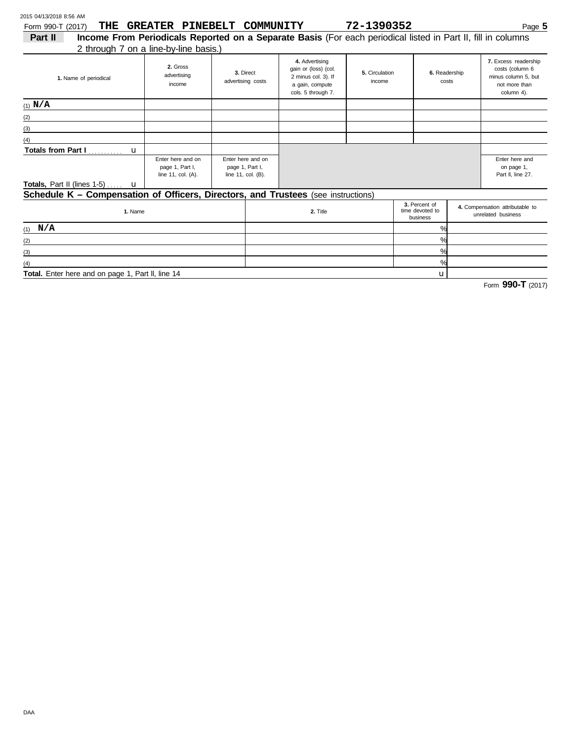| 2015 04/13/2018 8:56 AM                                                           |                                                                                                                                                       |  |                                                            |                                                                                                        |                          |                                              |  |                                                                                               |  |
|-----------------------------------------------------------------------------------|-------------------------------------------------------------------------------------------------------------------------------------------------------|--|------------------------------------------------------------|--------------------------------------------------------------------------------------------------------|--------------------------|----------------------------------------------|--|-----------------------------------------------------------------------------------------------|--|
| THE<br>Form 990-T (2017)                                                          | GREATER PINEBELT COMMUNITY                                                                                                                            |  |                                                            |                                                                                                        | 72-1390352               |                                              |  | Page $5$                                                                                      |  |
| Part II                                                                           | Income From Periodicals Reported on a Separate Basis (For each periodical listed in Part II, fill in columns<br>2 through 7 on a line-by-line basis.) |  |                                                            |                                                                                                        |                          |                                              |  |                                                                                               |  |
| 1. Name of periodical                                                             | 2. Gross<br>advertising<br>income                                                                                                                     |  | 3. Direct<br>advertising costs                             | 4. Advertising<br>gain or (loss) (col.<br>2 minus col. 3). If<br>a gain, compute<br>cols. 5 through 7. | 5. Circulation<br>income | 6. Readership<br>costs                       |  | 7. Excess readership<br>costs (column 6<br>minus column 5, but<br>not more than<br>column 4). |  |
| (1) $N/A$                                                                         |                                                                                                                                                       |  |                                                            |                                                                                                        |                          |                                              |  |                                                                                               |  |
| (2)                                                                               |                                                                                                                                                       |  |                                                            |                                                                                                        |                          |                                              |  |                                                                                               |  |
| (3)                                                                               |                                                                                                                                                       |  |                                                            |                                                                                                        |                          |                                              |  |                                                                                               |  |
| (4)                                                                               |                                                                                                                                                       |  |                                                            |                                                                                                        |                          |                                              |  |                                                                                               |  |
| <b>Totals from Part I</b><br>$\mathbf{u}$                                         |                                                                                                                                                       |  |                                                            |                                                                                                        |                          |                                              |  |                                                                                               |  |
| Enter here and on<br>page 1, Part I,<br>line 11, col. (A).                        |                                                                                                                                                       |  | Enter here and on<br>page 1, Part I,<br>line 11, col. (B). |                                                                                                        |                          |                                              |  | Enter here and<br>on page 1,<br>Part II, line 27.                                             |  |
| <b>Totals, Part II (lines 1-5)</b> $\ldots$ <b>u</b>                              |                                                                                                                                                       |  |                                                            |                                                                                                        |                          |                                              |  |                                                                                               |  |
| Schedule K - Compensation of Officers, Directors, and Trustees (see instructions) |                                                                                                                                                       |  |                                                            |                                                                                                        |                          |                                              |  |                                                                                               |  |
| 1. Name                                                                           |                                                                                                                                                       |  | 2. Title                                                   |                                                                                                        |                          | 3. Percent of<br>time devoted to<br>business |  | 4. Compensation attributable to<br>unrelated business                                         |  |
| N/A<br>(1)                                                                        |                                                                                                                                                       |  |                                                            |                                                                                                        |                          | %                                            |  |                                                                                               |  |
| (2)                                                                               |                                                                                                                                                       |  |                                                            |                                                                                                        |                          | %                                            |  |                                                                                               |  |
| (3)                                                                               |                                                                                                                                                       |  |                                                            |                                                                                                        |                          | %                                            |  |                                                                                               |  |
| (4)                                                                               |                                                                                                                                                       |  |                                                            |                                                                                                        |                          | %                                            |  |                                                                                               |  |

**Total.** Enter here and on page 1, Part ll, line 14

Form **990-T** (2017)

u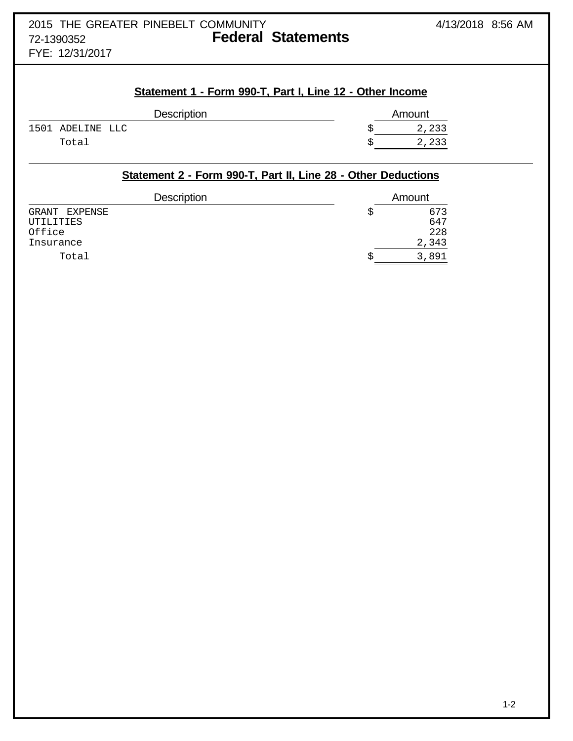## 2015 THE GREATER PINEBELT COMMUNITY 4/13/2018 8:56 AM 72-1390352 **Federal Statements**

FYE: 12/31/2017

## **Statement 1 - Form 990-T, Part I, Line 12 - Other Income**

| <b>Description</b> | Amount |
|--------------------|--------|
| 1501 ADELINE LLC   | 2,233  |
| Total              | 2,233  |

## **Statement 2 - Form 990-T, Part II, Line 28 - Other Deductions**

| <b>Description</b>  | Amount     |
|---------------------|------------|
| GRANT EXPENSE       | 673        |
| UTILITIES<br>Office | 647<br>228 |
| Insurance           | 343        |
| Total               | 891<br>3.  |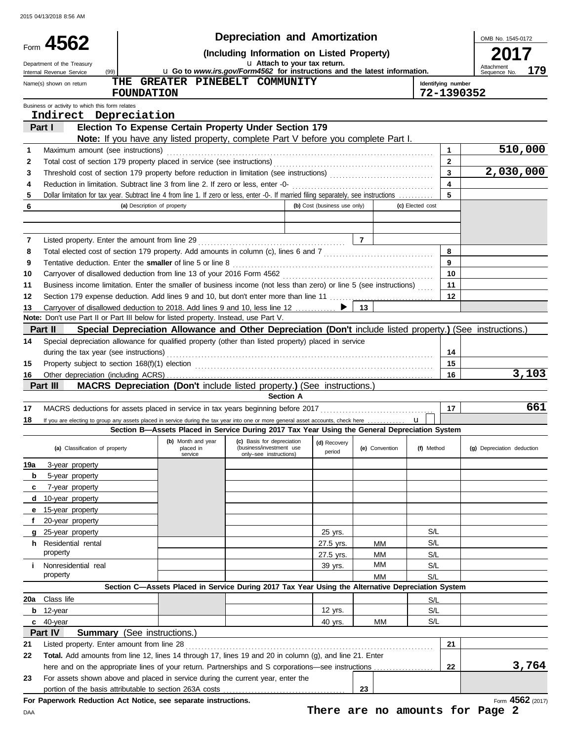|     |                                                                                                                                                                                                               |                             |                                            | <b>Depreciation and Amortization</b>                                                                                                         |                              |                                 |                    |                         | OMB No. 1545-0172          |                  |
|-----|---------------------------------------------------------------------------------------------------------------------------------------------------------------------------------------------------------------|-----------------------------|--------------------------------------------|----------------------------------------------------------------------------------------------------------------------------------------------|------------------------------|---------------------------------|--------------------|-------------------------|----------------------------|------------------|
|     | Form 4562                                                                                                                                                                                                     |                             |                                            |                                                                                                                                              |                              |                                 |                    |                         |                            |                  |
|     | Department of the Treasury<br>(99)<br>Internal Revenue Service                                                                                                                                                |                             |                                            | u Go to www.irs.gov/Form4562 for instructions and the latest information.                                                                    | u Attach to your tax return. |                                 |                    |                         | Attachment<br>Sequence No  | 179              |
|     | Name(s) shown on return                                                                                                                                                                                       |                             |                                            | THE GREATER PINEBELT COMMUNITY                                                                                                               |                              |                                 | Identifying number |                         |                            |                  |
|     |                                                                                                                                                                                                               | <b>FOUNDATION</b>           |                                            |                                                                                                                                              |                              |                                 | 72-1390352         |                         |                            |                  |
|     | Business or activity to which this form relates                                                                                                                                                               |                             |                                            |                                                                                                                                              |                              |                                 |                    |                         |                            |                  |
|     | Indirect Depreciation<br>Part I                                                                                                                                                                               |                             |                                            |                                                                                                                                              |                              |                                 |                    |                         |                            |                  |
|     |                                                                                                                                                                                                               |                             |                                            | Election To Expense Certain Property Under Section 179<br>Note: If you have any listed property, complete Part V before you complete Part I. |                              |                                 |                    |                         |                            |                  |
| 1   | Maximum amount (see instructions)                                                                                                                                                                             |                             |                                            |                                                                                                                                              |                              |                                 |                    | $\mathbf{1}$            |                            | 510,000          |
| 2   |                                                                                                                                                                                                               |                             |                                            |                                                                                                                                              |                              |                                 |                    | $\mathbf{2}$            |                            |                  |
| 3   |                                                                                                                                                                                                               |                             |                                            |                                                                                                                                              |                              |                                 |                    | $\overline{\mathbf{3}}$ | 2,030,000                  |                  |
| 4   | Reduction in limitation. Subtract line 3 from line 2. If zero or less, enter -0-                                                                                                                              |                             |                                            |                                                                                                                                              |                              |                                 |                    | $\overline{\mathbf{4}}$ |                            |                  |
| 5   | Dollar limitation for tax year. Subtract line 4 from line 1. If zero or less, enter -0-. If married filing separately, see instructions                                                                       |                             |                                            |                                                                                                                                              |                              |                                 |                    | 5                       |                            |                  |
| 6   |                                                                                                                                                                                                               | (a) Description of property |                                            |                                                                                                                                              | (b) Cost (business use only) |                                 | (c) Elected cost   |                         |                            |                  |
|     |                                                                                                                                                                                                               |                             |                                            |                                                                                                                                              |                              |                                 |                    |                         |                            |                  |
| 7   |                                                                                                                                                                                                               |                             |                                            |                                                                                                                                              |                              | $\vert$ 7                       |                    |                         |                            |                  |
| 8   |                                                                                                                                                                                                               |                             |                                            |                                                                                                                                              |                              |                                 |                    | 8                       |                            |                  |
| 9   | Tentative deduction. Enter the smaller of line 5 or line 8                                                                                                                                                    |                             |                                            |                                                                                                                                              |                              |                                 |                    | 9                       |                            |                  |
| 10  |                                                                                                                                                                                                               |                             |                                            |                                                                                                                                              |                              |                                 |                    | 10                      |                            |                  |
| 11  | Business income limitation. Enter the smaller of business income (not less than zero) or line 5 (see instructions)                                                                                            |                             |                                            |                                                                                                                                              |                              |                                 |                    | 11                      |                            |                  |
| 12  | Section 179 expense deduction. Add lines 9 and 10, but don't enter more than line 11  [11] expense deduction. Add lines 9 and 10, but don't enter more than line 11                                           |                             |                                            |                                                                                                                                              |                              |                                 |                    | 12                      |                            |                  |
| 13  | Carryover of disallowed deduction to 2018. Add lines 9 and 10, less line 12 ▶<br>Note: Don't use Part II or Part III below for listed property. Instead, use Part V.                                          |                             |                                            |                                                                                                                                              |                              | 13                              |                    |                         |                            |                  |
|     | Part II                                                                                                                                                                                                       |                             |                                            | Special Depreciation Allowance and Other Depreciation (Don't include listed property.) (See instructions.)                                   |                              |                                 |                    |                         |                            |                  |
| 14  | Special depreciation allowance for qualified property (other than listed property) placed in service                                                                                                          |                             |                                            |                                                                                                                                              |                              |                                 |                    |                         |                            |                  |
|     | during the tax year (see instructions)                                                                                                                                                                        |                             |                                            |                                                                                                                                              |                              |                                 |                    | 14                      |                            |                  |
| 15  | Property subject to section 168(f)(1) election <i>manufacture content content and the section</i> 168(f)(1) election                                                                                          |                             |                                            |                                                                                                                                              |                              |                                 |                    | 15                      |                            |                  |
| 16  |                                                                                                                                                                                                               |                             |                                            |                                                                                                                                              |                              |                                 |                    | 16                      |                            | 3,103            |
|     | Part III                                                                                                                                                                                                      |                             |                                            | <b>MACRS Depreciation (Don't include listed property.) (See instructions.)</b>                                                               |                              |                                 |                    |                         |                            |                  |
|     |                                                                                                                                                                                                               |                             |                                            | <b>Section A</b>                                                                                                                             |                              |                                 |                    |                         |                            |                  |
| 17  |                                                                                                                                                                                                               |                             |                                            |                                                                                                                                              |                              |                                 |                    | 17                      |                            | 661              |
| 18  | If you are electing to group any assets placed in service during the tax year into one or more general asset accounts, check here                                                                             |                             |                                            | Section B-Assets Placed in Service During 2017 Tax Year Using the General Depreciation System                                                |                              |                                 | $\mathbf{u}$       |                         |                            |                  |
|     | (a) Classification of property                                                                                                                                                                                |                             | (b) Month and year<br>placed in<br>service | (c) Basis for depreciation<br>(business/investment use<br>only-see instructions)                                                             | (d) Recovery<br>period       | (e) Convention                  | (f) Method         |                         | (g) Depreciation deduction |                  |
| 19a | 3-year property                                                                                                                                                                                               |                             |                                            |                                                                                                                                              |                              |                                 |                    |                         |                            |                  |
| b   | 5-year property                                                                                                                                                                                               |                             |                                            |                                                                                                                                              |                              |                                 |                    |                         |                            |                  |
| c   | 7-year property                                                                                                                                                                                               |                             |                                            |                                                                                                                                              |                              |                                 |                    |                         |                            |                  |
| d   | 10-year property                                                                                                                                                                                              |                             |                                            |                                                                                                                                              |                              |                                 |                    |                         |                            |                  |
| е   | 15-year property                                                                                                                                                                                              |                             |                                            |                                                                                                                                              |                              |                                 |                    |                         |                            |                  |
|     | 20-year property                                                                                                                                                                                              |                             |                                            |                                                                                                                                              |                              |                                 |                    |                         |                            |                  |
|     | 25-year property                                                                                                                                                                                              |                             |                                            |                                                                                                                                              | 25 yrs.                      |                                 | S/L                |                         |                            |                  |
|     | <b>h</b> Residential rental<br>property                                                                                                                                                                       |                             |                                            |                                                                                                                                              | 27.5 yrs.                    | ΜМ<br>MМ                        | S/L<br>S/L         |                         |                            |                  |
| Ť.  | Nonresidential real                                                                                                                                                                                           |                             |                                            |                                                                                                                                              | 27.5 yrs.<br>39 yrs.         | ΜМ                              | S/L                |                         |                            |                  |
|     | property                                                                                                                                                                                                      |                             |                                            |                                                                                                                                              |                              | MМ                              | S/L                |                         |                            |                  |
|     |                                                                                                                                                                                                               |                             |                                            | Section C-Assets Placed in Service During 2017 Tax Year Using the Alternative Depreciation System                                            |                              |                                 |                    |                         |                            |                  |
| 20a | Class life                                                                                                                                                                                                    |                             |                                            |                                                                                                                                              |                              |                                 | S/L                |                         |                            |                  |
| b   | 12-year                                                                                                                                                                                                       |                             |                                            |                                                                                                                                              | 12 yrs.                      |                                 | S/L                |                         |                            |                  |
|     | $c$ 40-year                                                                                                                                                                                                   |                             |                                            |                                                                                                                                              | 40 yrs.                      | MМ                              | S/L                |                         |                            |                  |
|     | Part IV<br><b>Summary</b> (See instructions.)                                                                                                                                                                 |                             |                                            |                                                                                                                                              |                              |                                 |                    |                         |                            |                  |
| 21  | Listed property. Enter amount from line 28                                                                                                                                                                    |                             |                                            |                                                                                                                                              |                              |                                 |                    | 21                      |                            |                  |
| 22  | Total. Add amounts from line 12, lines 14 through 17, lines 19 and 20 in column (g), and line 21. Enter<br>here and on the appropriate lines of your return. Partnerships and S corporations-see instructions |                             |                                            |                                                                                                                                              |                              |                                 |                    | 22                      |                            | 3,764            |
| 23  | For assets shown above and placed in service during the current year, enter the                                                                                                                               |                             |                                            |                                                                                                                                              |                              |                                 |                    |                         |                            |                  |
|     | portion of the basis attributable to section 263A costs                                                                                                                                                       |                             |                                            |                                                                                                                                              |                              | 23                              |                    |                         |                            |                  |
|     | For Paperwork Reduction Act Notice, see separate instructions.                                                                                                                                                |                             |                                            |                                                                                                                                              |                              |                                 |                    |                         |                            | Form 4562 (2017) |
| DAA |                                                                                                                                                                                                               |                             |                                            |                                                                                                                                              |                              | There are no amounts for Page 2 |                    |                         |                            |                  |

**There are no amounts for Page 2**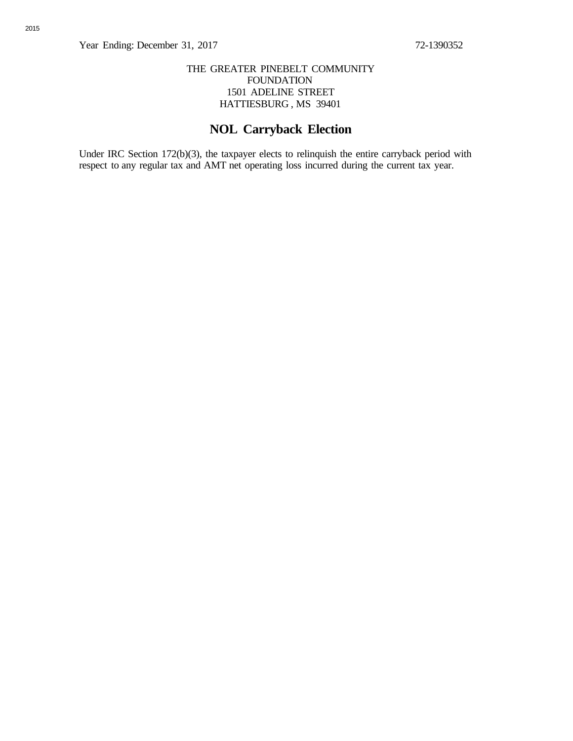## THE GREATER PINEBELT COMMUNITY FOUNDATION 1501 ADELINE STREET HATTIESBURG , MS 39401

## **NOL Carryback Election**

Under IRC Section 172(b)(3), the taxpayer elects to relinquish the entire carryback period with respect to any regular tax and AMT net operating loss incurred during the current tax year.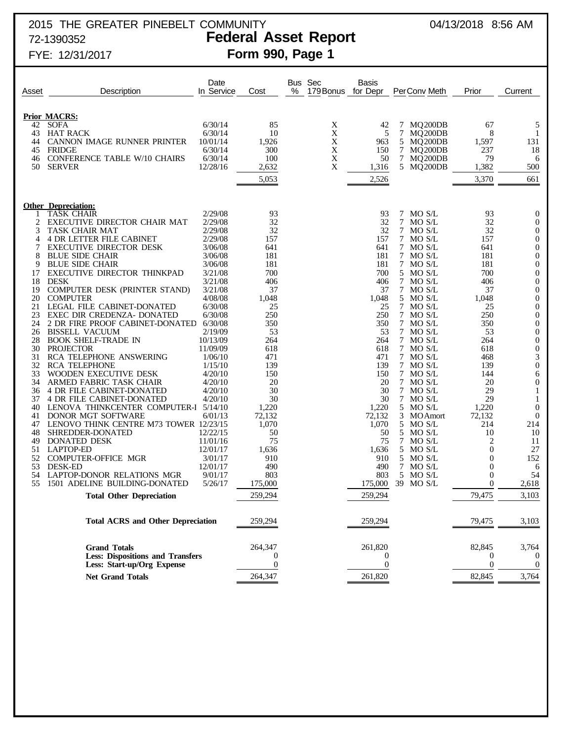## 2015 THE GREATER PINEBELT COMMUNITY 04/13/2018 8:56 AM 72-1390352 **Federal Asset Report**

| Asset    | Description                                                           | Date<br>In Service  | Cost              | % | Bus Sec<br>179 Bonus | Basis<br>for Depr        | PerConv Meth              | Prior                          | Current                         |
|----------|-----------------------------------------------------------------------|---------------------|-------------------|---|----------------------|--------------------------|---------------------------|--------------------------------|---------------------------------|
|          |                                                                       |                     |                   |   |                      |                          |                           |                                |                                 |
|          | <b>Prior MACRS:</b>                                                   |                     |                   |   |                      |                          |                           |                                |                                 |
| 42       | <b>SOFA</b>                                                           | 6/30/14             | 85                |   | X                    | 42                       | MQ200DB<br>7              | 67                             | 5                               |
| 43       | <b>HAT RACK</b>                                                       | 6/30/14             | 10                |   | $\mathbf X$          | 5                        | 7<br>MO <sub>200</sub> DB | 8                              | -1                              |
| 44       | CANNON IMAGE RUNNER PRINTER                                           | 10/01/14            | 1,926             |   | X                    | 963                      | 5 MQ200DB                 | 1,597                          | 131                             |
| 45<br>46 | <b>FRIDGE</b><br><b>CONFERENCE TABLE W/10 CHAIRS</b>                  | 6/30/14<br>6/30/14  | 300<br>100        |   | X<br>$\mathbf X$     | 150<br>50                | 7 MQ200DB<br>7 MQ200DB    | 237<br>79                      | 18<br>6                         |
| 50       | <b>SERVER</b>                                                         | 12/28/16            | 2,632             |   | X                    | 1,316                    | 5 MQ200DB                 | 1,382                          | 500                             |
|          |                                                                       |                     | 5,053             |   |                      | 2,526                    |                           | 3,370                          | 661                             |
|          |                                                                       |                     |                   |   |                      |                          |                           |                                |                                 |
|          |                                                                       |                     |                   |   |                      |                          |                           |                                |                                 |
|          | <b>Other Depreciation:</b><br><b>TASK CHAIR</b>                       | 2/29/08             | 93                |   |                      | 93                       | 7 MO S/L                  | 93                             | $\mathbf 0$                     |
| 2        | EXECUTIVE DIRECTOR CHAIR MAT                                          | 2/29/08             | 32                |   |                      | 32                       | 7 MO S/L                  | 32                             | $\theta$                        |
| 3        | <b>TASK CHAIR MAT</b>                                                 | 2/29/08             | 32                |   |                      | 32                       | 7 MO S/L                  | 32                             | $\mathbf 0$                     |
| 4        | <b>4 DR LETTER FILE CABINET</b>                                       | 2/29/08             | 157               |   |                      | 157                      | 7 MO S/L                  | 157                            | $\mathbf 0$                     |
| 7        | <b>EXECUTIVE DIRECTOR DESK</b>                                        | 3/06/08             | 641               |   |                      | 641                      | 7 MO S/L                  | 641                            | $\boldsymbol{0}$                |
| 8<br>9   | <b>BLUE SIDE CHAIR</b><br><b>BLUE SIDE CHAIR</b>                      | 3/06/08<br>3/06/08  | 181<br>181        |   |                      | 181<br>181               | 7 MO S/L<br>7 MO S/L      | 181<br>181                     | $\mathbf 0$<br>$\boldsymbol{0}$ |
| 17       | EXECUTIVE DIRECTOR THINKPAD                                           | 3/21/08             | 700               |   |                      | 700                      | 5 MO S/L                  | 700                            | $\mathbf 0$                     |
| 18       | <b>DESK</b>                                                           | 3/21/08             | 406               |   |                      | 406                      | 7 MO S/L                  | 406                            | $\boldsymbol{0}$                |
| 19       | <b>COMPUTER DESK (PRINTER STAND)</b>                                  | 3/21/08             | 37                |   |                      | 37                       | 7 MO S/L                  | 37                             | $\boldsymbol{0}$                |
| 20       | <b>COMPUTER</b>                                                       | 4/08/08             | 1,048             |   |                      | 1,048                    | 5 MO S/L                  | 1,048                          | $\boldsymbol{0}$                |
| 21<br>23 | <b>LEGAL FILE CABINET-DONATED</b><br>EXEC DIR CREDENZA- DONATED       | 6/30/08<br>6/30/08  | 25<br>250         |   |                      | 25<br>250                | 7 MO S/L<br>7 MO S/L      | 25<br>250                      | $\mathbf 0$<br>$\boldsymbol{0}$ |
| 24       | 2 DR FIRE PROOF CABINET-DONATED                                       | 6/30/08             | 350               |   |                      | 350                      | 7 MO S/L                  | 350                            | $\boldsymbol{0}$                |
| 26       | <b>BISSELL VACUUM</b>                                                 | 2/19/09             | 53                |   |                      | 53                       | 7 MO S/L                  | 53                             | $\boldsymbol{0}$                |
| 28       | <b>BOOK SHELF-TRADE IN</b>                                            | 10/13/09            | 264               |   |                      | 264                      | 7 MO S/L                  | 264                            | $\boldsymbol{0}$                |
| 30       | <b>PROJECTOR</b>                                                      | 11/09/09            | 618               |   |                      | 618                      | 7 MO S/L                  | 618                            | $\boldsymbol{0}$                |
| 31       | RCA TELEPHONE ANSWERING                                               | 1/06/10             | 471               |   |                      | 471                      | 7 MO S/L                  | 468                            | 3                               |
| 32<br>33 | <b>RCA TELEPHONE</b><br>WOODEN EXECUTIVE DESK                         | 1/15/10<br>4/20/10  | 139<br>150        |   |                      | 139<br>150               | 7 MO S/L<br>7 MO S/L      | 139<br>144                     | $\boldsymbol{0}$<br>6           |
| 34       | ARMED FABRIC TASK CHAIR                                               | 4/20/10             | 20                |   |                      | 20                       | 7 MO S/L                  | 20                             | $\boldsymbol{0}$                |
| 36       | 4 DR FILE CABINET-DONATED                                             | 4/20/10             | 30                |   |                      | 30                       | 7 MO S/L                  | 29                             | 1                               |
| 37       | 4 DR FILE CABINET-DONATED                                             | 4/20/10             | 30                |   |                      | 30                       | 7 MO S/L                  | 29                             | 1                               |
| 40       | LENOVA THINKCENTER COMPUTER-I 5/14/10                                 |                     | 1,220             |   |                      | 1,220                    | 5 MO S/L                  | 1,220                          | $\theta$                        |
| 41<br>47 | <b>DONOR MGT SOFTWARE</b><br>LENOVO THINK CENTRE M73 TOWER 12/23/15   | 6/01/13             | 72,132<br>1,070   |   |                      | 72,132<br>1,070          | 3 MOAmort<br>5 MO S/L     | 72,132<br>214                  | $\boldsymbol{0}$<br>214         |
| 48       | SHREDDER-DONATED                                                      | 12/22/15            | 50                |   |                      | 50                       | 5 MO S/L                  | 10                             | 10                              |
| 49       | DONATED DESK                                                          | 11/01/16            | 75                |   |                      | 75                       | 7 MO S/L                  | 2                              | 11                              |
| 51       | <b>LAPTOP-ED</b>                                                      | 12/01/17            | 1,636             |   |                      | 1,636                    | 5 MO S/L                  | $\boldsymbol{0}$               | 27                              |
| 52       | <b>COMPUTER-OFFICE MGR</b>                                            | 3/01/17             | 910               |   |                      | 910                      | 5 MO S/L                  | $\mathbf{0}$                   | 152                             |
| 53<br>54 | <b>DESK-ED</b><br>LAPTOP-DONOR RELATIONS MGR                          | 12/01/17<br>9/01/17 | 490<br>803        |   |                      | 490<br>803               | 7 MO S/L<br>5 MO S/L      | $\overline{0}$<br>$\mathbf{0}$ | 6<br>54                         |
| 55       | 1501 ADELINE BUILDING-DONATED                                         | 5/26/17             | 175,000           |   |                      | 175,000                  | 39 MO S/L                 | $\overline{0}$                 | 2,618                           |
|          | <b>Total Other Depreciation</b>                                       |                     | 259,294           |   |                      | 259,294                  |                           | 79,475                         | 3,103                           |
|          |                                                                       |                     |                   |   |                      |                          |                           |                                |                                 |
|          | <b>Total ACRS and Other Depreciation</b>                              |                     | 259,294           |   |                      | 259,294                  |                           | 79,475                         | 3,103                           |
|          |                                                                       |                     |                   |   |                      |                          |                           |                                |                                 |
|          | <b>Grand Totals</b>                                                   |                     | 264,347           |   |                      | 261,820                  |                           | 82,845                         | 3,764                           |
|          | <b>Less: Dispositions and Transfers</b><br>Less: Start-up/Org Expense |                     | 0<br>$\mathbf{0}$ |   |                      | $\theta$<br>$\mathbf{0}$ |                           | 0<br>$\mathbf{0}$              | $\theta$<br>$\mathbf 0$         |
|          | <b>Net Grand Totals</b>                                               |                     | 264,347           |   |                      | 261,820                  |                           | 82,845                         | 3,764                           |
|          |                                                                       |                     |                   |   |                      |                          |                           |                                |                                 |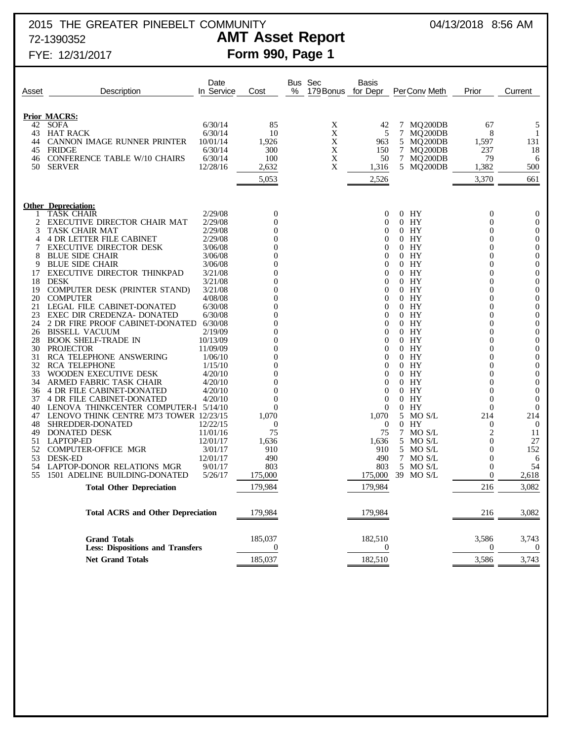## 2015 THE GREATER PINEBELT COMMUNITY 04/13/2018 8:56 AM 72-1390352 **AMT Asset Report**

# FYE: 12/31/2017 **Form 990, Page 1**

| Asset    | Description                                                    | Date<br>In Service   | Cost                        | % | Bus Sec<br>179 Bonus | <b>Basis</b><br>for Depr | Per Conv Meth      | Prior                     | Current                    |
|----------|----------------------------------------------------------------|----------------------|-----------------------------|---|----------------------|--------------------------|--------------------|---------------------------|----------------------------|
|          | <b>Prior MACRS:</b>                                            |                      |                             |   |                      |                          |                    |                           |                            |
| 42       | <b>SOFA</b>                                                    | 6/30/14              | 85                          |   | X                    | 42                       | 7 MQ200DB          | 67                        | 5                          |
| 43       | <b>HAT RACK</b>                                                | 6/30/14              | 10                          |   | X                    | 5                        | 7<br>MQ200DB       | 8                         | -1                         |
| 44       | CANNON IMAGE RUNNER PRINTER                                    | 10/01/14             | 1,926                       |   | X                    | 963                      | 5 MQ200DB          | 1,597                     | 131                        |
| 45       | FRIDGE                                                         | 6/30/14              | 300                         |   | X                    | 150                      | 7 MQ200DB          | 237                       | 18                         |
| 46       | <b>CONFERENCE TABLE W/10 CHAIRS</b>                            | 6/30/14              | 100                         |   | X                    | 50                       | 7 MQ200DB          | 79                        | 6                          |
| 50       | <b>SERVER</b>                                                  | 12/28/16             | 2,632                       |   | X                    | 1,316                    | 5 MQ200DB          | 1,382                     | 500                        |
|          |                                                                |                      | 5,053                       |   |                      | 2,526                    |                    | 3,370                     | 661                        |
|          | <b>Other Depreciation:</b>                                     |                      |                             |   |                      |                          |                    |                           |                            |
|          | <b>TASK CHAIR</b>                                              | 2/29/08              | $\mathbf 0$                 |   |                      | 0                        | $0$ HY             | $\mathbf{0}$              | $\mathbf 0$                |
| 2        | EXECUTIVE DIRECTOR CHAIR MAT                                   | 2/29/08              | 0                           |   |                      | $^{()}$                  | $0$ HY             | 0                         | $\mathbf 0$                |
| 3        | <b>TASK CHAIR MAT</b>                                          | 2/29/08              | 0                           |   |                      | $^{()}$                  | $0$ HY             | $\theta$                  | $\theta$                   |
| 4        | <b>4 DR LETTER FILE CABINET</b>                                | 2/29/08              | $_{0}$                      |   |                      | $^{()}$                  | $0$ HY             | 0                         | $\mathbf 0$                |
|          | <b>EXECUTIVE DIRECTOR DESK</b>                                 | 3/06/08              |                             |   |                      | $^{(1)}$                 | $0$ HY             | $\theta$                  | $\mathbf 0$                |
|          | <b>BLUE SIDE CHAIR</b>                                         | 3/06/08              |                             |   |                      | $^{(1)}$                 | $0$ HY             | 0                         | $\mathbf 0$                |
| 9<br>17  | <b>BLUE SIDE CHAIR</b><br>EXECUTIVE DIRECTOR THINKPAD          | 3/06/08              |                             |   |                      | $^{()}$<br>$^{()}$       | $0$ HY<br>$0$ HY   | $\Omega$<br>0             | $\mathbf 0$<br>$\mathbf 0$ |
| 18       | <b>DESK</b>                                                    | 3/21/08<br>3/21/08   |                             |   |                      | $^{()}$                  | $0$ HY             | $\Omega$                  | $\mathbf 0$                |
| 19       | <b>COMPUTER DESK (PRINTER STAND)</b>                           | 3/21/08              |                             |   |                      | $^{(1)}$                 | $0$ HY             | 0                         | $\mathbf 0$                |
| 20       | <b>COMPUTER</b>                                                | 4/08/08              |                             |   |                      | $^{()}$                  | $0$ HY             | 0                         | $\mathbf 0$                |
| 21       | <b>LEGAL FILE CABINET-DONATED</b>                              | 6/30/08              |                             |   |                      | $^{()}$                  | $0$ HY             | 0                         | $\mathbf 0$                |
| 23       | EXEC DIR CREDENZA- DONATED                                     | 6/30/08              |                             |   |                      | $^{()}$                  | $0$ HY             | $\Omega$                  | $\mathbf 0$                |
| 24       | 2 DR FIRE PROOF CABINET-DONATED                                | 6/30/08              |                             |   |                      | $^{()}$                  | $0$ HY             | 0                         | $\mathbf 0$                |
| 26       | <b>BISSELL VACUUM</b>                                          | 2/19/09              |                             |   |                      | $^{()}$                  | $0$ HY             | 0                         | $\mathbf 0$                |
| 28       | <b>BOOK SHELF-TRADE IN</b>                                     | 10/13/09             |                             |   |                      | $^{()}$                  | $0$ HY             | 0                         | $\mathbf 0$                |
| 30<br>31 | <b>PROJECTOR</b><br><b>RCA TELEPHONE ANSWERING</b>             | 11/09/09<br>1/06/10  |                             |   |                      | $^{()}$<br>$^{()}$       | $0$ HY<br>$0$ HY   | $\Omega$<br>0             | $\mathbf 0$<br>$\mathbf 0$ |
| 32       | <b>RCA TELEPHONE</b>                                           | 1/15/10              |                             |   |                      | $^{()}$                  | $0$ HY             | 0                         | $\mathbf 0$                |
| 33       | WOODEN EXECUTIVE DESK                                          | 4/20/10              |                             |   |                      | $^{()}$                  | $0$ HY             | 0                         | $\mathbf 0$                |
| 34       | ARMED FABRIC TASK CHAIR                                        | 4/20/10              |                             |   |                      | $^{()}$                  | $0$ HY             | 0                         | $\theta$                   |
| 36       | 4 DR FILE CABINET-DONATED                                      | 4/20/10              | $_{0}$                      |   |                      | $^{()}$                  | $0$ HY             | 0                         | $\theta$                   |
| 37       | 4 DR FILE CABINET-DONATED                                      | 4/20/10              | 0                           |   |                      | $^{()}$                  | $0$ HY             | $\theta$                  | $\theta$                   |
| 40       | LENOVA THINKCENTER COMPUTER-I 5/14/10                          |                      | $\overline{0}$              |   |                      | $\theta$                 | $0$ HY             | 0                         | $\theta$                   |
| 47       | LENOVO THINK CENTRE M73 TOWER 12/23/15                         |                      | 1,070                       |   |                      | 1,070                    | 5 MO S/L           | 214                       | 214                        |
| 48<br>49 | SHREDDER-DONATED<br>DONATED DESK                               | 12/22/15<br>11/01/16 | $\theta$<br>75              |   |                      | $\theta$<br>75           | $0$ HY<br>7 MO S/L | 0<br>2                    | $\overline{0}$<br>11       |
| 51       | <b>LAPTOP-ED</b>                                               | 12/01/17             | 1,636                       |   |                      | 1,636                    | 5 MOS/L            | $\mathbf{0}$              | 27                         |
| 52       | <b>COMPUTER-OFFICE MGR</b>                                     | 3/01/17              | 910                         |   |                      | 910                      | 5 MO S/L           | $\mathbf{0}$              | 152                        |
| 53       | <b>DESK-ED</b>                                                 | 12/01/17             | 490                         |   |                      | 490                      | 7 MO S/L           | 0                         | 6                          |
| 54       | LAPTOP-DONOR RELATIONS MGR                                     | 9/01/17              | 803                         |   |                      | 803                      | 5 MO S/L           | 0                         | 54                         |
| 55       | 1501 ADELINE BUILDING-DONATED                                  | 5/26/17              | 175,000                     |   |                      | 175,000                  | 39 MO S/L          | 0                         | 2,618                      |
|          | <b>Total Other Depreciation</b>                                |                      | 179,984                     |   |                      | 179,984                  |                    | 216                       | 3,082                      |
|          | <b>Total ACRS and Other Depreciation</b>                       |                      | 179,984                     |   |                      | 179,984                  |                    | 216                       | 3,082                      |
|          |                                                                |                      |                             |   |                      |                          |                    |                           |                            |
|          | <b>Grand Totals</b><br><b>Less: Dispositions and Transfers</b> |                      | 185,037<br>$\boldsymbol{0}$ |   |                      | 182,510<br>$\theta$      |                    | 3,586<br>$\boldsymbol{0}$ | 3,743<br>$\boldsymbol{0}$  |
|          | <b>Net Grand Totals</b>                                        |                      | 185,037                     |   |                      | 182,510                  |                    | 3,586                     | 3,743                      |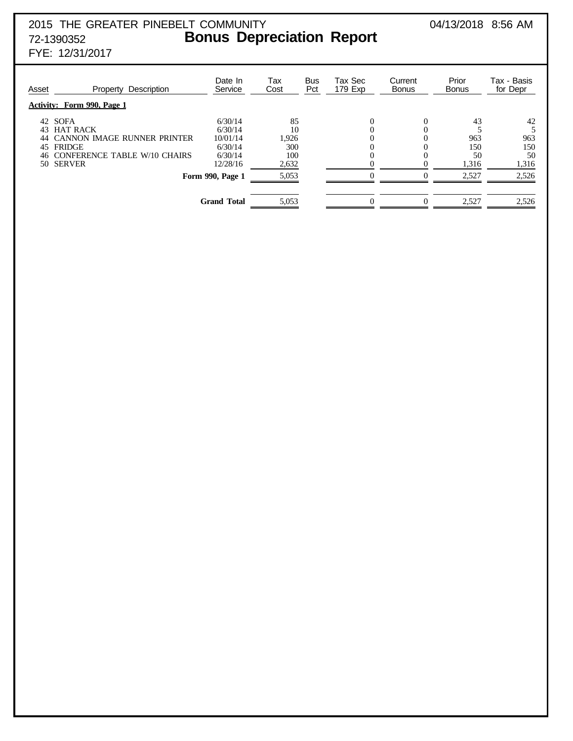## 2015 THE GREATER PINEBELT COMMUNITY 04/13/2018 8:56 AM 72-1390352 **Bonus Depreciation Report**

FYE: 12/31/2017

| Asset                | Description<br>Property                                                                                           | Date In<br>Service                                   | Tax<br>Cost                     | <b>Bus</b><br>Pct | Tax Sec<br>179 Exp | Current<br><b>Bonus</b> | Prior<br><b>Bonus</b>  | Tax - Basis<br>for Depr |
|----------------------|-------------------------------------------------------------------------------------------------------------------|------------------------------------------------------|---------------------------------|-------------------|--------------------|-------------------------|------------------------|-------------------------|
|                      | <b>Activity: Form 990, Page 1</b>                                                                                 |                                                      |                                 |                   |                    |                         |                        |                         |
| 43<br>44<br>45<br>46 | 42 SOFA<br><b>HAT RACK</b><br><b>CANNON IMAGE RUNNER PRINTER</b><br><b>FRIDGE</b><br>CONFERENCE TABLE W/10 CHAIRS | 6/30/14<br>6/30/14<br>10/01/14<br>6/30/14<br>6/30/14 | 85<br>10<br>1,926<br>300<br>100 |                   | $\Omega$<br>0<br>0 | 0                       | 43<br>963<br>150<br>50 | 42<br>963<br>150<br>50  |
| 50.                  | <b>SERVER</b>                                                                                                     | 12/28/16                                             | 2,632                           |                   | 0                  |                         | 1,316                  | 1,316                   |
|                      |                                                                                                                   | Form 990, Page 1                                     | 5,053                           |                   |                    |                         | 2,527                  | 2,526                   |
|                      |                                                                                                                   | <b>Grand Total</b>                                   | 5,053                           |                   | 0                  |                         | 2,527                  | 2,526                   |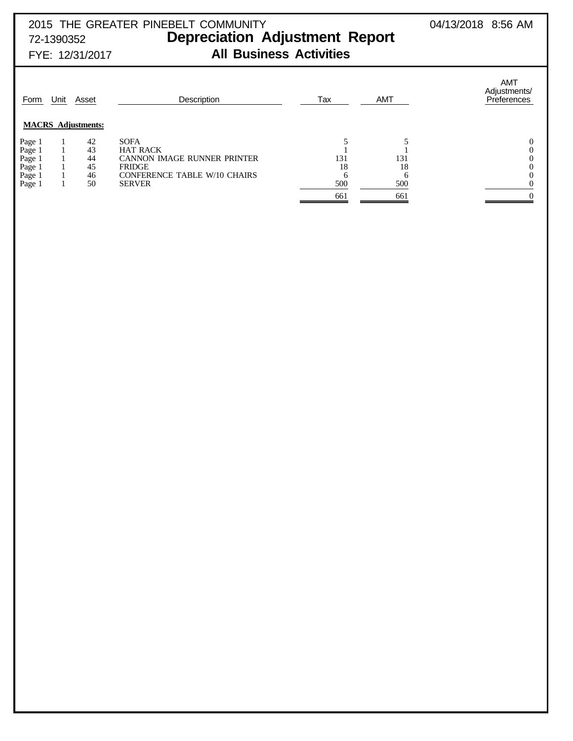## 2015 THE GREATER PINEBELT COMMUNITY 04/13/2018 8:56 AM 72-1390352 **Depreciation Adjustment Report** FYE: 12/31/2017 **All Business Activities**

| 42<br><b>SOFA</b><br>Page 1<br>Page 1<br>Page 1<br>43<br><b>HAT RACK</b><br>CANNON IMAGE RUNNER PRINTER<br>131<br>131<br>44<br>Page 1<br>Page 1<br>45<br>18<br>18<br><b>FRIDGE</b><br><b>CONFERENCE TABLE W/10 CHAIRS</b><br>46<br>h<br>500<br>Page 1<br>50<br>500<br><b>SERVER</b> | Form | Unit | Asset<br><b>MACRS</b> Adjustments: | Description | Tax | <b>AMT</b> | <b>AMT</b><br>Adjustments/<br>Preferences |
|-------------------------------------------------------------------------------------------------------------------------------------------------------------------------------------------------------------------------------------------------------------------------------------|------|------|------------------------------------|-------------|-----|------------|-------------------------------------------|
|                                                                                                                                                                                                                                                                                     |      |      |                                    |             |     |            |                                           |
|                                                                                                                                                                                                                                                                                     |      |      |                                    |             |     |            |                                           |
|                                                                                                                                                                                                                                                                                     |      |      |                                    |             |     |            |                                           |
|                                                                                                                                                                                                                                                                                     |      |      |                                    |             |     |            |                                           |
|                                                                                                                                                                                                                                                                                     |      |      |                                    |             |     |            |                                           |
|                                                                                                                                                                                                                                                                                     |      |      |                                    |             |     |            |                                           |
|                                                                                                                                                                                                                                                                                     |      |      |                                    |             |     |            |                                           |
|                                                                                                                                                                                                                                                                                     |      |      |                                    |             | 661 | 661        |                                           |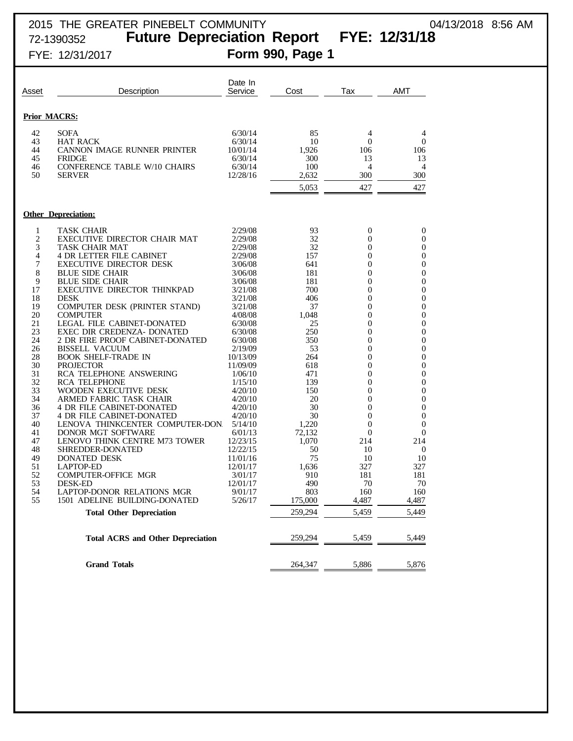## 2015 THE GREATER PINEBELT COMMUNITY 04/13/2018 8:56 AM<br>72-1390352 **Future Depreciation Report FYE: 12/31/18** Future Depreciation Report FYE: 12/31/18 FYE: 12/31/2017 **Form 990, Page 1**

| Asset    | Description                                         | Date In<br>Service  | Cost      | Tax                        | AMT            |
|----------|-----------------------------------------------------|---------------------|-----------|----------------------------|----------------|
|          | <b>Prior MACRS:</b>                                 |                     |           |                            |                |
| 42       | <b>SOFA</b>                                         | 6/30/14             | 85        | 4                          | 4              |
| 43       | HAT RACK                                            | 6/30/14             | 10        | $\mathbf{0}$               | $\theta$       |
| 44       | CANNON IMAGE RUNNER PRINTER                         | 10/01/14            | 1,926     | 106                        | 106            |
| 45       | <b>FRIDGE</b>                                       | 6/30/14             | 300       | 13                         | 13             |
| 46       | CONFERENCE TABLE W/10 CHAIRS                        | 6/30/14             | 100       | 4                          | 4              |
| 50       | <b>SERVER</b>                                       | 12/28/16            | 2,632     | 300                        | 300            |
|          |                                                     |                     | 5,053     | 427                        | 427            |
|          |                                                     |                     |           |                            |                |
|          | <b>Other Depreciation:</b>                          |                     |           |                            |                |
| 1        | TASK CHAIR                                          | 2/29/08             | 93        | $\overline{0}$             | $\overline{0}$ |
| 2        | EXECUTIVE DIRECTOR CHAIR MAT                        | 2/29/08             | 32        | $\Omega$                   | 0              |
| 3        | <b>TASK CHAIR MAT</b>                               | 2/29/08             | 32        | $\overline{0}$             | 0              |
| 4        | <b>4 DR LETTER FILE CABINET</b>                     | 2/29/08             | 157       | $\theta$                   | 0              |
| 7        | <b>EXECUTIVE DIRECTOR DESK</b>                      | 3/06/08             | 641       | $\overline{0}$             | 0              |
| 8        | <b>BLUE SIDE CHAIR</b>                              | 3/06/08             | 181       | $\overline{0}$             | 0              |
| 9        | <b>BLUE SIDE CHAIR</b>                              | 3/06/08             | 181       | $\boldsymbol{0}$           | 0              |
| 17       | EXECUTIVE DIRECTOR THINKPAD                         | 3/21/08             | 700       | $\overline{0}$             | 0              |
| 18       | <b>DESK</b>                                         | 3/21/08             | 406       | $\theta$                   | 0              |
| 19       | <b>COMPUTER DESK (PRINTER STAND)</b>                | 3/21/08             | 37        | $\overline{0}$             | 0              |
| 20       | <b>COMPUTER</b>                                     | 4/08/08             | 1,048     | $\theta$                   | 0              |
| 21       | <b>LEGAL FILE CABINET-DONATED</b>                   | 6/30/08             | 25        | $\overline{0}$             | 0              |
| 23       | EXEC DIR CREDENZA- DONATED                          | 6/30/08             | 250       | $\overline{0}$             | 0              |
| 24       | 2 DR FIRE PROOF CABINET-DONATED                     | 6/30/08             | 350       | $\boldsymbol{0}$           | 0              |
| 26<br>28 | <b>BISSELL VACUUM</b><br><b>BOOK SHELF-TRADE IN</b> | 2/19/09<br>10/13/09 | 53<br>264 | $\overline{0}$<br>$\theta$ | 0<br>0         |
| 30       | <b>PROJECTOR</b>                                    | 11/09/09            | 618       | $\overline{0}$             | 0              |
| 31       | <b>RCA TELEPHONE ANSWERING</b>                      | 1/06/10             | 471       | $\theta$                   | 0              |
| 32       | <b>RCA TELEPHONE</b>                                | 1/15/10             | 139       | $\overline{0}$             | 0              |
| 33       | WOODEN EXECUTIVE DESK                               | 4/20/10             | 150       | $\mathbf{0}$               | 0              |
| 34       | ARMED FABRIC TASK CHAIR                             | 4/20/10             | 20        | $\boldsymbol{0}$           | 0              |
| 36       | <b>4 DR FILE CABINET-DONATED</b>                    | 4/20/10             | 30        | $\mathbf{0}$               | 0              |
| 37       | <b>4 DR FILE CABINET-DONATED</b>                    | 4/20/10             | 30        | $\Omega$                   | 0              |
| 40       | LENOVA THINKCENTER COMPUTER-DON                     | 5/14/10             | 1,220     | $\mathbf{0}$               | 0              |
| 41       | DONOR MGT SOFTWARE                                  | 6/01/13             | 72,132    | $\theta$                   | 0              |
| 47       | LENOVO THINK CENTRE M73 TOWER                       | 12/23/15            | 1,070     | 214                        | 214            |
| 48       | SHREDDER-DONATED                                    | 12/22/15            | 50        | 10                         | $\mathbf{0}$   |
| 49       | DONATED DESK                                        | 11/01/16            | 75        | 10                         | 10             |
| 51       | <b>LAPTOP-ED</b>                                    | 12/01/17            | 1,636     | 327                        | 327            |
| 52       | <b>COMPUTER-OFFICE MGR</b>                          | 3/01/17             | 910       | 181                        | 181            |
| 53       | <b>DESK-ED</b>                                      | 12/01/17            | 490       | 70                         | 70             |
| 54       | LAPTOP-DONOR RELATIONS MGR                          | 9/01/17             | 803       | 160                        | 160            |
| 55       | 1501 ADELINE BUILDING-DONATED                       | 5/26/17             | 175,000   | 4,487                      | 4,487          |
|          | <b>Total Other Depreciation</b>                     |                     | 259,294   | 5,459                      | 5,449          |
|          | <b>Total ACRS and Other Depreciation</b>            |                     | 259,294   | 5,459                      | 5,449          |
|          |                                                     |                     |           |                            |                |
|          | <b>Grand Totals</b>                                 |                     | 264,347   | 5,886                      | 5,876          |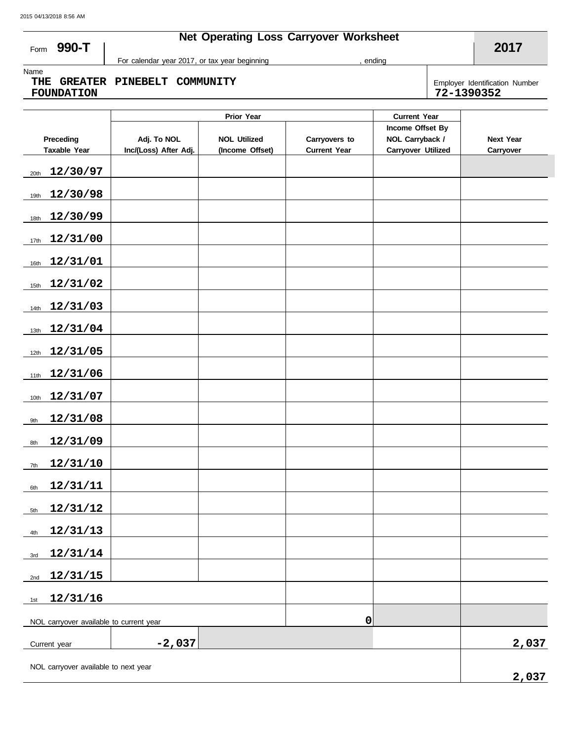## **Net Operating Loss Carryover Worksheet**

ending

**2017**

**990-T** Form

Name

**THE GREATER PINEBELT COMMUNITY FOUNDATION 72-1390352**

For calendar year 2017, or tax year beginning

Employer Identification Number<br>72-1390352

| Preceding<br><b>Taxable Year</b>        | Adj. To NOL<br>Inc/(Loss) After Adj. | <b>NOL Utilized</b><br>(Income Offset) | Carryovers to<br><b>Current Year</b> | Income Offset By<br>NOL Carryback /<br><b>Carryover Utilized</b> | <b>Next Year</b><br>Carryover |
|-----------------------------------------|--------------------------------------|----------------------------------------|--------------------------------------|------------------------------------------------------------------|-------------------------------|
| 12/30/97<br>20th                        |                                      |                                        |                                      |                                                                  |                               |
| 12/30/98<br>19th                        |                                      |                                        |                                      |                                                                  |                               |
| 12/30/99<br>18th                        |                                      |                                        |                                      |                                                                  |                               |
| 12/31/00<br>17th                        |                                      |                                        |                                      |                                                                  |                               |
| 12/31/01<br>16th                        |                                      |                                        |                                      |                                                                  |                               |
| 12/31/02<br>15th                        |                                      |                                        |                                      |                                                                  |                               |
| 12/31/03<br>14th                        |                                      |                                        |                                      |                                                                  |                               |
| 12/31/04<br>13th                        |                                      |                                        |                                      |                                                                  |                               |
| 12/31/05<br>12th                        |                                      |                                        |                                      |                                                                  |                               |
| 12/31/06<br>11th                        |                                      |                                        |                                      |                                                                  |                               |
| 12/31/07<br>10th                        |                                      |                                        |                                      |                                                                  |                               |
| 12/31/08<br>9th                         |                                      |                                        |                                      |                                                                  |                               |
| 12/31/09<br>8th                         |                                      |                                        |                                      |                                                                  |                               |
| 12/31/10<br>7th                         |                                      |                                        |                                      |                                                                  |                               |
| 12/31/11<br>6th                         |                                      |                                        |                                      |                                                                  |                               |
| 12/31/12<br>5th                         |                                      |                                        |                                      |                                                                  |                               |
| 12/31/13<br>4th                         |                                      |                                        |                                      |                                                                  |                               |
| 12/31/14<br>3rd                         |                                      |                                        |                                      |                                                                  |                               |
| 12/31/15<br>2nd                         |                                      |                                        |                                      |                                                                  |                               |
| 12/31/16<br>1st                         |                                      |                                        |                                      |                                                                  |                               |
| NOL carryover available to current year |                                      |                                        |                                      |                                                                  |                               |
| Current year                            |                                      | 2,037                                  |                                      |                                                                  |                               |
| NOL carryover available to next year    |                                      | 2,037                                  |                                      |                                                                  |                               |